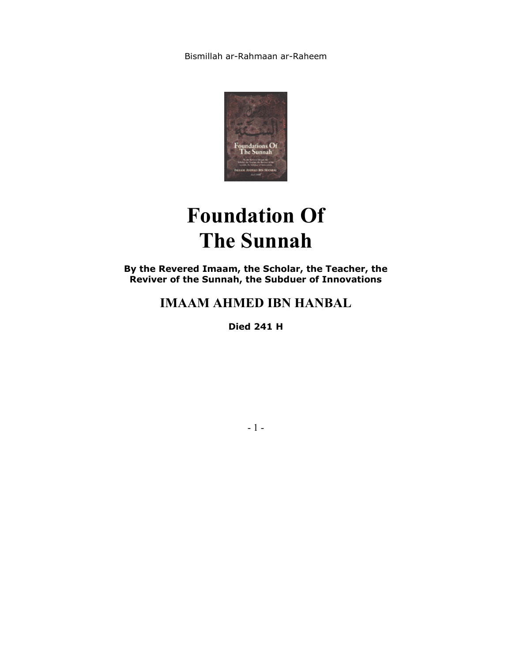Bismillah ar-Rahmaan ar-Raheem



# **Foundation Of The Sunnah**

**By the Revered Imaam, the Scholar, the Teacher, the Reviver of the Sunnah, the Subduer of Innovations** 

## **IMAAM AHMED IBN HANBAL**

**Died 241 H** 

- 1 -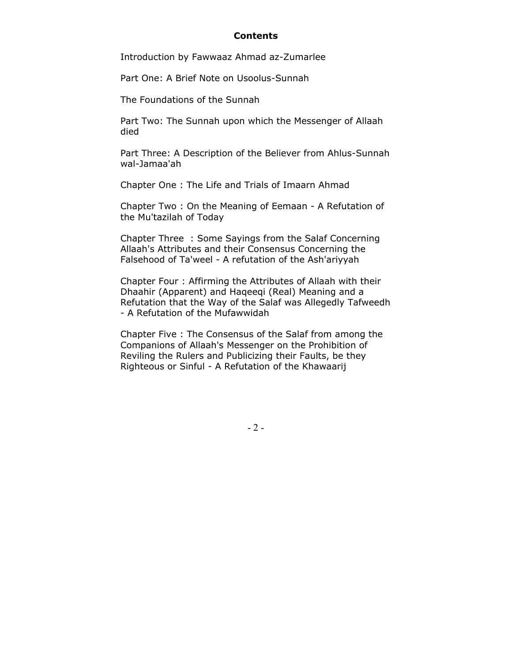#### **Contents**

[Introduction by Fawwaaz Ahmad az-Zumarlee](#page-3-0) 

[Part One: A Brief Note on Usoolus-Sunnah](#page-5-0) 

[The Foundations of the Sunnah](#page-6-0) 

[Part Two: The Sunnah upon which the Messenger of Allaah](#page-43-0)  died

[Part Three: A Description of the Believer from Ahlus-Sunnah](#page-46-0)  wal-Jamaa'ah

[Chapter One : The Life and Trials of Imaarn Ahmad](#page-50-0) 

[Chapter Two : On the Meaning of Eemaan - A Refutation of](#page-93-0)  the Mu'tazilah of Today

[Chapter Three : Some Sayings from the Salaf Concerning](#page-95-0)  Allaah's Attributes and their Consensus Concerning the Falsehood of Ta'weel - A refutation of the Ash'ariyyah

Chapter Four : Affirming the Attributes of Allaah with their Dhaahir (Apparent) and Haqeeqi (Real) Meaning and a [Refutation that the Way of the Salaf was Allegedly Tafweedh](#page-109-0)  - A Refutation of the Mufawwidah

[Chapter Five : The Consensus of the Salaf from among the](#page-119-0)  Companions of Allaah's Messenger on the Prohibition of Reviling the Rulers and Publicizing their Faults, be they Righteous or Sinful - A Refutation of the Khawaarij

 $-2-$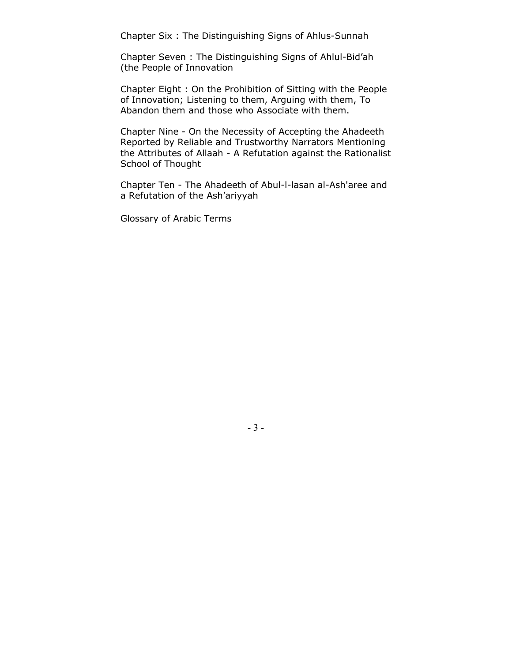[Chapter Six : The Distinguishing Signs of Ahlus-Sunnah](#page-134-0) 

[Chapter Seven : The Distinguishing Signs of Ahlul-Bid'ah](#page-140-0)  (the People of Innovation

[Chapter Eight : On the Prohibition of Sitting with the People](#page-145-0)  of Innovation; Listening to them, Arguing with them, To Abandon them and those who Associate with them.

Chapter Nine - On the Necessity of Accepting the Ahadeeth Reported by Reliable and Trustworthy Narrators Mentioning [the Attributes of Allaah - A Refutation against the Rationalist](#page-152-0)  School of Thought

[Chapter Ten - The Ahadeeth of Abul-l-lasan al-Ash'aree and](#page-158-0)  a Refutation of the Ash'ariyyah

[Glossary of Arabic Terms](#page-172-0)

- 3 -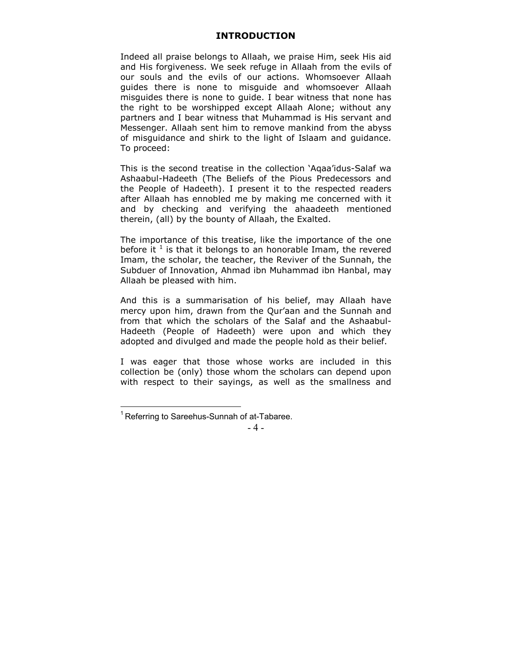### **INTRODUCTION**

<span id="page-3-0"></span>Indeed all praise belongs to Allaah, we praise Him, seek His aid and His forgiveness. We seek refuge in Allaah from the evils of our souls and the evils of our actions. Whomsoever Allaah guides there is none to misguide and whomsoever Allaah misguides there is none to guide. I bear witness that none has the right to be worshipped except Allaah Alone; without any partners and I bear witness that Muhammad is His servant and Messenger. Allaah sent him to remove mankind from the abyss of misguidance and shirk to the light of Islaam and guidance. To proceed:

This is the second treatise in the collection 'Aqaa'idus-Salaf wa Ashaabul-Hadeeth (The Beliefs of the Pious Predecessors and the People of Hadeeth). I present it to the respected readers after Allaah has ennobled me by making me concerned with it and by checking and verifying the ahaadeeth mentioned therein, (all) by the bounty of Allaah, the Exalted.

The importance of this treatise, like the importance of the one before it  $^1$  is that it belongs to an honorable Imam, the revered Imam, the scholar, the teacher, the Reviver of the Sunnah, the Subduer of Innovation, Ahmad ibn Muhammad ibn Hanbal, may Allaah be pleased with him.

And this is a summarisation of his belief, may Allaah have mercy upon him, drawn from the Qur'aan and the Sunnah and from that which the scholars of the Salaf and the Ashaabul-Hadeeth (People of Hadeeth) were upon and which they adopted and divulged and made the people hold as their belief.

I was eager that those whose works are included in this collection be (only) those whom the scholars can depend upon with respect to their sayings, as well as the smallness and

 $\overline{a}$ 

<sup>&</sup>lt;sup>1</sup> Referring to Sareehus-Sunnah of at-Tabaree.

 $-4-$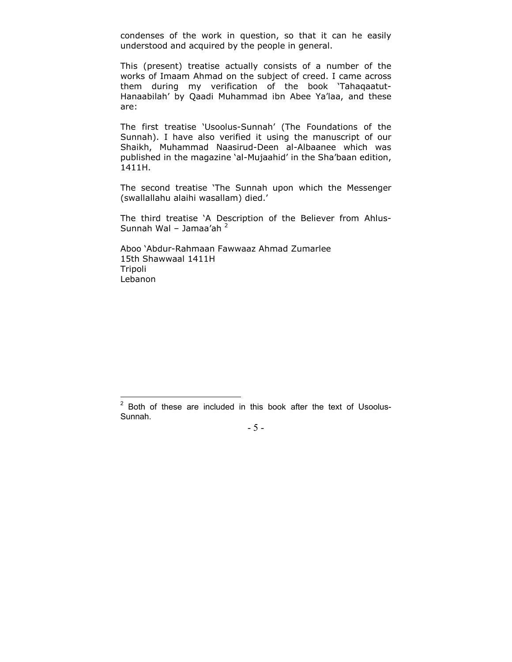condenses of the work in question, so that it can he easily understood and acquired by the people in general.

This (present) treatise actually consists of a number of the works of Imaam Ahmad on the subject of creed. I came across them during my verification of the book 'Tahaqaatut-Hanaabilah' by Qaadi Muhammad ibn Abee Ya'laa, and these are:

The first treatise 'Usoolus-Sunnah' (The Foundations of the Sunnah). I have also verified it using the manuscript of our Shaikh, Muhammad Naasirud-Deen al-Albaanee which was published in the magazine 'al-Mujaahid' in the Sha'baan edition, 1411H.

The second treatise 'The Sunnah upon which the Messenger (swallallahu alaihi wasallam) died.'

The third treatise 'A Description of the Believer from Ahlus-Sunnah Wal – Jamaa'ah  $2$ 

Aboo 'Abdur-Rahmaan Fawwaaz Ahmad Zumarlee 15th Shawwaal 1411H Tripoli Lebanon

 $\overline{a}$ 

- 5 -

 $2$  Both of these are included in this book after the text of Usoolus-Sunnah.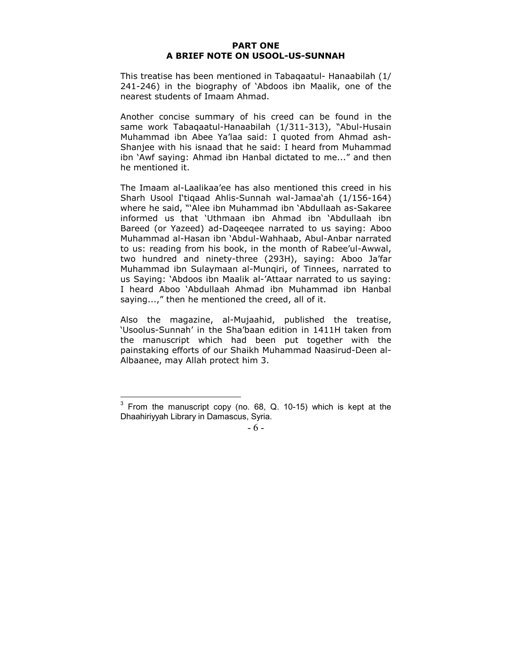#### **PART ONE A BRIEF NOTE ON USOOL-US-SUNNAH**

<span id="page-5-0"></span>This treatise has been mentioned in Tabaqaatul- Hanaabilah (1/ 241-246) in the biography of 'Abdoos ibn Maalik, one of the nearest students of Imaam Ahmad.

Another concise summary of his creed can be found in the same work Tabaqaatul-Hanaabilah (1/311-313), "Abul-Husain Muhammad ibn Abee Ya'laa said: I quoted from Ahmad ash-Shanjee with his isnaad that he said: I heard from Muhammad ibn 'Awf saying: Ahmad ibn Hanbal dictated to me..." and then he mentioned it.

The Imaam al-Laalikaa'ee has also mentioned this creed in his Sharh Usool I'tiqaad Ahlis-Sunnah wal-Jamaa'ah (1/156-164) where he said, "'Alee ibn Muhammad ibn 'Abdullaah as-Sakaree informed us that 'Uthmaan ibn Ahmad ibn 'Abdullaah ibn Bareed (or Yazeed) ad-Daqeeqee narrated to us saying: Aboo Muhammad al-Hasan ibn 'Abdul-Wahhaab, Abul-Anbar narrated to us: reading from his book, in the month of Rabee'ul-Awwal, two hundred and ninety-three (293H), saying: Aboo Ja'far Muhammad ibn Sulaymaan al-Munqiri, of Tinnees, narrated to us Saying: 'Abdoos ibn Maalik al-'Attaar narrated to us saying: I heard Aboo 'Abdullaah Ahmad ibn Muhammad ibn Hanbal saying...," then he mentioned the creed, all of it.

Also the magazine, al-Mujaahid, published the treatise, 'Usoolus-Sunnah' in the Sha'baan edition in 1411H taken from the manuscript which had been put together with the painstaking efforts of our Shaikh Muhammad Naasirud-Deen al-Albaanee, may Allah protect him 3.

 $\overline{a}$ 

- 6 -

 $3$  From the manuscript copy (no. 68, Q. 10-15) which is kept at the Dhaahiriyyah Library in Damascus, Syria.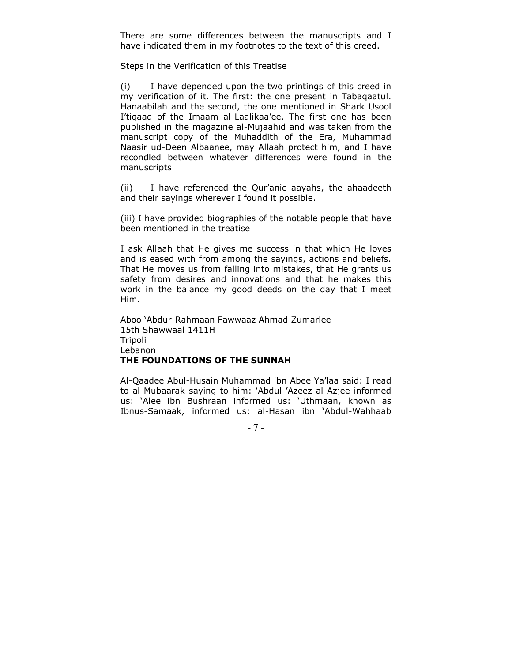<span id="page-6-0"></span>There are some differences between the manuscripts and I have indicated them in my footnotes to the text of this creed.

Steps in the Verification of this Treatise

(i) I have depended upon the two printings of this creed in my verification of it. The first: the one present in Tabaqaatul. Hanaabilah and the second, the one mentioned in Shark Usool I'tiqaad of the Imaam al-Laalikaa'ee. The first one has been published in the magazine al-Mujaahid and was taken from the manuscript copy of the Muhaddith of the Era, Muhammad Naasir ud-Deen Albaanee, may Allaah protect him, and I have recondled between whatever differences were found in the manuscripts

(ii) I have referenced the Qur'anic aayahs, the ahaadeeth and their sayings wherever I found it possible.

(iii) I have provided biographies of the notable people that have been mentioned in the treatise

I ask Allaah that He gives me success in that which He loves and is eased with from among the sayings, actions and beliefs. That He moves us from falling into mistakes, that He grants us safety from desires and innovations and that he makes this work in the balance my good deeds on the day that I meet Him.

Aboo 'Abdur-Rahmaan Fawwaaz Ahmad Zumarlee 15th Shawwaal 1411H Tripoli Lebanon **THE FOUNDATIONS OF THE SUNNAH** 

Al-Qaadee Abul-Husain Muhammad ibn Abee Ya'laa said: I read to al-Mubaarak saying to him: 'Abdul-'Azeez al-Azjee informed us: 'Alee ibn Bushraan informed us: 'Uthmaan, known as Ibnus-Samaak, informed us: al-Hasan ibn 'Abdul-Wahhaab

- 7 -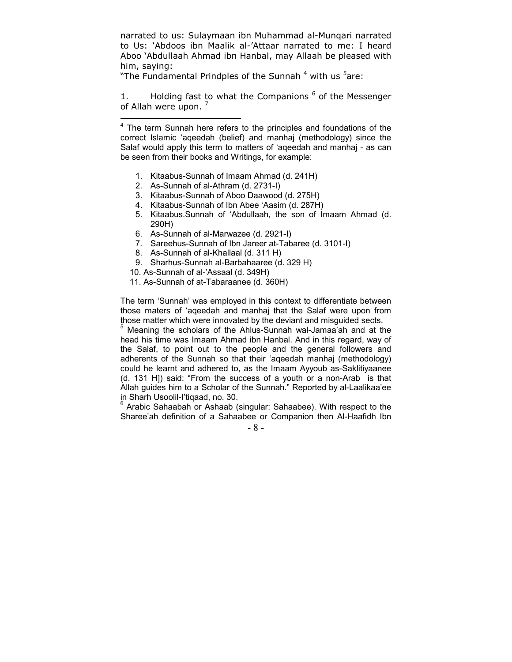narrated to us: Sulaymaan ibn Muhammad al-Munqari narrated to Us: 'Abdoos ibn Maalik al-'Attaar narrated to me: I heard Aboo 'Abdullaah Ahmad ibn Hanbal, may Allaah be pleased with him, saying:

"The Fundamental Prindples of the Sunnah <sup>4</sup> with us <sup>5</sup>are:

1. Holding fast to what the Companions  $6$  of the Messenger of Allah were upon.<sup>7</sup>

<sup>4</sup> The term Sunnah here refers to the principles and foundations of the correct Islamic 'aqeedah (belief) and manhaj (methodology) since the Salaf would apply this term to matters of 'aqeedah and manhaj - as can be seen from their books and Writings, for example:

- 1. Kitaabus-Sunnah of Imaam Ahmad (d. 241H)
- 2. As-Sunnah of al-Athram (d. 2731-I)

 $\overline{a}$ 

- 3. Kitaabus-Sunnah of Aboo Daawood (d. 275H)
- 4. Kitaabus-Sunnah of Ibn Abee 'Aasim (d. 287H)
- 5. Kitaabus.Sunnah of 'Abdullaah, the son of Imaam Ahmad (d. 290H)
- 6. As-Sunnah of al-Marwazee (d. 2921-I)
- 7. Sareehus-Sunnah of Ibn Jareer at-Tabaree (d. 3101-I)
- 8. As-Sunnah of al-Khallaal (d. 311 H)
- 9. Sharhus-Sunnah al-Barbahaaree (d. 329 H)
- 10. As-Sunnah of al-'Assaal (d. 349H)
- 11. As-Sunnah of at-Tabaraanee (d. 360H)

The term 'Sunnah' was employed in this context to differentiate between those maters of 'aqeedah and manhaj that the Salaf were upon from those matter which were innovated by the deviant and misguided sects.

5 Meaning the scholars of the Ahlus-Sunnah wal-Jamaa'ah and at the head his time was Imaam Ahmad ibn Hanbal. And in this regard, way of the Salaf, to point out to the people and the general followers and adherents of the Sunnah so that their 'aqeedah manhaj (methodology) could he learnt and adhered to, as the Imaam Ayyoub as-Saklitiyaanee (d. 131 H]) said: "From the success of a youth or a non-Arab is that Allah guides him to a Scholar of the Sunnah." Reported by al-Laalikaa'ee in Sharh Usoolil-I'tiqaad, no. 30.

 $6$  Arabic Sahaabah or Ashaab (singular: Sahaabee). With respect to the Sharee'ah definition of a Sahaabee or Companion then Al-Haafidh Ibn

- 8 -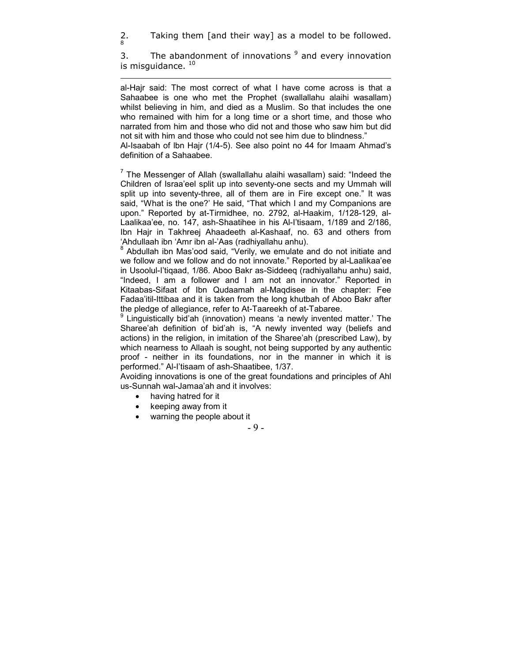2. Taking them [and their way] as a model to be followed. 8

3. The abandonment of innovations  $9$  and every innovation is misguidance.<sup>10</sup>

al-Hajr said: The most correct of what I have come across is that a Sahaabee is one who met the Prophet (swallallahu alaihi wasallam) whilst believing in him, and died as a Muslim. So that includes the one who remained with him for a long time or a short time, and those who narrated from him and those who did not and those who saw him but did not sit with him and those who could not see him due to blindness."

Al-Isaabah of lbn Hajr (1/4-5). See also point no 44 for Imaam Ahmad's definition of a Sahaabee.

 $7$  The Messenger of Allah (swallallahu alaihi wasallam) said: "Indeed the Children of Israa'eel split up into seventy-one sects and my Ummah will split up into seventy-three, all of them are in Fire except one." It was said, "What is the one?' He said, "That which I and my Companions are upon." Reported by at-Tirmidhee, no. 2792, al-Haakim, 1/128-129, al-Laalikaa'ee, no. 147, ash-Shaatihee in his Al-I'tisaam, 1/189 and 2/186, Ibn Hajr in Takhreej Ahaadeeth al-Kashaaf, no. 63 and others from 'Ahdullaah ibn 'Amr ibn al-'Aas (radhiyallahu anhu).

<sup>8</sup> Abdullah ibn Mas'ood said, "Verily, we emulate and do not initiate and we follow and we follow and do not innovate." Reported by al-Laalikaa'ee in Usoolul-I'tiqaad, 1/86. Aboo Bakr as-Siddeeq (radhiyallahu anhu) said, "Indeed, I am a follower and I am not an innovator." Reported in Kitaabas-Sifaat of Ibn Qudaamah al-Maqdisee in the chapter: Fee Fadaa'itil-Ittibaa and it is taken from the long khutbah of Aboo Bakr after the pledge of allegiance, refer to At-Taareekh of at-Tabaree.

<sup>9</sup> Linguistically bid'ah (innovation) means 'a newly invented matter.' The Sharee'ah definition of bid'ah is, "A newly invented way (beliefs and actions) in the religion, in imitation of the Sharee'ah (prescribed Law), by which nearness to Allaah is sought, not being supported by any authentic proof - neither in its foundations, nor in the manner in which it is performed." Al-I'tisaam of ash-Shaatibee, 1/37.

Avoiding innovations is one of the great foundations and principles of Ahl us-Sunnah wal-Jamaa'ah and it involves:

• having hatred for it

 $\overline{a}$ 

- keeping away from it
- warning the people about it

- 9 -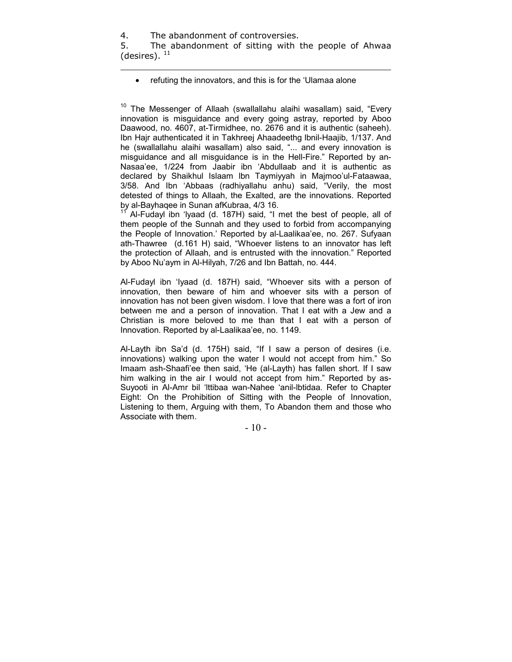4. The abandonment of controversies.

 $\overline{a}$ 

5. The abandonment of sitting with the people of Ahwaa (desires).  $^{11}$ 

• refuting the innovators, and this is for the 'Ulamaa alone

 $10$  The Messenger of Allaah (swallallahu alaihi wasallam) said, "Every innovation is misguidance and every going astray, reported by Aboo Daawood, no. 4607, at-Tirmidhee, no. 2676 and it is authentic (saheeh). Ibn Hajr authenticated it in Takhreej Ahaadeethg lbnil-Haajib, 1/137. And he (swallallahu alaihi wasallam) also said, "... and every innovation is misguidance and all misguidance is in the Hell-Fire." Reported by an-Nasaa'ee, 1/224 from Jaabir ibn 'Abdullaab and it is authentic as declared by Shaikhul Islaam lbn Taymiyyah in Majmoo'ul-Fataawaa, 3/58. And Ibn 'Abbaas (radhiyallahu anhu) said, "Verily, the most detested of things to Allaah, the Exalted, are the innovations. Reported by al-Bayhaqee in Sunan afKubraa, 4/3 16.

11 Al-Fudayl ibn 'lyaad (d. 187H) said, "I met the best of people, all of them people of the Sunnah and they used to forbid from accompanying the People of Innovation.' Reported by al-Laalikaa'ee, no. 267. Sufyaan ath-Thawree (d.161 H) said, "Whoever listens to an innovator has left the protection of Allaah, and is entrusted with the innovation." Reported by Aboo Nu'aym in Al-Hilyah, 7/26 and Ibn Battah, no. 444.

Al-Fudayl ibn 'Iyaad (d. 187H) said, "Whoever sits with a person of innovation, then beware of him and whoever sits with a person of innovation has not been given wisdom. I love that there was a fort of iron between me and a person of innovation. That I eat with a Jew and a Christian is more beloved to me than that I eat with a person of Innovation. Reported by al-Laalikaa'ee, no. 1149.

Al-Layth ibn Sa'd (d. 175H) said, "If I saw a person of desires (i.e. innovations) walking upon the water I would not accept from him." So Imaam ash-Shaafi'ee then said, 'He (al-Layth) has fallen short. If I saw him walking in the air I would not accept from him." Reported by as-Suyooti in Al-Amr bil 'lttibaa wan-Nahee 'anil-lbtidaa. Refer to Chapter Eight: On the Prohibition of Sitting with the People of Innovation, Listening to them, Arguing with them, To Abandon them and those who Associate with them.

 $-10-$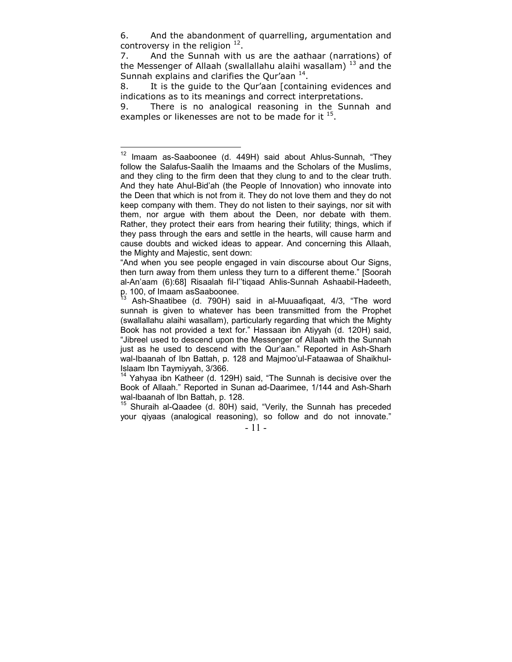6. And the abandonment of quarrelling, argumentation and controversy in the religion  $12$ .

7. And the Sunnah with us are the aathaar (narrations) of the Messenger of Allaah (swallallahu alaihi wasallam)  $^{13}$  and the Sunnah explains and clarifies the Qur'aan  $^{14}$ .

8. It is the guide to the Qur'aan [containing evidences and indications as to its meanings and correct interpretations.

9. There is no analogical reasoning in the Sunnah and examples or likenesses are not to be made for it <sup>15</sup>.

 $\overline{a}$ 

"And when you see people engaged in vain discourse about Our Signs, then turn away from them unless they turn to a different theme." [Soorah al-An'aam (6):68] Risaalah fil-I''tiqaad Ahlis-Sunnah Ashaabil-Hadeeth, p. 100, of Imaam asSaaboonee.

Ash-Shaatibee (d. 790H) said in al-Muuaafiqaat, 4/3, "The word sunnah is given to whatever has been transmitted from the Prophet (swallallahu alaihi wasallam), particularly regarding that which the Mighty Book has not provided a text for." Hassaan ibn Atiyyah (d. 120H) said, "Jibreel used to descend upon the Messenger of Allaah with the Sunnah just as he used to descend with the Qur'aan." Reported in Ash-Sharh wal-Ibaanah of Ibn Battah, p. 128 and Majmoo'ul-Fataawaa of Shaikhul-Islaam Ibn Taymiyyah, 3/366.

<sup>14</sup> Yahyaa ibn Katheer (d. 129H) said, "The Sunnah is decisive over the Book of Allaah." Reported in Sunan ad-Daarimee, 1/144 and Ash-Sharh wal-lbaanah of Ibn Battah, p. 128.

 $15$  Shuraih al-Qaadee (d. 80H) said, "Verily, the Sunnah has preceded your qiyaas (analogical reasoning), so follow and do not innovate."

- 11 -

 $12$  Imaam as-Saaboonee (d. 449H) said about Ahlus-Sunnah, "They follow the Salafus-Saalih the Imaams and the Scholars of the Muslims, and they cling to the firm deen that they clung to and to the clear truth. And they hate Ahul-Bid'ah (the People of Innovation) who innovate into the Deen that which is not from it. They do not love them and they do not keep company with them. They do not listen to their sayings, nor sit with them, nor argue with them about the Deen, nor debate with them. Rather, they protect their ears from hearing their futility; things, which if they pass through the ears and settle in the hearts, will cause harm and cause doubts and wicked ideas to appear. And concerning this Allaah, the Mighty and Majestic, sent down: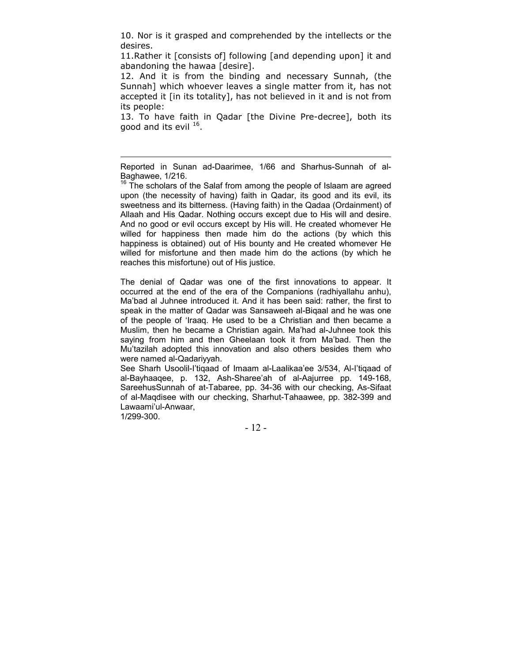10. Nor is it grasped and comprehended by the intellects or the desires.

11.Rather it [consists of] following [and depending upon] it and abandoning the hawaa [desire].

12. And it is from the binding and necessary Sunnah, (the Sunnah] which whoever leaves a single matter from it, has not accepted it [in its totality], has not believed in it and is not from its people:

13. To have faith in Qadar [the Divine Pre-decree], both its good and its evil  $^{16}$ .

Reported in Sunan ad-Daarimee, 1/66 and Sharhus-Sunnah of al-Baghawee, 1/216.

 $16$  The scholars of the Salaf from among the people of Islaam are agreed upon (the necessity of having) faith in Qadar, its good and its evil, its sweetness and its bitterness. (Having faith) in the Qadaa (Ordainment) of Allaah and His Qadar. Nothing occurs except due to His will and desire. And no good or evil occurs except by His will. He created whomever He willed for happiness then made him do the actions (by which this happiness is obtained) out of His bounty and He created whomever He willed for misfortune and then made him do the actions (by which he reaches this misfortune) out of His justice.

The denial of Qadar was one of the first innovations to appear. It occurred at the end of the era of the Companions (radhiyallahu anhu), Ma'bad al Juhnee introduced it. And it has been said: rather, the first to speak in the matter of Qadar was Sansaweeh al-Biqaal and he was one of the people of 'Iraaq. He used to be a Christian and then became a Muslim, then he became a Christian again. Ma'had al-Juhnee took this saying from him and then Gheelaan took it from Ma'bad. Then the Mu'tazilah adopted this innovation and also others besides them who were named al-Qadariyyah.

See Sharh Usoolil-I'tiqaad of Imaam al-Laalikaa'ee 3/534, Al-I'tiqaad of al-Bayhaaqee, p. 132, Ash-Sharee'ah of al-Aajurree pp. 149-168, SareehusSunnah of at-Tabaree, pp. 34-36 with our checking, As-Sifaat of al-Maqdisee with our checking, Sharhut-Tahaawee, pp. 382-399 and Lawaami'ul-Anwaar,

1/299-300.

 $\overline{a}$ 

- 12 -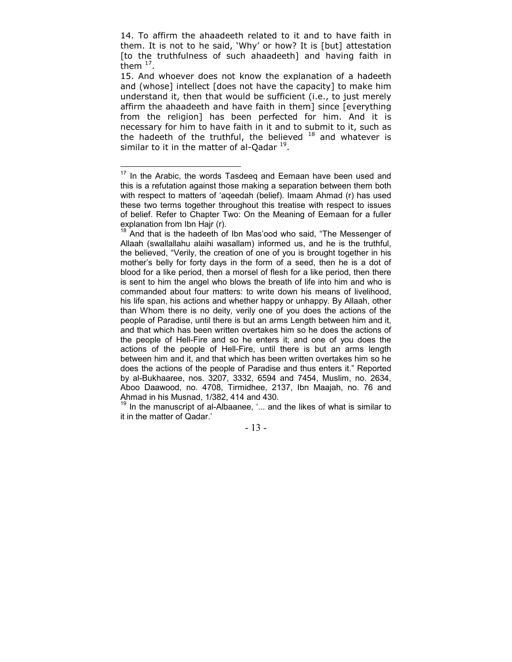14. To affirm the ahaadeeth related to it and to have faith in them. It is not to he said, 'Why' or how? It is [but] attestation [to the truthfulness of such ahaadeeth] and having faith in them  $17$ .

15. And whoever does not know the explanation of a hadeeth and (whose] intellect [does not have the capacity] to make him understand it, then that would be sufficient (i.e., to just merely affirm the ahaadeeth and have faith in them] since [everything from the religion] has been perfected for him. And it is necessary for him to have faith in it and to submit to it, such as the hadeeth of the truthful, the believed  $18$  and whatever is similar to it in the matter of al-Qadar  $^{19}$ .

 $\overline{a}$ 

 $18$  And that is the hadeeth of Ibn Mas'ood who said, "The Messenger of Allaah (swallallahu alaihi wasallam) informed us, and he is the truthful, the believed, "Verily, the creation of one of you is brought together in his mother's belly for forty days in the form of a seed, then he is a dot of blood for a like period, then a morsel of flesh for a like period, then there is sent to him the angel who blows the breath of life into him and who is commanded about four matters: to write down his means of livelihood, his life span, his actions and whether happy or unhappy. By Allaah, other than Whom there is no deity, verily one of you does the actions of the people of Paradise, until there is but an arms Length between him and it, and that which has been written overtakes him so he does the actions of the people of Hell-Fire and so he enters it; and one of you does the actions of the people of Hell-Fire, until there is but an arms length between him and it, and that which has been written overtakes him so he does the actions of the people of Paradise and thus enters it." Reported by al-Bukhaaree, nos. 3207, 3332, 6594 and 7454, Muslim, no. 2634, Aboo Daawood, no. 4708, Tirmidhee, 2137, Ibn Maajah, no. 76 and Ahmad in his Musnad, 1/382, 414 and 430.

 $19$  In the manuscript of al-Albaanee, '... and the likes of what is similar to it in the matter of Qadar.'

- 13 -

<sup>&</sup>lt;sup>17</sup> In the Arabic, the words Tasdeeq and Eemaan have been used and this is a refutation against those making a separation between them both with respect to matters of 'aqeedah (belief). Imaam Ahmad (r) has used these two terms together throughout this treatise with respect to issues of belief. Refer to Chapter Two: On the Meaning of Eemaan for a fuller explanation from Ibn Hajr (r).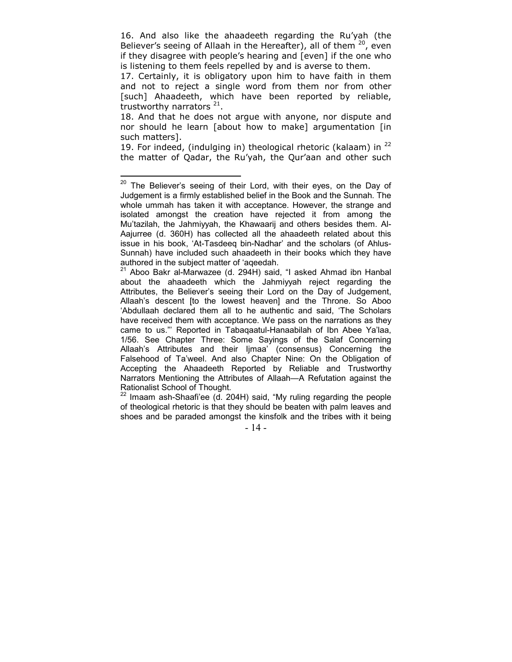16. And also like the ahaadeeth regarding the Ru'yah (the Believer's seeing of Allaah in the Hereafter), all of them  $20$ , even if they disagree with people's hearing and [even] if the one who is listening to them feels repelled by and is averse to them.

17. Certainly, it is obligatory upon him to have faith in them and not to reject a single word from them nor from other [such] Ahaadeeth, which have been reported by reliable, trustworthy narrators  $21$ .

18. And that he does not argue with anyone, nor dispute and nor should he learn [about how to make] argumentation [in such matters].

19. For indeed, (indulging in) theological rhetoric (kalaam) in  $^{22}$ the matter of Qadar, the Ru'yah, the Qur'aan and other such

 $1$  Aboo Bakr al-Marwazee (d. 294H) said, "I asked Ahmad ibn Hanbal about the ahaadeeth which the Jahmiyyah reject regarding the Attributes, the Believer's seeing their Lord on the Day of Judgement, Allaah's descent [to the lowest heaven] and the Throne. So Aboo 'Abdullaah declared them all to he authentic and said, 'The Scholars have received them with acceptance. We pass on the narrations as they came to us."' Reported in Tabaqaatul-Hanaabilah of Ibn Abee Ya'laa, 1/56. See Chapter Three: Some Sayings of the Salaf Concerning Allaah's Attributes and their Ijmaa' (consensus) Concerning the Falsehood of Ta'weel. And also Chapter Nine: On the Obligation of Accepting the Ahaadeeth Reported by Reliable and Trustworthy Narrators Mentioning the Attributes of Allaah—A Refutation against the Rationalist School of Thought.

 $22$  Imaam ash-Shaafi'ee (d. 204H) said, "My ruling regarding the people of theological rhetoric is that they should be beaten with palm leaves and shoes and be paraded amongst the kinsfolk and the tribes with it being

- 14 -

 $\overline{a}$ <sup>20</sup> The Believer's seeing of their Lord, with their eyes, on the Day of Judgement is a firmly established belief in the Book and the Sunnah. The whole ummah has taken it with acceptance. However, the strange and isolated amongst the creation have rejected it from among the Mu'tazilah, the Jahmiyyah, the Khawaarij and others besides them. Al-Aajurree (d. 360H) has collected all the ahaadeeth related about this issue in his book, 'At-Tasdeeq bin-Nadhar' and the scholars (of Ahlus-Sunnah) have included such ahaadeeth in their books which they have authored in the subject matter of 'aqeedah.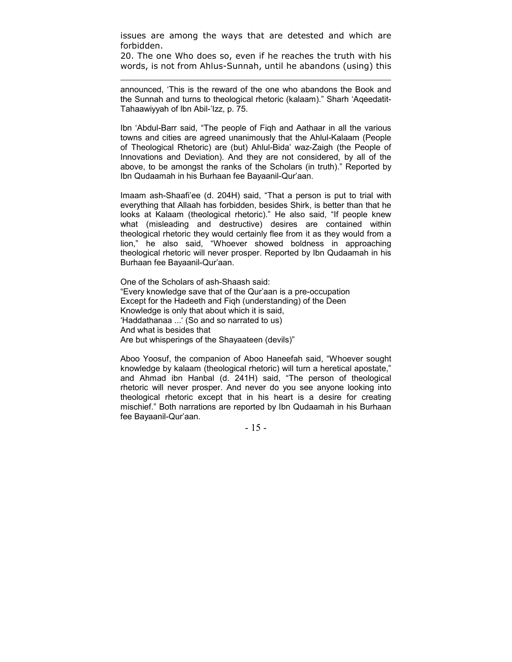issues are among the ways that are detested and which are forbidden.

20. The one Who does so, even if he reaches the truth with his words, is not from Ahlus-Sunnah, until he abandons (using) this

announced, 'This is the reward of the one who abandons the Book and the Sunnah and turns to theological rhetoric (kalaam)." Sharh 'Aqeedatit-Tahaawiyyah of lbn Abil-'Izz, p. 75.

 $\overline{a}$ 

Ibn 'Abdul-Barr said, "The people of Fiqh and Aathaar in all the various towns and cities are agreed unanimously that the Ahlul-Kalaam (People of Theological Rhetoric) are (but) Ahlul-Bida' waz-Zaigh (the People of Innovations and Deviation). And they are not considered, by all of the above, to be amongst the ranks of the Scholars (in truth)." Reported by Ibn Qudaamah in his Burhaan fee Bayaanil-Qur'aan.

Imaam ash-Shaafi'ee (d. 204H) said, "That a person is put to trial with everything that Allaah has forbidden, besides Shirk, is better than that he looks at Kalaam (theological rhetoric)." He also said, "If people knew what (misleading and destructive) desires are contained within theological rhetoric they would certainly flee from it as they would from a lion," he also said, "Whoever showed boldness in approaching theological rhetoric will never prosper. Reported by Ibn Qudaamah in his Burhaan fee Bayaanil-Qur'aan.

One of the Scholars of ash-Shaash said: "Every knowledge save that of the Qur'aan is a pre-occupation Except for the Hadeeth and Fiqh (understanding) of the Deen Knowledge is only that about which it is said, 'Haddathanaa ...' (So and so narrated to us) And what is besides that Are but whisperings of the Shayaateen (devils)"

Aboo Yoosuf, the companion of Aboo Haneefah said, "Whoever sought knowledge by kalaam (theological rhetoric) will turn a heretical apostate," and Ahmad ibn Hanbal (d. 241H) said, "The person of theological rhetoric will never prosper. And never do you see anyone looking into theological rhetoric except that in his heart is a desire for creating mischief." Both narrations are reported by Ibn Qudaamah in his Burhaan fee Bayaanil-Qur'aan.

- 15 -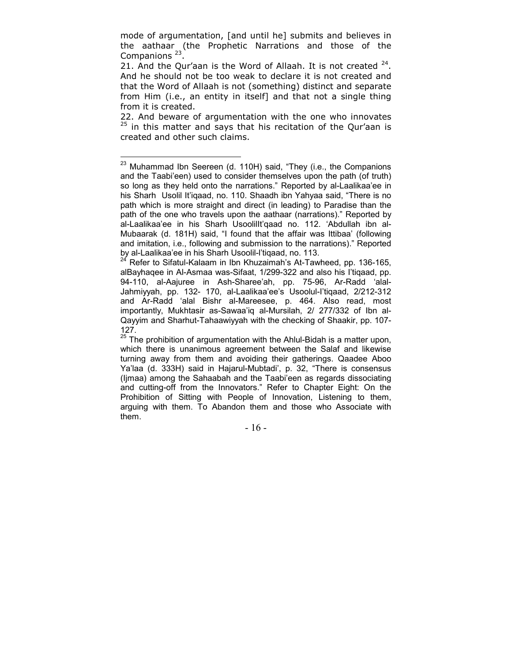mode of argumentation, [and until he] submits and believes in the aathaar (the Prophetic Narrations and those of the Companions<sup>23</sup>.

22. And beware of argumentation with the one who innovates  $25$  in this matter and says that his recitation of the Qur'aan is created and other such claims.

 $\overline{a}$ 

24 Refer to Sifatul-Kalaam in Ibn Khuzaimah's At-Tawheed, pp. 136-165, alBayhaqee in Al-Asmaa was-Sifaat, 1/299-322 and also his I'tiqaad, pp. 94-110, al-Aajuree in Ash-Sharee'ah, pp. 75-96, Ar-Radd 'alal-Jahmiyyah, pp. 132- 170, al-Laalikaa'ee's Usoolul-I'tiqaad, 2/212-312 and Ar-Radd 'alal Bishr al-Mareesee, p. 464. Also read, most importantly, Mukhtasir as-Sawaa'iq al-Mursilah, 2/ 277/332 of Ibn al-Qayyim and Sharhut-Tahaawiyyah with the checking of Shaakir, pp. 107- 127.

 $25$  The prohibition of argumentation with the Ahlul-Bidah is a matter upon, which there is unanimous agreement between the Salaf and likewise turning away from them and avoiding their gatherings. Qaadee Aboo Ya'laa (d. 333H) said in Hajarul-Mubtadi', p. 32, "There is consensus (Ijmaa) among the Sahaabah and the Taabi'een as regards dissociating and cutting-off from the Innovators." Refer to Chapter Eight: On the Prohibition of Sitting with People of Innovation, Listening to them, arguing with them. To Abandon them and those who Associate with them.

- 16 -

<sup>21.</sup> And the Our'aan is the Word of Allaah. It is not created  $24$ . And he should not be too weak to declare it is not created and that the Word of Allaah is not (something) distinct and separate from Him (i.e., an entity in itself] and that not a single thing from it is created.

<sup>&</sup>lt;sup>23</sup> Muhammad Ibn Seereen (d. 110H) said, "They (i.e., the Companions and the Taabi'een) used to consider themselves upon the path (of truth) so long as they held onto the narrations." Reported by al-Laalikaa'ee in his Sharh Usolil It'iqaad, no. 110. Shaadh ibn Yahyaa said, "There is no path which is more straight and direct (in leading) to Paradise than the path of the one who travels upon the aathaar (narrations)." Reported by al-Laalikaa'ee in his Sharh UsoolilIt'qaad no. 112. 'Abdullah ibn al-Mubaarak (d. 181H) said, "I found that the affair was Ittibaa' (following and imitation, i.e., following and submission to the narrations)." Reported by al-Laalikaa'ee in his Sharh Usoolil-l'tiqaad, no. 113.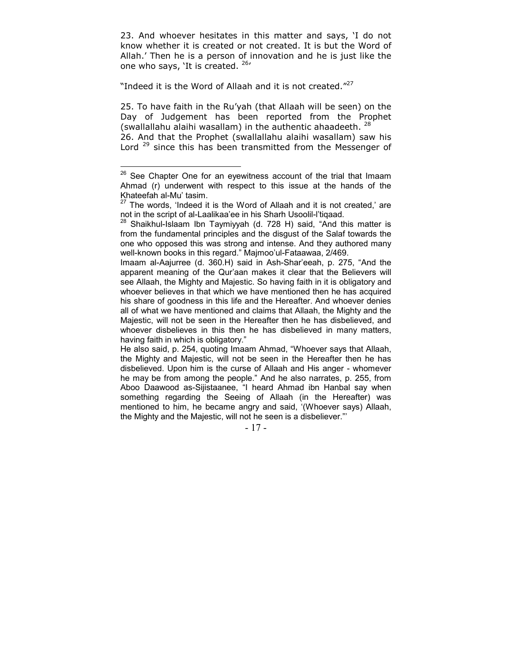23. And whoever hesitates in this matter and says, 'I do not know whether it is created or not created. It is but the Word of Allah.' Then he is a person of innovation and he is just like the one who says, 'It is created. 26'

"Indeed it is the Word of Allaah and it is not created."<sup>27</sup>

 $\overline{a}$ 

25. To have faith in the Ru'yah (that Allaah will be seen) on the Day of Judgement has been reported from the Prophet (swallallahu alaihi wasallam) in the authentic ahaadeeth.  $^{28}$ 

26. And that the Prophet (swallallahu alaihi wasallam) saw his Lord  $29$  since this has been transmitted from the Messenger of

Imaam al-Aajurree (d. 360.H) said in Ash-Shar'eeah, p. 275, "And the apparent meaning of the Qur'aan makes it clear that the Believers will see Allaah, the Mighty and Majestic. So having faith in it is obligatory and whoever believes in that which we have mentioned then he has acquired his share of goodness in this life and the Hereafter. And whoever denies all of what we have mentioned and claims that Allaah, the Mighty and the Majestic, will not be seen in the Hereafter then he has disbelieved, and whoever disbelieves in this then he has disbelieved in many matters, having faith in which is obligatory."

He also said, p. 254, quoting Imaam Ahmad, "Whoever says that Allaah, the Mighty and Majestic, will not be seen in the Hereafter then he has disbelieved. Upon him is the curse of Allaah and His anger - whomever he may be from among the people." And he also narrates, p. 255, from Aboo Daawood as-Sijistaanee, "I heard Ahmad ibn Hanbal say when something regarding the Seeing of Allaah (in the Hereafter) was mentioned to him, he became angry and said, '(Whoever says) Allaah, the Mighty and the Majestic, will not he seen is a disbeliever."'

- 17 -

<sup>&</sup>lt;sup>26</sup> See Chapter One for an eyewitness account of the trial that Imaam Ahmad (r) underwent with respect to this issue at the hands of the Khateefah al-Mu' tasim.

 $27$  The words, 'Indeed it is the Word of Allaah and it is not created,' are not in the script of al-Laalikaa'ee in his Sharh Usoolil-l'tiqaad.

<sup>&</sup>lt;sup>28</sup> Shaikhul-Islaam Ibn Taymiyyah (d. 728 H) said, "And this matter is from the fundamental principles and the disgust of the Salaf towards the one who opposed this was strong and intense. And they authored many well-known books in this regard." Majmoo'ul-Fataawaa, 2/469.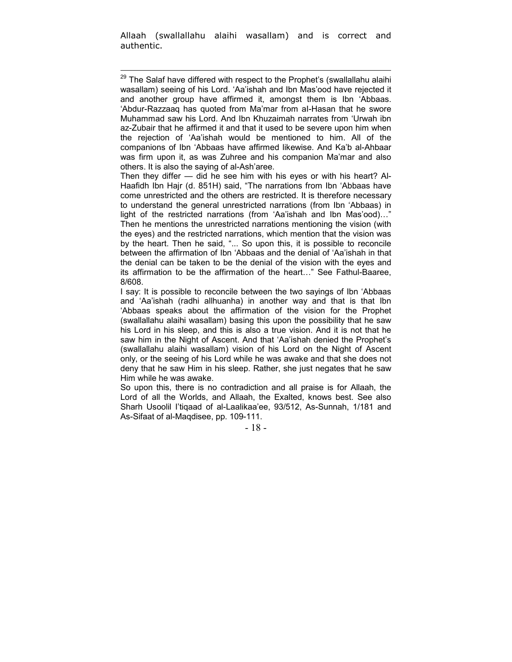$\overline{a}$ <sup>29</sup> The Salaf have differed with respect to the Prophet's (swallallahu alaihi wasallam) seeing of his Lord. 'Aa'ishah and Ibn Mas'ood have rejected it and another group have affirmed it, amongst them is Ibn 'Abbaas. 'Abdur-Razzaaq has quoted from Ma'mar from aI-Hasan that he swore Muhammad saw his Lord. And Ibn Khuzaimah narrates from 'Urwah ibn az-Zubair that he affirmed it and that it used to be severe upon him when the rejection of 'Aa'ishah would be mentioned to him. All of the companions of Ibn 'Abbaas have affirmed likewise. And Ka'b al-Ahbaar was firm upon it, as was Zuhree and his companion Ma'mar and also others. It is also the saying of al-Ash'aree.

Then they differ — did he see him with his eyes or with his heart? Al-Haafidh Ibn Hajr (d. 851H) said, "The narrations from Ibn 'Abbaas have come unrestricted and the others are restricted. It is therefore necessary to understand the general unrestricted narrations (from Ibn 'Abbaas) in light of the restricted narrations (from 'Aa'ishah and Ibn Mas'ood)…" Then he mentions the unrestricted narrations mentioning the vision (with the eyes) and the restricted narrations, which mention that the vision was by the heart. Then he said, "... So upon this, it is possible to reconcile between the affirmation of Ibn 'Abbaas and the denial of 'Aa'ishah in that the denial can be taken to be the denial of the vision with the eyes and its affirmation to be the affirmation of the heart…" See Fathul-Baaree, 8/608.

I say: It is possible to reconcile between the two sayings of Ibn 'Abbaas and 'Aa'ishah (radhi allhuanha) in another way and that is that Ibn 'Abbaas speaks about the affirmation of the vision for the Prophet (swallallahu alaihi wasallam) basing this upon the possibility that he saw his Lord in his sleep, and this is also a true vision. And it is not that he saw him in the Night of Ascent. And that 'Aa'ishah denied the Prophet's (swallallahu alaihi wasallam) vision of his Lord on the Night of Ascent only, or the seeing of his Lord while he was awake and that she does not deny that he saw Him in his sleep. Rather, she just negates that he saw Him while he was awake.

So upon this, there is no contradiction and all praise is for Allaah, the Lord of all the Worlds, and Allaah, the Exalted, knows best. See also Sharh Usoolil I'tiqaad of al-Laalikaa'ee, 93/512, As-Sunnah, 1/181 and As-Sifaat of al-Maqdisee, pp. 109-111.

- 18 -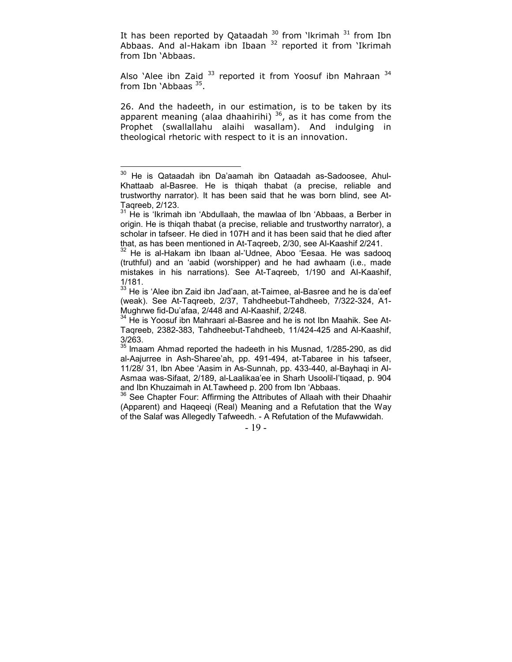It has been reported by Oataadah  $30$  from 'lkrimah  $31$  from Ibn Abbaas. And al-Hakam ibn Ibaan  $32$  reported it from 'Ikrimah from Ibn 'Abbaas.

Also 'Alee ibn Zaid  $33$  reported it from Yoosuf ibn Mahraan  $34$ from Ibn 'Abbaas<sup>35</sup>.

26. And the hadeeth, in our estimation, is to be taken by its apparent meaning (alaa dhaahirihi)  $36$ , as it has come from the Prophet (swallallahu alaihi wasallam). And indulging in theological rhetoric with respect to it is an innovation.

 $\overline{a}$ 

- 19 -

<sup>&</sup>lt;sup>30</sup> He is Qataadah ibn Da'aamah ibn Qataadah as-Sadoosee, Ahul-Khattaab al-Basree. He is thiqah thabat (a precise, reliable and trustworthy narrator). It has been said that he was born blind, see At-Taqreeb, 2/123.

 $31$  He is 'Ikrimah ibn 'Abdullaah, the mawlaa of Ibn 'Abbaas, a Berber in origin. He is thiqah thabat (a precise, reliable and trustworthy narrator), a scholar in tafseer. He died in 107H and it has been said that he died after that, as has been mentioned in At-Taqreeb, 2/30, see Al-Kaashif 2/241.

<sup>&</sup>lt;sup>32</sup> He is al-Hakam ibn Ibaan al-'Udnee, Aboo 'Eesaa. He was sadooq (truthful) and an 'aabid (worshipper) and he had awhaam (i.e., made mistakes in his narrations). See At-Taqreeb, 1/190 and AI-Kaashif, 1/181.

 $33$  He is 'Alee ibn Zaid ibn Jad'aan, at-Taimee, al-Basree and he is da'eef (weak). See At-Taqreeb, 2/37, Tahdheebut-Tahdheeb, 7/322-324, A1- Mughrwe fid-Du'afaa, 2/448 and Al-Kaashif, 2/248.

<sup>&</sup>lt;sup>34</sup> He is Yoosuf ibn Mahraari al-Basree and he is not Ibn Maahik. See At-Taqreeb, 2382-383, Tahdheebut-Tahdheeb, 11/424-425 and Al-Kaashif, 3/263.

 $35$  Imaam Ahmad reported the hadeeth in his Musnad,  $1/285-290$ , as did al-Aajurree in Ash-Sharee'ah, pp. 491-494, at-Tabaree in his tafseer, 11/28/ 31, Ibn Abee 'Aasim in As-Sunnah, pp. 433-440, al-Bayhaqi in Al-Asmaa was-Sifaat, 2/189, al-Laalikaa'ee in Sharh Usoolil-I'tiqaad, p. 904 and Ibn Khuzaimah in At.Tawheed p. 200 from Ibn 'Abbaas.

<sup>&</sup>lt;sup>36</sup> See Chapter Four: Affirming the Attributes of Allaah with their Dhaahir (Apparent) and Haqeeqi (Real) Meaning and a Refutation that the Way of the Salaf was Allegedly Tafweedh. - A Refutation of the Mufawwidah.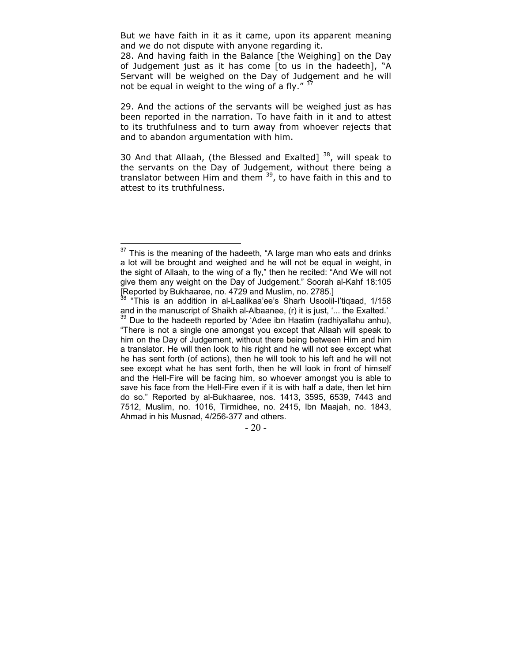But we have faith in it as it came, upon its apparent meaning and we do not dispute with anyone regarding it.

28. And having faith in the Balance [the Weighing] on the Day of Judgement just as it has come [to us in the hadeeth], "A Servant will be weighed on the Day of Judgement and he will not be equal in weight to the wing of a flv."  $37$ 

29. And the actions of the servants will be weighed just as has been reported in the narration. To have faith in it and to attest to its truthfulness and to turn away from whoever rejects that and to abandon argumentation with him.

30 And that Allaah, (the Blessed and Exalted]  $^{38}$ , will speak to the servants on the Day of Judgement, without there being a translator between Him and them <sup>39</sup>, to have faith in this and to attest to its truthfulness.

 $\overline{a}$ 

- 20 -

 $37$  This is the meaning of the hadeeth, "A large man who eats and drinks a lot will be brought and weighed and he will not be equal in weight, in the sight of Allaah, to the wing of a fly," then he recited: "And We will not give them any weight on the Day of Judgement." Soorah al-Kahf 18:105 [Reported by Bukhaaree, no. 4729 and Muslim, no. 2785.]

<sup>38 &</sup>quot;This is an addition in al-Laalikaa'ee's Sharh Usoolil-I'tiqaad, 1/158 and in the manuscript of Shaikh al-Albaanee, (r) it is just, '... the Exalted.'

 $39$  Due to the hadeeth reported by 'Adee ibn Haatim (radhiyallahu anhu), "There is not a single one amongst you except that Allaah will speak to him on the Day of Judgement, without there being between Him and him a translator. He will then look to his right and he will not see except what he has sent forth (of actions), then he will took to his left and he will not see except what he has sent forth, then he will look in front of himself and the Hell-Fire will be facing him, so whoever amongst you is able to save his face from the Hell-Fire even if it is with half a date, then let him do so." Reported by al-Bukhaaree, nos. 1413, 3595, 6539, 7443 and 7512, Muslim, no. 1016, Tirmidhee, no. 2415, Ibn Maajah, no. 1843, Ahmad in his Musnad, 4/256-377 and others.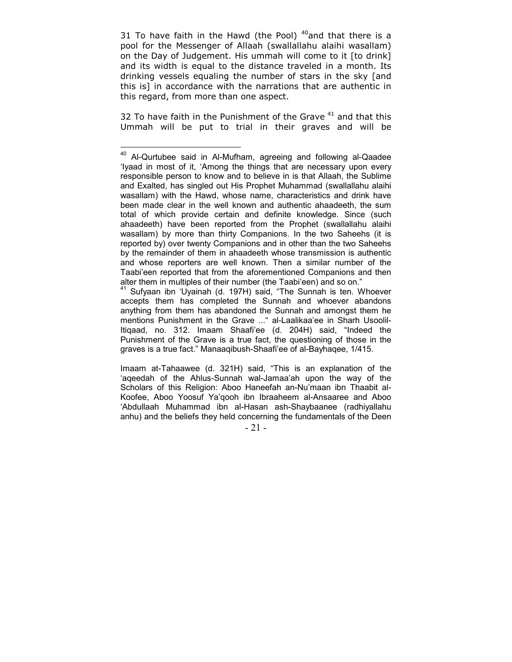31 To have faith in the Hawd (the Pool)  $40$  and that there is a pool for the Messenger of Allaah (swallallahu alaihi wasallam) on the Day of Judgement. His ummah will come to it [to drink] and its width is equal to the distance traveled in a month. Its drinking vessels equaling the number of stars in the sky [and this is] in accordance with the narrations that are authentic in this regard, from more than one aspect.

32 To have faith in the Punishment of the Grave  $41$  and that this Ummah will be put to trial in their graves and will be

 $\overline{a}$ 

<sup>41</sup> Sufyaan ibn 'Uyainah (d. 197H) said, "The Sunnah is ten. Whoever accepts them has completed the Sunnah and whoever abandons anything from them has abandoned the Sunnah and amongst them he mentions Punishment in the Grave ..." al-Laalikaa'ee in Sharh Usoolil-Itiqaad, no. 312. Imaam Shaafi'ee (d. 204H) said, "Indeed the Punishment of the Grave is a true fact, the questioning of those in the graves is a true fact." Manaaqibush-Shaafi'ee of al-Bayhaqee, 1/415.

Imaam at-Tahaawee (d. 321H) said, "This is an explanation of the 'aqeedah of the Ahlus-Sunnah wal-Jamaa'ah upon the way of the Scholars of this Religion: Aboo Haneefah an-Nu'maan ibn Thaabit al-Koofee, Aboo Yoosuf Ya'qooh ibn Ibraaheem al-Ansaaree and Aboo 'Abdullaah Muhammad ibn al-Hasan ash-Shaybaanee (radhiyallahu anhu) and the beliefs they held concerning the fundamentals of the Deen

- 21 -

 $40$  Al-Qurtubee said in Al-Mufham, agreeing and following al-Qaadee 'Iyaad in most of it, 'Among the things that are necessary upon every responsible person to know and to believe in is that Allaah, the Sublime and Exalted, has singled out His Prophet Muhammad (swallallahu alaihi wasallam) with the Hawd, whose name, characteristics and drink have been made clear in the well known and authentic ahaadeeth, the sum total of which provide certain and definite knowledge. Since (such ahaadeeth) have been reported from the Prophet (swallallahu alaihi wasallam) by more than thirty Companions. In the two Saheehs (it is reported by) over twenty Companions and in other than the two Saheehs by the remainder of them in ahaadeeth whose transmission is authentic and whose reporters are well known. Then a similar number of the Taabi'een reported that from the aforementioned Companions and then alter them in multiples of their number (the Taabi'een) and so on."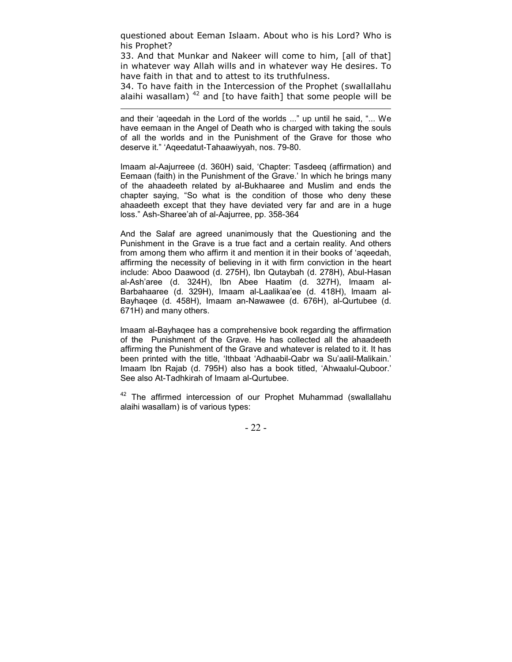questioned about Eeman Islaam. About who is his Lord? Who is his Prophet?

33. And that Munkar and Nakeer will come to him, [all of that] in whatever way Allah wills and in whatever way He desires. To have faith in that and to attest to its truthfulness.

34. To have faith in the Intercession of the Prophet (swallallahu alaihi wasallam)  $42$  and [to have faith] that some people will be

 $\overline{a}$ 

and their 'aqeedah in the Lord of the worlds ..." up until he said, "... We have eemaan in the Angel of Death who is charged with taking the souls of all the worlds and in the Punishment of the Grave for those who deserve it." 'Aqeedatut-Tahaawiyyah, nos. 79-80.

Imaam al-Aajurreee (d. 360H) said, 'Chapter: Tasdeeq (affirmation) and Eemaan (faith) in the Punishment of the Grave.' In which he brings many of the ahaadeeth related by al-Bukhaaree and Muslim and ends the chapter saying, "So what is the condition of those who deny these ahaadeeth except that they have deviated very far and are in a huge loss." Ash-Sharee'ah of al-Aajurree, pp. 358-364

And the Salaf are agreed unanimously that the Questioning and the Punishment in the Grave is a true fact and a certain reality. And others from among them who affirm it and mention it in their books of 'aqeedah, affirming the necessity of believing in it with firm conviction in the heart include: Aboo Daawood (d. 275H), Ibn Qutaybah (d. 278H), Abul-Hasan al-Ash'aree (d. 324H), Ibn Abee Haatim (d. 327H), Imaam al-Barbahaaree (d. 329H), Imaam al-Laalikaa'ee (d. 418H), lmaam al-Bayhaqee (d. 458H), Imaam an-Nawawee (d. 676H), al-Qurtubee (d. 671H) and many others.

lmaam al-Bayhaqee has a comprehensive book regarding the affirmation of the Punishment of the Grave. He has collected all the ahaadeeth affirming the Punishment of the Grave and whatever is related to it. It has been printed with the title, 'Ithbaat 'Adhaabil-Qabr wa Su'aalil-Malikain.' Imaam Ibn Rajab (d. 795H) also has a book titled, 'Ahwaalul-Quboor.' See also At-Tadhkirah of Imaam al-Qurtubee.

 $42$  The affirmed intercession of our Prophet Muhammad (swallallahu alaihi wasallam) is of various types:

- 22 -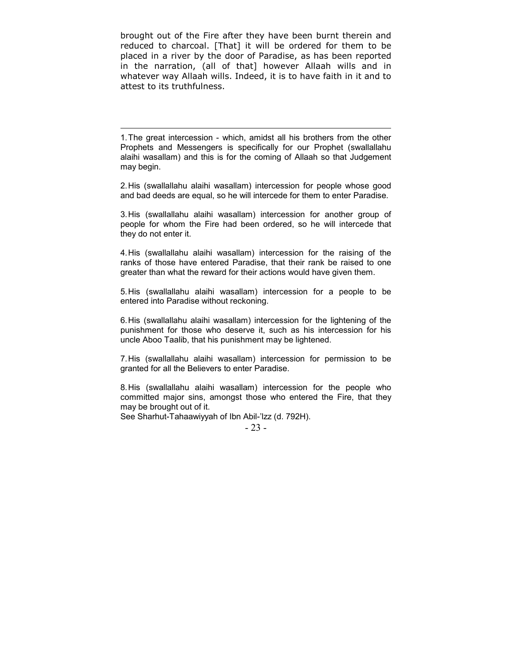brought out of the Fire after they have been burnt therein and reduced to charcoal. [That] it will be ordered for them to be placed in a river by the door of Paradise, as has been reported in the narration, (all of that] however Allaah wills and in whatever way Allaah wills. Indeed, it is to have faith in it and to attest to its truthfulness.

1. The great intercession - which, amidst all his brothers from the other Prophets and Messengers is specifically for our Prophet (swallallahu alaihi wasallam) and this is for the coming of Allaah so that Judgement may begin.

 $\overline{a}$ 

2. His (swallallahu alaihi wasallam) intercession for people whose good and bad deeds are equal, so he will intercede for them to enter Paradise.

3. His (swallallahu alaihi wasallam) intercession for another group of people for whom the Fire had been ordered, so he will intercede that they do not enter it.

4. His (swallallahu alaihi wasallam) intercession for the raising of the ranks of those have entered Paradise, that their rank be raised to one greater than what the reward for their actions would have given them.

5. His (swallallahu alaihi wasallam) intercession for a people to be entered into Paradise without reckoning.

6. His (swallallahu alaihi wasallam) intercession for the lightening of the punishment for those who deserve it, such as his intercession for his uncle Aboo Taalib, that his punishment may be lightened.

7. His (swallallahu alaihi wasallam) intercession for permission to be granted for all the Believers to enter Paradise.

8. His (swallallahu alaihi wasallam) intercession for the people who committed major sins, amongst those who entered the Fire, that they may be brought out of it.

See Sharhut-Tahaawiyyah of Ibn Abil-'lzz (d. 792H).

<sup>- 23 -</sup>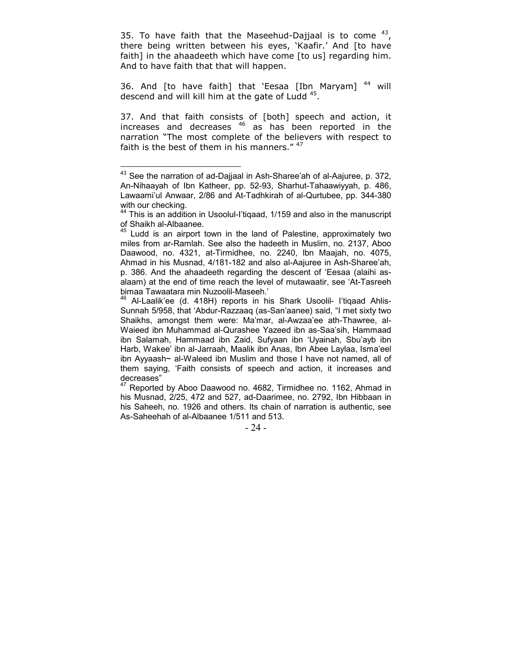35. To have faith that the Maseehud-Dajjaal is to come  $^{43}$ , there being written between his eyes, 'Kaafir.' And [to have faith] in the ahaadeeth which have come [to us] regarding him. And to have faith that that will happen.

36. And [to have faith] that 'Eesaa [Ibn Maryam] <sup>44</sup> will descend and will kill him at the gate of Ludd<sup>45</sup>.

37. And that faith consists of [both] speech and action, it increases and decreases 46 as has been reported in the narration "The most complete of the believers with respect to faith is the best of them in his manners." <sup>47</sup>

 $\overline{a}$ 

- 24 -

<sup>&</sup>lt;sup>43</sup> See the narration of ad-Dajjaal in Ash-Sharee'ah of al-Aajuree, p. 372, An-Nihaayah of Ibn Katheer, pp. 52-93, Sharhut-Tahaawiyyah, p. 486, Lawaami'ul Anwaar, 2/86 and At-Tadhkirah of al-Qurtubee, pp. 344-380 with our checking.

<sup>&</sup>lt;sup>44</sup> This is an addition in Usoolul-l'tiqaad, 1/159 and also in the manuscript of Shaikh al-Albaanee.

<sup>&</sup>lt;sup>45</sup> Ludd is an airport town in the land of Palestine, approximately two miles from ar-Ramlah. See also the hadeeth in Muslim, no. 2137, Aboo Daawood, no. 4321, at-Tirmidhee, no. 2240, lbn Maajah, no. 4075, Ahmad in his Musnad, 4/181-182 and also al-Aajuree in Ash-Sharee'ah, p. 386. And the ahaadeeth regarding the descent of 'Eesaa (alaihi asalaam) at the end of time reach the level of mutawaatir, see 'At-Tasreeh bimaa Tawaatara min Nuzoolil-Maseeh.'

 $6$  Al-Laalik'ee (d. 418H) reports in his Shark Usoolil- I'tiqaad Ahlis-Sunnah 5/958, that 'Abdur-Razzaaq (as-San'aanee) said, "I met sixty two Shaikhs, amongst them were: Ma'mar, al-Awzaa'ee ath-Thawree, al-Waieed ibn Muhammad al-Qurashee Yazeed ibn as-Saa'sih, Hammaad ibn Salamah, Hammaad ibn Zaid, Sufyaan ibn 'Uyainah, Sbu'ayb ibn Harb, Wakee' ibn al-Jarraah, Maalik ibn Anas, Ibn Abee Laylaa, Isma'eel ibn Ayyaash~ al-Waleed ibn Muslim and those I have not named, all of them saying, 'Faith consists of speech and action, it increases and decreases"

 $47$  Reported by Aboo Daawood no. 4682, Tirmidhee no. 1162, Ahmad in his Musnad, 2/25, 472 and 527, ad-Daarimee, no. 2792, Ibn Hibbaan in his Saheeh, no. 1926 and others. Its chain of narration is authentic, see As-Saheehah of al-Albaanee 1/511 and 513.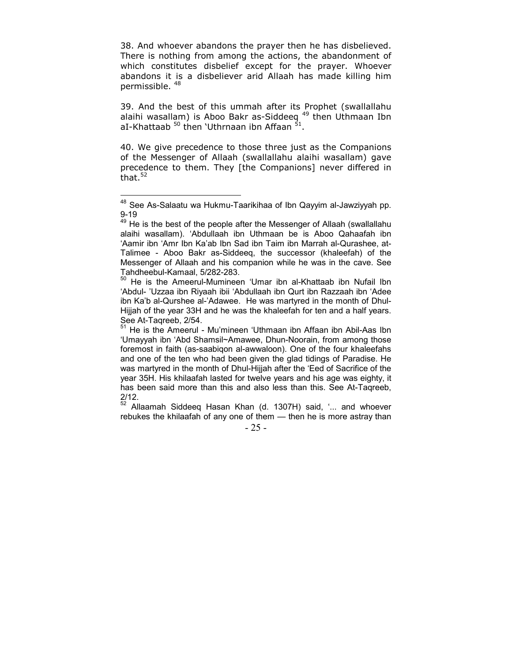38. And whoever abandons the prayer then he has disbelieved. There is nothing from among the actions, the abandonment of which constitutes disbelief except for the prayer. Whoever abandons it is a disbeliever arid Allaah has made killing him permissible. 48

39. And the best of this ummah after its Prophet (swallallahu alaihi wasallam) is Aboo Bakr as-Siddeeq  $49$  then Uthmaan Ibn aI-Khattaab <sup>50</sup> then 'Uthrnaan ibn Affaan <sup>51</sup>.

40. We give precedence to those three just as the Companions of the Messenger of Allaah (swallallahu alaihi wasallam) gave precedence to them. They [the Companions] never differed in that. $52$ 

 $\overline{a}$ 

50 He is the Ameerul-Mumineen 'Umar ibn al-Khattaab ibn Nufail Ibn 'Abdul- 'Uzzaa ibn Riyaah ibii 'Abdullaah ibn Qurt ibn Razzaah ibn 'Adee ibn Ka'b al-Qurshee al-'Adawee. He was martyred in the month of Dhul-Hijjah of the year 33H and he was the khaleefah for ten and a half years. See At-Taqreeb, 2/54.

52 Allaamah Siddeeq Hasan Khan (d. 1307H) said, '... and whoever rebukes the khilaafah of any one of them — then he is more astray than

- 25 -

<sup>48</sup> See As-Salaatu wa Hukmu-Taarikihaa of Ibn Qayyim al-Jawziyyah pp. 9-19

 $49$  He is the best of the people after the Messenger of Allaah (swallallahu alaihi wasallam). 'Abdullaah ibn Uthmaan be is Aboo Qahaafah ibn 'Aamir ibn 'Amr Ibn Ka'ab Ibn Sad ibn Taim ibn Marrah al-Qurashee, at-Talimee - Aboo Bakr as-Siddeeq, the successor (khaleefah) of the Messenger of Allaah and his companion while he was in the cave. See Tahdheebul-Kamaal, 5/282-283.

<sup>&</sup>lt;sup>51</sup> He is the Ameerul - Mu'mineen 'Uthmaan ibn Affaan ibn Abil-Aas Ibn 'Umayyah ibn 'Abd Shamsil~Amawee, Dhun-Noorain, from among those foremost in faith (as-saabiqon al-awwaloon). One of the four khaleefahs and one of the ten who had been given the glad tidings of Paradise. He was martyred in the month of Dhul-Hijjah after the 'Eed of Sacrifice of the year 35H. His khilaafah lasted for twelve years and his age was eighty, it has been said more than this and also less than this. See At-Taqreeb, 2/12.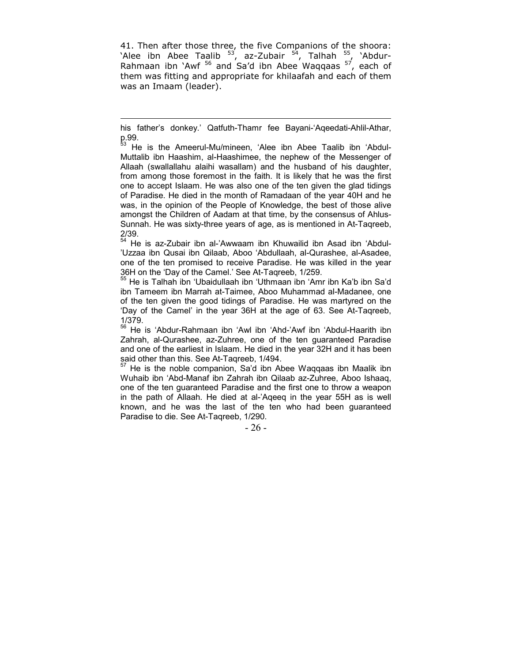41. Then after those three, the five Companions of the shoora: 'Alee ibn Abee Taalib <sup>53</sup>, az-Zubair <sup>54</sup>, Talhah <sup>55</sup>, 'Abdur-Rahmaan ibn 'Awf<sup>56</sup> and Sa'd ibn Abee Waqqaas <sup>57</sup>, each of them was fitting and appropriate for khilaafah and each of them was an Imaam (leader).

 $\overline{a}$ 

<sup>53</sup> He is the Ameerul-Mu/mineen, 'Alee ibn Abee Taalib ibn 'Abdul-Muttalib ibn Haashim, al-Haashimee, the nephew of the Messenger of Allaah (swallallahu alaihi wasallam) and the husband of his daughter, from among those foremost in the faith. It is likely that he was the first one to accept Islaam. He was also one of the ten given the glad tidings of Paradise. He died in the month of Ramadaan of the year 40H and he was, in the opinion of the People of Knowledge, the best of those alive amongst the Children of Aadam at that time, by the consensus of Ahlus-Sunnah. He was sixty-three years of age, as is mentioned in At-Taqreeb, 2/39.

54 He is az-Zubair ibn al-'Awwaam ibn Khuwailid ibn Asad ibn 'Abdul- 'Uzzaa ibn Qusai ibn Qilaab, Aboo 'Abdullaah, al-Qurashee, al-Asadee, one of the ten promised to receive Paradise. He was killed in the year 36H on the 'Day of the Camel.' See At-Taqreeb, 1/259.

55 He is Talhah ibn 'Ubaidullaah ibn 'Uthmaan ibn 'Amr ibn Ka'b ibn Sa'd ibn Tameem ibn Marrah at-Taimee, Aboo Muhammad al-Madanee, one of the ten given the good tidings of Paradise. He was martyred on the 'Day of the Camel' in the year 36H at the age of 63. See At-Taqreeb, 1/379.

56 He is 'Abdur-Rahmaan ibn 'Awl ibn 'Ahd-'Awf ibn 'Abdul-Haarith ibn Zahrah, al-Qurashee, az-Zuhree, one of the ten guaranteed Paradise and one of the earliest in Islaam. He died in the year 32H and it has been said other than this. See At-Taqreeb, 1/494.

 $57$  He is the noble companion, Sa'd ibn Abee Waqqaas ibn Maalik ibn Wuhaib ibn 'Abd-Manaf ibn Zahrah ibn Qilaab az-Zuhree, Aboo Ishaaq, one of the ten guaranteed Paradise and the first one to throw a weapon in the path of Allaah. He died at al-'Aqeeq in the year 55H as is well known, and he was the last of the ten who had been guaranteed Paradise to die. See At-Taqreeb, 1/290.

- 26 -

his father's donkey.' Qatfuth-Thamr fee Bayani-'Aqeedati-Ahlil-Athar, p.99.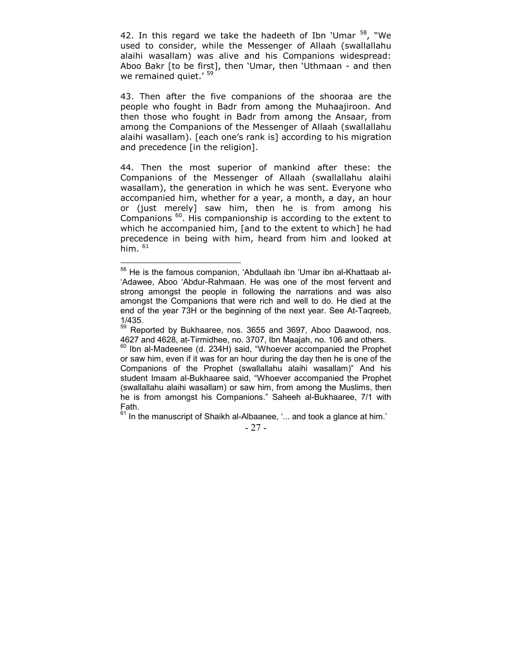42. In this regard we take the hadeeth of Ibn 'Umar  $58$ , "We used to consider, while the Messenger of Allaah (swallallahu alaihi wasallam) was alive and his Companions widespread: Aboo Bakr [to be first], then 'Umar, then 'Uthmaan - and then we remained quiet.' 59

43. Then after the five companions of the shooraa are the people who fought in Badr from among the Muhaajiroon. And then those who fought in Badr from among the Ansaar, from among the Companions of the Messenger of Allaah (swallallahu alaihi wasallam). [each one's rank is] according to his migration and precedence [in the religion].

44. Then the most superior of mankind after these: the Companions of the Messenger of Allaah (swallallahu alaihi wasallam), the generation in which he was sent. Everyone who accompanied him, whether for a year, a month, a day, an hour or (just merely] saw him, then he is from among his Companions  $^{60}$ . His companionship is according to the extent to which he accompanied him, [and to the extent to which] he had precedence in being with him, heard from him and looked at him.  $61$ 

 $\overline{a}$ 

 $61$  In the manuscript of Shaikh al-Albaanee, '... and took a glance at him.'

- 27 -

<sup>&</sup>lt;sup>58</sup> He is the famous companion, 'Abdullaah ibn 'Umar ibn al-Khattaab al-'Adawee, Aboo 'Abdur-Rahmaan. He was one of the most fervent and strong amongst the people in following the narrations and was also amongst the Companions that were rich and well to do. He died at the end of the year 73H or the beginning of the next year. See At-Taqreeb, 1/435.

<sup>&</sup>lt;sup>59</sup> Reported by Bukhaaree, nos. 3655 and 3697, Aboo Daawood, nos. 4627 and 4628, at-Tirmidhee, no. 3707, Ibn Maajah, no. 106 and others.

<sup>&</sup>lt;sup>60</sup> Ibn al-Madeenee (d. 234H) said, "Whoever accompanied the Prophet or saw him, even if it was for an hour during the day then he is one of the Companions of the Prophet (swallallahu alaihi wasallam)" And his student Imaam al-Bukhaaree said, "Whoever accompanied the Prophet (swallallahu alaihi wasallam) or saw him, from among the Muslims, then he is from amongst his Companions." Saheeh al-Bukhaaree, 7/1 with Fath.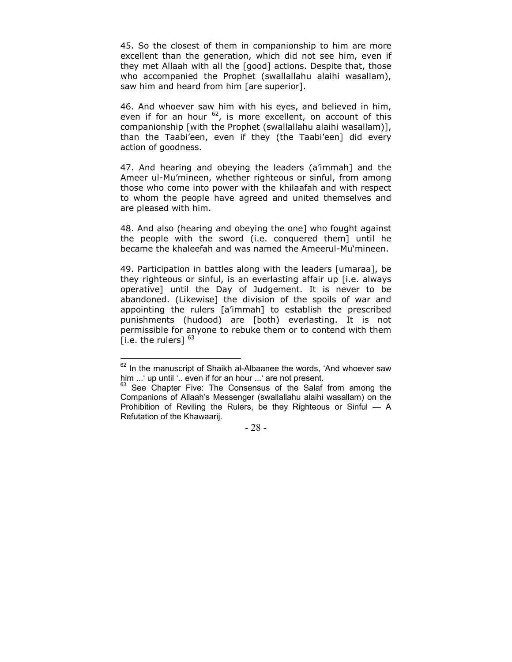45. So the closest of them in companionship to him are more excellent than the generation, which did not see him, even if they met Allaah with all the [good] actions. Despite that, those who accompanied the Prophet (swallallahu alaihi wasallam), saw him and heard from him [are superior].

46. And whoever saw him with his eyes, and believed in him, even if for an hour  $62$ , is more excellent, on account of this companionship [with the Prophet (swallallahu alaihi wasallam)], than the Taabi'een, even if they (the Taabi'een] did every action of goodness.

47. And hearing and obeying the leaders (a'immah] and the Ameer ul-Mu'mineen, whether righteous or sinful, from among those who come into power with the khilaafah and with respect to whom the people have agreed and united themselves and are pleased with him.

48. And also (hearing and obeying the one] who fought against the people with the sword (i.e. conquered them] until he became the khaleefah and was named the Ameerul-Mu'mineen.

49. Participation in battles along with the leaders [umaraa], be they righteous or sinful, is an everlasting affair up [i.e. always operative] until the Day of Judgement. It is never to be abandoned. (Likewise] the division of the spoils of war and appointing the rulers [a'immah] to establish the prescribed punishments (hudood) are [both) everlasting. It is not permissible for anyone to rebuke them or to contend with them [i.e. the rulers]  $<sup>63</sup>$ </sup>

 $\overline{a}$ 

- 28 -

 $62$  In the manuscript of Shaikh al-Albaanee the words, 'And whoever saw him ...' up until '.. even if for an hour ...' are not present.

 $63$  See Chapter Five: The Consensus of the Salaf from among the Companions of Allaah's Messenger (swallallahu alaihi wasallam) on the Prohibition of Reviling the Rulers, be they Righteous or Sinful — A Refutation of the Khawaarij.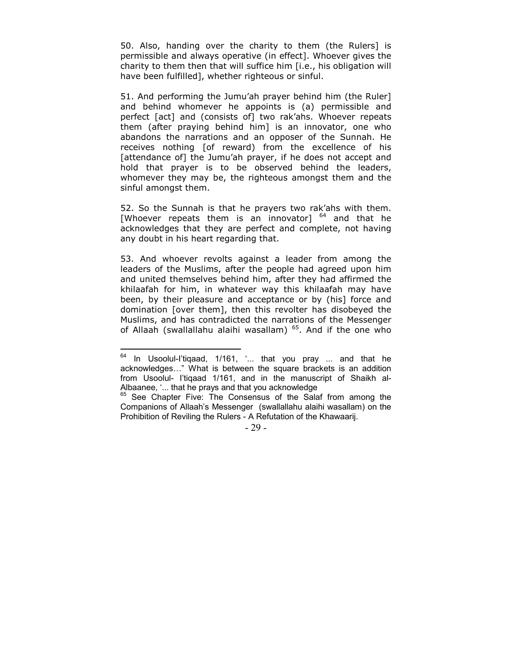50. Also, handing over the charity to them (the Rulers] is permissible and always operative (in effect]. Whoever gives the charity to them then that will suffice him [i.e., his obligation will have been fulfilled], whether righteous or sinful.

51. And performing the Jumu'ah prayer behind him (the Ruler] and behind whomever he appoints is (a) permissible and perfect [act] and (consists of] two rak'ahs. Whoever repeats them (after praying behind him] is an innovator, one who abandons the narrations and an opposer of the Sunnah. He receives nothing [of reward) from the excellence of his [attendance of] the Jumu'ah prayer, if he does not accept and hold that prayer is to be observed behind the leaders, whomever they may be, the righteous amongst them and the sinful amongst them.

52. So the Sunnah is that he prayers two rak'ahs with them. [Whoever repeats them is an innovator]  $64$  and that he acknowledges that they are perfect and complete, not having any doubt in his heart regarding that.

53. And whoever revolts against a leader from among the leaders of the Muslims, after the people had agreed upon him and united themselves behind him, after they had affirmed the khilaafah for him, in whatever way this khilaafah may have been, by their pleasure and acceptance or by (his] force and domination [over them], then this revolter has disobeyed the Muslims, and has contradicted the narrations of the Messenger of Allaah (swallallahu alaihi wasallam)  $<sup>65</sup>$ . And if the one who</sup>

### - 29 -

<sup>64</sup> In Usoolul-I'tiqaad, 1/161, '... that you pray ... and that he acknowledges…" What is between the square brackets is an addition from Usoolul- I'tiqaad 1/161, and in the manuscript of Shaikh al-Albaanee, '... that he prays and that you acknowledge

 $65$  See Chapter Five: The Consensus of the Salaf from among the Companions of Allaah's Messenger (swallallahu alaihi wasallam) on the Prohibition of Reviling the Rulers - A Refutation of the Khawaarij.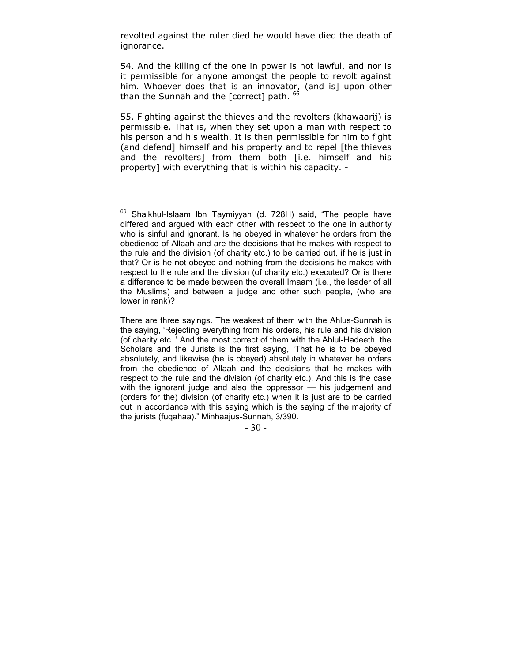revolted against the ruler died he would have died the death of ignorance.

54. And the killing of the one in power is not lawful, and nor is it permissible for anyone amongst the people to revolt against him. Whoever does that is an innovator, (and is] upon other than the Sunnah and the [correct] path.  $^{66}$ 

55. Fighting against the thieves and the revolters (khawaarij) is permissible. That is, when they set upon a man with respect to his person and his wealth. It is then permissible for him to fight (and defend] himself and his property and to repel [the thieves and the revolters] from them both [i.e. himself and his property] with everything that is within his capacity. -

 $\overline{a}$ 

- 30 -

 $66$  Shaikhul-Islaam Ibn Taymiyyah (d. 728H) said, "The people have differed and argued with each other with respect to the one in authority who is sinful and ignorant. Is he obeyed in whatever he orders from the obedience of Allaah and are the decisions that he makes with respect to the rule and the division (of charity etc.) to be carried out, if he is just in that? Or is he not obeyed and nothing from the decisions he makes with respect to the rule and the division (of charity etc.) executed? Or is there a difference to be made between the overall Imaam (i.e., the leader of all the Muslims) and between a judge and other such people, (who are lower in rank)?

There are three sayings. The weakest of them with the Ahlus-Sunnah is the saying, 'Rejecting everything from his orders, his rule and his division (of charity etc..' And the most correct of them with the Ahlul-Hadeeth, the Scholars and the Jurists is the first saying, 'That he is to be obeyed absolutely, and likewise (he is obeyed) absolutely in whatever he orders from the obedience of Allaah and the decisions that he makes with respect to the rule and the division (of charity etc.). And this is the case with the ignorant judge and also the oppressor — his judgement and (orders for the) division (of charity etc.) when it is just are to be carried out in accordance with this saying which is the saying of the majority of the jurists (fuqahaa)." Minhaajus-Sunnah, 3/390.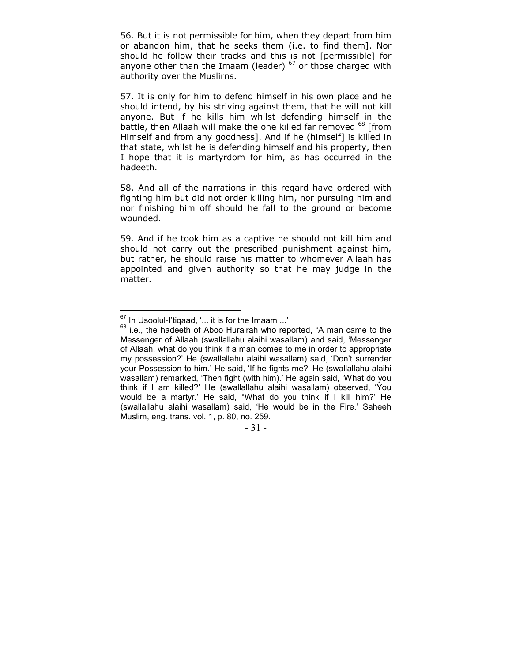56. But it is not permissible for him, when they depart from him or abandon him, that he seeks them (i.e. to find them]. Nor should he follow their tracks and this is not [permissible] for anyone other than the Imaam (leader)  $67$  or those charged with authority over the Muslirns.

57. It is only for him to defend himself in his own place and he should intend, by his striving against them, that he will not kill anyone. But if he kills him whilst defending himself in the battle, then Allaah will make the one killed far removed <sup>68</sup> [from Himself and from any goodness]. And if he (himself] is killed in that state, whilst he is defending himself and his property, then I hope that it is martyrdom for him, as has occurred in the hadeeth.

58. And all of the narrations in this regard have ordered with fighting him but did not order killing him, nor pursuing him and nor finishing him off should he fall to the ground or become wounded.

59. And if he took him as a captive he should not kill him and should not carry out the prescribed punishment against him, but rather, he should raise his matter to whomever Allaah has appointed and given authority so that he may judge in the matter.

 $\overline{a}$ 

- 31 -

 $67$  In Usoolul-I'tiqaad, '... it is for the Imaam ...'  $68$  i.e., the hadeeth of Aboo Hurairah who reported, "A man came to the Messenger of Allaah (swallallahu alaihi wasallam) and said, 'Messenger of Allaah, what do you think if a man comes to me in order to appropriate my possession?' He (swallallahu alaihi wasallam) said, 'Don't surrender your Possession to him.' He said, 'If he fights me?' He (swallallahu alaihi wasallam) remarked, 'Then fight (with him).' He again said, 'What do you think if I am killed?' He (swallallahu alaihi wasallam) observed, 'You would be a martyr.' He said, "What do you think if I kill him?' He (swallallahu alaihi wasallam) said, 'He would be in the Fire.' Saheeh Muslim, eng. trans. vol. 1, p. 80, no. 259.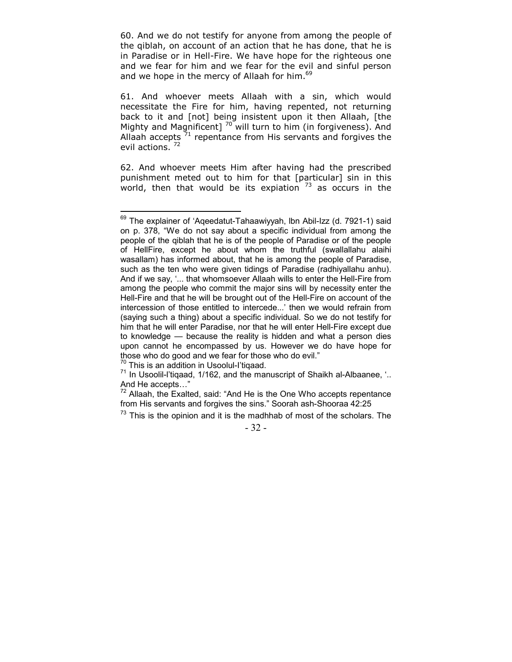60. And we do not testify for anyone from among the people of the qiblah, on account of an action that he has done, that he is in Paradise or in Hell-Fire. We have hope for the righteous one and we fear for him and we fear for the evil and sinful person and we hope in the mercy of Allaah for him.<sup>69</sup>

61. And whoever meets Allaah with a sin, which would necessitate the Fire for him, having repented, not returning back to it and [not] being insistent upon it then Allaah, [the Mighty and Magnificent]  $^{70}$  will turn to him (in forgiveness). And Allaah accepts  $^{71}$  repentance from His servants and forgives the evil actions.<sup>72</sup>

62. And whoever meets Him after having had the prescribed punishment meted out to him for that [particular] sin in this world, then that would be its expiation  $73$  as occurs in the

 $\overline{a}$ 

<sup>&</sup>lt;sup>69</sup> The explainer of 'Aqeedatut-Tahaawiyyah, Ibn Abil-Izz (d. 7921-1) said on p. 378, "We do not say about a specific individual from among the people of the qiblah that he is of the people of Paradise or of the people of HellFire, except he about whom the truthful (swallallahu alaihi wasallam) has informed about, that he is among the people of Paradise, such as the ten who were given tidings of Paradise (radhiyallahu anhu). And if we say, '... that whomsoever Allaah wills to enter the Hell-Fire from among the people who commit the major sins will by necessity enter the Hell-Fire and that he will be brought out of the Hell-Fire on account of the intercession of those entitled to intercede...' then we would refrain from (saying such a thing) about a specific individual. So we do not testify for him that he will enter Paradise, nor that he will enter Hell-Fire except due to knowledge — because the reality is hidden and what a person dies upon cannot he encompassed by us. However we do have hope for those who do good and we fear for those who do evil."  $70$  This is an addition in Usoolul-l'tiqaad.

 $71$  In Usoolil-I'tiqaad, 1/162, and the manuscript of Shaikh al-Albaanee, '.. And He accepts…"

 $72$  Allaah, the Exalted, said: "And He is the One Who accepts repentance from His servants and forgives the sins." Soorah ash-Shooraa 42:25

 $73$  This is the opinion and it is the madhhab of most of the scholars. The

<sup>- 32 -</sup>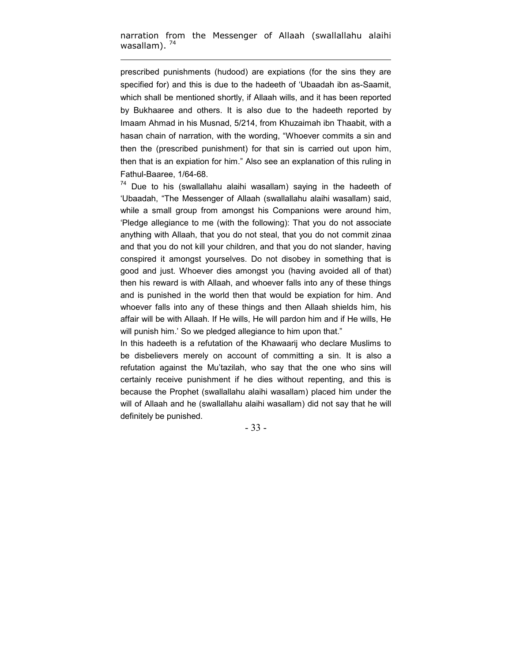$\overline{a}$ 

prescribed punishments (hudood) are expiations (for the sins they are specified for) and this is due to the hadeeth of 'Ubaadah ibn as-Saamit, which shall be mentioned shortly, if Allaah wills, and it has been reported by Bukhaaree and others. It is also due to the hadeeth reported by Imaam Ahmad in his Musnad, 5/214, from Khuzaimah ibn Thaabit, with a hasan chain of narration, with the wording, "Whoever commits a sin and then the (prescribed punishment) for that sin is carried out upon him, then that is an expiation for him." Also see an explanation of this ruling in Fathul-Baaree, 1/64-68.

 $74$  Due to his (swallallahu alaihi wasallam) saying in the hadeeth of 'Ubaadah, "The Messenger of Allaah (swallallahu alaihi wasallam) said, while a small group from amongst his Companions were around him, 'Pledge allegiance to me (with the following): That you do not associate anything with Allaah, that you do not steal, that you do not commit zinaa and that you do not kill your children, and that you do not slander, having conspired it amongst yourselves. Do not disobey in something that is good and just. Whoever dies amongst you (having avoided all of that) then his reward is with Allaah, and whoever falls into any of these things and is punished in the world then that would be expiation for him. And whoever falls into any of these things and then Allaah shields him, his affair will be with Allaah. If He wills, He will pardon him and if He wills, He will punish him.' So we pledged allegiance to him upon that."

In this hadeeth is a refutation of the Khawaarij who declare Muslims to be disbelievers merely on account of committing a sin. It is also a refutation against the Mu'tazilah, who say that the one who sins will certainly receive punishment if he dies without repenting, and this is because the Prophet (swallallahu alaihi wasallam) placed him under the will of Allaah and he (swallallahu alaihi wasallam) did not say that he will definitely be punished.

- 33 -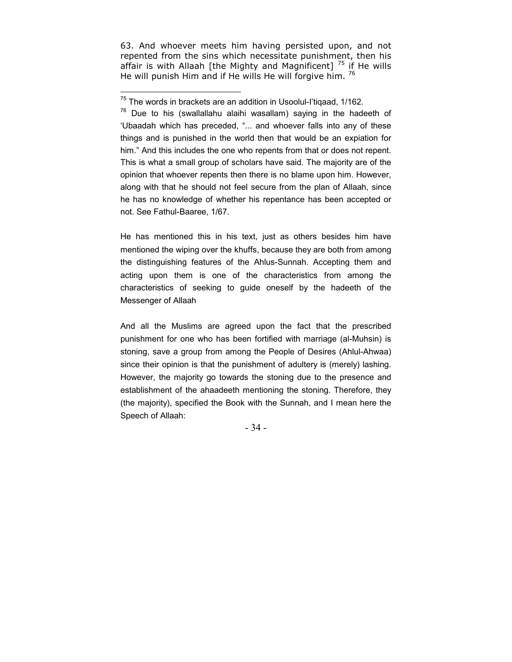63. And whoever meets him having persisted upon, and not repented from the sins which necessitate punishment, then his affair is with Allaah [the Mighty and Magnificent]  $75$  if He wills He will punish Him and if He wills He will forgive him.  $76$ 

 $\overline{a}$ 

He has mentioned this in his text, just as others besides him have mentioned the wiping over the khuffs, because they are both from among the distinguishing features of the Ahlus-Sunnah. Accepting them and acting upon them is one of the characteristics from among the characteristics of seeking to guide oneself by the hadeeth of the Messenger of Allaah

And all the Muslims are agreed upon the fact that the prescribed punishment for one who has been fortified with marriage (al-Muhsin) is stoning, save a group from among the People of Desires (Ahlul-Ahwaa) since their opinion is that the punishment of adultery is (merely) lashing. However, the majority go towards the stoning due to the presence and establishment of the ahaadeeth mentioning the stoning. Therefore, they (the majority), specified the Book with the Sunnah, and I mean here the Speech of Allaah:

- 34 -

 $75$  The words in brackets are an addition in Usoolul-l'tiqaad, 1/162.

 $76$  Due to his (swallallahu alaihi wasallam) saying in the hadeeth of 'Ubaadah which has preceded, "... and whoever falls into any of these things and is punished in the world then that would be an expiation for him." And this includes the one who repents from that or does not repent. This is what a small group of scholars have said. The majority are of the opinion that whoever repents then there is no blame upon him. However, along with that he should not feel secure from the plan of Allaah, since he has no knowledge of whether his repentance has been accepted or not. See Fathul-Baaree, 1/67.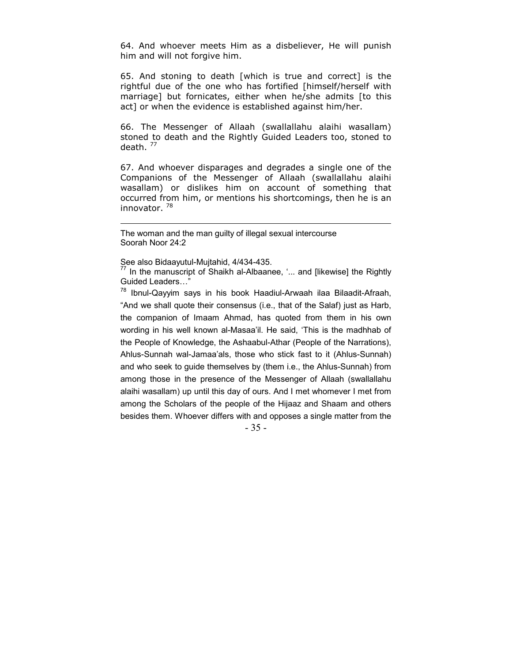64. And whoever meets Him as a disbeliever, He will punish him and will not forgive him.

65. And stoning to death [which is true and correct] is the rightful due of the one who has fortified [himself/herself with marriage] but fornicates, either when he/she admits [to this act] or when the evidence is established against him/her.

66. The Messenger of Allaah (swallallahu alaihi wasallam) stoned to death and the Rightly Guided Leaders too, stoned to death. $77$ 

67. And whoever disparages and degrades a single one of the Companions of the Messenger of Allaah (swallallahu alaihi wasallam) or dislikes him on account of something that occurred from him, or mentions his shortcomings, then he is an innovator.<sup>78</sup>

The woman and the man guilty of illegal sexual intercourse Soorah Noor 24:2

See also Bidaayutul-Mujtahid, 4/434-435.

 $\overline{a}$ 

77 In the manuscript of Shaikh al-Albaanee, '... and [likewise] the Rightly Guided Leaders…"

<sup>78</sup> Ibnul-Qayyim says in his book Haadiul-Arwaah ilaa Bilaadit-Afraah, "And we shall quote their consensus (i.e., that of the Salaf) just as Harb, the companion of Imaam Ahmad, has quoted from them in his own wording in his well known al-Masaa'il. He said, 'This is the madhhab of the People of Knowledge, the Ashaabul-Athar (People of the Narrations), Ahlus-Sunnah wal-Jamaa'als, those who stick fast to it (Ahlus-Sunnah) and who seek to guide themselves by (them i.e., the Ahlus-Sunnah) from among those in the presence of the Messenger of Allaah (swallallahu alaihi wasallam) up until this day of ours. And I met whomever I met from among the Scholars of the people of the Hijaaz and Shaam and others besides them. Whoever differs with and opposes a single matter from the

- 35 -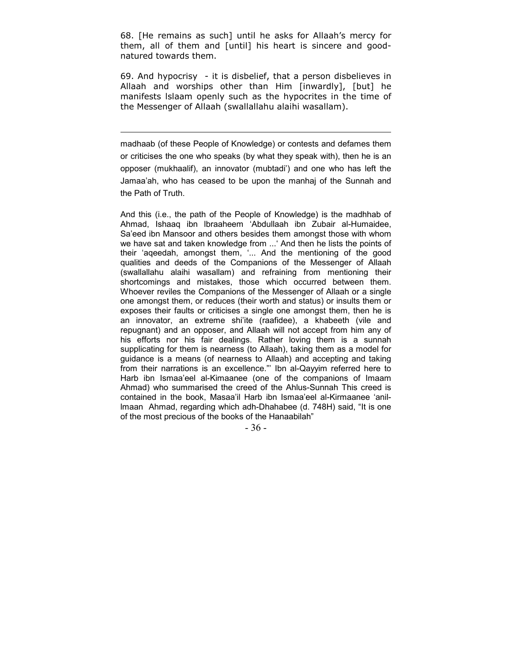68. [He remains as such] until he asks for Allaah's mercy for them, all of them and [until] his heart is sincere and goodnatured towards them.

69. And hypocrisy - it is disbelief, that a person disbelieves in Allaah and worships other than Him [inwardly], [but] he manifests lslaam openly such as the hypocrites in the time of the Messenger of Allaah (swallallahu alaihi wasallam).

madhaab (of these People of Knowledge) or contests and defames them or criticises the one who speaks (by what they speak with), then he is an opposer (mukhaalif), an innovator (mubtadi') and one who has left the Jamaa'ah, who has ceased to be upon the manhaj of the Sunnah and the Path of Truth.

 $\overline{a}$ 

And this (i.e., the path of the People of Knowledge) is the madhhab of Ahmad, Ishaaq ibn lbraaheem 'Abdullaah ibn Zubair al-Humaidee, Sa'eed ibn Mansoor and others besides them amongst those with whom we have sat and taken knowledge from ...' And then he lists the points of their 'aqeedah, amongst them, '... And the mentioning of the good qualities and deeds of the Companions of the Messenger of Allaah (swallallahu alaihi wasallam) and refraining from mentioning their shortcomings and mistakes, those which occurred between them. Whoever reviles the Companions of the Messenger of Allaah or a single one amongst them, or reduces (their worth and status) or insults them or exposes their faults or criticises a single one amongst them, then he is an innovator, an extreme shi'ite (raafidee), a khabeeth (vile and repugnant) and an opposer, and Allaah will not accept from him any of his efforts nor his fair dealings. Rather loving them is a sunnah supplicating for them is nearness (to Allaah), taking them as a model for guidance is a means (of nearness to Allaah) and accepting and taking from their narrations is an excellence."' Ibn al-Qayyim referred here to Harb ibn Ismaa'eel al-Kimaanee (one of the companions of Imaam Ahmad) who summarised the creed of the Ahlus-Sunnah This creed is contained in the book, Masaa'il Harb ibn Ismaa'eel al-Kirmaanee 'anillmaan Ahmad, regarding which adh-Dhahabee (d. 748H) said, "It is one of the most precious of the books of the Hanaabilah"

- 36 -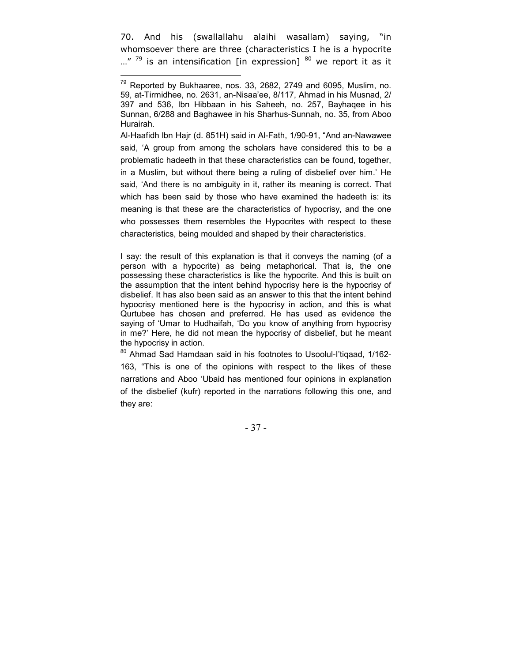70. And his (swallallahu alaihi wasallam) saying, "in whomsoever there are three (characteristics I he is a hypocrite ..."  $79$  is an intensification [in expression]  $80$  we report it as it

 $\overline{a}$ 

Al-Haafidh lbn Hajr (d. 851H) said in Al-Fath, 1/90-91, "And an-Nawawee said, 'A group from among the scholars have considered this to be a problematic hadeeth in that these characteristics can be found, together, in a Muslim, but without there being a ruling of disbelief over him.' He said, 'And there is no ambiguity in it, rather its meaning is correct. That which has been said by those who have examined the hadeeth is: its meaning is that these are the characteristics of hypocrisy, and the one who possesses them resembles the Hypocrites with respect to these characteristics, being moulded and shaped by their characteristics.

I say: the result of this explanation is that it conveys the naming (of a person with a hypocrite) as being metaphorical. That is, the one possessing these characteristics is like the hypocrite. And this is built on the assumption that the intent behind hypocrisy here is the hypocrisy of disbelief. It has also been said as an answer to this that the intent behind hypocrisy mentioned here is the hypocrisy in action, and this is what Qurtubee has chosen and preferred. He has used as evidence the saying of 'Umar to Hudhaifah, 'Do you know of anything from hypocrisy in me?' Here, he did not mean the hypocrisy of disbelief, but he meant the hypocrisy in action.

<sup>80</sup> Ahmad Sad Hamdaan said in his footnotes to Usoolul-l'tiqaad, 1/162-163, "This is one of the opinions with respect to the likes of these narrations and Aboo 'Ubaid has mentioned four opinions in explanation of the disbelief (kufr) reported in the narrations following this one, and they are:

- 37 -

 $^{79}$  Reported by Bukhaaree, nos. 33, 2682, 2749 and 6095, Muslim, no. 59, at-Tirmidhee, no. 2631, an-Nisaa'ee, 8/117, Ahmad in his Musnad, 2/ 397 and 536, Ibn Hibbaan in his Saheeh, no. 257, Bayhaqee in his Sunnan, 6/288 and Baghawee in his Sharhus-Sunnah, no. 35, from Aboo Hurairah.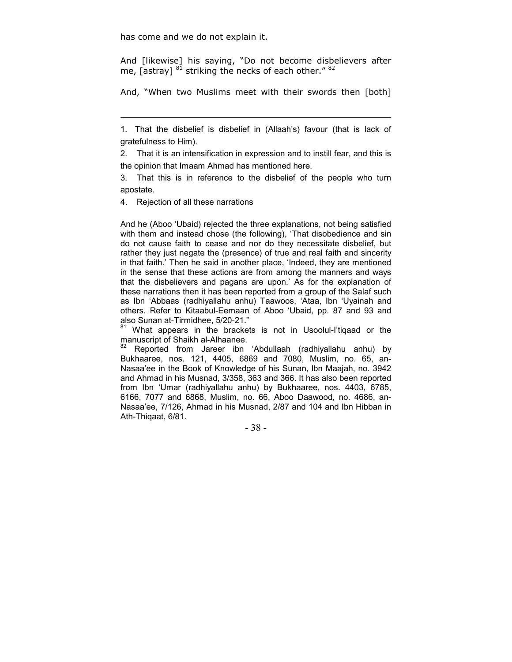has come and we do not explain it.

And [likewise] his saying, "Do not become disbelievers after me,  $[a<sub>st</sub>$  astray]  $a<sup>st</sup>$  striking the necks of each other."  $a<sup>st</sup>$ 

And, "When two Muslims meet with their swords then [both]

4. Rejection of all these narrations

 $\overline{a}$ 

And he (Aboo 'Ubaid) rejected the three explanations, not being satisfied with them and instead chose (the following), 'That disobedience and sin do not cause faith to cease and nor do they necessitate disbelief, but rather they just negate the (presence) of true and real faith and sincerity in that faith.' Then he said in another place, 'Indeed, they are mentioned in the sense that these actions are from among the manners and ways that the disbelievers and pagans are upon.' As for the explanation of these narrations then it has been reported from a group of the Salaf such as Ibn 'Abbaas (radhiyallahu anhu) Taawoos, 'Ataa, Ibn 'Uyainah and others. Refer to Kitaabul-Eemaan of Aboo 'Ubaid, pp. 87 and 93 and also Sunan at-Tirmidhee, 5/20-21."

What appears in the brackets is not in Usoolul-I'tiqaad or the manuscript of Shaikh al-Alhaanee.<br><sup>82</sup> Bonorted, from Jaroor, ihn

Reported from Jareer ibn 'Abdullaah (radhiyallahu anhu) by Bukhaaree, nos. 121, 4405, 6869 and 7080, Muslim, no. 65, an-Nasaa'ee in the Book of Knowledge of his Sunan, lbn Maajah, no. 3942 and Ahmad in his Musnad, 3/358, 363 and 366. It has also been reported from Ibn 'Umar (radhiyallahu anhu) by Bukhaaree, nos. 4403, 6785, 6166, 7077 and 6868, Muslim, no. 66, Aboo Daawood, no. 4686, an-Nasaa'ee, 7/126, Ahmad in his Musnad, 2/87 and 104 and Ibn Hibban in Ath-Thiqaat, 6/81.

- 38 -

<sup>1.</sup> That the disbelief is disbelief in (Allaah's) favour (that is lack of gratefulness to Him).

<sup>2.</sup> That it is an intensification in expression and to instill fear, and this is the opinion that Imaam Ahmad has mentioned here.

<sup>3.</sup> That this is in reference to the disbelief of the people who turn apostate.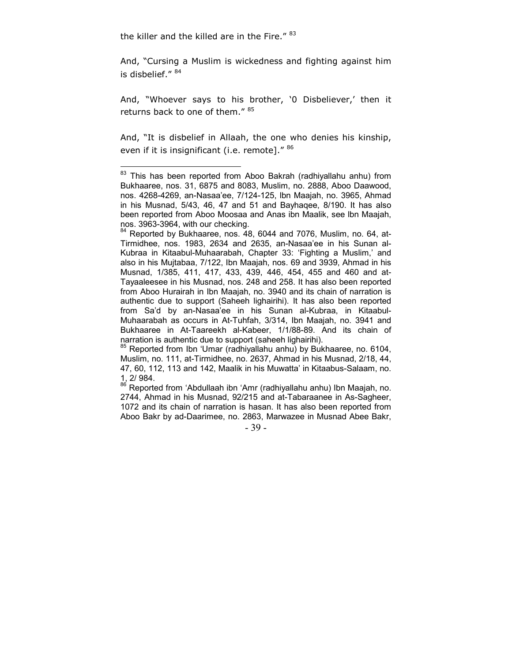the killer and the killed are in the Fire." 83

 $\overline{a}$ 

And, "Cursing a Muslim is wickedness and fighting against him is disbelief." 84

And, "Whoever says to his brother, '0 Disbeliever,' then it returns back to one of them." 85

And, "It is disbelief in Allaah, the one who denies his kinship, even if it is insignificant (i.e. remotel." 86

<sup>85</sup> Reported from Ibn 'Umar (radhiyallahu anhu) by Bukhaaree, no. 6104, Muslim, no. 111, at-Tirmidhee, no. 2637, Ahmad in his Musnad, 2/18, 44, 47, 60, 112, 113 and 142, Maalik in his Muwatta' in Kitaabus-Salaam, no. 1, 2/ 984.

<sup>86</sup> Reported from 'Abdullaah ibn 'Amr (radhiyallahu anhu) Ibn Maajah, no. 2744, Ahmad in his Musnad, 92/215 and at-Tabaraanee in As-Sagheer, 1072 and its chain of narration is hasan. It has also been reported from Aboo Bakr by ad-Daarimee, no. 2863, Marwazee in Musnad Abee Bakr,

- 39 -

<sup>&</sup>lt;sup>83</sup> This has been reported from Aboo Bakrah (radhiyallahu anhu) from Bukhaaree, nos. 31, 6875 and 8083, Muslim, no. 2888, Aboo Daawood, nos. 4268-4269, an-Nasaa'ee, 7/124-125, lbn Maajah, no. 3965, Ahmad in his Musnad, 5/43, 46, 47 and 51 and Bayhaqee, 8/190. It has also been reported from Aboo Moosaa and Anas ibn Maalik, see lbn Maajah, nos. 3963-3964, with our checking.

<sup>&</sup>lt;sup>84</sup> Reported by Bukhaaree, nos. 48, 6044 and 7076, Muslim, no. 64, at-Tirmidhee, nos. 1983, 2634 and 2635, an-Nasaa'ee in his Sunan al-Kubraa in Kitaabul-Muhaarabah, Chapter 33: 'Fighting a Muslim,' and also in his Mujtabaa, 7/122, Ibn Maajah, nos. 69 and 3939, Ahmad in his Musnad, 1/385, 411, 417, 433, 439, 446, 454, 455 and 460 and at-Tayaaleesee in his Musnad, nos. 248 and 258. It has also been reported from Aboo Hurairah in Ibn Maajah, no. 3940 and its chain of narration is authentic due to support (Saheeh lighairihi). It has also been reported from Sa'd by an-Nasaa'ee in his Sunan al-Kubraa, in Kitaabul-Muhaarabah as occurs in At-Tuhfah, 3/314, Ibn Maajah, no. 3941 and Bukhaaree in At-Taareekh al-Kabeer, 1/1/88-89. And its chain of narration is authentic due to support (saheeh lighairihi).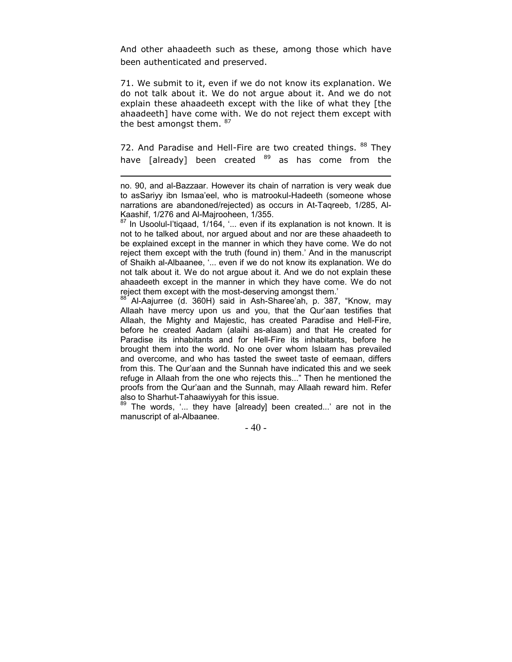And other ahaadeeth such as these, among those which have been authenticated and preserved.

71. We submit to it, even if we do not know its explanation. We do not talk about it. We do not argue about it. And we do not explain these ahaadeeth except with the like of what they [the ahaadeeth] have come with. We do not reject them except with the best amongst them. 87

72. And Paradise and Hell-Fire are two created things.  $88$  They have [already] been created  $89$  as has come from the

 $\overline{a}$ 

 $87$  In Usoolul-l'tiqaad, 1/164, '... even if its explanation is not known. It is not to he talked about, nor argued about and nor are these ahaadeeth to be explained except in the manner in which they have come. We do not reject them except with the truth (found in) them.' And in the manuscript of Shaikh al-Albaanee, '... even if we do not know its explanation. We do not talk about it. We do not argue about it. And we do not explain these ahaadeeth except in the manner in which they have come. We do not reject them except with the most-deserving amongst them.'

88 Al-Aajurree (d. 360H) said in Ash-Sharee'ah, p. 387, "Know, may Allaah have mercy upon us and you, that the Qur'aan testifies that Allaah, the Mighty and Majestic, has created Paradise and Hell-Fire, before he created Aadam (alaihi as-alaam) and that He created for Paradise its inhabitants and for Hell-Fire its inhabitants, before he brought them into the world. No one over whom Islaam has prevailed and overcome, and who has tasted the sweet taste of eemaan, differs from this. The Qur'aan and the Sunnah have indicated this and we seek refuge in Allaah from the one who rejects this..." Then he mentioned the proofs from the Qur'aan and the Sunnah, may Allaah reward him. Refer also to Sharhut-Tahaawiyyah for this issue.

<sup>89</sup> The words, '... they have [already] been created...' are not in the manuscript of al-Albaanee.

- 40 -

no. 90, and al-Bazzaar. However its chain of narration is very weak due to asSariyy ibn Ismaa'eel, who is matrookul-Hadeeth (someone whose narrations are abandoned/rejected) as occurs in At-Taqreeb, 1/285, Al-Kaashif, 1/276 and Al-Majrooheen, 1/355.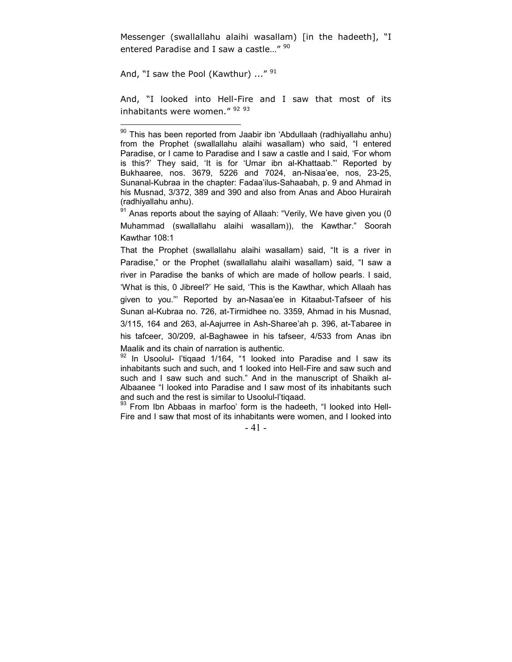Messenger (swallallahu alaihi wasallam) [in the hadeeth], "I entered Paradise and I saw a castle..."<sup>90</sup>

And, "I saw the Pool (Kawthur) ..." <sup>91</sup>

 $\overline{a}$ 

And, "I looked into Hell-Fire and I saw that most of its inhabitants were women." 92 93

 $91$  Anas reports about the saying of Allaah: "Verily, We have given you (0 Muhammad (swallallahu alaihi wasallam)), the Kawthar." Soorah Kawthar 108:1

That the Prophet (swallallahu alaihi wasallam) said, "It is a river in Paradise," or the Prophet (swallallahu alaihi wasallam) said, "I saw a river in Paradise the banks of which are made of hollow pearls. I said, 'What is this, 0 Jibreel?' He said, 'This is the Kawthar, which Allaah has given to you."' Reported by an-Nasaa'ee in Kitaabut-Tafseer of his Sunan al-Kubraa no. 726, at-Tirmidhee no. 3359, Ahmad in his Musnad, 3/115, 164 and 263, al-Aajurree in Ash-Sharee'ah p. 396, at-Tabaree in his tafceer, 30/209, al-Baghawee in his tafseer, 4/533 from Anas ibn Maalik and its chain of narration is authentic.

 $92$  In Usoolul- l'tiqaad 1/164, "1 looked into Paradise and I saw its inhabitants such and such, and 1 looked into Hell-Fire and saw such and such and I saw such and such." And in the manuscript of Shaikh al-Albaanee "I looked into Paradise and I saw most of its inhabitants such and such and the rest is similar to Usoolul-l'tiqaad.

<sup>93</sup> From Ibn Abbaas in marfoo' form is the hadeeth, "I looked into Hell-Fire and I saw that most of its inhabitants were women, and I looked into

- 41 -

 $90$  This has been reported from Jaabir ibn 'Abdullaah (radhiyallahu anhu) from the Prophet (swallallahu alaihi wasallam) who said, "I entered Paradise, or I came to Paradise and I saw a castle and I said, 'For whom is this?' They said, 'It is for 'Umar ibn al-Khattaab."' Reported by Bukhaaree, nos. 3679, 5226 and 7024, an-Nisaa'ee, nos, 23-25, Sunanal-Kubraa in the chapter: Fadaa'ilus-Sahaabah, p. 9 and Ahmad in his Musnad, 3/372, 389 and 390 and also from Anas and Aboo Hurairah (radhiyallahu anhu).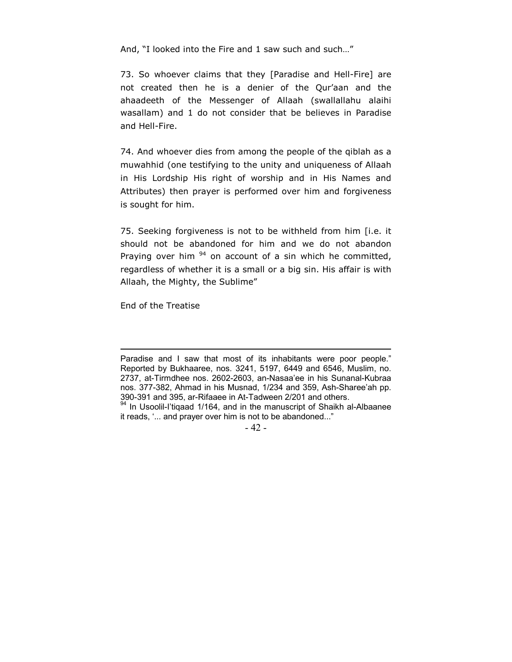And, "I looked into the Fire and 1 saw such and such…"

73. So whoever claims that they [Paradise and Hell-Fire] are not created then he is a denier of the Qur'aan and the ahaadeeth of the Messenger of Allaah (swallallahu alaihi wasallam) and 1 do not consider that be believes in Paradise and Hell-Fire.

74. And whoever dies from among the people of the qiblah as a muwahhid (one testifying to the unity and uniqueness of Allaah in His Lordship His right of worship and in His Names and Attributes) then prayer is performed over him and forgiveness is sought for him.

75. Seeking forgiveness is not to be withheld from him [i.e. it should not be abandoned for him and we do not abandon Praying over him  $94$  on account of a sin which he committed, regardless of whether it is a small or a big sin. His affair is with Allaah, the Mighty, the Sublime"

End of the Treatise

 $\overline{a}$ 

Paradise and I saw that most of its inhabitants were poor people." Reported by Bukhaaree, nos. 3241, 5197, 6449 and 6546, Muslim, no. 2737, at-Tirmdhee nos. 2602-2603, an-Nasaa'ee in his Sunanal-Kubraa nos. 377-382, Ahmad in his Musnad, 1/234 and 359, Ash-Sharee'ah pp. 390-391 and 395, ar-Rifaaee in At-Tadween 2/201 and others. <sup>94</sup> In Usoolil-I'tiqaad 1/164, and in the manuscript of Shaikh al-Albaanee

it reads, '... and prayer over him is not to be abandoned..."

<sup>- 42 -</sup>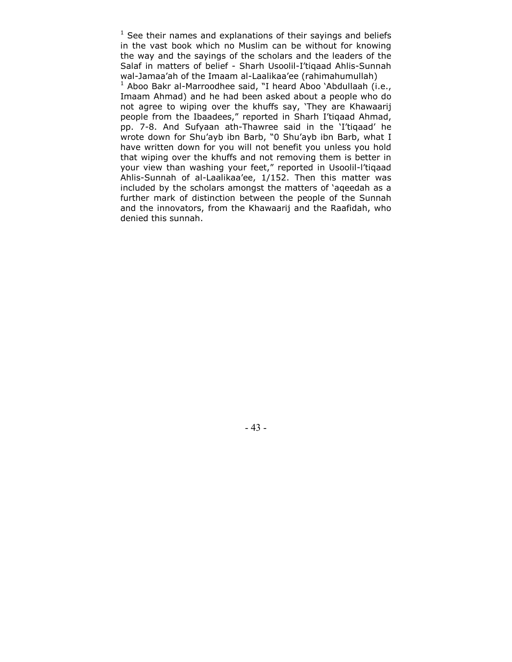$1$  See their names and explanations of their sayings and beliefs in the vast book which no Muslim can be without for knowing the way and the sayings of the scholars and the leaders of the Salaf in matters of belief - Sharh Usoolil-I'tiqaad Ahlis-Sunnah wal-Jamaa'ah of the Imaam al-Laalikaa'ee (rahimahumullah)

<sup>1</sup> Aboo Bakr al-Marroodhee said, "I heard Aboo 'Abdullaah (i.e., Imaam Ahmad) and he had been asked about a people who do not agree to wiping over the khuffs say, 'They are Khawaarij people from the Ibaadees," reported in Sharh I'tiqaad Ahmad, pp. 7-8. And Sufyaan ath-Thawree said in the 'I'tiqaad' he wrote down for Shu'ayb ibn Barb, "0 Shu'ayb ibn Barb, what I have written down for you will not benefit you unless you hold that wiping over the khuffs and not removing them is better in your view than washing your feet," reported in Usoolil-l'tiqaad Ahlis-Sunnah of al-Laalikaa'ee, 1/152. Then this matter was included by the scholars amongst the matters of 'aqeedah as a further mark of distinction between the people of the Sunnah and the innovators, from the Khawaarij and the Raafidah, who denied this sunnah.

- 43 -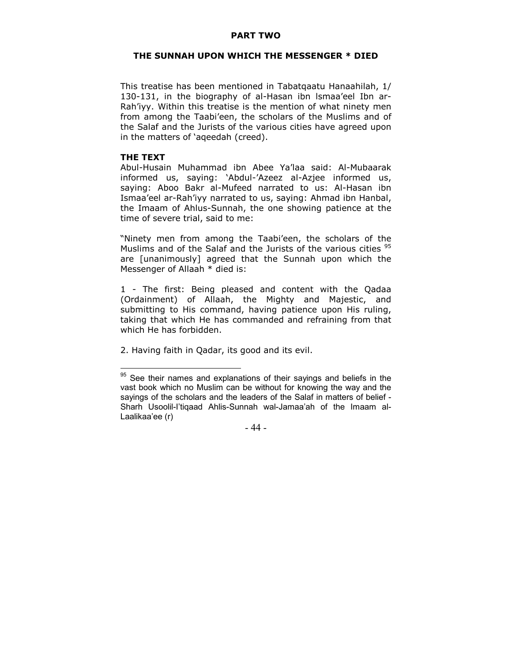#### **PART TWO**

### **THE SUNNAH UPON WHICH THE MESSENGER \* DIED**

This treatise has been mentioned in Tabatqaatu Hanaahilah, 1/ 130-131, in the biography of al-Hasan ibn lsmaa'eel Ibn ar-Rah'iyy. Within this treatise is the mention of what ninety men from among the Taabi'een, the scholars of the Muslims and of the Salaf and the Jurists of the various cities have agreed upon in the matters of 'aqeedah (creed).

### **THE TEXT**

 $\overline{a}$ 

Abul-Husain Muhammad ibn Abee Ya'laa said: Al-Mubaarak informed us, saying: 'Abdul-'Azeez al-Azjee informed us, saying: Aboo Bakr al-Mufeed narrated to us: Al-Hasan ibn Ismaa'eel ar-Rah'iyy narrated to us, saying: Ahmad ibn Hanbal, the Imaam of Ahlus-Sunnah, the one showing patience at the time of severe trial, said to me:

"Ninety men from among the Taabi'een, the scholars of the Muslims and of the Salaf and the Jurists of the various cities <sup>95</sup> are [unanimously] agreed that the Sunnah upon which the Messenger of Allaah \* died is:

1 - The first: Being pleased and content with the Qadaa (Ordainment) of Allaah, the Mighty and Majestic, and submitting to His command, having patience upon His ruling, taking that which He has commanded and refraining from that which He has forbidden.

2. Having faith in Qadar, its good and its evil.

- 44 -

 $95$  See their names and explanations of their sayings and beliefs in the vast book which no Muslim can be without for knowing the way and the sayings of the scholars and the leaders of the Salaf in matters of belief - Sharh Usoolil-I'tiqaad Ahlis-Sunnah wal-Jamaa'ah of the Imaam al-Laalikaa'ee (r)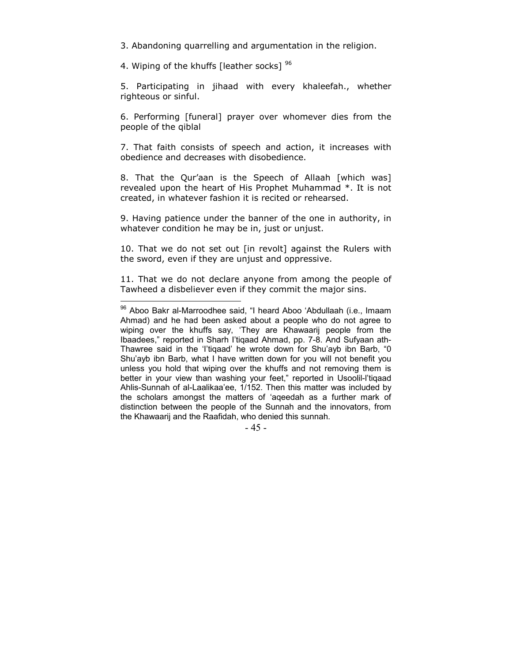3. Abandoning quarrelling and argumentation in the religion.

4. Wiping of the khuffs [leather socks]  $96$ 

 $\overline{a}$ 

5. Participating in jihaad with every khaleefah., whether righteous or sinful.

6. Performing [funeral] prayer over whomever dies from the people of the qiblal

7. That faith consists of speech and action, it increases with obedience and decreases with disobedience.

8. That the Qur'aan is the Speech of Allaah [which was] revealed upon the heart of His Prophet Muhammad \*. It is not created, in whatever fashion it is recited or rehearsed.

9. Having patience under the banner of the one in authority, in whatever condition he may be in, just or unjust.

10. That we do not set out [in revolt] against the Rulers with the sword, even if they are unjust and oppressive.

11. That we do not declare anyone from among the people of Tawheed a disbeliever even if they commit the major sins.

- 45 -

<sup>96</sup> Aboo Bakr al-Marroodhee said, "I heard Aboo 'Abdullaah (i.e., Imaam Ahmad) and he had been asked about a people who do not agree to wiping over the khuffs say, 'They are Khawaarij people from the Ibaadees," reported in Sharh I'tiqaad Ahmad, pp. 7-8. And Sufyaan ath-Thawree said in the 'I'tiqaad' he wrote down for Shu'ayb ibn Barb, "0 Shu'ayb ibn Barb, what I have written down for you will not benefit you unless you hold that wiping over the khuffs and not removing them is better in your view than washing your feet," reported in Usoolil-l'tiqaad Ahlis-Sunnah of al-Laalikaa'ee, 1/152. Then this matter was included by the scholars amongst the matters of 'aqeedah as a further mark of distinction between the people of the Sunnah and the innovators, from the Khawaarij and the Raafidah, who denied this sunnah.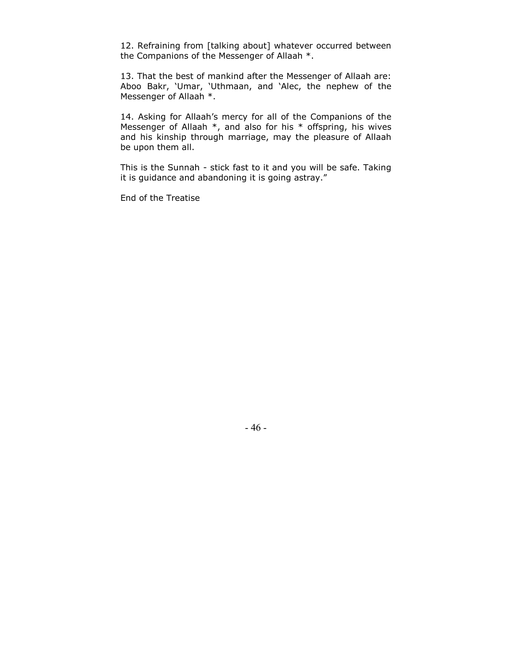12. Refraining from [talking about] whatever occurred between the Companions of the Messenger of Allaah \*.

13. That the best of mankind after the Messenger of Allaah are: Aboo Bakr, 'Umar, 'Uthmaan, and 'Alec, the nephew of the Messenger of Allaah \*.

14. Asking for Allaah's mercy for all of the Companions of the Messenger of Allaah \*, and also for his \* offspring, his wives and his kinship through marriage, may the pleasure of Allaah be upon them all.

This is the Sunnah - stick fast to it and you will be safe. Taking it is guidance and abandoning it is going astray."

End of the Treatise

- 46 -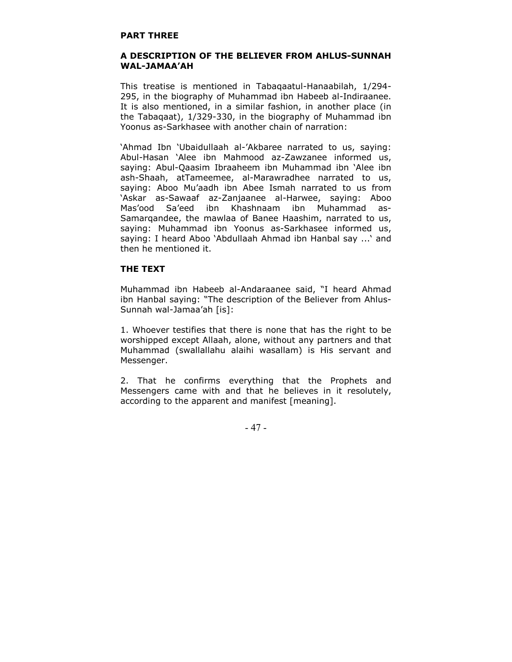## **PART THREE**

## **A DESCRIPTION OF THE BELIEVER FROM AHLUS-SUNNAH WAL-JAMAA'AH**

This treatise is mentioned in Tabaqaatul-Hanaabilah, 1/294- 295, in the biography of Muhammad ibn Habeeb al-Indiraanee. It is also mentioned, in a similar fashion, in another place (in the Tabaqaat), 1/329-330, in the biography of Muhammad ibn Yoonus as-Sarkhasee with another chain of narration:

'Ahmad Ibn 'Ubaidullaah al-'Akbaree narrated to us, saying: Abul-Hasan 'Alee ibn Mahmood az-Zawzanee informed us, saying: Abul-Qaasim Ibraaheem ibn Muhammad ibn 'Alee ibn ash-Shaah, atTameemee, al-Marawradhee narrated to us, saying: Aboo Mu'aadh ibn Abee Ismah narrated to us from 'Askar as-Sawaaf az-Zanjaanee al-Harwee, saying: Aboo Mas'ood Sa'eed ibn Khashnaam ibn Muhammad as-Samarqandee, the mawlaa of Banee Haashim, narrated to us, saying: Muhammad ibn Yoonus as-Sarkhasee informed us, saying: I heard Aboo 'Abdullaah Ahmad ibn Hanbal say ...' and then he mentioned it.

## **THE TEXT**

Muhammad ibn Habeeb al-Andaraanee said, "I heard Ahmad ibn Hanbal saying: "The description of the Believer from Ahlus-Sunnah wal-Jamaa'ah [is]:

1. Whoever testifies that there is none that has the right to be worshipped except Allaah, alone, without any partners and that Muhammad (swallallahu alaihi wasallam) is His servant and Messenger.

2. That he confirms everything that the Prophets and Messengers came with and that he believes in it resolutely, according to the apparent and manifest [meaning].

- 47 -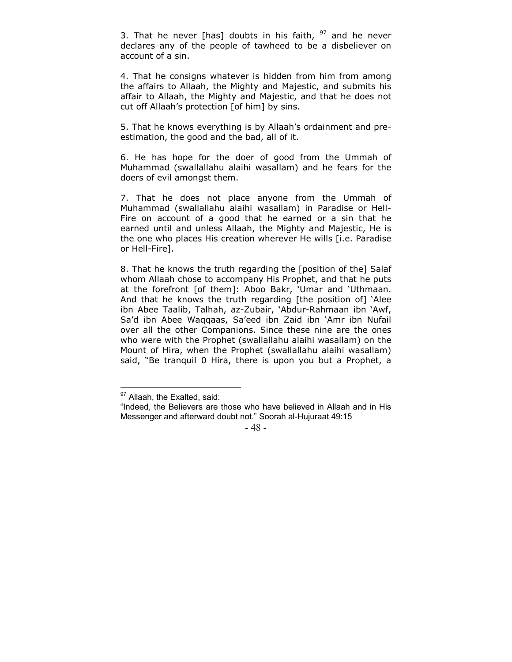3. That he never [has] doubts in his faith,  $97$  and he never declares any of the people of tawheed to be a disbeliever on account of a sin.

4. That he consigns whatever is hidden from him from among the affairs to Allaah, the Mighty and Majestic, and submits his affair to Allaah, the Mighty and Majestic, and that he does not cut off Allaah's protection [of him] by sins.

5. That he knows everything is by Allaah's ordainment and preestimation, the good and the bad, all of it.

6. He has hope for the doer of good from the Ummah of Muhammad (swallallahu alaihi wasallam) and he fears for the doers of evil amongst them.

7. That he does not place anyone from the Ummah of Muhammad (swallallahu alaihi wasallam) in Paradise or Hell-Fire on account of a good that he earned or a sin that he earned until and unless Allaah, the Mighty and Majestic, He is the one who places His creation wherever He wills [i.e. Paradise or Hell-Fire].

8. That he knows the truth regarding the [position of the] Salaf whom Allaah chose to accompany His Prophet, and that he puts at the forefront [of them]: Aboo Bakr, 'Umar and 'Uthmaan. And that he knows the truth regarding [the position of] 'Alee ibn Abee Taalib, Talhah, az-Zubair, 'Abdur-Rahmaan ibn 'Awf, Sa'd ibn Abee Waqqaas, Sa'eed ibn Zaid ibn 'Amr ibn Nufail over all the other Companions. Since these nine are the ones who were with the Prophet (swallallahu alaihi wasallam) on the Mount of Hira, when the Prophet (swallallahu alaihi wasallam) said, "Be tranquil 0 Hira, there is upon you but a Prophet, a

 $\overline{a}$ 

<sup>&</sup>lt;sup>97</sup> Allaah, the Exalted, said:

<sup>&</sup>quot;Indeed, the Believers are those who have believed in Allaah and in His Messenger and afterward doubt not." Soorah al-Hujuraat 49:15

<sup>- 48 -</sup>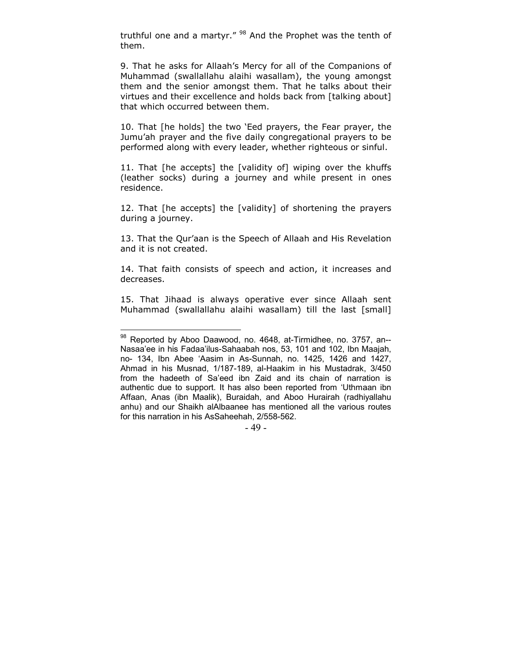truthful one and a martyr." <sup>98</sup> And the Prophet was the tenth of them.

9. That he asks for Allaah's Mercy for all of the Companions of Muhammad (swallallahu alaihi wasallam), the young amongst them and the senior amongst them. That he talks about their virtues and their excellence and holds back from [talking about] that which occurred between them.

10. That [he holds] the two 'Eed prayers, the Fear prayer, the Jumu'ah prayer and the five daily congregational prayers to be performed along with every leader, whether righteous or sinful.

11. That [he accepts] the [validity of] wiping over the khuffs (leather socks) during a journey and while present in ones residence.

12. That [he accepts] the [validity] of shortening the prayers during a journey.

13. That the Qur'aan is the Speech of Allaah and His Revelation and it is not created.

14. That faith consists of speech and action, it increases and decreases.

15. That Jihaad is always operative ever since Allaah sent Muhammad (swallallahu alaihi wasallam) till the last [small]

- 49 -

 $\overline{a}$  $98$  Reported by Aboo Daawood, no. 4648, at-Tirmidhee, no. 3757, an--Nasaa'ee in his Fadaa'ilus-Sahaabah nos, 53, 101 and 102, Ibn Maajah, no- 134, Ibn Abee 'Aasim in As-Sunnah, no. 1425, 1426 and 1427, Ahmad in his Musnad, 1/187-189, al-Haakim in his Mustadrak, 3/450 from the hadeeth of Sa'eed ibn Zaid and its chain of narration is authentic due to support. It has also been reported from 'Uthmaan ibn Affaan, Anas (ibn Maalik), Buraidah, and Aboo Hurairah (radhiyallahu anhu) and our Shaikh alAlbaanee has mentioned all the various routes for this narration in his AsSaheehah, 2/558-562.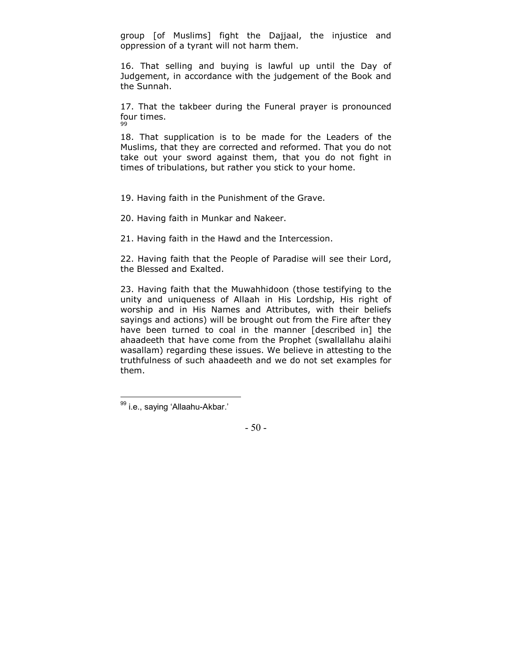group [of Muslims] fight the Dajjaal, the injustice and oppression of a tyrant will not harm them.

16. That selling and buying is lawful up until the Day of Judgement, in accordance with the judgement of the Book and the Sunnah.

17. That the takbeer during the Funeral prayer is pronounced four times. 99

18. That supplication is to be made for the Leaders of the Muslims, that they are corrected and reformed. That you do not take out your sword against them, that you do not fight in times of tribulations, but rather you stick to your home.

19. Having faith in the Punishment of the Grave.

20. Having faith in Munkar and Nakeer.

21. Having faith in the Hawd and the Intercession.

22. Having faith that the People of Paradise will see their Lord, the Blessed and Exalted.

23. Having faith that the Muwahhidoon (those testifying to the unity and uniqueness of Allaah in His Lordship, His right of worship and in His Names and Attributes, with their beliefs sayings and actions) will be brought out from the Fire after they have been turned to coal in the manner [described in] the ahaadeeth that have come from the Prophet (swallallahu alaihi wasallam) regarding these issues. We believe in attesting to the truthfulness of such ahaadeeth and we do not set examples for them.

 $\overline{a}$ 

- 50 -

<sup>99</sup> i.e., saying 'Allaahu-Akbar.'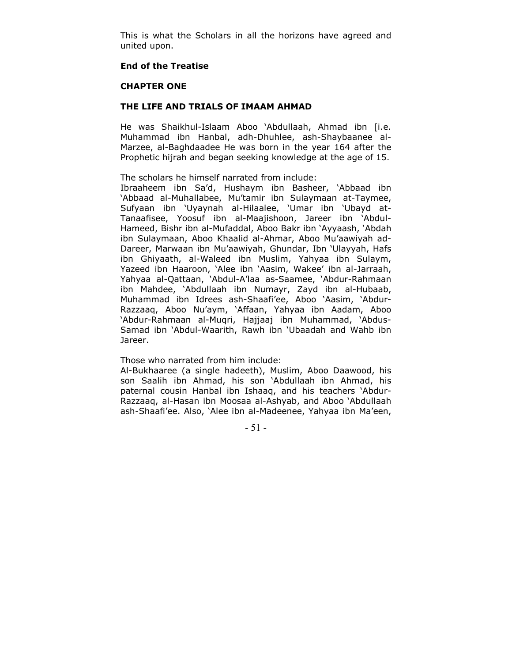This is what the Scholars in all the horizons have agreed and united upon.

## **End of the Treatise**

### **CHAPTER ONE**

## **THE LIFE AND TRIALS OF IMAAM AHMAD**

He was Shaikhul-Islaam Aboo 'Abdullaah, Ahmad ibn [i.e. Muhammad ibn Hanbal, adh-Dhuhlee, ash-Shaybaanee al-Marzee, al-Baghdaadee He was born in the year 164 after the Prophetic hijrah and began seeking knowledge at the age of 15.

The scholars he himself narrated from include:

Ibraaheem ibn Sa'd, Hushaym ibn Basheer, 'Abbaad ibn 'Abbaad al-Muhallabee, Mu'tamir ibn Sulaymaan at-Taymee, Sufyaan ibn 'Uyaynah al-Hilaalee, 'Umar ibn 'Ubayd at-Tanaafisee, Yoosuf ibn al-Maajishoon, Jareer ibn 'Abdul-Hameed, Bishr ibn al-Mufaddal, Aboo Bakr ibn 'Ayyaash, 'Abdah ibn Sulaymaan, Aboo Khaalid al-Ahmar, Aboo Mu'aawiyah ad-Dareer, Marwaan ibn Mu'aawiyah, Ghundar, Ibn 'Ulayyah, Hafs ibn Ghiyaath, al-Waleed ibn Muslim, Yahyaa ibn Sulaym, Yazeed ibn Haaroon, 'Alee ibn 'Aasim, Wakee' ibn al-Jarraah, Yahyaa al-Qattaan, 'Abdul-A'laa as-Saamee, 'Abdur-Rahmaan ibn Mahdee, 'Abdullaah ibn Numayr, Zayd ibn al-Hubaab, Muhammad ibn Idrees ash-Shaafi'ee, Aboo 'Aasim, 'Abdur-Razzaaq, Aboo Nu'aym, 'Affaan, Yahyaa ibn Aadam, Aboo 'Abdur-Rahmaan al-Muqri, Hajjaaj ibn Muhammad, 'Abdus-Samad ibn 'Abdul-Waarith, Rawh ibn 'Ubaadah and Wahb ibn Jareer.

Those who narrated from him include:

Al-Bukhaaree (a single hadeeth), Muslim, Aboo Daawood, his son Saalih ibn Ahmad, his son 'Abdullaah ibn Ahmad, his paternal cousin Hanbal ibn Ishaaq, and his teachers 'Abdur-Razzaaq, al-Hasan ibn Moosaa al-Ashyab, and Aboo 'Abdullaah ash-Shaafi'ee. Also, 'Alee ibn al-Madeenee, Yahyaa ibn Ma'een,

- 51 -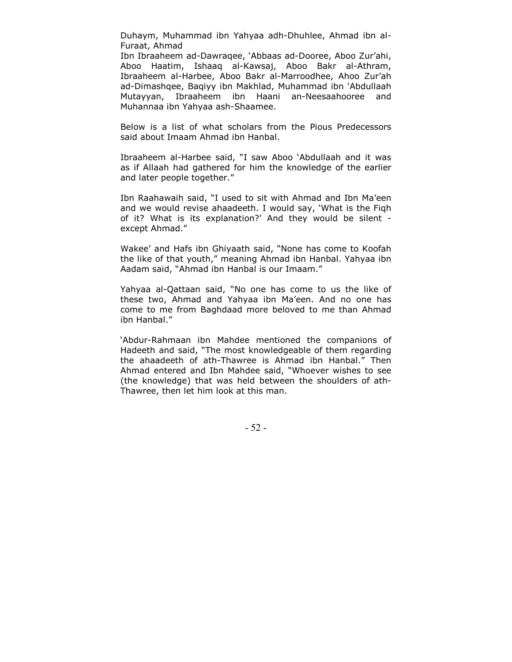Duhaym, Muhammad ibn Yahyaa adh-Dhuhlee, Ahmad ibn al-Furaat, Ahmad

Ibn Ibraaheem ad-Dawraqee, 'Abbaas ad-Dooree, Aboo Zur'ahi, Aboo Haatim, Ishaaq al-Kawsaj, Aboo Bakr al-Athram, Ibraaheem al-Harbee, Aboo Bakr al-Marroodhee, Ahoo Zur'ah ad-Dimashqee, Baqiyy ibn Makhlad, Muhammad ibn 'Abdullaah Mutayyan, Ibraaheem ibn Haani an-Neesaahooree and Muhannaa ibn Yahyaa ash-Shaamee.

Below is a list of what scholars from the Pious Predecessors said about Imaam Ahmad ibn Hanbal.

Ibraaheem al-Harbee said, "I saw Aboo 'Abdullaah and it was as if Allaah had gathered for him the knowledge of the earlier and later people together."

Ibn Raahawaih said, "I used to sit with Ahmad and Ibn Ma'een and we would revise ahaadeeth. I would say, 'What is the Fiqh of it? What is its explanation?' And they would be silent except Ahmad."

Wakee' and Hafs ibn Ghiyaath said, "None has come to Koofah the like of that youth," meaning Ahmad ibn Hanbal. Yahyaa ibn Aadam said, "Ahmad ibn Hanbal is our Imaam."

Yahyaa al-Qattaan said, "No one has come to us the like of these two, Ahmad and Yahyaa ibn Ma'een. And no one has come to me from Baghdaad more beloved to me than Ahmad ibn Hanbal."

'Abdur-Rahmaan ibn Mahdee mentioned the companions of Hadeeth and said, "The most knowledgeable of them regarding the ahaadeeth of ath-Thawree is Ahmad ibn Hanbal." Then Ahmad entered and Ibn Mahdee said, "Whoever wishes to see (the knowledge) that was held between the shoulders of ath-Thawree, then let him look at this man.

- 52 -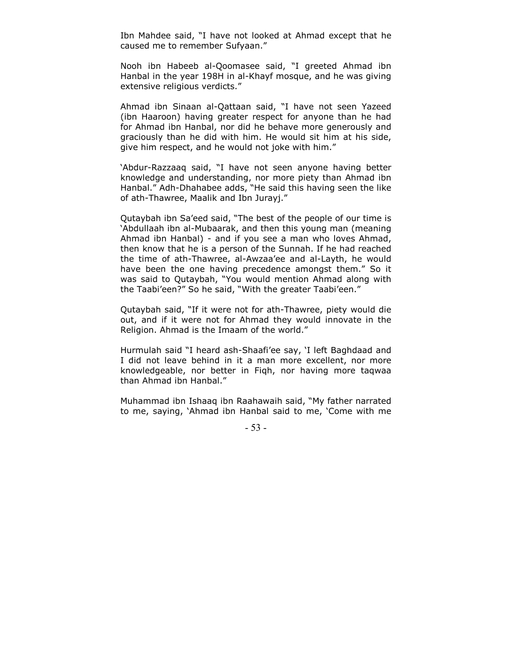Ibn Mahdee said, "I have not looked at Ahmad except that he caused me to remember Sufyaan."

Nooh ibn Habeeb al-Qoomasee said, "I greeted Ahmad ibn Hanbal in the year 198H in al-Khayf mosque, and he was giving extensive religious verdicts."

Ahmad ibn Sinaan al-Qattaan said, "I have not seen Yazeed (ibn Haaroon) having greater respect for anyone than he had for Ahmad ibn Hanbal, nor did he behave more generously and graciously than he did with him. He would sit him at his side, give him respect, and he would not joke with him."

'Abdur-Razzaaq said, "I have not seen anyone having better knowledge and understanding, nor more piety than Ahmad ibn Hanbal." Adh-Dhahabee adds, "He said this having seen the like of ath-Thawree, Maalik and Ibn Jurayj."

Qutaybah ibn Sa'eed said, "The best of the people of our time is 'Abdullaah ibn al-Mubaarak, and then this young man (meaning Ahmad ibn Hanbal) - and if you see a man who loves Ahmad, then know that he is a person of the Sunnah. If he had reached the time of ath-Thawree, al-Awzaa'ee and al-Layth, he would have been the one having precedence amongst them." So it was said to Qutaybah, "You would mention Ahmad along with the Taabi'een?" So he said, "With the greater Taabi'een."

Qutaybah said, "If it were not for ath-Thawree, piety would die out, and if it were not for Ahmad they would innovate in the Religion. Ahmad is the Imaam of the world."

Hurmulah said "I heard ash-Shaafi'ee say, 'I left Baghdaad and I did not leave behind in it a man more excellent, nor more knowledgeable, nor better in Fiqh, nor having more taqwaa than Ahmad ibn Hanbal."

Muhammad ibn Ishaaq ibn Raahawaih said, "My father narrated to me, saying, 'Ahmad ibn Hanbal said to me, 'Come with me

- 53 -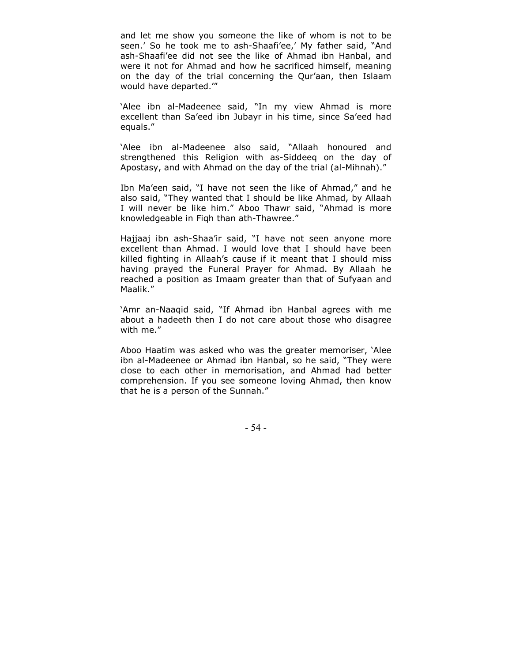and let me show you someone the like of whom is not to be seen.' So he took me to ash-Shaafi'ee,' My father said, "And ash-Shaafi'ee did not see the like of Ahmad ibn Hanbal, and were it not for Ahmad and how he sacrificed himself, meaning on the day of the trial concerning the Qur'aan, then Islaam would have departed.'"

'Alee ibn al-Madeenee said, "In my view Ahmad is more excellent than Sa'eed ibn Jubayr in his time, since Sa'eed had equals."

'Alee ibn al-Madeenee also said, "Allaah honoured and strengthened this Religion with as-Siddeeq on the day of Apostasy, and with Ahmad on the day of the trial (al-Mihnah)."

Ibn Ma'een said, "I have not seen the like of Ahmad," and he also said, "They wanted that I should be like Ahmad, by Allaah I will never be like him." Aboo Thawr said, "Ahmad is more knowledgeable in Fiqh than ath-Thawree."

Hajjaaj ibn ash-Shaa'ir said, "I have not seen anyone more excellent than Ahmad. I would love that I should have been killed fighting in Allaah's cause if it meant that I should miss having prayed the Funeral Prayer for Ahmad. By Allaah he reached a position as Imaam greater than that of Sufyaan and Maalik."

'Amr an-Naaqid said, "If Ahmad ibn Hanbal agrees with me about a hadeeth then I do not care about those who disagree with me."

Aboo Haatim was asked who was the greater memoriser, 'Alee ibn al-Madeenee or Ahmad ibn Hanbal, so he said, "They were close to each other in memorisation, and Ahmad had better comprehension. If you see someone loving Ahmad, then know that he is a person of the Sunnah."

- 54 -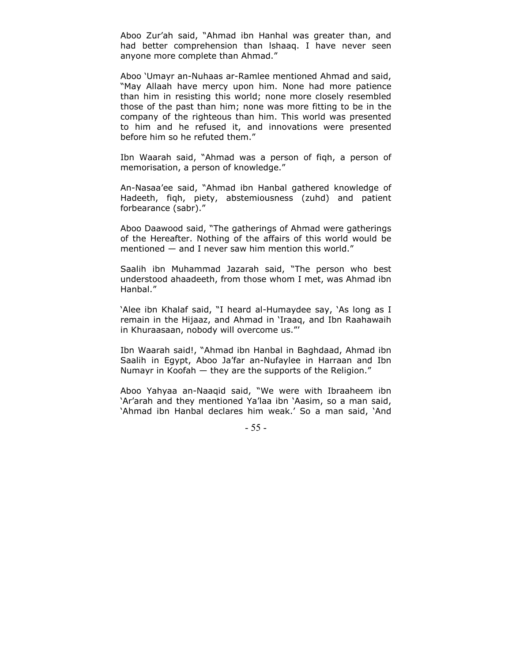Aboo Zur'ah said, "Ahmad ibn Hanhal was greater than, and had better comprehension than lshaaq. I have never seen anyone more complete than Ahmad."

Aboo 'Umayr an-Nuhaas ar-Ramlee mentioned Ahmad and said, "May Allaah have mercy upon him. None had more patience than him in resisting this world; none more closely resembled those of the past than him; none was more fitting to be in the company of the righteous than him. This world was presented to him and he refused it, and innovations were presented before him so he refuted them."

Ibn Waarah said, "Ahmad was a person of fiqh, a person of memorisation, a person of knowledge."

An-Nasaa'ee said, "Ahmad ibn Hanbal gathered knowledge of Hadeeth, fiqh, piety, abstemiousness (zuhd) and patient forbearance (sabr)."

Aboo Daawood said, "The gatherings of Ahmad were gatherings of the Hereafter. Nothing of the affairs of this world would be mentioned  $-$  and I never saw him mention this world."

Saalih ibn Muhammad Jazarah said, "The person who best understood ahaadeeth, from those whom I met, was Ahmad ibn Hanbal."

'Alee ibn Khalaf said, "I heard al-Humaydee say, 'As long as I remain in the Hijaaz, and Ahmad in 'Iraaq, and Ibn Raahawaih in Khuraasaan, nobody will overcome us."'

Ibn Waarah said!, "Ahmad ibn Hanbal in Baghdaad, Ahmad ibn Saalih in Egypt, Aboo Ja'far an-Nufaylee in Harraan and Ibn Numayr in Koofah — they are the supports of the Religion."

Aboo Yahyaa an-Naaqid said, "We were with Ibraaheem ibn 'Ar'arah and they mentioned Ya'laa ibn 'Aasim, so a man said, 'Ahmad ibn Hanbal declares him weak.' So a man said, 'And

- 55 -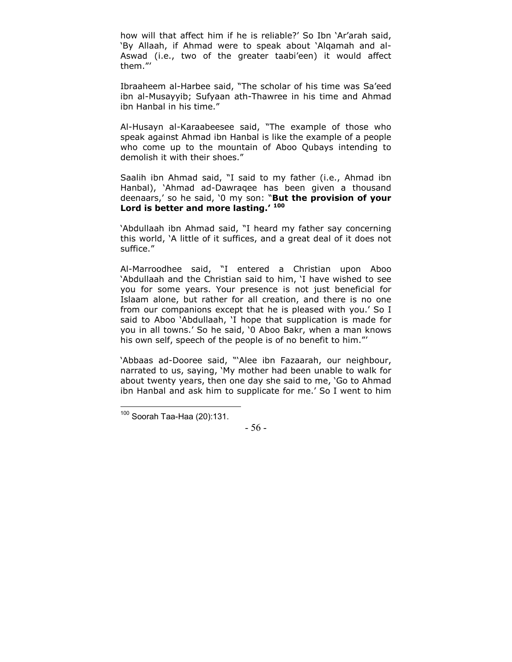how will that affect him if he is reliable?' So Ibn 'Ar'arah said, 'By Allaah, if Ahmad were to speak about 'Alqamah and al-Aswad (i.e., two of the greater taabi'een) it would affect them."'

Ibraaheem al-Harbee said, "The scholar of his time was Sa'eed ibn al-Musayyib; Sufyaan ath-Thawree in his time and Ahmad ibn Hanbal in his time."

Al-Husayn al-Karaabeesee said, "The example of those who speak against Ahmad ibn Hanbal is like the example of a people who come up to the mountain of Aboo Qubays intending to demolish it with their shoes."

Saalih ibn Ahmad said, "I said to my father (i.e., Ahmad ibn Hanbal), 'Ahmad ad-Dawraqee has been given a thousand deenaars,' so he said, '0 my son: "**But the provision of your Lord is better and more lasting.' 100**

'Abdullaah ibn Ahmad said, "I heard my father say concerning this world, 'A little of it suffices, and a great deal of it does not suffice."

Al-Marroodhee said, "I entered a Christian upon Aboo 'Abdullaah and the Christian said to him, 'I have wished to see you for some years. Your presence is not just beneficial for Islaam alone, but rather for all creation, and there is no one from our companions except that he is pleased with you.' So I said to Aboo 'Abdullaah, 'I hope that supplication is made for you in all towns.' So he said, '0 Aboo Bakr, when a man knows his own self, speech of the people is of no benefit to him."'

'Abbaas ad-Dooree said, "'Alee ibn Fazaarah, our neighbour, narrated to us, saying, 'My mother had been unable to walk for about twenty years, then one day she said to me, 'Go to Ahmad ibn Hanbal and ask him to supplicate for me.' So I went to him

 $\overline{a}$ 

<sup>&</sup>lt;sup>100</sup> Soorah Taa-Haa (20):131.

<sup>- 56 -</sup>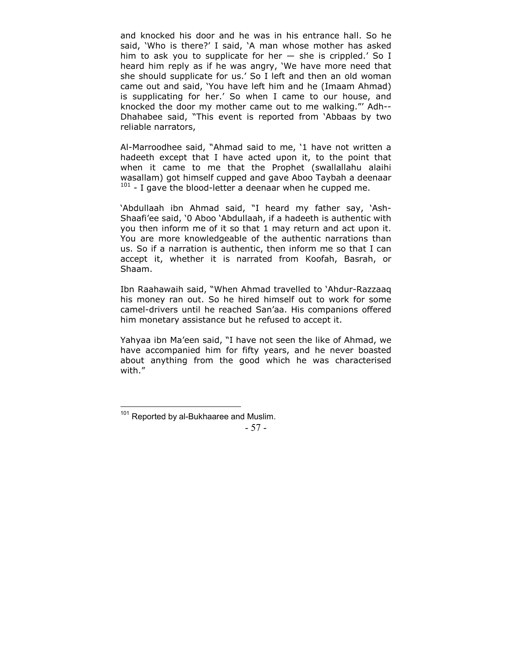and knocked his door and he was in his entrance hall. So he said, 'Who is there?' I said, 'A man whose mother has asked him to ask you to supplicate for her  $-$  she is crippled.' So I heard him reply as if he was angry, 'We have more need that she should supplicate for us.' So I left and then an old woman came out and said, 'You have left him and he (Imaam Ahmad) is supplicating for her.' So when I came to our house, and knocked the door my mother came out to me walking."' Adh-- Dhahabee said, "This event is reported from 'Abbaas by two reliable narrators,

Al-Marroodhee said, "Ahmad said to me, '1 have not written a hadeeth except that I have acted upon it, to the point that when it came to me that the Prophet (swallallahu alaihi wasallam) got himself cupped and gave Aboo Taybah a deenaar  $101$  - I gave the blood-letter a deenaar when he cupped me.

'Abdullaah ibn Ahmad said, "I heard my father say, 'Ash-Shaafi'ee said, '0 Aboo 'Abdullaah, if a hadeeth is authentic with you then inform me of it so that 1 may return and act upon it. You are more knowledgeable of the authentic narrations than us. So if a narration is authentic, then inform me so that I can accept it, whether it is narrated from Koofah, Basrah, or Shaam.

Ibn Raahawaih said, "When Ahmad travelled to 'Ahdur-Razzaaq his money ran out. So he hired himself out to work for some camel-drivers until he reached San'aa. His companions offered him monetary assistance but he refused to accept it.

Yahyaa ibn Ma'een said, "I have not seen the like of Ahmad, we have accompanied him for fifty years, and he never boasted about anything from the good which he was characterised with."

 $\overline{a}$ 

# - 57 -

<sup>&</sup>lt;sup>101</sup> Reported by al-Bukhaaree and Muslim.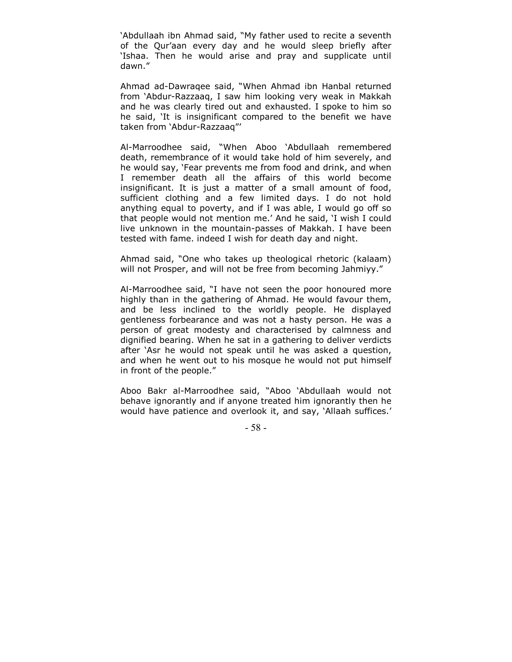'Abdullaah ibn Ahmad said, "My father used to recite a seventh of the Qur'aan every day and he would sleep briefly after 'Ishaa. Then he would arise and pray and supplicate until dawn."

Ahmad ad-Dawraqee said, "When Ahmad ibn Hanbal returned from 'Abdur-Razzaaq, I saw him looking very weak in Makkah and he was clearly tired out and exhausted. I spoke to him so he said, 'It is insignificant compared to the benefit we have taken from 'Abdur-Razzaaq"'

Al-Marroodhee said, "When Aboo 'Abdullaah remembered death, remembrance of it would take hold of him severely, and he would say, 'Fear prevents me from food and drink, and when I remember death all the affairs of this world become insignificant. It is just a matter of a small amount of food, sufficient clothing and a few limited days. I do not hold anything equal to poverty, and if I was able, I would go off so that people would not mention me.' And he said, 'I wish I could live unknown in the mountain-passes of Makkah. I have been tested with fame. indeed I wish for death day and night.

Ahmad said, "One who takes up theological rhetoric (kalaam) will not Prosper, and will not be free from becoming Jahmiyy."

Al-Marroodhee said, "I have not seen the poor honoured more highly than in the gathering of Ahmad. He would favour them, and be less inclined to the worldly people. He displayed gentleness forbearance and was not a hasty person. He was a person of great modesty and characterised by calmness and dignified bearing. When he sat in a gathering to deliver verdicts after 'Asr he would not speak until he was asked a question, and when he went out to his mosque he would not put himself in front of the people."

Aboo Bakr al-Marroodhee said, "Aboo 'Abdullaah would not behave ignorantly and if anyone treated him ignorantly then he would have patience and overlook it, and say, 'Allaah suffices.'

- 58 -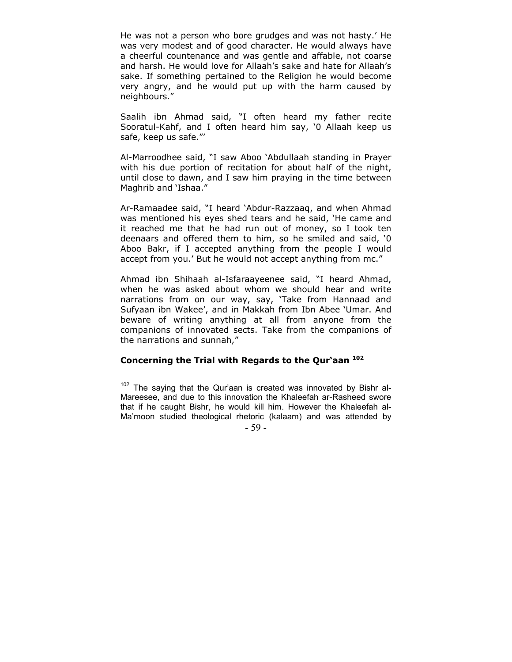He was not a person who bore grudges and was not hasty.' He was very modest and of good character. He would always have a cheerful countenance and was gentle and affable, not coarse and harsh. He would love for Allaah's sake and hate for Allaah's sake. If something pertained to the Religion he would become very angry, and he would put up with the harm caused by neighbours."

Saalih ibn Ahmad said, "I often heard my father recite Sooratul-Kahf, and I often heard him say, '0 Allaah keep us safe, keep us safe."'

Al-Marroodhee said, "I saw Aboo 'Abdullaah standing in Prayer with his due portion of recitation for about half of the night, until close to dawn, and I saw him praying in the time between Maghrib and 'Ishaa."

Ar-Ramaadee said, "I heard 'Abdur-Razzaaq, and when Ahmad was mentioned his eyes shed tears and he said, 'He came and it reached me that he had run out of money, so I took ten deenaars and offered them to him, so he smiled and said, '0 Aboo Bakr, if I accepted anything from the people I would accept from you.' But he would not accept anything from mc."

Ahmad ibn Shihaah al-Isfaraayeenee said, "I heard Ahmad, when he was asked about whom we should hear and write narrations from on our way, say, 'Take from Hannaad and Sufyaan ibn Wakee', and in Makkah from Ibn Abee 'Umar. And beware of writing anything at all from anyone from the companions of innovated sects. Take from the companions of the narrations and sunnah,"

## **Concerning the Trial with Regards to the Qur'aan 102**

 $\overline{a}$ 

 $102$  The saying that the Qur'aan is created was innovated by Bishr al-Mareesee, and due to this innovation the Khaleefah ar-Rasheed swore that if he caught Bishr, he would kill him. However the Khaleefah al-Ma'moon studied theological rhetoric (kalaam) and was attended by

<sup>- 59 -</sup>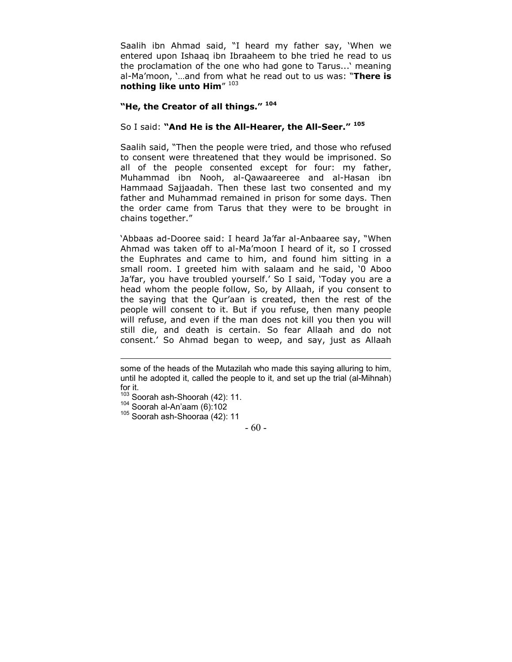Saalih ibn Ahmad said, "I heard my father say, 'When we entered upon Ishaaq ibn Ibraaheem to bhe tried he read to us the proclamation of the one who had gone to Tarus...' meaning al-Ma'moon, '…and from what he read out to us was: "**There is nothing like unto Him**" 103

## **"He, the Creator of all things." 104**

# So I said: **"And He is the All-Hearer, the All-Seer." <sup>105</sup>**

Saalih said, "Then the people were tried, and those who refused to consent were threatened that they would be imprisoned. So all of the people consented except for four: my father, Muhammad ibn Nooh, al-Qawaareeree and al-Hasan ibn Hammaad Sajjaadah. Then these last two consented and my father and Muhammad remained in prison for some days. Then the order came from Tarus that they were to be brought in chains together."

'Abbaas ad-Dooree said: I heard Ja'far al-Anbaaree say, "When Ahmad was taken off to al-Ma'moon I heard of it, so I crossed the Euphrates and came to him, and found him sitting in a small room. I greeted him with salaam and he said, '0 Aboo Ja'far, you have troubled yourself.' So I said, 'Today you are a head whom the people follow, So, by Allaah, if you consent to the saying that the Qur'aan is created, then the rest of the people will consent to it. But if you refuse, then many people will refuse, and even if the man does not kill you then you will still die, and death is certain. So fear Allaah and do not consent.' So Ahmad began to weep, and say, just as Allaah

 $\overline{a}$ 

### - 60 -

some of the heads of the Mutazilah who made this saying alluring to him, until he adopted it, called the people to it, and set up the trial (al-Mihnah) for it.<br><sup>103</sup> Soorah ash-Shoorah (42): 11.

 $104$  Soorah al-An'aam (6):102<br> $105$  Soorah ash-Shooraa (42): 11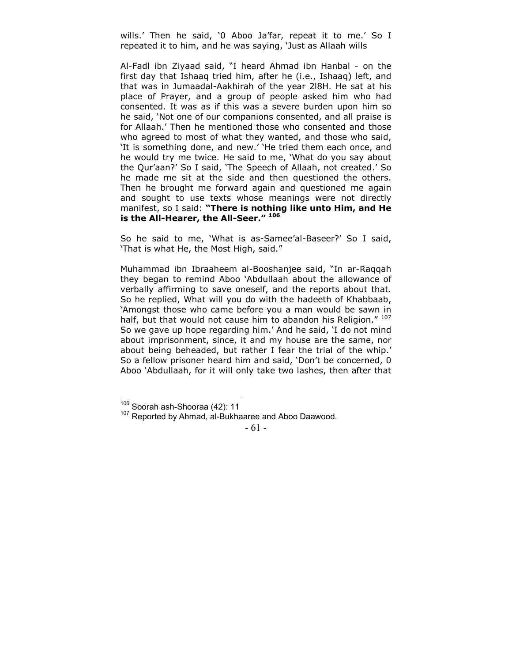wills.' Then he said, '0 Aboo Ja'far, repeat it to me.' So I repeated it to him, and he was saying, 'Just as Allaah wills

Al-Fadl ibn Ziyaad said, "I heard Ahmad ibn Hanbal - on the first day that Ishaaq tried him, after he (i.e., Ishaaq) left, and that was in Jumaadal-Aakhirah of the year 2l8H. He sat at his place of Prayer, and a group of people asked him who had consented. It was as if this was a severe burden upon him so he said, 'Not one of our companions consented, and all praise is for Allaah.' Then he mentioned those who consented and those who agreed to most of what they wanted, and those who said, 'It is something done, and new.' 'He tried them each once, and he would try me twice. He said to me, 'What do you say about the Qur'aan?' So I said, 'The Speech of Allaah, not created.' So he made me sit at the side and then questioned the others. Then he brought me forward again and questioned me again and sought to use texts whose meanings were not directly manifest, so I said: **"There is nothing like unto Him, and He is the All-Hearer, the All-Seer." 106**

So he said to me, 'What is as-Samee'al-Baseer?' So I said, 'That is what He, the Most High, said."

Muhammad ibn Ibraaheem al-Booshanjee said, "In ar-Raqqah they began to remind Aboo 'Abdullaah about the allowance of verbally affirming to save oneself, and the reports about that. So he replied, What will you do with the hadeeth of Khabbaab, 'Amongst those who came before you a man would be sawn in half, but that would not cause him to abandon his Religion." 107 So we gave up hope regarding him.' And he said, 'I do not mind about imprisonment, since, it and my house are the same, nor about being beheaded, but rather I fear the trial of the whip.' So a fellow prisoner heard him and said, 'Don't be concerned, 0 Aboo 'Abdullaah, for it will only take two lashes, then after that

 $\overline{a}$ 

 $106 \text{ Soorah ash-Shooraa (42): 11}$ <br> $107 \text{ Reported by Ahmad, al-Bukhaaree and Aboo Daawood.}$ 

<sup>- 61 -</sup>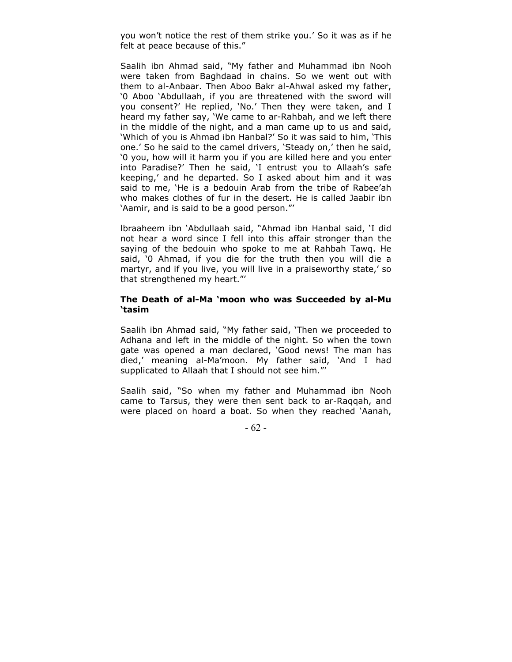you won't notice the rest of them strike you.' So it was as if he felt at peace because of this."

Saalih ibn Ahmad said, "My father and Muhammad ibn Nooh were taken from Baghdaad in chains. So we went out with them to al-Anbaar. Then Aboo Bakr al-Ahwal asked my father, '0 Aboo 'Abdullaah, if you are threatened with the sword will you consent?' He replied, 'No.' Then they were taken, and I heard my father say, 'We came to ar-Rahbah, and we left there in the middle of the night, and a man came up to us and said, 'Which of you is Ahmad ibn Hanbal?' So it was said to him, 'This one.' So he said to the camel drivers, 'Steady on,' then he said, '0 you, how will it harm you if you are killed here and you enter into Paradise?' Then he said, 'I entrust you to Allaah's safe keeping,' and he departed. So I asked about him and it was said to me, 'He is a bedouin Arab from the tribe of Rabee'ah who makes clothes of fur in the desert. He is called Jaabir ibn 'Aamir, and is said to be a good person."'

lbraaheem ibn 'Abdullaah said, "Ahmad ibn Hanbal said, 'I did not hear a word since I fell into this affair stronger than the saying of the bedouin who spoke to me at Rahbah Tawq. He said, '0 Ahmad, if you die for the truth then you will die a martyr, and if you live, you will live in a praiseworthy state,' so that strengthened my heart."'

## **The Death of al-Ma 'moon who was Succeeded by al-Mu 'tasim**

Saalih ibn Ahmad said, "My father said, 'Then we proceeded to Adhana and left in the middle of the night. So when the town gate was opened a man declared, 'Good news! The man has died,' meaning al-Ma'moon. My father said, 'And I had supplicated to Allaah that I should not see him."'

Saalih said, "So when my father and Muhammad ibn Nooh came to Tarsus, they were then sent back to ar-Raqqah, and were placed on hoard a boat. So when they reached 'Aanah,

- 62 -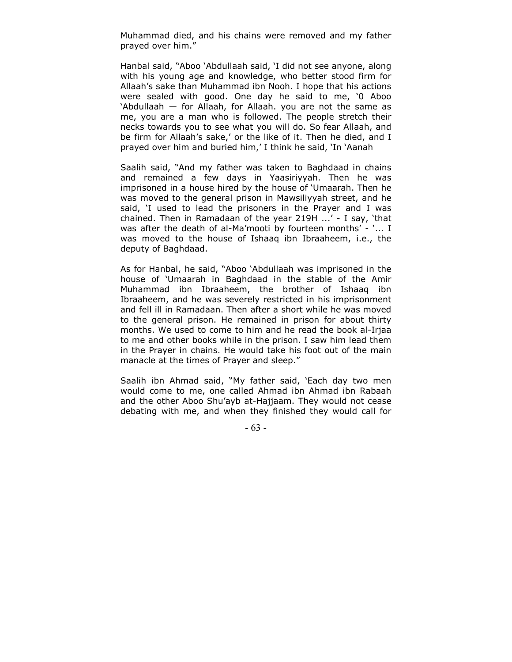Muhammad died, and his chains were removed and my father prayed over him."

Hanbal said, "Aboo 'Abdullaah said, 'I did not see anyone, along with his young age and knowledge, who better stood firm for Allaah's sake than Muhammad ibn Nooh. I hope that his actions were sealed with good. One day he said to me, '0 Aboo 'Abdullaah — for Allaah, for Allaah. you are not the same as me, you are a man who is followed. The people stretch their necks towards you to see what you will do. So fear Allaah, and be firm for Allaah's sake,' or the like of it. Then he died, and I prayed over him and buried him,' I think he said, 'In 'Aanah

Saalih said, "And my father was taken to Baghdaad in chains and remained a few days in Yaasiriyyah. Then he was imprisoned in a house hired by the house of 'Umaarah. Then he was moved to the general prison in Mawsiliyyah street, and he said, 'I used to lead the prisoners in the Prayer and I was chained. Then in Ramadaan of the year 219H ...' - I say, 'that was after the death of al-Ma'mooti by fourteen months' - `... I was moved to the house of Ishaaq ibn Ibraaheem, i.e., the deputy of Baghdaad.

As for Hanbal, he said, "Aboo 'Abdullaah was imprisoned in the house of 'Umaarah in Baghdaad in the stable of the Amir Muhammad ibn Ibraaheem, the brother of Ishaaq ibn Ibraaheem, and he was severely restricted in his imprisonment and fell ill in Ramadaan. Then after a short while he was moved to the general prison. He remained in prison for about thirty months. We used to come to him and he read the book al-Irjaa to me and other books while in the prison. I saw him lead them in the Prayer in chains. He would take his foot out of the main manacle at the times of Prayer and sleep."

Saalih ibn Ahmad said, "My father said, 'Each day two men would come to me, one called Ahmad ibn Ahmad ibn Rabaah and the other Aboo Shu'ayb at-Hajjaam. They would not cease debating with me, and when they finished they would call for

- 63 -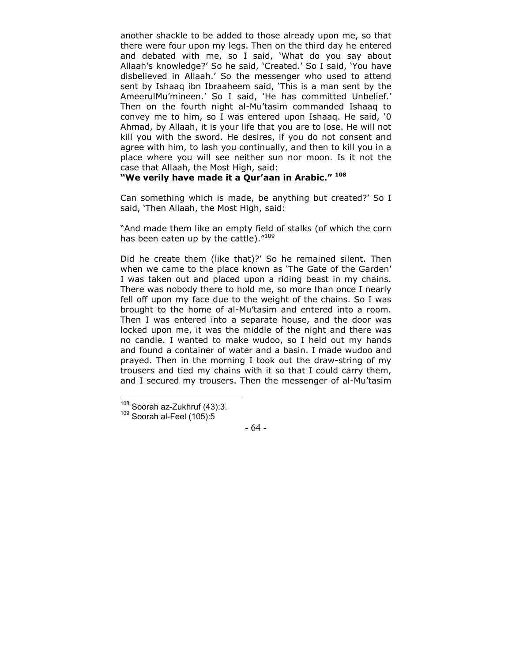another shackle to be added to those already upon me, so that there were four upon my legs. Then on the third day he entered and debated with me, so I said, 'What do you say about Allaah's knowledge?' So he said, 'Created.' So I said, 'You have disbelieved in Allaah.' So the messenger who used to attend sent by Ishaaq ibn Ibraaheem said, 'This is a man sent by the AmeerulMu'mineen.' So I said, 'He has committed Unbelief.' Then on the fourth night al-Mu'tasim commanded Ishaaq to convey me to him, so I was entered upon Ishaaq. He said, '0 Ahmad, by Allaah, it is your life that you are to lose. He will not kill you with the sword. He desires, if you do not consent and agree with him, to lash you continually, and then to kill you in a place where you will see neither sun nor moon. Is it not the case that Allaah, the Most High, said:

# **"We verily have made it a Qur'aan in Arabic." <sup>108</sup>**

Can something which is made, be anything but created?' So I said, 'Then Allaah, the Most High, said:

"And made them like an empty field of stalks (of which the corn has been eaten up by the cattle)."<sup>109</sup>

Did he create them (like that)?' So he remained silent. Then when we came to the place known as 'The Gate of the Garden' I was taken out and placed upon a riding beast in my chains. There was nobody there to hold me, so more than once I nearly fell off upon my face due to the weight of the chains. So I was brought to the home of al-Mu'tasim and entered into a room. Then I was entered into a separate house, and the door was locked upon me, it was the middle of the night and there was no candle. I wanted to make wudoo, so I held out my hands and found a container of water and a basin. I made wudoo and prayed. Then in the morning I took out the draw-string of my trousers and tied my chains with it so that I could carry them, and I secured my trousers. Then the messenger of al-Mu'tasim

- 64 -

<sup>&</sup>lt;sup>108</sup> Soorah az-Zukhruf (43):3.

 $109$  Soorah al-Feel (105):5<sup>1</sup>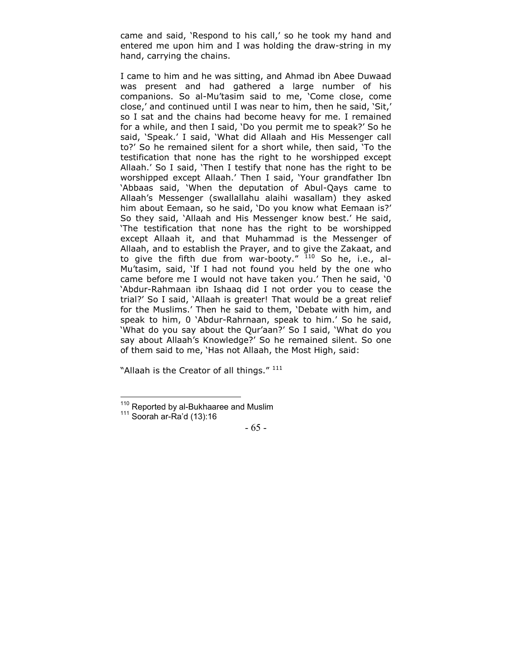came and said, 'Respond to his call,' so he took my hand and entered me upon him and I was holding the draw-string in my hand, carrying the chains.

I came to him and he was sitting, and Ahmad ibn Abee Duwaad was present and had gathered a large number of his companions. So al-Mu'tasim said to me, 'Come close, come close,' and continued until I was near to him, then he said, 'Sit,' so I sat and the chains had become heavy for me. I remained for a while, and then I said, 'Do you permit me to speak?' So he said, 'Speak.' I said, 'What did Allaah and His Messenger call to?' So he remained silent for a short while, then said, 'To the testification that none has the right to he worshipped except Allaah.' So I said, 'Then I testify that none has the right to be worshipped except Allaah.' Then I said, 'Your grandfather Ibn 'Abbaas said, 'When the deputation of Abul-Qays came to Allaah's Messenger (swallallahu alaihi wasallam) they asked him about Eemaan, so he said, 'Do you know what Eemaan is?' So they said, 'Allaah and His Messenger know best.' He said, 'The testification that none has the right to be worshipped except Allaah it, and that Muhammad is the Messenger of Allaah, and to establish the Prayer, and to give the Zakaat, and to give the fifth due from war-booty."  $110$  So he, i.e., al-Mu'tasim, said, 'If I had not found you held by the one who came before me I would not have taken you.' Then he said, '0 'Abdur-Rahmaan ibn Ishaaq did I not order you to cease the trial?' So I said, 'Allaah is greater! That would be a great relief for the Muslims.' Then he said to them, 'Debate with him, and speak to him, 0 'Abdur-Rahrnaan, speak to him.' So he said, 'What do you say about the Qur'aan?' So I said, 'What do you say about Allaah's Knowledge?' So he remained silent. So one of them said to me, 'Has not Allaah, the Most High, said:

"Allaah is the Creator of all things." 111

 $\overline{a}$ 

<sup>&</sup>lt;sup>110</sup> Reported by al-Bukhaaree and Muslim<br><sup>111</sup> Soorah ar-Ra'd (13):16

<sup>- 65 -</sup>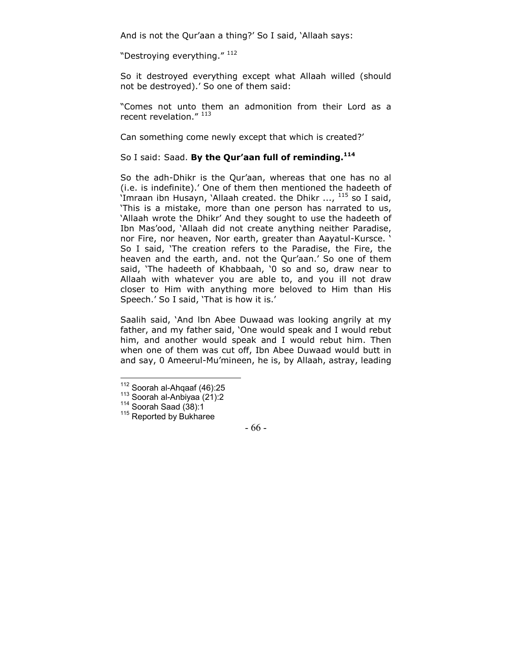And is not the Qur'aan a thing?' So I said, 'Allaah says:

"Destroying everything." 112

So it destroyed everything except what Allaah willed (should not be destroyed).' So one of them said:

"Comes not unto them an admonition from their Lord as a recent revelation." 113

Can something come newly except that which is created?'

### So I said: Saad. **By the Qur'aan full of reminding.<sup>114</sup>**

So the adh-Dhikr is the Qur'aan, whereas that one has no al (i.e. is indefinite).' One of them then mentioned the hadeeth of 'Imraan ibn Husayn, 'Allaah created. the Dhikr  $...,$   $^{115}$  so I said, 'This is a mistake, more than one person has narrated to us, 'Allaah wrote the Dhikr' And they sought to use the hadeeth of Ibn Mas'ood, 'Allaah did not create anything neither Paradise, nor Fire, nor heaven, Nor earth, greater than Aayatul-Kursce. ' So I said, 'The creation refers to the Paradise, the Fire, the heaven and the earth, and. not the Qur'aan.' So one of them said, 'The hadeeth of Khabbaah, '0 so and so, draw near to Allaah with whatever you are able to, and you ill not draw closer to Him with anything more beloved to Him than His Speech.' So I said, 'That is how it is.'

Saalih said, 'And lbn Abee Duwaad was looking angrily at my father, and my father said, 'One would speak and I would rebut him, and another would speak and I would rebut him. Then when one of them was cut off, Ibn Abee Duwaad would butt in and say, 0 Ameerul-Mu'mineen, he is, by Allaah, astray, leading

- 66 -

<sup>&</sup>lt;sup>112</sup> Soorah al-Ahqaaf (46):25

<sup>&</sup>lt;sup>113</sup> Soorah al-Anbiyaa (21):2<br><sup>114</sup> Soorah Saad (38):1 <sup>115</sup> Reported by Bukharee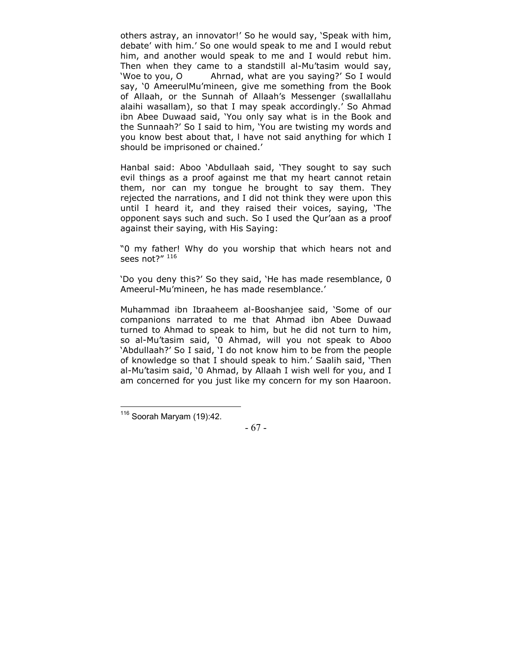others astray, an innovator!' So he would say, 'Speak with him, debate' with him.' So one would speak to me and I would rebut him, and another would speak to me and I would rebut him. Then when they came to a standstill al-Mu'tasim would say, 'Woe to you, O Ahrnad, what are you saying?' So I would say, '0 AmeerulMu'mineen, give me something from the Book of Allaah, or the Sunnah of Allaah's Messenger (swallallahu alaihi wasallam), so that I may speak accordingly.' So Ahmad ibn Abee Duwaad said, 'You only say what is in the Book and the Sunnaah?' So I said to him, 'You are twisting my words and you know best about that, l have not said anything for which I should be imprisoned or chained.'

Hanbal said: Aboo 'Abdullaah said, 'They sought to say such evil things as a proof against me that my heart cannot retain them, nor can my tongue he brought to say them. They rejected the narrations, and I did not think they were upon this until I heard it, and they raised their voices, saying, 'The opponent says such and such. So I used the Qur'aan as a proof against their saying, with His Saying:

"0 my father! Why do you worship that which hears not and sees not?" 116

'Do you deny this?' So they said, 'He has made resemblance, 0 Ameerul-Mu'mineen, he has made resemblance.'

Muhammad ibn Ibraaheem al-Booshanjee said, 'Some of our companions narrated to me that Ahmad ibn Abee Duwaad turned to Ahmad to speak to him, but he did not turn to him, so al-Mu'tasim said, '0 Ahmad, will you not speak to Aboo 'Abdullaah?' So I said, 'I do not know him to be from the people of knowledge so that I should speak to him.' Saalih said, 'Then al-Mu'tasim said, '0 Ahmad, by Allaah I wish well for you, and I am concerned for you just like my concern for my son Haaroon.

 $\overline{a}$ 

- 67 -

 $116$  Soorah Maryam (19):42.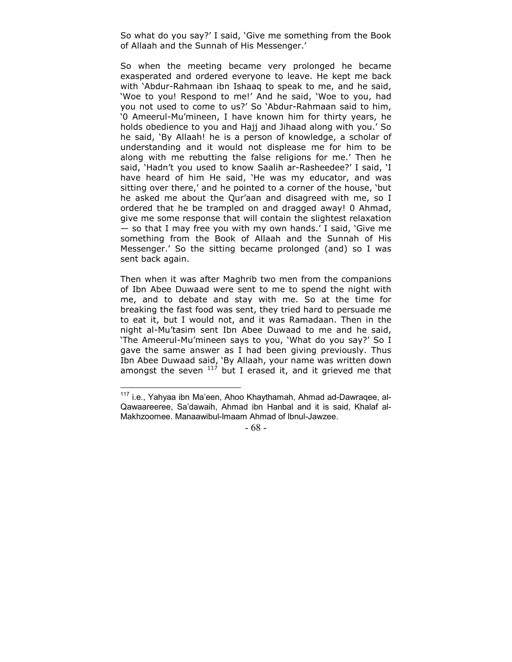So what do you say?' I said, 'Give me something from the Book of Allaah and the Sunnah of His Messenger.'

So when the meeting became very prolonged he became exasperated and ordered everyone to leave. He kept me back with 'Abdur-Rahmaan ibn Ishaaq to speak to me, and he said, 'Woe to you! Respond to me!' And he said, 'Woe to you, had you not used to come to us?' So 'Abdur-Rahmaan said to him, '0 Ameerul-Mu'mineen, I have known him for thirty years, he holds obedience to you and Hajj and Jihaad along with you.' So he said, 'By Allaah! he is a person of knowledge, a scholar of understanding and it would not displease me for him to be along with me rebutting the false religions for me.' Then he said, 'Hadn't you used to know Saalih ar-Rasheedee?' I said, 'I have heard of him He said, 'He was my educator, and was sitting over there,' and he pointed to a corner of the house, 'but he asked me about the Qur'aan and disagreed with me, so I ordered that he be trampled on and dragged away! 0 Ahmad, give me some response that will contain the slightest relaxation — so that I may free you with my own hands.' I said, 'Give me something from the Book of Allaah and the Sunnah of His Messenger.' So the sitting became prolonged (and) so I was sent back again.

Then when it was after Maghrib two men from the companions of Ibn Abee Duwaad were sent to me to spend the night with me, and to debate and stay with me. So at the time for breaking the fast food was sent, they tried hard to persuade me to eat it, but I would not, and it was Ramadaan. Then in the night al-Mu'tasim sent Ibn Abee Duwaad to me and he said, 'The Ameerul-Mu'mineen says to you, 'What do you say?' So I gave the same answer as I had been giving previously. Thus Ibn Abee Duwaad said, 'By Allaah, your name was written down amongst the seven  $117$  but I erased it, and it grieved me that

 $\overline{a}$ 

- 68 -

<sup>&</sup>lt;sup>117</sup> i.e., Yahyaa ibn Ma'een, Ahoo Khaythamah, Ahmad ad-Dawraqee, al-Qawaareeree, Sa'dawaih, Ahmad ibn Hanbal and it is said, Khalaf al-Makhzoomee. Manaawibul-lmaam Ahmad of lbnul-Jawzee.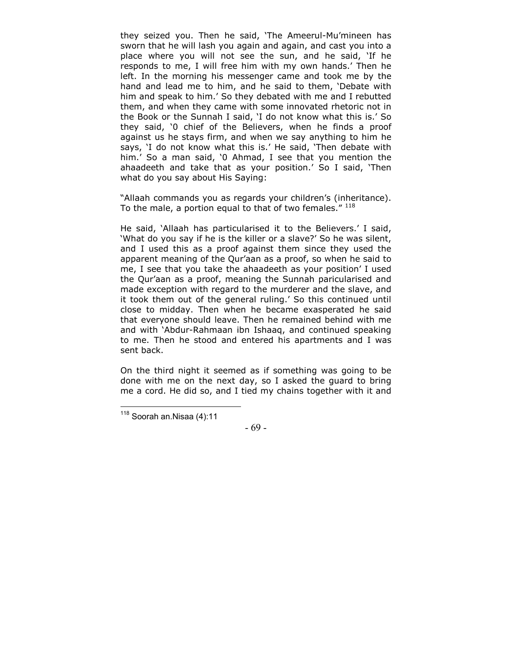they seized you. Then he said, 'The Ameerul-Mu'mineen has sworn that he will lash you again and again, and cast you into a place where you will not see the sun, and he said, 'If he responds to me, I will free him with my own hands.' Then he left. In the morning his messenger came and took me by the hand and lead me to him, and he said to them, 'Debate with him and speak to him.' So they debated with me and I rebutted them, and when they came with some innovated rhetoric not in the Book or the Sunnah I said, 'I do not know what this is.' So they said, '0 chief of the Believers, when he finds a proof against us he stays firm, and when we say anything to him he says, 'I do not know what this is.' He said, 'Then debate with him.' So a man said, '0 Ahmad, I see that you mention the ahaadeeth and take that as your position.' So I said, 'Then what do you say about His Saying:

"Allaah commands you as regards your children's (inheritance). To the male, a portion equal to that of two females."  $118$ 

He said, 'Allaah has particularised it to the Believers.' I said, 'What do you say if he is the killer or a slave?' So he was silent, and I used this as a proof against them since they used the apparent meaning of the Qur'aan as a proof, so when he said to me, I see that you take the ahaadeeth as your position' I used the Qur'aan as a proof, meaning the Sunnah paricularised and made exception with regard to the murderer and the slave, and it took them out of the general ruling.' So this continued until close to midday. Then when he became exasperated he said that everyone should leave. Then he remained behind with me and with 'Abdur-Rahmaan ibn Ishaaq, and continued speaking to me. Then he stood and entered his apartments and I was sent back.

On the third night it seemed as if something was going to be done with me on the next day, so I asked the guard to bring me a cord. He did so, and I tied my chains together with it and

 $\overline{a}$ 

- 69 -

<sup>&</sup>lt;sup>118</sup> Soorah an.Nisaa (4):11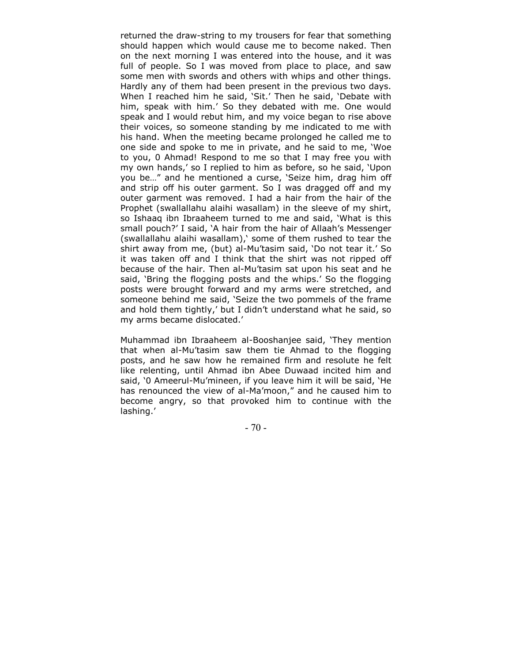returned the draw-string to my trousers for fear that something should happen which would cause me to become naked. Then on the next morning I was entered into the house, and it was full of people. So I was moved from place to place, and saw some men with swords and others with whips and other things. Hardly any of them had been present in the previous two days. When I reached him he said, 'Sit.' Then he said, 'Debate with him, speak with him.' So they debated with me. One would speak and I would rebut him, and my voice began to rise above their voices, so someone standing by me indicated to me with his hand. When the meeting became prolonged he called me to one side and spoke to me in private, and he said to me, 'Woe to you, 0 Ahmad! Respond to me so that I may free you with my own hands,' so I replied to him as before, so he said, 'Upon you be…" and he mentioned a curse, 'Seize him, drag him off and strip off his outer garment. So I was dragged off and my outer garment was removed. I had a hair from the hair of the Prophet (swallallahu alaihi wasallam) in the sleeve of my shirt, so Ishaaq ibn Ibraaheem turned to me and said, 'What is this small pouch?' I said, 'A hair from the hair of Allaah's Messenger (swallallahu alaihi wasallam),' some of them rushed to tear the shirt away from me, (but) al-Mu'tasim said, 'Do not tear it.' So it was taken off and I think that the shirt was not ripped off because of the hair. Then al-Mu'tasim sat upon his seat and he said, 'Bring the flogging posts and the whips.' So the flogging posts were brought forward and my arms were stretched, and someone behind me said, 'Seize the two pommels of the frame and hold them tightly,' but I didn't understand what he said, so my arms became dislocated.'

Muhammad ibn Ibraaheem al-Booshanjee said, 'They mention that when al-Mu'tasim saw them tie Ahmad to the flogging posts, and he saw how he remained firm and resolute he felt like relenting, until Ahmad ibn Abee Duwaad incited him and said, '0 Ameerul-Mu'mineen, if you leave him it will be said, 'He has renounced the view of al-Ma'moon," and he caused him to become angry, so that provoked him to continue with the lashing.'

- 70 -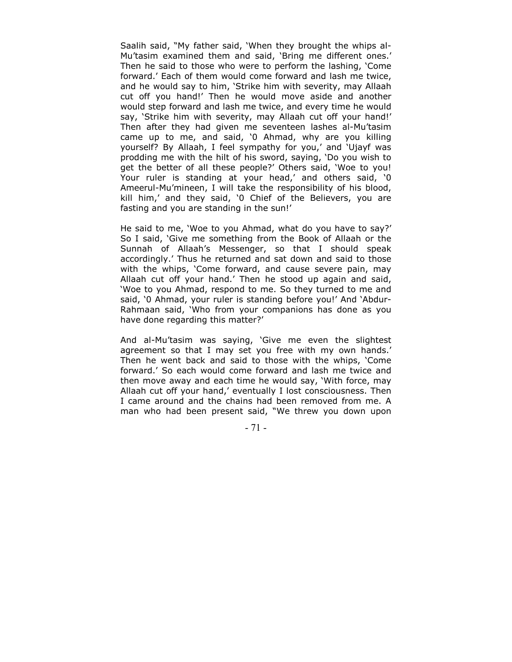Saalih said, "My father said, 'When they brought the whips al-Mu'tasim examined them and said, 'Bring me different ones.' Then he said to those who were to perform the lashing, 'Come forward.' Each of them would come forward and lash me twice, and he would say to him, 'Strike him with severity, may Allaah cut off you hand!' Then he would move aside and another would step forward and lash me twice, and every time he would say, 'Strike him with severity, may Allaah cut off your hand!' Then after they had given me seventeen lashes al-Mu'tasim came up to me, and said, '0 Ahmad, why are you killing yourself? By Allaah, I feel sympathy for you,' and 'Ujayf was prodding me with the hilt of his sword, saying, 'Do you wish to get the better of all these people?' Others said, 'Woe to you! Your ruler is standing at your head,' and others said, '0 Ameerul-Mu'mineen, I will take the responsibility of his blood, kill him,' and they said, '0 Chief of the Believers, you are fasting and you are standing in the sun!'

He said to me, 'Woe to you Ahmad, what do you have to say?' So I said, 'Give me something from the Book of Allaah or the Sunnah of Allaah's Messenger, so that I should speak accordingly.' Thus he returned and sat down and said to those with the whips, 'Come forward, and cause severe pain, may Allaah cut off your hand.' Then he stood up again and said, 'Woe to you Ahmad, respond to me. So they turned to me and said, '0 Ahmad, your ruler is standing before you!' And 'Abdur-Rahmaan said, 'Who from your companions has done as you have done regarding this matter?'

And al-Mu'tasim was saying, 'Give me even the slightest agreement so that I may set you free with my own hands.' Then he went back and said to those with the whips, 'Come forward.' So each would come forward and lash me twice and then move away and each time he would say, 'With force, may Allaah cut off your hand,' eventually I lost consciousness. Then I came around and the chains had been removed from me. A man who had been present said, "We threw you down upon

- 71 -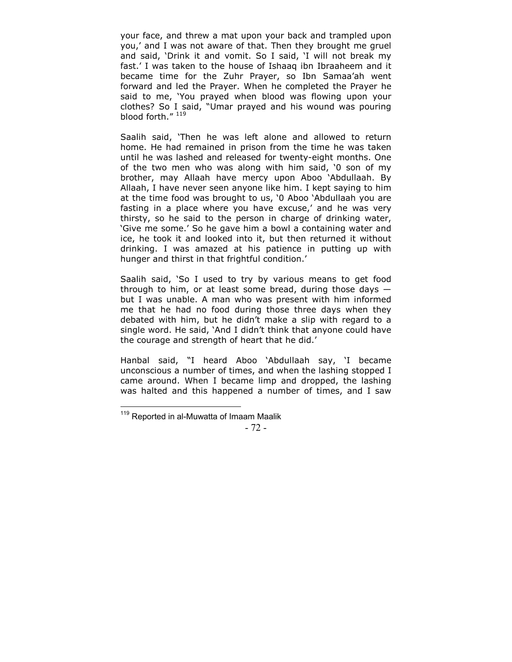your face, and threw a mat upon your back and trampled upon you,' and I was not aware of that. Then they brought me gruel and said, 'Drink it and vomit. So I said, 'I will not break my fast.' I was taken to the house of Ishaaq ibn Ibraaheem and it became time for the Zuhr Prayer, so Ibn Samaa'ah went forward and led the Prayer. When he completed the Prayer he said to me, 'You prayed when blood was flowing upon your clothes? So I said, "Umar prayed and his wound was pouring blood forth."  $^{119}$ 

Saalih said, 'Then he was left alone and allowed to return home. He had remained in prison from the time he was taken until he was lashed and released for twenty-eight months. One of the two men who was along with him said, '0 son of my brother, may Allaah have mercy upon Aboo 'Abdullaah. By Allaah, I have never seen anyone like him. I kept saying to him at the time food was brought to us, '0 Aboo 'Abdullaah you are fasting in a place where you have excuse,' and he was very thirsty, so he said to the person in charge of drinking water, 'Give me some.' So he gave him a bowl a containing water and ice, he took it and looked into it, but then returned it without drinking. I was amazed at his patience in putting up with hunger and thirst in that frightful condition.'

Saalih said, 'So I used to try by various means to get food through to him, or at least some bread, during those days but I was unable. A man who was present with him informed me that he had no food during those three days when they debated with him, but he didn't make a slip with regard to a single word. He said, 'And I didn't think that anyone could have the courage and strength of heart that he did.'

Hanbal said, "I heard Aboo 'Abdullaah say, 'I became unconscious a number of times, and when the lashing stopped I came around. When I became limp and dropped, the lashing was halted and this happened a number of times, and I saw

 $\overline{a}$ 

<sup>&</sup>lt;sup>119</sup> Reported in al-Muwatta of Imaam Maalik

<sup>- 72 -</sup>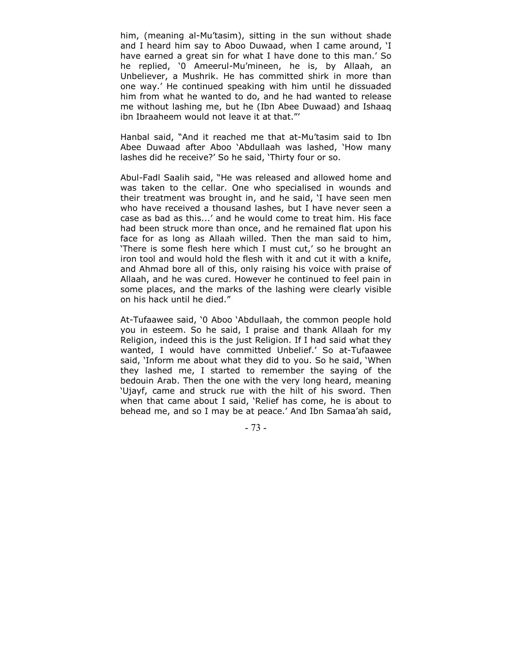him, (meaning al-Mu'tasim), sitting in the sun without shade and I heard him say to Aboo Duwaad, when I came around, 'I have earned a great sin for what I have done to this man.' So he replied, '0 Ameerul-Mu'mineen, he is, by Allaah, an Unbeliever, a Mushrik. He has committed shirk in more than one way.' He continued speaking with him until he dissuaded him from what he wanted to do, and he had wanted to release me without lashing me, but he (Ibn Abee Duwaad) and Ishaaq ibn Ibraaheem would not leave it at that."'

Hanbal said, "And it reached me that at-Mu'tasim said to Ibn Abee Duwaad after Aboo 'Abdullaah was lashed, 'How many lashes did he receive?' So he said, 'Thirty four or so.

Abul-Fadl Saalih said, "He was released and allowed home and was taken to the cellar. One who specialised in wounds and their treatment was brought in, and he said, 'I have seen men who have received a thousand lashes, but I have never seen a case as bad as this...' and he would come to treat him. His face had been struck more than once, and he remained flat upon his face for as long as Allaah willed. Then the man said to him, 'There is some flesh here which I must cut,' so he brought an iron tool and would hold the flesh with it and cut it with a knife, and Ahmad bore all of this, only raising his voice with praise of Allaah, and he was cured. However he continued to feel pain in some places, and the marks of the lashing were clearly visible on his hack until he died."

At-Tufaawee said, '0 Aboo 'Abdullaah, the common people hold you in esteem. So he said, I praise and thank Allaah for my Religion, indeed this is the just Religion. If I had said what they wanted, I would have committed Unbelief.' So at-Tufaawee said, 'Inform me about what they did to you. So he said, 'When they lashed me, I started to remember the saying of the bedouin Arab. Then the one with the very long heard, meaning 'Ujayf, came and struck rue with the hilt of his sword. Then when that came about I said, 'Relief has come, he is about to behead me, and so I may be at peace.' And Ibn Samaa'ah said,

- 73 -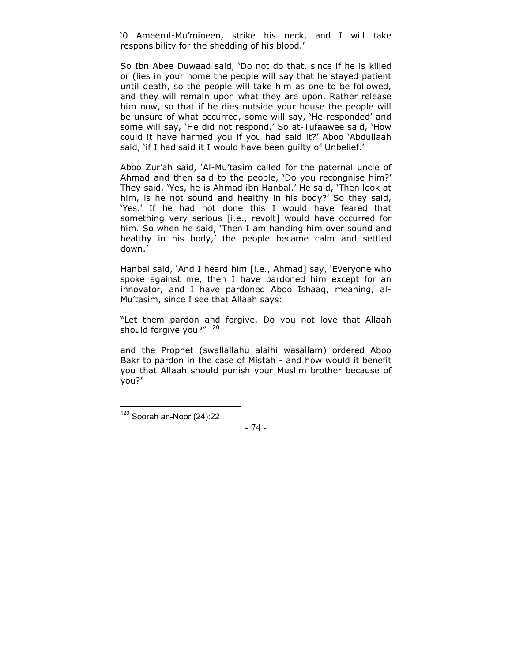'0 Ameerul-Mu'mineen, strike his neck, and I will take responsibility for the shedding of his blood.'

So Ibn Abee Duwaad said, 'Do not do that, since if he is killed or (lies in your home the people will say that he stayed patient until death, so the people will take him as one to be followed, and they will remain upon what they are upon. Rather release him now, so that if he dies outside your house the people will be unsure of what occurred, some will say, 'He responded' and some will say, 'He did not respond.' So at-Tufaawee said, 'How could it have harmed you if you had said it?' Aboo 'Abdullaah said, 'if I had said it I would have been guilty of Unbelief.'

Aboo Zur'ah said, 'Al-Mu'tasim called for the paternal uncle of Ahmad and then said to the people, 'Do you recongnise him?' They said, 'Yes, he is Ahmad ibn Hanbal.' He said, 'Then look at him, is he not sound and healthy in his body?' So they said, 'Yes.' If he had not done this I would have feared that something very serious [i.e., revolt] would have occurred for him. So when he said, 'Then I am handing him over sound and healthy in his body,' the people became calm and settled down.'

Hanbal said, 'And I heard him [i.e., Ahmad] say, 'Everyone who spoke against me, then I have pardoned him except for an innovator, and I have pardoned Aboo Ishaaq, meaning, al-Mu'tasim, since I see that Allaah says:

"Let them pardon and forgive. Do you not love that Allaah should forgive you?" 120

and the Prophet (swallallahu alaihi wasallam) ordered Aboo Bakr to pardon in the case of Mistah - and how would it benefit you that Allaah should punish your Muslim brother because of you?'

 $\overline{a}$ 

- 74 -

 $120$  Soorah an-Noor (24):22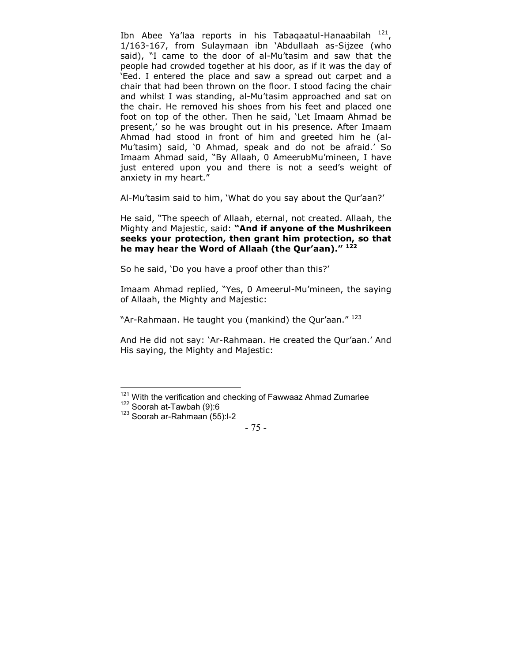Ibn Abee Ya'laa reports in his Tabaqaatul-Hanaabilah  $^{121}$ , 1/163-167, from Sulaymaan ibn 'Abdullaah as-Sijzee (who said), "I came to the door of al-Mu'tasim and saw that the people had crowded together at his door, as if it was the day of 'Eed. I entered the place and saw a spread out carpet and a chair that had been thrown on the floor. I stood facing the chair and whilst I was standing, al-Mu'tasim approached and sat on the chair. He removed his shoes from his feet and placed one foot on top of the other. Then he said, 'Let Imaam Ahmad be present,' so he was brought out in his presence. After Imaam Ahmad had stood in front of him and greeted him he (al-Mu'tasim) said, '0 Ahmad, speak and do not be afraid.' So Imaam Ahmad said, "By Allaah, 0 AmeerubMu'mineen, I have just entered upon you and there is not a seed's weight of anxiety in my heart."

Al-Mu'tasim said to him, 'What do you say about the Qur'aan?'

He said, "The speech of Allaah, eternal, not created. Allaah, the Mighty and Majestic, said: **"And if anyone of the Mushrikeen seeks your protection, then grant him protection, so that he may hear the Word of Allaah (the Qur'aan)." <sup>122</sup>**

So he said, 'Do you have a proof other than this?'

Imaam Ahmad replied, "Yes, 0 Ameerul-Mu'mineen, the saying of Allaah, the Mighty and Majestic:

"Ar-Rahmaan. He taught you (mankind) the Qur'aan."<sup>123</sup>

And He did not say: 'Ar-Rahmaan. He created the Qur'aan.' And His saying, the Mighty and Majestic:

 $\overline{a}$ 

<sup>&</sup>lt;sup>121</sup> With the verification and checking of Fawwaaz Ahmad Zumarlee  $122$  Soorah at-Tawbah (9):6 123 Soorah ar-Rahmaan (55):l-2

<sup>- 75 -</sup>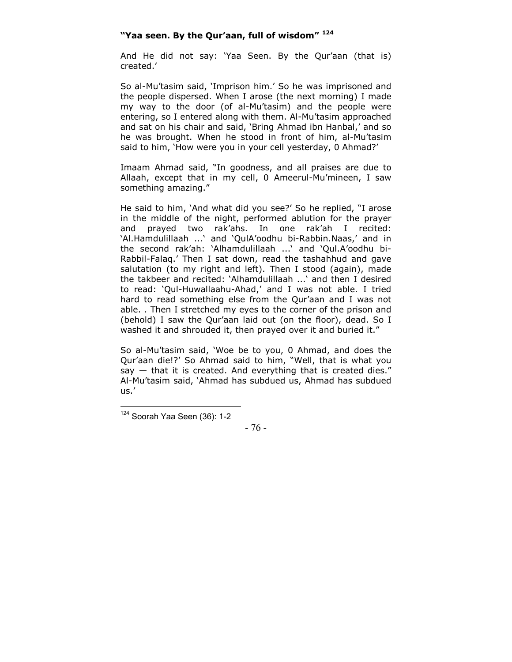# **"Yaa seen. By the Qur'aan, full of wisdom" <sup>124</sup>**

And He did not say: 'Yaa Seen. By the Qur'aan (that is) created.'

So al-Mu'tasim said, 'Imprison him.' So he was imprisoned and the people dispersed. When I arose (the next morning) I made my way to the door (of al-Mu'tasim) and the people were entering, so I entered along with them. Al-Mu'tasim approached and sat on his chair and said, 'Bring Ahmad ibn Hanbal,' and so he was brought. When he stood in front of him, al-Mu'tasim said to him, 'How were you in your cell yesterday, 0 Ahmad?'

Imaam Ahmad said, "In goodness, and all praises are due to Allaah, except that in my cell, 0 Ameerul-Mu'mineen, I saw something amazing."

He said to him, 'And what did you see?' So he replied, "I arose in the middle of the night, performed ablution for the prayer and prayed two rak'ahs. In one rak'ah I recited: 'Al.Hamdulillaah ...' and 'QulA'oodhu bi-Rabbin.Naas,' and in the second rak'ah: 'Alhamdulillaah ...' and 'Qul.A'oodhu bi-Rabbil-Falaq.' Then I sat down, read the tashahhud and gave salutation (to my right and left). Then I stood (again), made the takbeer and recited: 'Alhamdulillaah ...' and then I desired to read: 'Qul-Huwallaahu-Ahad,' and I was not able. I tried hard to read something else from the Qur'aan and I was not able. . Then I stretched my eyes to the corner of the prison and (behold) I saw the Qur'aan laid out (on the floor), dead. So I washed it and shrouded it, then prayed over it and buried it."

So al-Mu'tasim said, 'Woe be to you, 0 Ahmad, and does the Qur'aan die!?' So Ahmad said to him, "Well, that is what you say  $-$  that it is created. And everything that is created dies." Al-Mu'tasim said, 'Ahmad has subdued us, Ahmad has subdued us.'

 $\overline{a}$ 

<sup>&</sup>lt;sup>124</sup> Soorah Yaa Seen (36): 1-2

<sup>- 76 -</sup>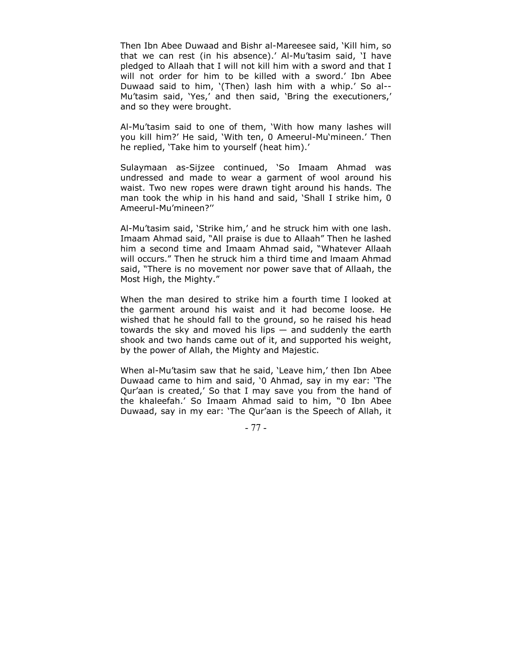Then Ibn Abee Duwaad and Bishr al-Mareesee said, 'Kill him, so that we can rest (in his absence).' Al-Mu'tasim said, 'I have pledged to Allaah that I will not kill him with a sword and that I will not order for him to be killed with a sword.' Ibn Abee Duwaad said to him, '(Then) lash him with a whip.' So al-- Mu'tasim said, 'Yes,' and then said, 'Bring the executioners,' and so they were brought.

Al-Mu'tasim said to one of them, 'With how many lashes will you kill him?' He said, 'With ten, 0 Ameerul-Mu'mineen.' Then he replied, 'Take him to yourself (heat him).'

Sulaymaan as-Sijzee continued, 'So Imaam Ahmad was undressed and made to wear a garment of wool around his waist. Two new ropes were drawn tight around his hands. The man took the whip in his hand and said, 'Shall I strike him, 0 Ameerul-Mu'mineen?''

Al-Mu'tasim said, 'Strike him,' and he struck him with one lash. Imaam Ahmad said, "All praise is due to Allaah" Then he lashed him a second time and Imaam Ahmad said, "Whatever Allaah will occurs." Then he struck him a third time and lmaam Ahmad said, "There is no movement nor power save that of Allaah, the Most High, the Mighty."

When the man desired to strike him a fourth time I looked at the garment around his waist and it had become loose. He wished that he should fall to the ground, so he raised his head towards the sky and moved his lips  $-$  and suddenly the earth shook and two hands came out of it, and supported his weight, by the power of Allah, the Mighty and Majestic.

When al-Mu'tasim saw that he said, 'Leave him,' then Ibn Abee Duwaad came to him and said, '0 Ahmad, say in my ear: 'The Qur'aan is created,' So that I may save you from the hand of the khaleefah.' So Imaam Ahmad said to him, "0 Ibn Abee Duwaad, say in my ear: 'The Qur'aan is the Speech of Allah, it

- 77 -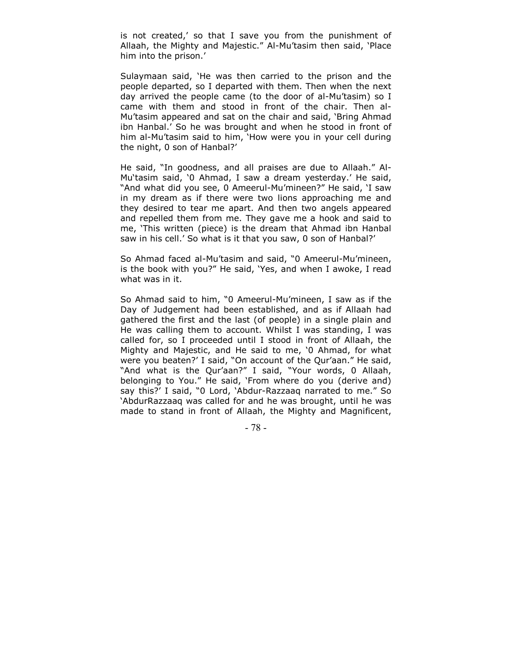is not created,' so that I save you from the punishment of Allaah, the Mighty and Majestic." Al-Mu'tasim then said, 'Place him into the prison.'

Sulaymaan said, 'He was then carried to the prison and the people departed, so I departed with them. Then when the next day arrived the people came (to the door of al-Mu'tasim) so I came with them and stood in front of the chair. Then al-Mu'tasim appeared and sat on the chair and said, 'Bring Ahmad ibn Hanbal.' So he was brought and when he stood in front of him al-Mu'tasim said to him, 'How were you in your cell during the night, 0 son of Hanbal?'

He said, "In goodness, and all praises are due to Allaah." Al-Mu'tasim said, '0 Ahmad, I saw a dream yesterday.' He said, "And what did you see, 0 Ameerul-Mu'mineen?" He said, 'I saw in my dream as if there were two lions approaching me and they desired to tear me apart. And then two angels appeared and repelled them from me. They gave me a hook and said to me, 'This written (piece) is the dream that Ahmad ibn Hanbal saw in his cell.' So what is it that you saw, 0 son of Hanbal?'

So Ahmad faced al-Mu'tasim and said, "0 Ameerul-Mu'mineen, is the book with you?" He said, 'Yes, and when I awoke, I read what was in it.

So Ahmad said to him, "0 Ameerul-Mu'mineen, I saw as if the Day of Judgement had been established, and as if Allaah had gathered the first and the last (of people) in a single plain and He was calling them to account. Whilst I was standing, I was called for, so I proceeded until I stood in front of Allaah, the Mighty and Majestic, and He said to me, '0 Ahmad, for what were you beaten?' I said, "On account of the Qur'aan." He said, "And what is the Qur'aan?" I said, "Your words, 0 Allaah, belonging to You." He said, 'From where do you (derive and) say this?' I said, "0 Lord, 'Abdur-Razzaaq narrated to me." So 'AbdurRazzaaq was called for and he was brought, until he was made to stand in front of Allaah, the Mighty and Magnificent,

- 78 -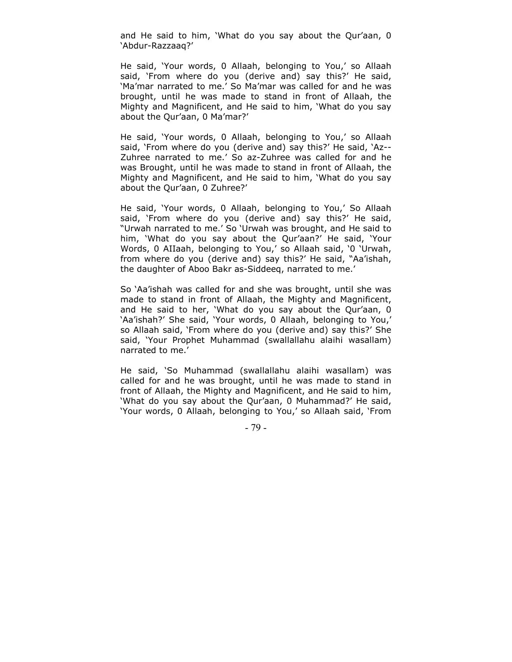and He said to him, 'What do you say about the Qur'aan, 0 'Abdur-Razzaaq?'

He said, 'Your words, 0 Allaah, belonging to You,' so Allaah said, 'From where do you (derive and) say this?' He said, 'Ma'mar narrated to me.' So Ma'mar was called for and he was brought, until he was made to stand in front of Allaah, the Mighty and Magnificent, and He said to him, 'What do you say about the Qur'aan, 0 Ma'mar?'

He said, 'Your words, 0 Allaah, belonging to You,' so Allaah said, 'From where do you (derive and) say this?' He said, 'Az-- Zuhree narrated to me.' So az-Zuhree was called for and he was Brought, until he was made to stand in front of Allaah, the Mighty and Magnificent, and He said to him, 'What do you say about the Qur'aan, 0 Zuhree?'

He said, 'Your words, 0 Allaah, belonging to You,' So Allaah said, 'From where do you (derive and) say this?' He said, "Urwah narrated to me.' So 'Urwah was brought, and He said to him, 'What do you say about the Qur'aan?' He said, 'Your Words, 0 AIIaah, belonging to You,' so Allaah said, '0 'Urwah, from where do you (derive and) say this?' He said, "Aa'ishah, the daughter of Aboo Bakr as-Siddeeq, narrated to me.'

So 'Aa'ishah was called for and she was brought, until she was made to stand in front of Allaah, the Mighty and Magnificent, and He said to her, 'What do you say about the Qur'aan, 0 'Aa'ishah?' She said, 'Your words, 0 Allaah, belonging to You,' so Allaah said, 'From where do you (derive and) say this?' She said, 'Your Prophet Muhammad (swallallahu alaihi wasallam) narrated to me.'

He said, 'So Muhammad (swallallahu alaihi wasallam) was called for and he was brought, until he was made to stand in front of Allaah, the Mighty and Magnificent, and He said to him, 'What do you say about the Qur'aan, 0 Muhammad?' He said, 'Your words, 0 Allaah, belonging to You,' so Allaah said, 'From

- 79 -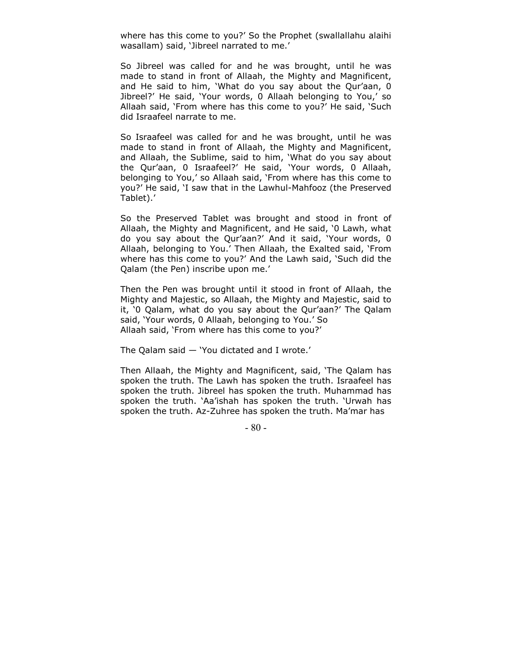where has this come to you?' So the Prophet (swallallahu alaihi wasallam) said, 'Jibreel narrated to me.'

So Jibreel was called for and he was brought, until he was made to stand in front of Allaah, the Mighty and Magnificent, and He said to him, 'What do you say about the Qur'aan, 0 Jibreel?' He said, 'Your words, 0 Allaah belonging to You,' so Allaah said, 'From where has this come to you?' He said, 'Such did Israafeel narrate to me.

So Israafeel was called for and he was brought, until he was made to stand in front of Allaah, the Mighty and Magnificent, and Allaah, the Sublime, said to him, 'What do you say about the Qur'aan, 0 Israafeel?' He said, 'Your words, 0 Allaah, belonging to You,' so Allaah said, 'From where has this come to you?' He said, 'I saw that in the Lawhul-Mahfooz (the Preserved Tablet).'

So the Preserved Tablet was brought and stood in front of Allaah, the Mighty and Magnificent, and He said, '0 Lawh, what do you say about the Qur'aan?' And it said, 'Your words, 0 Allaah, belonging to You.' Then Allaah, the Exalted said, 'From where has this come to you?' And the Lawh said, 'Such did the Qalam (the Pen) inscribe upon me.'

Then the Pen was brought until it stood in front of Allaah, the Mighty and Majestic, so Allaah, the Mighty and Majestic, said to it, '0 Qalam, what do you say about the Qur'aan?' The Qalam said, 'Your words, 0 Allaah, belonging to You.' So Allaah said, 'From where has this come to you?'

The Qalam said — 'You dictated and I wrote.'

Then Allaah, the Mighty and Magnificent, said, 'The Qalam has spoken the truth. The Lawh has spoken the truth. Israafeel has spoken the truth. Jibreel has spoken the truth. Muhammad has spoken the truth. 'Aa'ishah has spoken the truth. 'Urwah has spoken the truth. Az-Zuhree has spoken the truth. Ma'mar has

- 80 -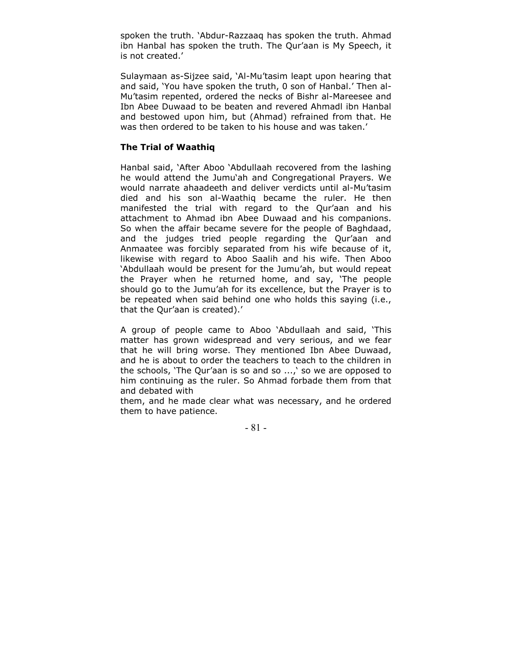spoken the truth. 'Abdur-Razzaaq has spoken the truth. Ahmad ibn Hanbal has spoken the truth. The Qur'aan is My Speech, it is not created.'

Sulaymaan as-Sijzee said, 'Al-Mu'tasim leapt upon hearing that and said, 'You have spoken the truth, 0 son of Hanbal.' Then al-Mu'tasim repented, ordered the necks of Bishr al-Mareesee and Ibn Abee Duwaad to be beaten and revered Ahmadl ibn Hanbal and bestowed upon him, but (Ahmad) refrained from that. He was then ordered to be taken to his house and was taken.'

# **The Trial of Waathiq**

Hanbal said, 'After Aboo 'Abdullaah recovered from the lashing he would attend the Jumu'ah and Congregational Prayers. We would narrate ahaadeeth and deliver verdicts until al-Mu'tasim died and his son al-Waathiq became the ruler. He then manifested the trial with regard to the Qur'aan and his attachment to Ahmad ibn Abee Duwaad and his companions. So when the affair became severe for the people of Baghdaad, and the judges tried people regarding the Qur'aan and Anmaatee was forcibly separated from his wife because of it, likewise with regard to Aboo Saalih and his wife. Then Aboo 'Abdullaah would be present for the Jumu'ah, but would repeat the Prayer when he returned home, and say, 'The people should go to the Jumu'ah for its excellence, but the Prayer is to be repeated when said behind one who holds this saying (i.e., that the Qur'aan is created).'

A group of people came to Aboo 'Abdullaah and said, 'This matter has grown widespread and very serious, and we fear that he will bring worse. They mentioned Ibn Abee Duwaad, and he is about to order the teachers to teach to the children in the schools, 'The Qur'aan is so and so ...,' so we are opposed to him continuing as the ruler. So Ahmad forbade them from that and debated with

them, and he made clear what was necessary, and he ordered them to have patience.

- 81 -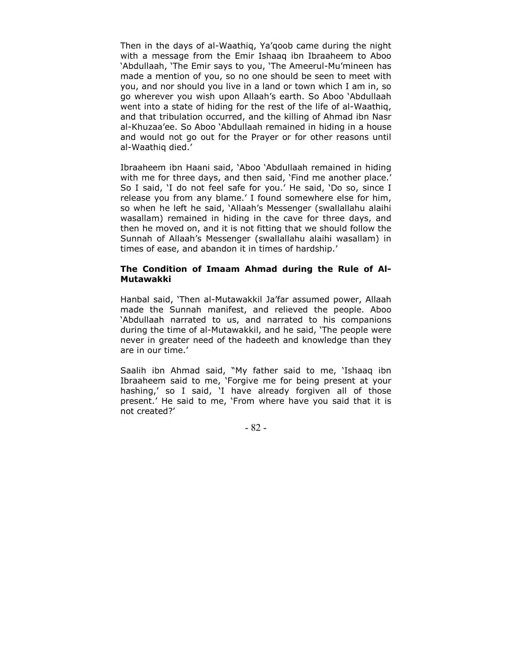Then in the days of al-Waathiq, Ya'qoob came during the night with a message from the Emir Ishaaq ibn Ibraaheem to Aboo 'Abdullaah, 'The Emir says to you, 'The Ameerul-Mu'mineen has made a mention of you, so no one should be seen to meet with you, and nor should you live in a land or town which I am in, so go wherever you wish upon Allaah's earth. So Aboo 'Abdullaah went into a state of hiding for the rest of the life of al-Waathiq, and that tribulation occurred, and the killing of Ahmad ibn Nasr al-Khuzaa'ee. So Aboo 'Abdullaah remained in hiding in a house and would not go out for the Prayer or for other reasons until al-Waathiq died.'

Ibraaheem ibn Haani said, 'Aboo 'Abdullaah remained in hiding with me for three days, and then said, 'Find me another place.' So I said, 'I do not feel safe for you.' He said, 'Do so, since I release you from any blame.' I found somewhere else for him, so when he left he said, 'Allaah's Messenger (swallallahu alaihi wasallam) remained in hiding in the cave for three days, and then he moved on, and it is not fitting that we should follow the Sunnah of Allaah's Messenger (swallallahu alaihi wasallam) in times of ease, and abandon it in times of hardship.'

### **The Condition of Imaam Ahmad during the Rule of Al-Mutawakki**

Hanbal said, 'Then al-Mutawakkil Ja'far assumed power, Allaah made the Sunnah manifest, and relieved the people. Aboo 'Abdullaah narrated to us, and narrated to his companions during the time of al-Mutawakkil, and he said, 'The people were never in greater need of the hadeeth and knowledge than they are in our time.'

Saalih ibn Ahmad said, "My father said to me, 'Ishaaq ibn Ibraaheem said to me, 'Forgive me for being present at your hashing,' so I said, 'I have already forgiven all of those present.' He said to me, 'From where have you said that it is not created?'

- 82 -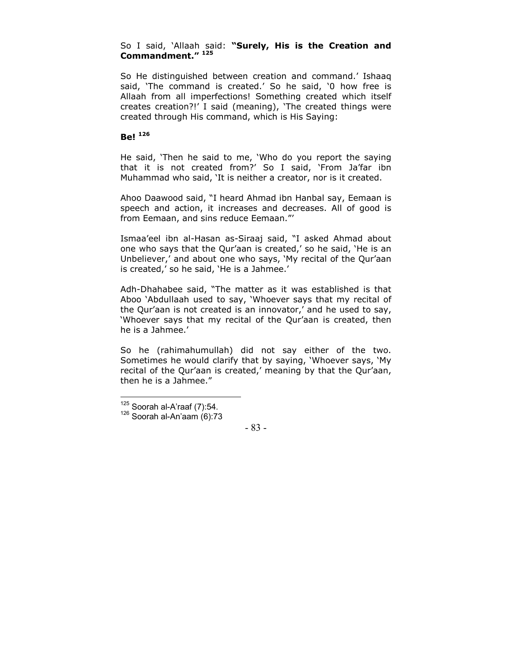### So I said, 'Allaah said: **"Surely, His is the Creation and Commandment." 125**

So He distinguished between creation and command.' Ishaaq said, 'The command is created.' So he said, '0 how free is Allaah from all imperfections! Something created which itself creates creation?!' I said (meaning), 'The created things were created through His command, which is His Saying:

# **Be! 126**

He said, 'Then he said to me, 'Who do you report the saying that it is not created from?' So I said, 'From Ja'far ibn Muhammad who said, 'It is neither a creator, nor is it created.

Ahoo Daawood said, "I heard Ahmad ibn Hanbal say, Eemaan is speech and action, it increases and decreases. All of good is from Eemaan, and sins reduce Eemaan."'

Ismaa'eel ibn al-Hasan as-Siraaj said, "I asked Ahmad about one who says that the Qur'aan is created,' so he said, 'He is an Unbeliever,' and about one who says, 'My recital of the Qur'aan is created,' so he said, 'He is a Jahmee.'

Adh-Dhahabee said, "The matter as it was established is that Aboo 'Abdullaah used to say, 'Whoever says that my recital of the Qur'aan is not created is an innovator,' and he used to say, 'Whoever says that my recital of the Qur'aan is created, then he is a Jahmee.'

So he (rahimahumullah) did not say either of the two. Sometimes he would clarify that by saying, 'Whoever says, 'My recital of the Qur'aan is created,' meaning by that the Qur'aan, then he is a Jahmee."

- 83 -

 $125$  Soorah al-A'raaf (7):54.

 $126$  Soorah al-An'aam (6):73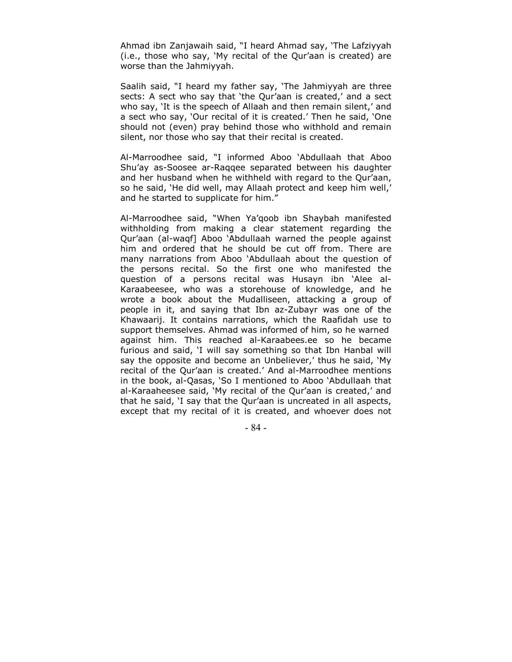Ahmad ibn Zanjawaih said, "I heard Ahmad say, 'The Lafziyyah (i.e., those who say, 'My recital of the Qur'aan is created) are worse than the Jahmiyyah.

Saalih said, "I heard my father say, 'The Jahmiyyah are three sects: A sect who say that 'the Qur'aan is created,' and a sect who say, 'It is the speech of Allaah and then remain silent,' and a sect who say, 'Our recital of it is created.' Then he said, 'One should not (even) pray behind those who withhold and remain silent, nor those who say that their recital is created.

Al-Marroodhee said, "I informed Aboo 'Abdullaah that Aboo Shu'ay as-Soosee ar-Raqqee separated between his daughter and her husband when he withheld with regard to the Qur'aan, so he said, 'He did well, may Allaah protect and keep him well,' and he started to supplicate for him."

Al-Marroodhee said, "When Ya'qoob ibn Shaybah manifested withholding from making a clear statement regarding the Qur'aan (al-waqf] Aboo 'Abdullaah warned the people against him and ordered that he should be cut off from. There are many narrations from Aboo 'Abdullaah about the question of the persons recital. So the first one who manifested the question of a persons recital was Husayn ibn 'Alee al-Karaabeesee, who was a storehouse of knowledge, and he wrote a book about the Mudalliseen, attacking a group of people in it, and saying that Ibn az-Zubayr was one of the Khawaarij. It contains narrations, which the Raafidah use to support themselves. Ahmad was informed of him, so he warned against him. This reached al-Karaabees.ee so he became furious and said, 'I will say something so that Ibn Hanbal will say the opposite and become an Unbeliever,' thus he said, 'My recital of the Qur'aan is created.' And al-Marroodhee mentions in the book, al-Qasas, 'So I mentioned to Aboo 'Abdullaah that al-Karaaheesee said, 'My recital of the Qur'aan is created,' and that he said, 'I say that the Qur'aan is uncreated in all aspects, except that my recital of it is created, and whoever does not

- 84 -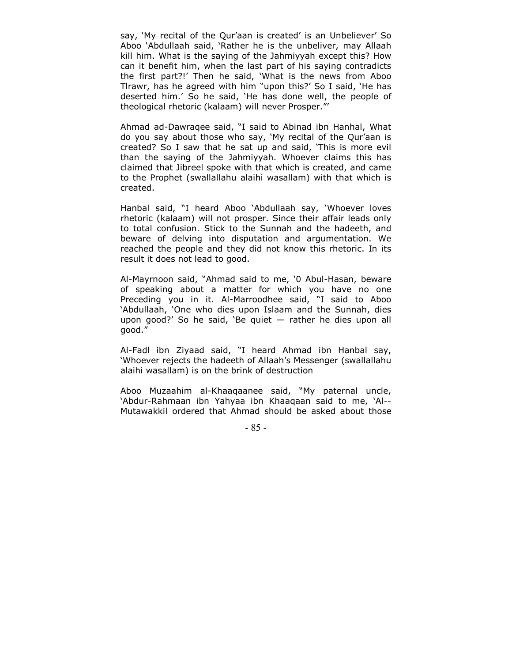say, 'My recital of the Qur'aan is created' is an Unbeliever' So Aboo 'Abdullaah said, 'Rather he is the unbeliver, may Allaah kill him. What is the saying of the Jahmiyyah except this? How can it benefit him, when the last part of his saying contradicts the first part?!' Then he said, 'What is the news from Aboo Tlrawr, has he agreed with him "upon this?' So I said, 'He has deserted him.' So he said, 'He has done well, the people of theological rhetoric (kalaam) will never Prosper."'

Ahmad ad-Dawraqee said, "I said to Abinad ibn Hanhal, What do you say about those who say, 'My recital of the Qur'aan is created? So I saw that he sat up and said, 'This is more evil than the saying of the Jahmiyyah. Whoever claims this has claimed that Jibreel spoke with that which is created, and came to the Prophet (swallallahu alaihi wasallam) with that which is created.

Hanbal said, "I heard Aboo 'Abdullaah say, 'Whoever loves rhetoric (kalaam) will not prosper. Since their affair leads only to total confusion. Stick to the Sunnah and the hadeeth, and beware of delving into disputation and argumentation. We reached the people and they did not know this rhetoric. In its result it does not lead to good.

Al-Mayrnoon said, "Ahmad said to me, '0 Abul-Hasan, beware of speaking about a matter for which you have no one Preceding you in it. Al-Marroodhee said, "I said to Aboo 'Abdullaah, 'One who dies upon Islaam and the Sunnah, dies upon good?' So he said, 'Be quiet — rather he dies upon all good."

Al-Fadl ibn Ziyaad said, "I heard Ahmad ibn Hanbal say, 'Whoever rejects the hadeeth of Allaah's Messenger (swallallahu alaihi wasallam) is on the brink of destruction

Aboo Muzaahim al-Khaaqaanee said, "My paternal uncle, 'Abdur-Rahmaan ibn Yahyaa ibn Khaaqaan said to me, 'Al-- Mutawakkil ordered that Ahmad should be asked about those

- 85 -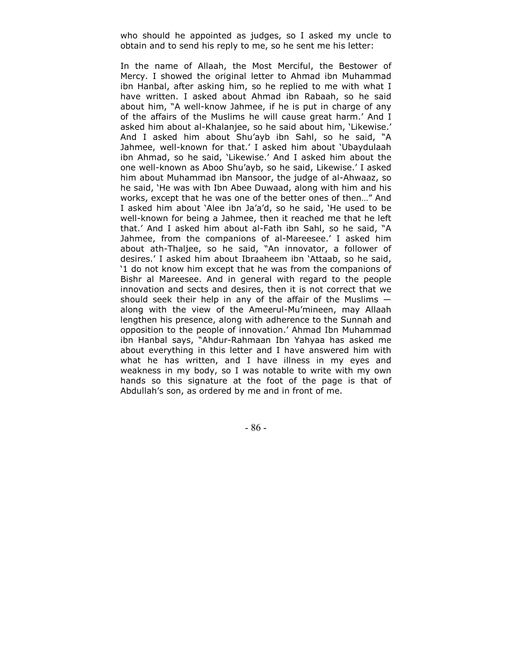who should he appointed as judges, so I asked my uncle to obtain and to send his reply to me, so he sent me his letter:

In the name of Allaah, the Most Merciful, the Bestower of Mercy. I showed the original letter to Ahmad ibn Muhammad ibn Hanbal, after asking him, so he replied to me with what I have written. I asked about Ahmad ibn Rabaah, so he said about him, "A well-know Jahmee, if he is put in charge of any of the affairs of the Muslims he will cause great harm.' And I asked him about al-Khalanjee, so he said about him, 'Likewise.' And I asked him about Shu'ayb ibn Sahl, so he said, "A Jahmee, well-known for that.' I asked him about 'Ubaydulaah ibn Ahmad, so he said, 'Likewise.' And I asked him about the one well-known as Aboo Shu'ayb, so he said, Likewise.' I asked him about Muhammad ibn Mansoor, the judge of al-Ahwaaz, so he said, 'He was with Ibn Abee Duwaad, along with him and his works, except that he was one of the better ones of then…" And I asked him about 'Alee ibn Ja'a'd, so he said, 'He used to be well-known for being a Jahmee, then it reached me that he left that.' And I asked him about al-Fath ibn Sahl, so he said, "A Jahmee, from the companions of al-Mareesee.' I asked him about ath-Thaljee, so he said, "An innovator, a follower of desires.' I asked him about Ibraaheem ibn 'Attaab, so he said, '1 do not know him except that he was from the companions of Bishr al Mareesee. And in general with regard to the people innovation and sects and desires, then it is not correct that we should seek their help in any of the affair of the Muslims along with the view of the Ameerul-Mu'mineen, may Allaah lengthen his presence, along with adherence to the Sunnah and opposition to the people of innovation.' Ahmad Ibn Muhammad ibn Hanbal says, "Ahdur-Rahmaan Ibn Yahyaa has asked me about everything in this letter and I have answered him with what he has written, and I have illness in my eyes and weakness in my body, so I was notable to write with my own hands so this signature at the foot of the page is that of Abdullah's son, as ordered by me and in front of me.

- 86 -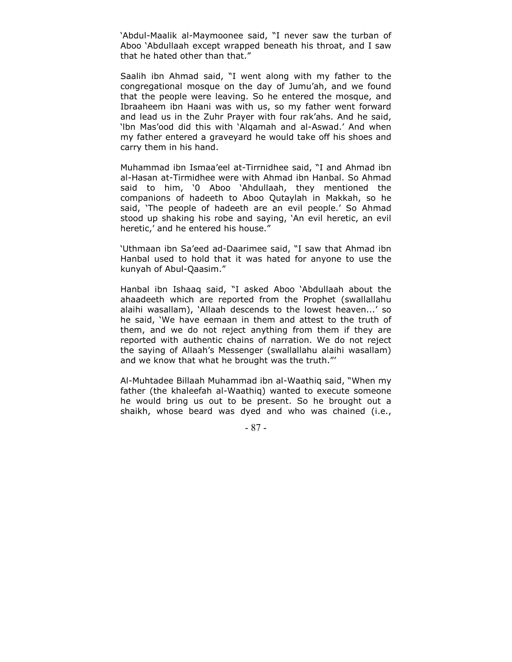'Abdul-Maalik al-Maymoonee said, "I never saw the turban of Aboo 'Abdullaah except wrapped beneath his throat, and I saw that he hated other than that."

Saalih ibn Ahmad said, "I went along with my father to the congregational mosque on the day of Jumu'ah, and we found that the people were leaving. So he entered the mosque, and Ibraaheem ibn Haani was with us, so my father went forward and lead us in the Zuhr Prayer with four rak'ahs. And he said, 'lbn Mas'ood did this with 'Alqamah and al-Aswad.' And when my father entered a graveyard he would take off his shoes and carry them in his hand.

Muhammad ibn Ismaa'eel at-Tirrnidhee said, "I and Ahmad ibn al-Hasan at-Tirmidhee were with Ahmad ibn Hanbal. So Ahmad said to him, '0 Aboo 'Ahdullaah, they mentioned the companions of hadeeth to Aboo Qutaylah in Makkah, so he said, 'The people of hadeeth are an evil people.' So Ahmad stood up shaking his robe and saying, 'An evil heretic, an evil heretic,' and he entered his house."

'Uthmaan ibn Sa'eed ad-Daarimee said, "I saw that Ahmad ibn Hanbal used to hold that it was hated for anyone to use the kunyah of Abul-Qaasim."

Hanbal ibn Ishaaq said, "I asked Aboo 'Abdullaah about the ahaadeeth which are reported from the Prophet (swallallahu alaihi wasallam), 'Allaah descends to the lowest heaven...' so he said, 'We have eemaan in them and attest to the truth of them, and we do not reject anything from them if they are reported with authentic chains of narration. We do not reject the saying of Allaah's Messenger (swallallahu alaihi wasallam) and we know that what he brought was the truth."'

Al-Muhtadee Billaah Muhammad ibn al-Waathiq said, "When my father (the khaleefah al-Waathiq) wanted to execute someone he would bring us out to be present. So he brought out a shaikh, whose beard was dyed and who was chained (i.e.,

- 87 -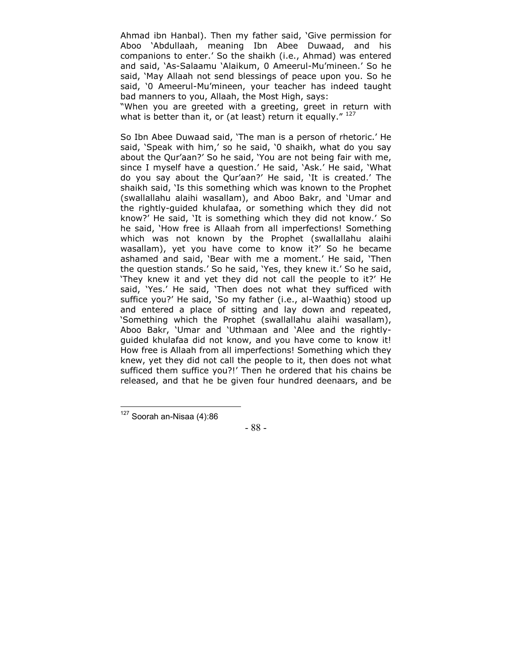Ahmad ibn Hanbal). Then my father said, 'Give permission for Aboo 'Abdullaah, meaning Ibn Abee Duwaad, and his companions to enter.' So the shaikh (i.e., Ahmad) was entered and said, 'As-Salaamu 'Alaikum, 0 Ameerul-Mu'mineen.' So he said, 'May Allaah not send blessings of peace upon you. So he said, '0 Ameerul-Mu'mineen, your teacher has indeed taught bad manners to you, Allaah, the Most High, says:

"When you are greeted with a greeting, greet in return with what is better than it, or (at least) return it equally."  $127$ 

So Ibn Abee Duwaad said, 'The man is a person of rhetoric.' He said, 'Speak with him,' so he said, '0 shaikh, what do you say about the Qur'aan?' So he said, 'You are not being fair with me, since I myself have a question.' He said, 'Ask.' He said, 'What do you say about the Qur'aan?' He said, 'It is created.' The shaikh said, 'Is this something which was known to the Prophet (swallallahu alaihi wasallam), and Aboo Bakr, and 'Umar and the rightly-guided khulafaa, or something which they did not know?' He said, 'It is something which they did not know.' So he said, 'How free is Allaah from all imperfections! Something which was not known by the Prophet (swallallahu alaihi wasallam), yet you have come to know it?' So he became ashamed and said, 'Bear with me a moment.' He said, 'Then the question stands.' So he said, 'Yes, they knew it.' So he said, 'They knew it and yet they did not call the people to it?' He said, 'Yes.' He said, 'Then does not what they sufficed with suffice you?' He said, 'So my father (i.e., al-Waathiq) stood up and entered a place of sitting and lay down and repeated, 'Something which the Prophet (swallallahu alaihi wasallam), Aboo Bakr, 'Umar and 'Uthmaan and 'Alee and the rightlyguided khulafaa did not know, and you have come to know it! How free is Allaah from all imperfections! Something which they knew, yet they did not call the people to it, then does not what sufficed them suffice you?!' Then he ordered that his chains be released, and that he be given four hundred deenaars, and be

 $\overline{a}$ 

- 88 -

 $127$  Soorah an-Nisaa (4):86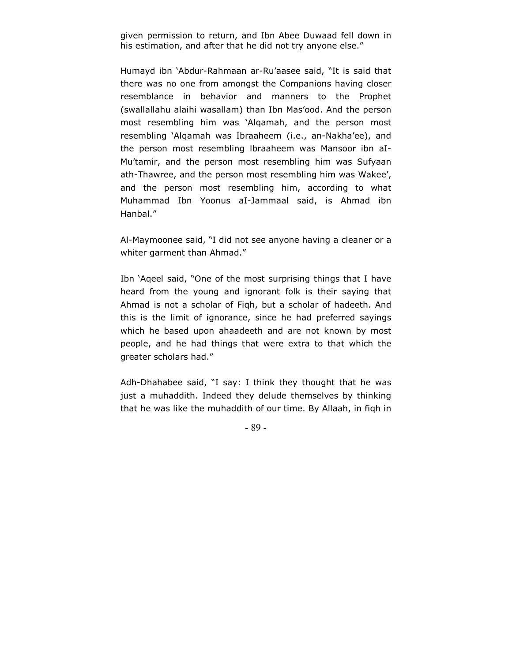given permission to return, and Ibn Abee Duwaad fell down in his estimation, and after that he did not try anyone else."

Humayd ibn 'Abdur-Rahmaan ar-Ru'aasee said, "It is said that there was no one from amongst the Companions having closer resemblance in behavior and manners to the Prophet (swallallahu alaihi wasallam) than Ibn Mas'ood. And the person most resembling him was 'Alqamah, and the person most resembling 'Alqamah was Ibraaheem (i.e., an-Nakha'ee), and the person most resembling lbraaheem was Mansoor ibn aI-Mu'tamir, and the person most resembling him was Sufyaan ath-Thawree, and the person most resembling him was Wakee', and the person most resembling him, according to what Muhammad Ibn Yoonus aI-Jammaal said, is Ahmad ibn Hanbal."

Al-Maymoonee said, "I did not see anyone having a cleaner or a whiter garment than Ahmad."

Ibn 'Aqeel said, "One of the most surprising things that I have heard from the young and ignorant folk is their saying that Ahmad is not a scholar of Fiqh, but a scholar of hadeeth. And this is the limit of ignorance, since he had preferred sayings which he based upon ahaadeeth and are not known by most people, and he had things that were extra to that which the greater scholars had."

Adh-Dhahabee said, "I say: I think they thought that he was just a muhaddith. Indeed they delude themselves by thinking that he was like the muhaddith of our time. By Allaah, in fiqh in

- 89 -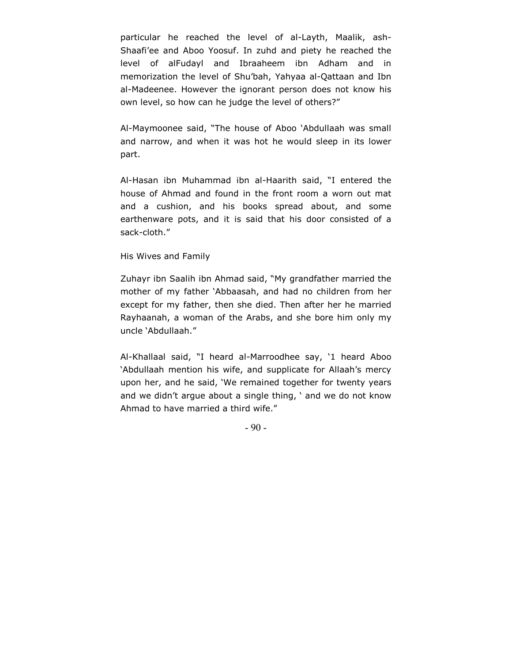particular he reached the level of al-Layth, Maalik, ash-Shaafi'ee and Aboo Yoosuf. In zuhd and piety he reached the level of alFudayl and Ibraaheem ibn Adham and in memorization the level of Shu'bah, Yahyaa al-Qattaan and Ibn al-Madeenee. However the ignorant person does not know his own level, so how can he judge the level of others?"

Al-Maymoonee said, "The house of Aboo 'Abdullaah was small and narrow, and when it was hot he would sleep in its lower part.

Al-Hasan ibn Muhammad ibn al-Haarith said, "I entered the house of Ahmad and found in the front room a worn out mat and a cushion, and his books spread about, and some earthenware pots, and it is said that his door consisted of a sack-cloth."

# His Wives and Family

Zuhayr ibn Saalih ibn Ahmad said, "My grandfather married the mother of my father 'Abbaasah, and had no children from her except for my father, then she died. Then after her he married Rayhaanah, a woman of the Arabs, and she bore him only my uncle 'Abdullaah."

Al-Khallaal said, "I heard al-Marroodhee say, '1 heard Aboo 'Abdullaah mention his wife, and supplicate for Allaah's mercy upon her, and he said, 'We remained together for twenty years and we didn't argue about a single thing, ' and we do not know Ahmad to have married a third wife."

- 90 -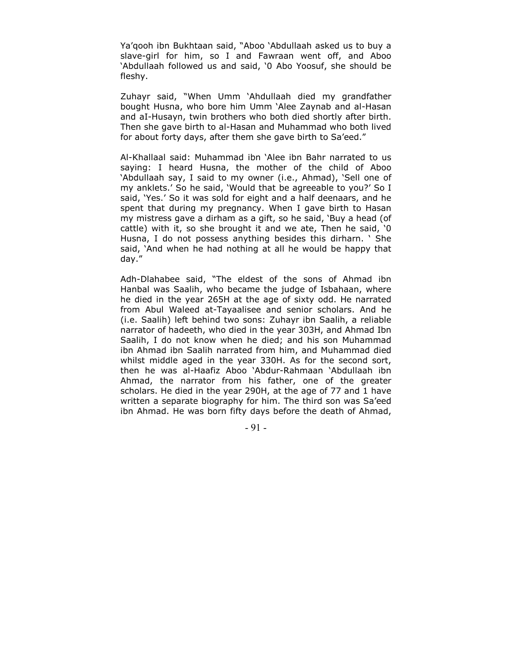Ya'qooh ibn Bukhtaan said, "Aboo 'Abdullaah asked us to buy a slave-girl for him, so I and Fawraan went off, and Aboo 'Abdullaah followed us and said, '0 Abo Yoosuf, she should be fleshy.

Zuhayr said, "When Umm 'Ahdullaah died my grandfather bought Husna, who bore him Umm 'Alee Zaynab and al-Hasan and aI-Husayn, twin brothers who both died shortly after birth. Then she gave birth to al-Hasan and Muhammad who both lived for about forty days, after them she gave birth to Sa'eed."

Al-Khallaal said: Muhammad ibn 'Alee ibn Bahr narrated to us saying: I heard Husna, the mother of the child of Aboo 'Abdullaah say, I said to my owner (i.e., Ahmad), 'Sell one of my anklets.' So he said, 'Would that be agreeable to you?' So I said, 'Yes.' So it was sold for eight and a half deenaars, and he spent that during my pregnancy. When I gave birth to Hasan my mistress gave a dirham as a gift, so he said, 'Buy a head (of cattle) with it, so she brought it and we ate, Then he said, '0 Husna, I do not possess anything besides this dirharn. ' She said, 'And when he had nothing at all he would be happy that day."

Adh-Dlahabee said, "The eldest of the sons of Ahmad ibn Hanbal was Saalih, who became the judge of Isbahaan, where he died in the year 265H at the age of sixty odd. He narrated from Abul Waleed at-Tayaalisee and senior scholars. And he (i.e. Saalih) left behind two sons: Zuhayr ibn Saalih, a reliable narrator of hadeeth, who died in the year 303H, and Ahmad Ibn Saalih, I do not know when he died; and his son Muhammad ibn Ahmad ibn Saalih narrated from him, and Muhammad died whilst middle aged in the year 330H. As for the second sort, then he was al-Haafiz Aboo 'Abdur-Rahmaan 'Abdullaah ibn Ahmad, the narrator from his father, one of the greater scholars. He died in the year 290H, at the age of 77 and 1 have written a separate biography for him. The third son was Sa'eed ibn Ahmad. He was born fifty days before the death of Ahmad,

- 91 -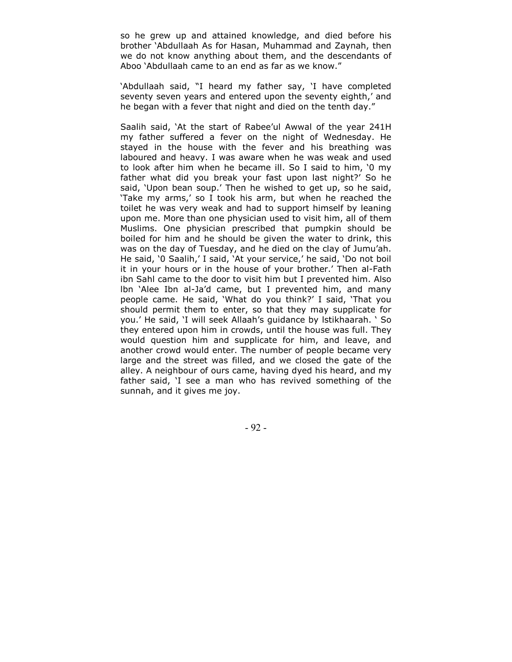so he grew up and attained knowledge, and died before his brother 'Abdullaah As for Hasan, Muhammad and Zaynah, then we do not know anything about them, and the descendants of Aboo 'Abdullaah came to an end as far as we know."

'Abdullaah said, "I heard my father say, 'I have completed seventy seven years and entered upon the seventy eighth,' and he began with a fever that night and died on the tenth day."

Saalih said, 'At the start of Rabee'ul Awwal of the year 241H my father suffered a fever on the night of Wednesday. He stayed in the house with the fever and his breathing was laboured and heavy. I was aware when he was weak and used to look after him when he became ill. So I said to him, '0 my father what did you break your fast upon last night?' So he said, 'Upon bean soup.' Then he wished to get up, so he said, 'Take my arms,' so I took his arm, but when he reached the toilet he was very weak and had to support himself by leaning upon me. More than one physician used to visit him, all of them Muslims. One physician prescribed that pumpkin should be boiled for him and he should be given the water to drink, this was on the day of Tuesday, and he died on the clay of Jumu'ah. He said, '0 Saalih,' I said, 'At your service,' he said, 'Do not boil it in your hours or in the house of your brother.' Then al-Fath ibn Sahl came to the door to visit him but I prevented him. Also lbn 'Alee Ibn al-Ja'd came, but I prevented him, and many people came. He said, 'What do you think?' I said, 'That you should permit them to enter, so that they may supplicate for you.' He said, 'I will seek Allaah's guidance by lstikhaarah. ' So they entered upon him in crowds, until the house was full. They would question him and supplicate for him, and leave, and another crowd would enter. The number of people became very large and the street was filled, and we closed the gate of the alley. A neighbour of ours came, having dyed his heard, and my father said, 'I see a man who has revived something of the sunnah, and it gives me joy.

- 92 -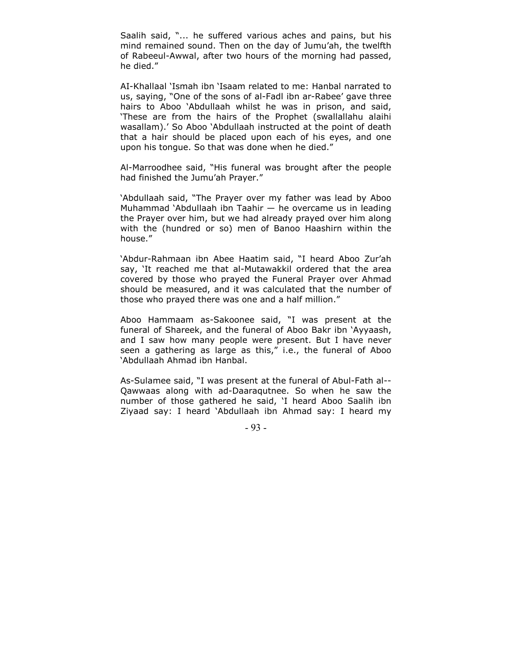Saalih said, "... he suffered various aches and pains, but his mind remained sound. Then on the day of Jumu'ah, the twelfth of Rabeeul-Awwal, after two hours of the morning had passed, he died."

AI-Khallaal 'Ismah ibn 'Isaam related to me: Hanbal narrated to us, saying, "One of the sons of al-Fadl ibn ar-Rabee' gave three hairs to Aboo 'Abdullaah whilst he was in prison, and said, 'These are from the hairs of the Prophet (swallallahu alaihi wasallam).' So Aboo 'Abdullaah instructed at the point of death that a hair should be placed upon each of his eyes, and one upon his tongue. So that was done when he died."

Al-Marroodhee said, "His funeral was brought after the people had finished the Jumu'ah Prayer."

'Abdullaah said, "The Prayer over my father was lead by Aboo Muhammad 'Abdullaah ibn Taahir — he overcame us in leading the Prayer over him, but we had already prayed over him along with the (hundred or so) men of Banoo Haashirn within the house."

'Abdur-Rahmaan ibn Abee Haatim said, "I heard Aboo Zur'ah say, 'It reached me that al-Mutawakkil ordered that the area covered by those who prayed the Funeral Prayer over Ahmad should be measured, and it was calculated that the number of those who prayed there was one and a half million."

Aboo Hammaam as-Sakoonee said, "I was present at the funeral of Shareek, and the funeral of Aboo Bakr ibn 'Ayyaash, and I saw how many people were present. But I have never seen a gathering as large as this," i.e., the funeral of Aboo 'Abdullaah Ahmad ibn Hanbal.

As-Sulamee said, "I was present at the funeral of Abul-Fath al-- Qawwaas along with ad-Daaraqutnee. So when he saw the number of those gathered he said, 'I heard Aboo Saalih ibn Ziyaad say: I heard 'Abdullaah ibn Ahmad say: I heard my

- 93 -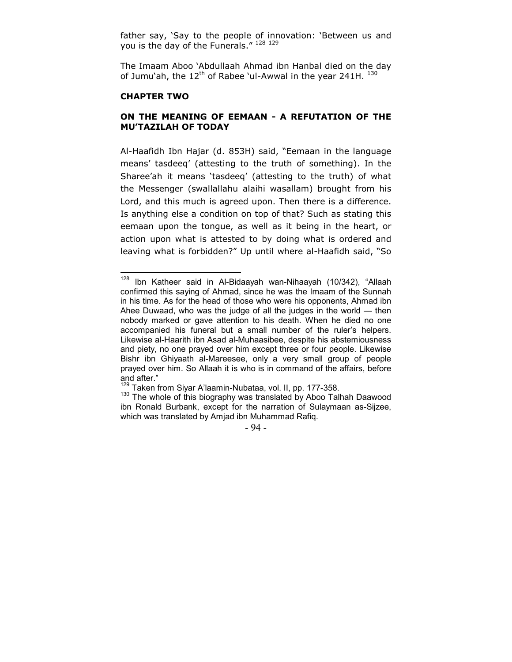father say, 'Say to the people of innovation: 'Between us and you is the day of the Funerals." 128 129

The Imaam Aboo 'Abdullaah Ahmad ibn Hanbal died on the day of Jumu'ah, the  $12<sup>th</sup>$  of Rabee 'ul-Awwal in the year 241H.  $^{130}$ 

#### **CHAPTER TWO**

 $\overline{a}$ 

# **ON THE MEANING OF EEMAAN - A REFUTATION OF THE MU'TAZILAH OF TODAY**

Al-Haafidh Ibn Hajar (d. 853H) said, "Eemaan in the language means' tasdeeq' (attesting to the truth of something). In the Sharee'ah it means 'tasdeeq' (attesting to the truth) of what the Messenger (swallallahu alaihi wasallam) brought from his Lord, and this much is agreed upon. Then there is a difference. Is anything else a condition on top of that? Such as stating this eemaan upon the tongue, as well as it being in the heart, or action upon what is attested to by doing what is ordered and leaving what is forbidden?" Up until where al-Haafidh said, "So

- 94 -

 $128$  Ibn Katheer said in Al-Bidaayah wan-Nihaayah (10/342), "Allaah confirmed this saying of Ahmad, since he was the Imaam of the Sunnah in his time. As for the head of those who were his opponents, Ahmad ibn Ahee Duwaad, who was the judge of all the judges in the world — then nobody marked or gave attention to his death. When he died no one accompanied his funeral but a small number of the ruler's helpers. Likewise al-Haarith ibn Asad al-Muhaasibee, despite his abstemiousness and piety, no one prayed over him except three or four people. Likewise Bishr ibn Ghiyaath al-Mareesee, only a very small group of people prayed over him. So Allaah it is who is in command of the affairs, before and after."<br><sup>129</sup> Taken from Siyar A'laamin-Nubataa, vol. II, pp. 177-358.

 $130$  The whole of this biography was translated by Aboo Talhah Daawood ibn Ronald Burbank, except for the narration of Sulaymaan as-Sijzee, which was translated by Amjad ibn Muhammad Rafiq.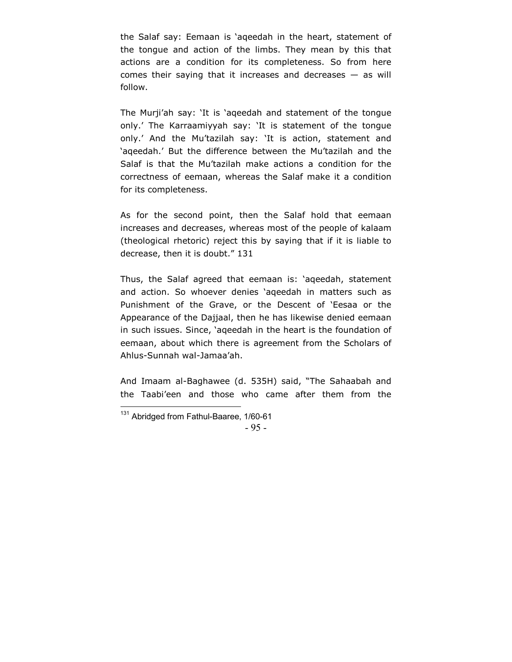the Salaf say: Eemaan is 'aqeedah in the heart, statement of the tongue and action of the limbs. They mean by this that actions are a condition for its completeness. So from here comes their saying that it increases and decreases — as will follow.

The Murji'ah say: 'It is 'aqeedah and statement of the tongue only.' The Karraamiyyah say: 'It is statement of the tongue only.' And the Mu'tazilah say: 'It is action, statement and 'aqeedah.' But the difference between the Mu'tazilah and the Salaf is that the Mu'tazilah make actions a condition for the correctness of eemaan, whereas the Salaf make it a condition for its completeness.

As for the second point, then the Salaf hold that eemaan increases and decreases, whereas most of the people of kalaam (theological rhetoric) reject this by saying that if it is liable to decrease, then it is doubt." 131

Thus, the Salaf agreed that eemaan is: 'aqeedah, statement and action. So whoever denies 'aqeedah in matters such as Punishment of the Grave, or the Descent of 'Eesaa or the Appearance of the Dajjaal, then he has likewise denied eemaan in such issues. Since, 'aqeedah in the heart is the foundation of eemaan, about which there is agreement from the Scholars of Ahlus-Sunnah wal-Jamaa'ah.

And Imaam al-Baghawee (d. 535H) said, "The Sahaabah and the Taabi'een and those who came after them from the

<sup>- 95 -</sup>   $\overline{a}$ <sup>131</sup> Abridged from Fathul-Baaree, 1/60-61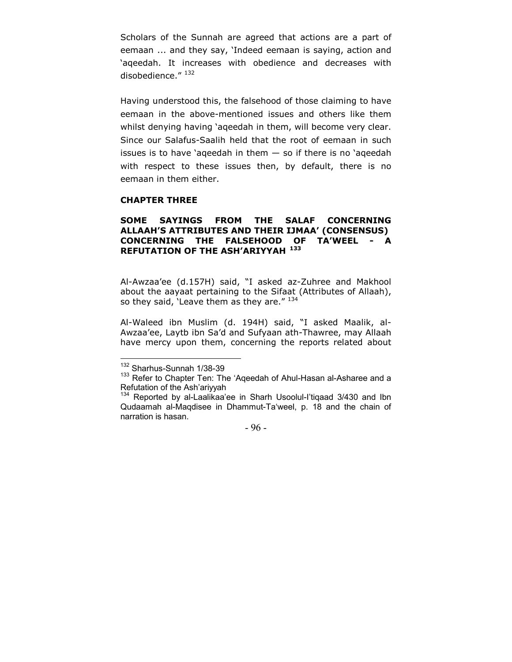Scholars of the Sunnah are agreed that actions are a part of eemaan ... and they say, 'Indeed eemaan is saying, action and 'aqeedah. It increases with obedience and decreases with disobedience." 132

Having understood this, the falsehood of those claiming to have eemaan in the above-mentioned issues and others like them whilst denying having 'aqeedah in them, will become very clear. Since our Salafus-Saalih held that the root of eemaan in such issues is to have 'ageedah in them  $-$  so if there is no 'ageedah with respect to these issues then, by default, there is no eemaan in them either.

### **CHAPTER THREE**

### **SOME SAYINGS FROM THE SALAF CONCERNING ALLAAH'S ATTRIBUTES AND THEIR IJMAA' (CONSENSUS) CONCERNING THE FALSEHOOD OF TA'WEEL - A REFUTATION OF THE ASH'ARIYYAH <sup>133</sup>**

Al-Awzaa'ee (d.157H) said, "I asked az-Zuhree and Makhool about the aayaat pertaining to the Sifaat (Attributes of Allaah), so they said, 'Leave them as they are." 134

Al-Waleed ibn Muslim (d. 194H) said, "I asked Maalik, al-Awzaa'ee, Laytb ibn Sa'd and Sufyaan ath-Thawree, may Allaah have mercy upon them, concerning the reports related about

 $\overline{a}$ 

- 96 -

<sup>&</sup>lt;sup>132</sup> Sharhus-Sunnah 1/38-39

<sup>&</sup>lt;sup>133</sup> Refer to Chapter Ten: The 'Aqeedah of Ahul-Hasan al-Asharee and a Refutation of the Ash'ariyyah

<sup>&</sup>lt;sup>134</sup> Reported by al-Laalikaa'ee in Sharh Usoolul-I'tiqaad 3/430 and Ibn Qudaamah al-Maqdisee in Dhammut-Ta'weel, p. 18 and the chain of narration is hasan.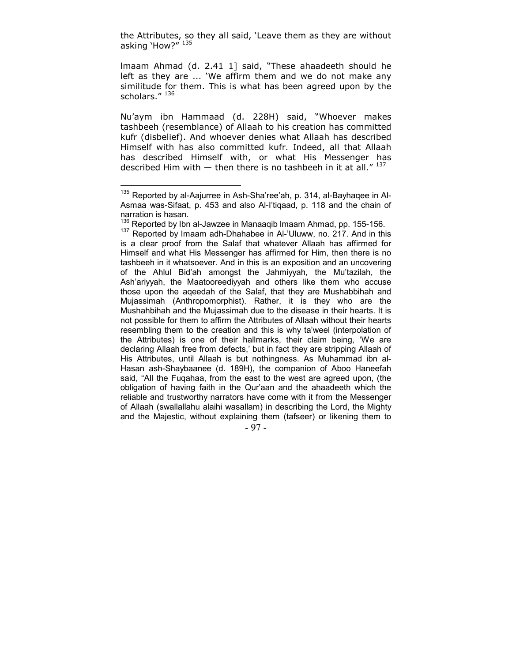the Attributes, so they all said, 'Leave them as they are without asking 'How?" 135

lmaam Ahmad (d. 2.41 1] said, "These ahaadeeth should he left as they are ... 'We affirm them and we do not make any similitude for them. This is what has been agreed upon by the scholars." 136

Nu'aym ibn Hammaad (d. 228H) said, "Whoever makes tashbeeh (resemblance) of Allaah to his creation has committed kufr (disbelief). And whoever denies what Allaah has described Himself with has also committed kufr. Indeed, all that Allaah has described Himself with, or what His Messenger has described Him with  $-$  then there is no tashbeeh in it at all."  $^{137}$ 

 $\overline{a}$ 

- 97 -

<sup>&</sup>lt;sup>135</sup> Reported by al-Aajurree in Ash-Sha'ree'ah, p. 314, al-Bayhaqee in Al-Asmaa was-Sifaat, p. 453 and also Al-I'tiqaad, p. 118 and the chain of narration is hasan.

<sup>&</sup>lt;sup>136</sup> Reported by Ibn al-Jawzee in Manaaqib Imaam Ahmad, pp. 155-156.<br><sup>137</sup> Reported by Imaam adh-Dhahabee in Al-'Uluww, no. 217. And in this is a clear proof from the Salaf that whatever Allaah has affirmed for Himself and what His Messenger has affirmed for Him, then there is no tashbeeh in it whatsoever. And in this is an exposition and an uncovering of the Ahlul Bid'ah amongst the Jahmiyyah, the Mu'tazilah, the Ash'ariyyah, the Maatooreediyyah and others like them who accuse those upon the aqeedah of the Salaf, that they are Mushabbihah and Mujassimah (Anthropomorphist). Rather, it is they who are the Mushahbihah and the Mujassimah due to the disease in their hearts. It is not possible for them to affirm the Attributes of Allaah without their hearts resembling them to the creation and this is why ta'weel (interpolation of the Attributes) is one of their hallmarks, their claim being, 'We are declaring Allaah free from defects,' but in fact they are stripping Allaah of His Attributes, until Allaah is but nothingness. As Muhammad ibn al-Hasan ash-Shaybaanee (d. 189H), the companion of Aboo Haneefah said, "All the Fuqahaa, from the east to the west are agreed upon, (the obligation of having faith in the Qur'aan and the ahaadeeth which the reliable and trustworthy narrators have come with it from the Messenger of Allaah (swallallahu alaihi wasallam) in describing the Lord, the Mighty and the Majestic, without explaining them (tafseer) or likening them to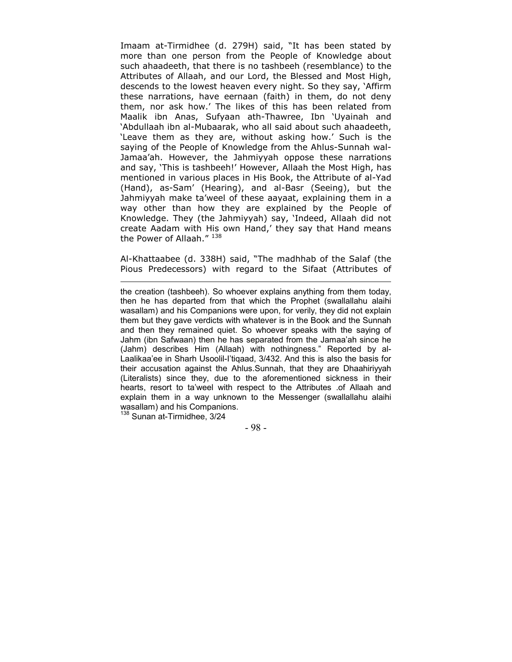Imaam at-Tirmidhee (d. 279H) said, "It has been stated by more than one person from the People of Knowledge about such ahaadeeth, that there is no tashbeeh (resemblance) to the Attributes of Allaah, and our Lord, the Blessed and Most High, descends to the lowest heaven every night. So they say, 'Affirm these narrations, have eernaan (faith) in them, do not deny them, nor ask how.' The likes of this has been related from Maalik ibn Anas, Sufyaan ath-Thawree, Ibn 'Uyainah and 'Abdullaah ibn al-Mubaarak, who all said about such ahaadeeth, 'Leave them as they are, without asking how.' Such is the saying of the People of Knowledge from the Ahlus-Sunnah wal-Jamaa'ah. However, the Jahmiyyah oppose these narrations and say, 'This is tashbeeh!' However, Allaah the Most High, has mentioned in various places in His Book, the Attribute of al-Yad (Hand), as-Sam' (Hearing), and al-Basr (Seeing), but the Jahmiyyah make ta'weel of these aayaat, explaining them in a way other than how they are explained by the People of Knowledge. They (the Jahmiyyah) say, 'Indeed, Allaah did not create Aadam with His own Hand,' they say that Hand means the Power of Allaah." 138

Al-Khattaabee (d. 338H) said, "The madhhab of the Salaf (the Pious Predecessors) with regard to the Sifaat (Attributes of

the creation (tashbeeh). So whoever explains anything from them today, then he has departed from that which the Prophet (swallallahu alaihi wasallam) and his Companions were upon, for verily, they did not explain them but they gave verdicts with whatever is in the Book and the Sunnah and then they remained quiet. So whoever speaks with the saying of Jahm (ibn Safwaan) then he has separated from the Jamaa'ah since he (Jahm) describes Him (Allaah) with nothingness." Reported by al-Laalikaa'ee in Sharh Usoolil-I'tiqaad, 3/432. And this is also the basis for their accusation against the Ahlus.Sunnah, that they are Dhaahiriyyah (Literalists) since they, due to the aforementioned sickness in their hearts, resort to ta'weel with respect to the Attributes .of Allaah and explain them in a way unknown to the Messenger (swallallahu alaihi wasallam) and his Companions.

<sup>138</sup> Sunan at-Tirmidhee, 3/24

 $\overline{a}$ 

- 98 -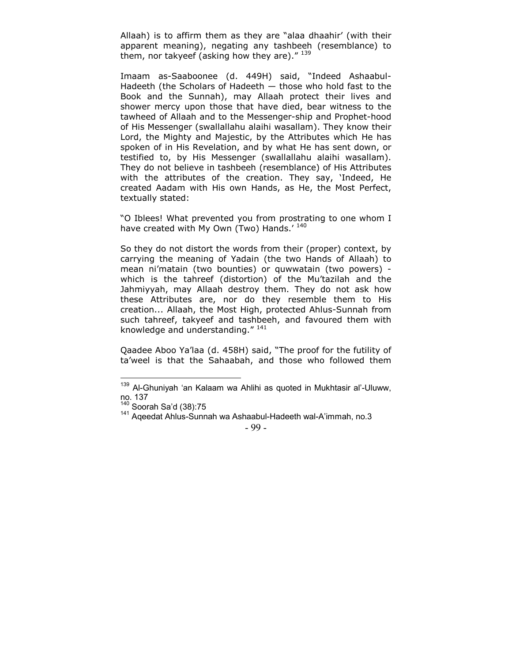Allaah) is to affirm them as they are "alaa dhaahir' (with their apparent meaning), negating any tashbeeh (resemblance) to them, nor takyeef (asking how they are). $''$ <sup>139</sup>

Imaam as-Saaboonee (d. 449H) said, "Indeed Ashaabul-Hadeeth (the Scholars of Hadeeth — those who hold fast to the Book and the Sunnah), may Allaah protect their lives and shower mercy upon those that have died, bear witness to the tawheed of Allaah and to the Messenger-ship and Prophet-hood of His Messenger (swallallahu alaihi wasallam). They know their Lord, the Mighty and Majestic, by the Attributes which He has spoken of in His Revelation, and by what He has sent down, or testified to, by His Messenger (swallallahu alaihi wasallam). They do not believe in tashbeeh (resemblance) of His Attributes with the attributes of the creation. They say, 'Indeed, He created Aadam with His own Hands, as He, the Most Perfect, textually stated:

"O Iblees! What prevented you from prostrating to one whom I have created with My Own (Two) Hands.' 140

So they do not distort the words from their (proper) context, by carrying the meaning of Yadain (the two Hands of Allaah) to mean ni'matain (two bounties) or quwwatain (two powers) which is the tahreef (distortion) of the Mu'tazilah and the Jahmiyyah, may Allaah destroy them. They do not ask how these Attributes are, nor do they resemble them to His creation... Allaah, the Most High, protected Ahlus-Sunnah from such tahreef, takyeef and tashbeeh, and favoured them with knowledge and understanding." 141

Qaadee Aboo Ya'laa (d. 458H) said, "The proof for the futility of ta'weel is that the Sahaabah, and those who followed them

 $\overline{a}$ 

# - 99 -

<sup>&</sup>lt;sup>139</sup> Al-Ghuniyah 'an Kalaam wa Ahlihi as quoted in Mukhtasir al'-Uluww,

no. 137<br><sup>140</sup> Soorah Sa'd (38):75

 $141$  Aqeedat Ahlus-Sunnah wa Ashaabul-Hadeeth wal-A'immah, no.3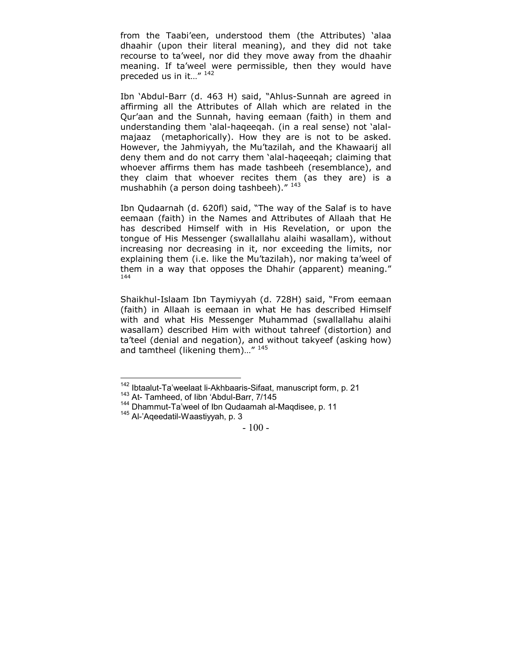from the Taabi'een, understood them (the Attributes) 'alaa dhaahir (upon their literal meaning), and they did not take recourse to ta'weel, nor did they move away from the dhaahir meaning. If ta'weel were permissible, then they would have preceded us in it..."<sup>142</sup>

Ibn 'Abdul-Barr (d. 463 H) said, "Ahlus-Sunnah are agreed in affirming all the Attributes of Allah which are related in the Qur'aan and the Sunnah, having eemaan (faith) in them and understanding them 'alal-haqeeqah. (in a real sense) not 'alalmajaaz (metaphorically). How they are is not to be asked. However, the Jahmiyyah, the Mu'tazilah, and the Khawaarij all deny them and do not carry them 'alal-haqeeqah; claiming that whoever affirms them has made tashbeeh (resemblance), and they claim that whoever recites them (as they are) is a mushabhih (a person doing tashbeeh)."<sup>143</sup>

Ibn Qudaarnah (d. 620fl) said, "The way of the Salaf is to have eemaan (faith) in the Names and Attributes of Allaah that He has described Himself with in His Revelation, or upon the tongue of His Messenger (swallallahu alaihi wasallam), without increasing nor decreasing in it, nor exceeding the limits, nor explaining them (i.e. like the Mu'tazilah), nor making ta'weel of them in a way that opposes the Dhahir (apparent) meaning." 144

Shaikhul-Islaam Ibn Taymiyyah (d. 728H) said, "From eemaan (faith) in Allaah is eemaan in what He has described Himself with and what His Messenger Muhammad (swallallahu alaihi wasallam) described Him with without tahreef (distortion) and ta'teel (denial and negation), and without takyeef (asking how) and tamtheel (likening them)..."<sup>145</sup>

 $\overline{a}$ 

<sup>&</sup>lt;sup>142</sup> Ibtaalut-Ta'weelaat li-Akhbaaris-Sifaat, manuscript form, p. 21<br><sup>143</sup> At- Tamheed, of Iibn 'Abdul-Barr, 7/145

<sup>&</sup>lt;sup>143</sup> At- Tamheed, of Iibn 'Abdul-Barr, 7/145<br><sup>144</sup> Dhammut-Ta'weel of Ibn Qudaamah al-Maqdisee, p. 11<br><sup>145</sup> Al-'Aqeedatil-Waastiyyah, p. 3

<sup>- 100 -</sup>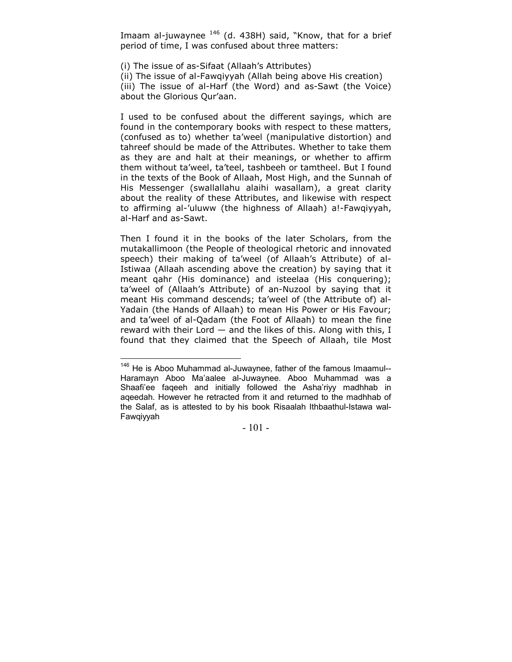Imaam al-juwaynee  $146$  (d. 438H) said, "Know, that for a brief period of time, I was confused about three matters:

(i) The issue of as-Sifaat (Allaah's Attributes) (ii) The issue of al-Fawqiyyah (Allah being above His creation) (iii) The issue of al-Harf (the Word) and as-Sawt (the Voice) about the Glorious Qur'aan.

I used to be confused about the different sayings, which are found in the contemporary books with respect to these matters, (confused as to) whether ta'weel (manipulative distortion) and tahreef should be made of the Attributes. Whether to take them as they are and halt at their meanings, or whether to affirm them without ta'weel, ta'teel, tashbeeh or tamtheel. But I found in the texts of the Book of Allaah, Most High, and the Sunnah of His Messenger (swallallahu alaihi wasallam), a great clarity about the reality of these Attributes, and likewise with respect to affirming al-'uluww (the highness of Allaah) a!-Fawqiyyah, al-Harf and as-Sawt.

Then I found it in the books of the later Scholars, from the mutakallimoon (the People of theological rhetoric and innovated speech) their making of ta'weel (of Allaah's Attribute) of al-Istiwaa (Allaah ascending above the creation) by saying that it meant qahr (His dominance) and isteelaa (His conquering); ta'weel of (Allaah's Attribute) of an-Nuzool by saying that it meant His command descends; ta'weel of (the Attribute of) al-Yadain (the Hands of Allaah) to mean His Power or His Favour; and ta'weel of al-Qadam (the Foot of Allaah) to mean the fine reward with their Lord  $-$  and the likes of this. Along with this, I found that they claimed that the Speech of Allaah, tile Most

- 101 -

 $\overline{a}$ <sup>146</sup> He is Aboo Muhammad al-Juwaynee, father of the famous Imaamul--Haramayn Aboo Ma'aalee al-Juwaynee. Aboo Muhammad was a Shaafi'ee faqeeh and initially followed the Asha'riyy madhhab in aqeedah. However he retracted from it and returned to the madhhab of the Salaf, as is attested to by his book Risaalah Ithbaathul-Istawa wal-Fawqiyyah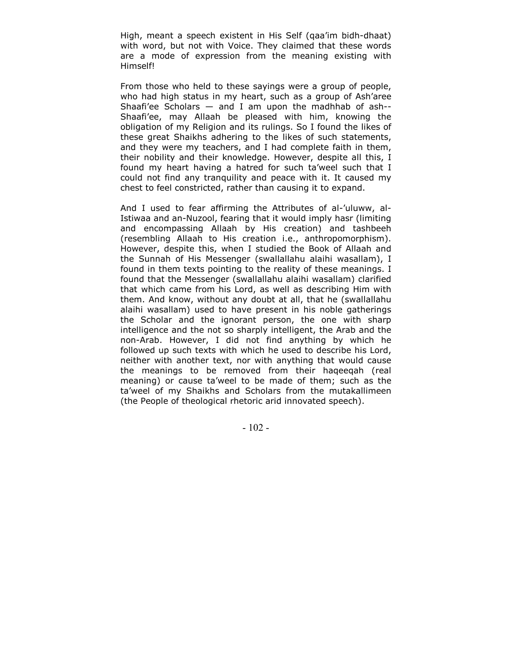High, meant a speech existent in His Self (qaa'im bidh-dhaat) with word, but not with Voice. They claimed that these words are a mode of expression from the meaning existing with Himself!

From those who held to these sayings were a group of people, who had high status in my heart, such as a group of Ash'aree Shaafi'ee Scholars  $-$  and I am upon the madhhab of ash--Shaafi'ee, may Allaah be pleased with him, knowing the obligation of my Religion and its rulings. So I found the likes of these great Shaikhs adhering to the likes of such statements, and they were my teachers, and I had complete faith in them, their nobility and their knowledge. However, despite all this, I found my heart having a hatred for such ta'weel such that I could not find any tranquility and peace with it. It caused my chest to feel constricted, rather than causing it to expand.

And I used to fear affirming the Attributes of al-'uluww, al-Istiwaa and an-Nuzool, fearing that it would imply hasr (limiting and encompassing Allaah by His creation) and tashbeeh (resembling Allaah to His creation i.e., anthropomorphism). However, despite this, when I studied the Book of Allaah and the Sunnah of His Messenger (swallallahu alaihi wasallam), I found in them texts pointing to the reality of these meanings. I found that the Messenger (swallallahu alaihi wasallam) clarified that which came from his Lord, as well as describing Him with them. And know, without any doubt at all, that he (swallallahu alaihi wasallam) used to have present in his noble gatherings the Scholar and the ignorant person, the one with sharp intelligence and the not so sharply intelligent, the Arab and the non-Arab. However, I did not find anything by which he followed up such texts with which he used to describe his Lord, neither with another text, nor with anything that would cause the meanings to be removed from their haqeeqah (real meaning) or cause ta'weel to be made of them; such as the ta'weel of my Shaikhs and Scholars from the mutakallimeen (the People of theological rhetoric arid innovated speech).

- 102 -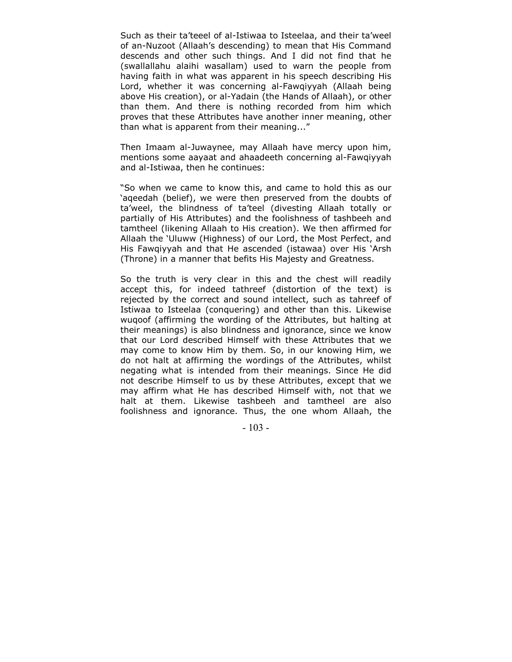Such as their ta'teeel of al-Istiwaa to Isteelaa, and their ta'weel of an-Nuzoot (Allaah's descending) to mean that His Command descends and other such things. And I did not find that he (swallallahu alaihi wasallam) used to warn the people from having faith in what was apparent in his speech describing His Lord, whether it was concerning al-Fawqiyyah (Allaah being above His creation), or al-Yadain (the Hands of Allaah), or other than them. And there is nothing recorded from him which proves that these Attributes have another inner meaning, other than what is apparent from their meaning..."

Then Imaam al-Juwaynee, may Allaah have mercy upon him, mentions some aayaat and ahaadeeth concerning al-Fawqiyyah and al-Istiwaa, then he continues:

"So when we came to know this, and came to hold this as our 'aqeedah (belief), we were then preserved from the doubts of ta'weel, the blindness of ta'teel (divesting Allaah totally or partially of His Attributes) and the foolishness of tashbeeh and tamtheel (likening Allaah to His creation). We then affirmed for Allaah the 'Uluww (Highness) of our Lord, the Most Perfect, and His Fawqiyyah and that He ascended (istawaa) over His 'Arsh (Throne) in a manner that befits His Majesty and Greatness.

So the truth is very clear in this and the chest will readily accept this, for indeed tathreef (distortion of the text) is rejected by the correct and sound intellect, such as tahreef of Istiwaa to Isteelaa (conquering) and other than this. Likewise wuqoof (affirming the wording of the Attributes, but halting at their meanings) is also blindness and ignorance, since we know that our Lord described Himself with these Attributes that we may come to know Him by them. So, in our knowing Him, we do not halt at affirming the wordings of the Attributes, whilst negating what is intended from their meanings. Since He did not describe Himself to us by these Attributes, except that we may affirm what He has described Himself with, not that we halt at them. Likewise tashbeeh and tamtheel are also foolishness and ignorance. Thus, the one whom Allaah, the

- 103 -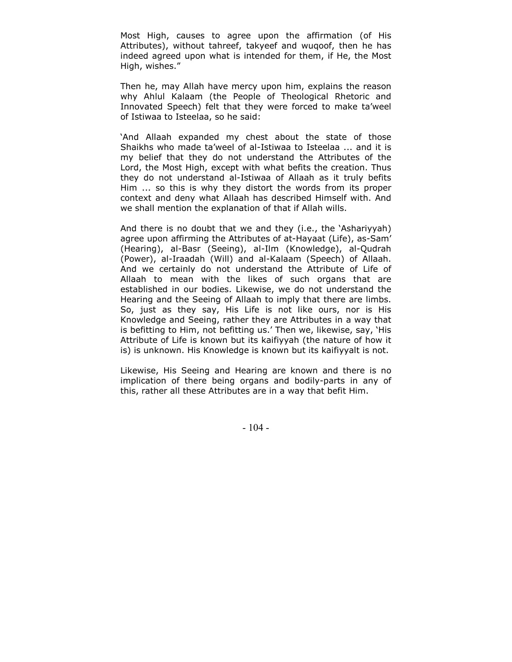Most High, causes to agree upon the affirmation (of His Attributes), without tahreef, takyeef and wuqoof, then he has indeed agreed upon what is intended for them, if He, the Most High, wishes."

Then he, may Allah have mercy upon him, explains the reason why Ahlul Kalaam (the People of Theological Rhetoric and Innovated Speech) felt that they were forced to make ta'weel of Istiwaa to Isteelaa, so he said:

'And Allaah expanded my chest about the state of those Shaikhs who made ta'weel of al-Istiwaa to Isteelaa ... and it is my belief that they do not understand the Attributes of the Lord, the Most High, except with what befits the creation. Thus they do not understand al-Istiwaa of Allaah as it truly befits Him ... so this is why they distort the words from its proper context and deny what Allaah has described Himself with. And we shall mention the explanation of that if Allah wills.

And there is no doubt that we and they (i.e., the 'Ashariyyah) agree upon affirming the Attributes of at-Hayaat (Life), as-Sam' (Hearing), al-Basr (Seeing), al-Ilm (Knowledge), al-Qudrah (Power), al-Iraadah (Will) and al-Kalaam (Speech) of Allaah. And we certainly do not understand the Attribute of Life of Allaah to mean with the likes of such organs that are established in our bodies. Likewise, we do not understand the Hearing and the Seeing of Allaah to imply that there are limbs. So, just as they say, His Life is not like ours, nor is His Knowledge and Seeing, rather they are Attributes in a way that is befitting to Him, not befitting us.' Then we, likewise, say, 'His Attribute of Life is known but its kaifiyyah (the nature of how it is) is unknown. His Knowledge is known but its kaifiyyalt is not.

Likewise, His Seeing and Hearing are known and there is no implication of there being organs and bodily-parts in any of this, rather all these Attributes are in a way that befit Him.

- 104 -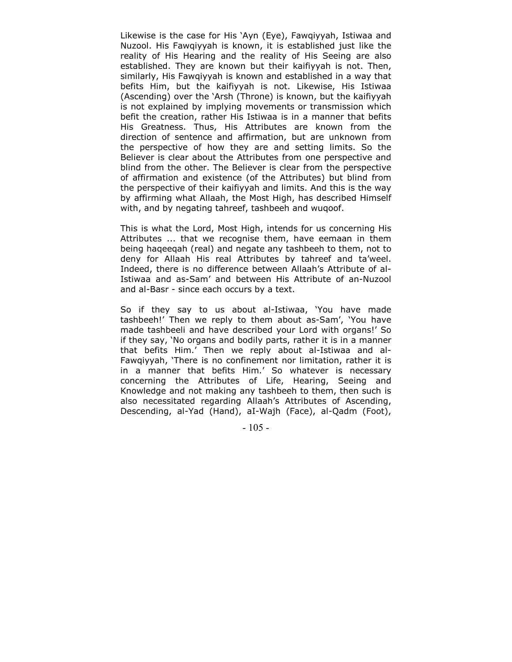Likewise is the case for His 'Ayn (Eye), Fawqiyyah, Istiwaa and Nuzool. His Fawqiyyah is known, it is established just like the reality of His Hearing and the reality of His Seeing are also established. They are known but their kaifiyyah is not. Then, similarly, His Fawqiyyah is known and established in a way that befits Him, but the kaifiyyah is not. Likewise, His Istiwaa (Ascending) over the 'Arsh (Throne) is known, but the kaifiyyah is not explained by implying movements or transmission which befit the creation, rather His Istiwaa is in a manner that befits His Greatness. Thus, His Attributes are known from the direction of sentence and affirmation, but are unknown from the perspective of how they are and setting limits. So the Believer is clear about the Attributes from one perspective and blind from the other. The Believer is clear from the perspective of affirmation and existence (of the Attributes) but blind from the perspective of their kaifiyyah and limits. And this is the way by affirming what Allaah, the Most High, has described Himself with, and by negating tahreef, tashbeeh and wuqoof.

This is what the Lord, Most High, intends for us concerning His Attributes ... that we recognise them, have eemaan in them being haqeeqah (real) and negate any tashbeeh to them, not to deny for Allaah His real Attributes by tahreef and ta'weel. Indeed, there is no difference between Allaah's Attribute of al-Istiwaa and as-Sam' and between His Attribute of an-Nuzool and al-Basr - since each occurs by a text.

So if they say to us about al-Istiwaa, 'You have made tashbeeh!' Then we reply to them about as-Sam', 'You have made tashbeeli and have described your Lord with organs!' So if they say, 'No organs and bodily parts, rather it is in a manner that befits Him.' Then we reply about al-Istiwaa and al-Fawqiyyah, 'There is no confinement nor limitation, rather it is in a manner that befits Him.' So whatever is necessary concerning the Attributes of Life, Hearing, Seeing and Knowledge and not making any tashbeeh to them, then such is also necessitated regarding Allaah's Attributes of Ascending, Descending, al-Yad (Hand), aI-Wajh (Face), al-Qadm (Foot),

- 105 -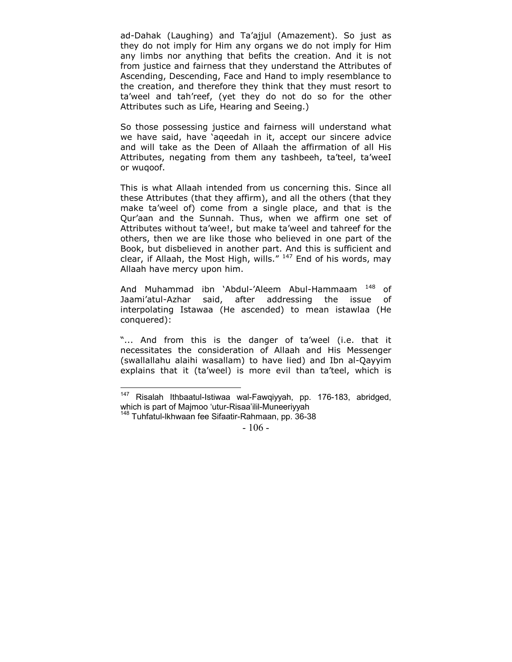ad-Dahak (Laughing) and Ta'ajjul (Amazement). So just as they do not imply for Him any organs we do not imply for Him any limbs nor anything that befits the creation. And it is not from justice and fairness that they understand the Attributes of Ascending, Descending, Face and Hand to imply resemblance to the creation, and therefore they think that they must resort to ta'weel and tah'reef, (yet they do not do so for the other Attributes such as Life, Hearing and Seeing.)

So those possessing justice and fairness will understand what we have said, have 'aqeedah in it, accept our sincere advice and will take as the Deen of Allaah the affirmation of all His Attributes, negating from them any tashbeeh, ta'teel, ta'weeI or wuqoof.

This is what Allaah intended from us concerning this. Since all these Attributes (that they affirm), and all the others (that they make ta'weel of) come from a single place, and that is the Qur'aan and the Sunnah. Thus, when we affirm one set of Attributes without ta'wee!, but make ta'weel and tahreef for the others, then we are like those who believed in one part of the Book, but disbelieved in another part. And this is sufficient and clear, if Allaah, the Most High, wills."  $147$  End of his words, may Allaah have mercy upon him.

And Muhammad ibn 'Abdul-'Aleem Abul-Hammaam 148 of Jaami'atul-Azhar said, after addressing the issue of interpolating Istawaa (He ascended) to mean istawlaa (He conquered):

"... And from this is the danger of ta'weel (i.e. that it necessitates the consideration of Allaah and His Messenger (swallallahu alaihi wasallam) to have lied) and Ibn al-Qayyim explains that it (ta'weel) is more evil than ta'teel, which is

 $\overline{a}$ 

 $147$  Risalah Ithbaatul-Istiwaa wal-Fawqiyyah, pp. 176-183, abridged, which is part of Majmoo 'utur-Risaa'ilil-Muneeriyyah

<sup>&</sup>lt;sup>148</sup> Tuhfatul-lkhwaan fee Sifaatir-Rahmaan, pp. 36-38

<sup>- 106 -</sup>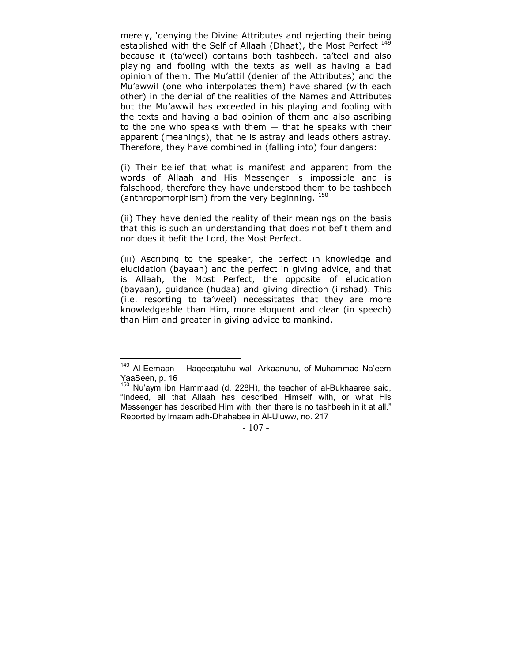merely, 'denying the Divine Attributes and rejecting their being established with the Self of Allaah (Dhaat), the Most Perfect <sup>149</sup> because it (ta'weel) contains both tashbeeh, ta'teel and also playing and fooling with the texts as well as having a bad opinion of them. The Mu'attil (denier of the Attributes) and the Mu'awwil (one who interpolates them) have shared (with each other) in the denial of the realities of the Names and Attributes but the Mu'awwil has exceeded in his playing and fooling with the texts and having a bad opinion of them and also ascribing to the one who speaks with them  $-$  that he speaks with their apparent (meanings), that he is astray and leads others astray. Therefore, they have combined in (falling into) four dangers:

(i) Their belief that what is manifest and apparent from the words of Allaah and His Messenger is impossible and is falsehood, therefore they have understood them to be tashbeeh (anthropomorphism) from the very beginning.  $150$ 

(ii) They have denied the reality of their meanings on the basis that this is such an understanding that does not befit them and nor does it befit the Lord, the Most Perfect.

(iii) Ascribing to the speaker, the perfect in knowledge and elucidation (bayaan) and the perfect in giving advice, and that is Allaah, the Most Perfect, the opposite of elucidation (bayaan), guidance (hudaa) and giving direction (iirshad). This (i.e. resorting to ta'weel) necessitates that they are more knowledgeable than Him, more eloquent and clear (in speech) than Him and greater in giving advice to mankind.

 $\overline{a}$ 

# - 107 -

<sup>&</sup>lt;sup>149</sup> Al-Eemaan – Haqeeqatuhu wal- Arkaanuhu, of Muhammad Na'eem YaaSeen, p. 16

 $150$  Nu'aym ibn Hammaad (d. 228H), the teacher of al-Bukhaaree said, "Indeed, all that Allaah has described Himself with, or what His Messenger has described Him with, then there is no tashbeeh in it at all." Reported by Imaam adh-Dhahabee in Al-Uluww, no. 217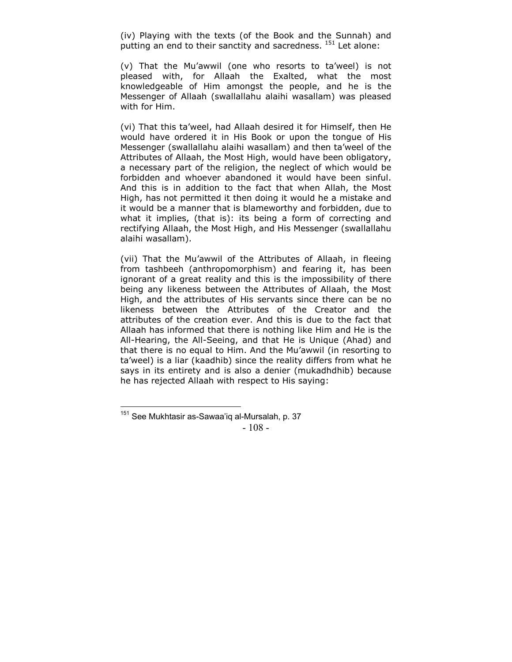(iv) Playing with the texts (of the Book and the Sunnah) and putting an end to their sanctity and sacredness.  $^{151}$  Let alone:

(v) That the Mu'awwil (one who resorts to ta'weel) is not pleased with, for Allaah the Exalted, what the most knowledgeable of Him amongst the people, and he is the Messenger of Allaah (swallallahu alaihi wasallam) was pleased with for Him.

(vi) That this ta'weel, had Allaah desired it for Himself, then He would have ordered it in His Book or upon the tongue of His Messenger (swallallahu alaihi wasallam) and then ta'weel of the Attributes of Allaah, the Most High, would have been obligatory, a necessary part of the religion, the neglect of which would be forbidden and whoever abandoned it would have been sinful. And this is in addition to the fact that when Allah, the Most High, has not permitted it then doing it would he a mistake and it would be a manner that is blameworthy and forbidden, due to what it implies, (that is): its being a form of correcting and rectifying Allaah, the Most High, and His Messenger (swallallahu alaihi wasallam).

(vii) That the Mu'awwil of the Attributes of Allaah, in fleeing from tashbeeh (anthropomorphism) and fearing it, has been ignorant of a great reality and this is the impossibility of there being any likeness between the Attributes of Allaah, the Most High, and the attributes of His servants since there can be no likeness between the Attributes of the Creator and the attributes of the creation ever. And this is due to the fact that Allaah has informed that there is nothing like Him and He is the All-Hearing, the All-Seeing, and that He is Unique (Ahad) and that there is no equal to Him. And the Mu'awwil (in resorting to ta'weel) is a liar (kaadhib) since the reality differs from what he says in its entirety and is also a denier (mukadhdhib) because he has rejected Allaah with respect to His saying:

 $\overline{a}$ 

<sup>- 108 -</sup>  <sup>151</sup> See Mukhtasir as-Sawaa'iq al-Mursalah, p. 37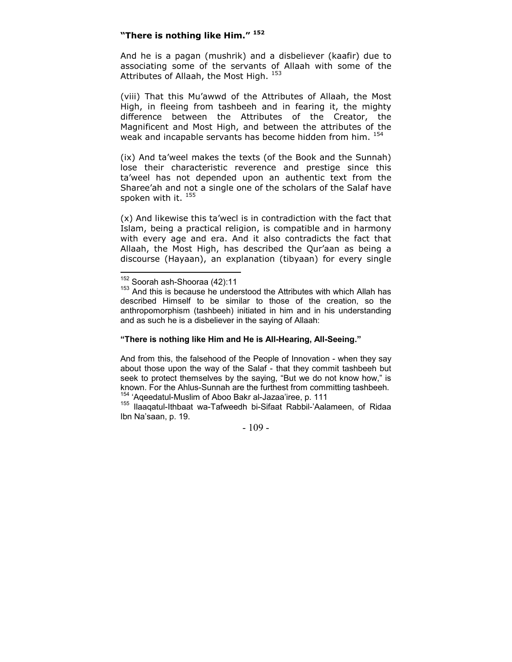## **"There is nothing like Him." 152**

And he is a pagan (mushrik) and a disbeliever (kaafir) due to associating some of the servants of Allaah with some of the Attributes of Allaah, the Most High.  $^{153}$ 

(viii) That this Mu'awwd of the Attributes of Allaah, the Most High, in fleeing from tashbeeh and in fearing it, the mighty difference between the Attributes of the Creator, the Magnificent and Most High, and between the attributes of the weak and incapable servants has become hidden from him. 154

(ix) And ta'weel makes the texts (of the Book and the Sunnah) lose their characteristic reverence and prestige since this ta'weel has not depended upon an authentic text from the Sharee'ah and not a single one of the scholars of the Salaf have spoken with it.  $155$ 

(x) And likewise this ta'wecl is in contradiction with the fact that Islam, being a practical religion, is compatible and in harmony with every age and era. And it also contradicts the fact that Allaah, the Most High, has described the Qur'aan as being a discourse (Hayaan), an explanation (tibyaan) for every single

 $\overline{a}$ 

#### **"There is nothing like Him and He is All-Hearing, All-Seeing."**

And from this, the falsehood of the People of Innovation - when they say about those upon the way of the Salaf - that they commit tashbeeh but seek to protect themselves by the saying, "But we do not know how," is known. For the Ahlus-Sunnah are the furthest from committing tashbeeh.<br><sup>154</sup> 'Ageedatul-Muslim of Aboo Bakr al-Jazaa'iree, p. 111

<sup>155</sup> Ilaaqatul-Ithbaat wa-Tafweedh bi-Sifaat Rabbil-'Aalameen, of Ridaa Ibn Na'saan, p. 19.

- 109 -

<sup>&</sup>lt;sup>152</sup> Soorah ash-Shooraa (42):11<br><sup>153</sup> And this is because he understood the Attributes with which Allah has described Himself to be similar to those of the creation, so the anthropomorphism (tashbeeh) initiated in him and in his understanding and as such he is a disbeliever in the saying of Allaah: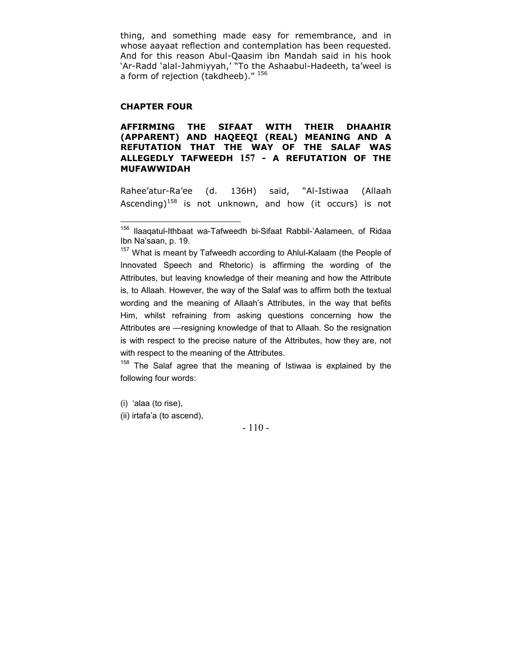thing, and something made easy for remembrance, and in whose aayaat reflection and contemplation has been requested. And for this reason Abul-Qaasim ibn Mandah said in his hook 'Ar-Radd 'alal-Jahmiyyah,' "To the Ashaabul-Hadeeth, ta'weel is a form of rejection (takdheeb)."<sup>156</sup>

#### **CHAPTER FOUR**

 $\overline{a}$ 

**AFFIRMING THE SIFAAT WITH THEIR DHAAHIR (APPARENT) AND HAQEEQI (REAL) MEANING AND A REFUTATION THAT THE WAY OF THE SALAF WAS ALLEGEDLY TAFWEEDH 157 - A REFUTATION OF THE MUFAWWIDAH**

Rahee'atur-Ra'ee (d. 136H) said, "Al-Istiwaa (Allaah Ascending)<sup>158</sup> is not unknown, and how (it occurs) is not

 $158$  The Salaf agree that the meaning of Istiwaa is explained by the following four words:

(i) 'alaa (to rise),

(ii) irtafa'a (to ascend),

- 110 -

<sup>&</sup>lt;sup>156</sup> Ilaaqatul-Ithbaat wa-Tafweedh bi-Sifaat Rabbil-'Aalameen, of Ridaa Ibn Na'saan, p. 19.

<sup>&</sup>lt;sup>157</sup> What is meant by Tafweedh according to Ahlul-Kalaam (the People of Innovated Speech and Rhetoric) is affirming the wording of the Attributes, but leaving knowledge of their meaning and how the Attribute is, to Allaah. However, the way of the Salaf was to affirm both the textual wording and the meaning of Allaah's Attributes, in the way that befits Him, whilst refraining from asking questions concerning how the Attributes are —resigning knowledge of that to Allaah. So the resignation is with respect to the precise nature of the Attributes, how they are, not with respect to the meaning of the Attributes.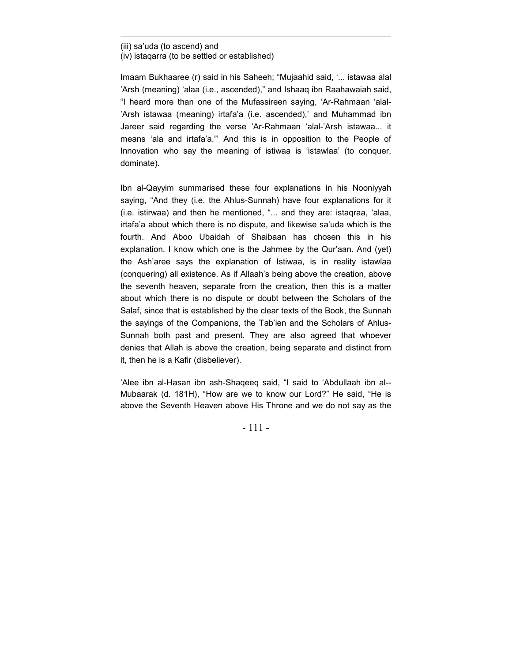$\overline{a}$ 

Imaam Bukhaaree (r) said in his Saheeh; "Mujaahid said, '... istawaa alal 'Arsh (meaning) 'alaa (i.e., ascended)," and Ishaaq ibn Raahawaiah said, "I heard more than one of the Mufassireen saying, 'Ar-Rahmaan 'alal- 'Arsh istawaa (meaning) irtafa'a (i.e. ascended),' and Muhammad ibn Jareer said regarding the verse 'Ar-Rahmaan 'alal-'Arsh istawaa... it means 'ala and irtafa'a."' And this is in opposition to the People of Innovation who say the meaning of istiwaa is 'istawlaa' (to conquer, dominate).

Ibn al-Qayyim summarised these four explanations in his Nooniyyah saying, "And they (i.e. the Ahlus-Sunnah) have four explanations for it (i.e. istirwaa) and then he mentioned, "... and they are: istaqraa, 'alaa, irtafa'a about which there is no dispute, and likewise sa'uda which is the fourth. And Aboo Ubaidah of Shaibaan has chosen this in his explanation. I know which one is the Jahmee by the Qur'aan. And (yet) the Ash'aree says the explanation of Istiwaa, is in reality istawlaa (conquering) all existence. As if Allaah's being above the creation, above the seventh heaven, separate from the creation, then this is a matter about which there is no dispute or doubt between the Scholars of the Salaf, since that is established by the clear texts of the Book, the Sunnah the sayings of the Companions, the Tab'ien and the Scholars of Ahlus-Sunnah both past and present. They are also agreed that whoever denies that Allah is above the creation, being separate and distinct from it, then he is a Kafir (disbeliever).

'Alee ibn al-Hasan ibn ash-Shaqeeq said, "I said to 'Abdullaah ibn al-- Mubaarak (d. 181H), "How are we to know our Lord?" He said, "He is above the Seventh Heaven above His Throne and we do not say as the

- 111 -

<sup>(</sup>iii) sa'uda (to ascend) and

<sup>(</sup>iv) istaqarra (to be settled or established)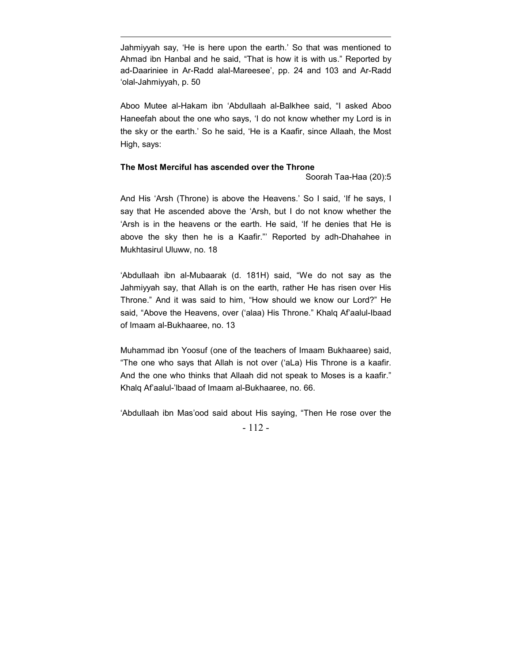Jahmiyyah say, 'He is here upon the earth.' So that was mentioned to Ahmad ibn Hanbal and he said, "That is how it is with us." Reported by ad-Daariniee in Ar-Radd alal-Mareesee', pp. 24 and 103 and Ar-Radd 'olal-Jahmiyyah, p. 50

Aboo Mutee al-Hakam ibn 'Abdullaah al-Balkhee said, "I asked Aboo Haneefah about the one who says, 'I do not know whether my Lord is in the sky or the earth.' So he said, 'He is a Kaafir, since Allaah, the Most High, says:

### **The Most Merciful has ascended over the Throne**

 $\overline{a}$ 

Soorah Taa-Haa (20):5

And His 'Arsh (Throne) is above the Heavens.' So I said, 'If he says, I say that He ascended above the 'Arsh, but I do not know whether the 'Arsh is in the heavens or the earth. He said, 'If he denies that He is above the sky then he is a Kaafir."' Reported by adh-Dhahahee in Mukhtasirul Uluww, no. 18

'Abdullaah ibn al-Mubaarak (d. 181H) said, "We do not say as the Jahmiyyah say, that Allah is on the earth, rather He has risen over His Throne." And it was said to him, "How should we know our Lord?" He said, "Above the Heavens, over ('alaa) His Throne." Khalq Af'aalul-Ibaad of Imaam al-Bukhaaree, no. 13

Muhammad ibn Yoosuf (one of the teachers of Imaam Bukhaaree) said, "The one who says that Allah is not over ('aLa) His Throne is a kaafir. And the one who thinks that Allaah did not speak to Moses is a kaafir." Khalq Af'aalul-'lbaad of Imaam al-Bukhaaree, no. 66.

'Abdullaah ibn Mas'ood said about His saying, "Then He rose over the

<sup>- 112 -</sup>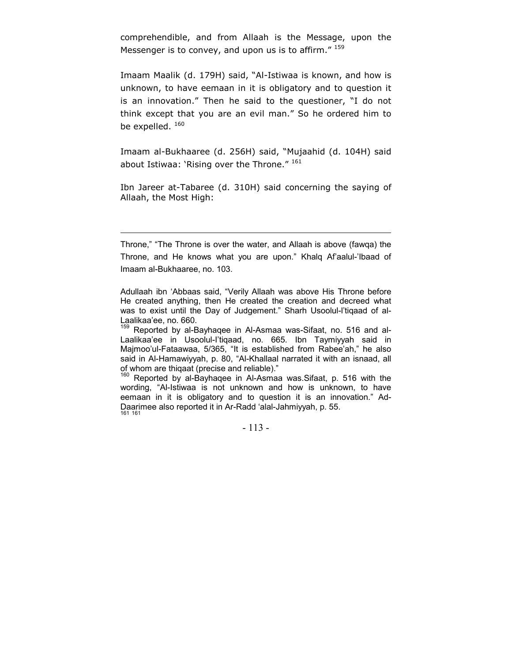comprehendible, and from Allaah is the Message, upon the Messenger is to convey, and upon us is to affirm. $^{\prime\prime}$   $^{159}$ 

Imaam Maalik (d. 179H) said, "Al-Istiwaa is known, and how is unknown, to have eemaan in it is obligatory and to question it is an innovation." Then he said to the questioner, "I do not think except that you are an evil man." So he ordered him to be expelled.  $160$ 

Imaam al-Bukhaaree (d. 256H) said, "Mujaahid (d. 104H) said about Istiwaa: 'Rising over the Throne." 161

Ibn Jareer at-Tabaree (d. 310H) said concerning the saying of Allaah, the Most High:

Throne," "The Throne is over the water, and Allaah is above (fawqa) the Throne, and He knows what you are upon." Khalq Af'aalul-'Ibaad of Imaam al-Bukhaaree, no. 103.

 $\overline{a}$ 

 $160$  Reported by al-Bayhaqee in Al-Asmaa was. Sifaat, p. 516 with the wording, "Al-Istiwaa is not unknown and how is unknown, to have eemaan in it is obligatory and to question it is an innovation." Ad-Daarimee also reported it in Ar-Radd 'alal-Jahmiyyah, p. 55. 161 161

- 113 -

Adullaah ibn 'Abbaas said, "Verily Allaah was above His Throne before He created anything, then He created the creation and decreed what was to exist until the Day of Judgement." Sharh Usoolul-l'tiqaad of al-Laalikaa'ee, no. 660.

<sup>159</sup> Reported by al-Bayhaqee in Al-Asmaa was-Sifaat, no. 516 and al-Laalikaa'ee in Usoolul-I'tiqaad, no. 665. Ibn Taymiyyah said in Majmoo'ul-Fataawaa, 5/365, "It is established from Rabee'ah," he also said in Al-Hamawiyyah, p. 80, "Al-Khallaal narrated it with an isnaad, all of whom are thiqaat (precise and reliable)."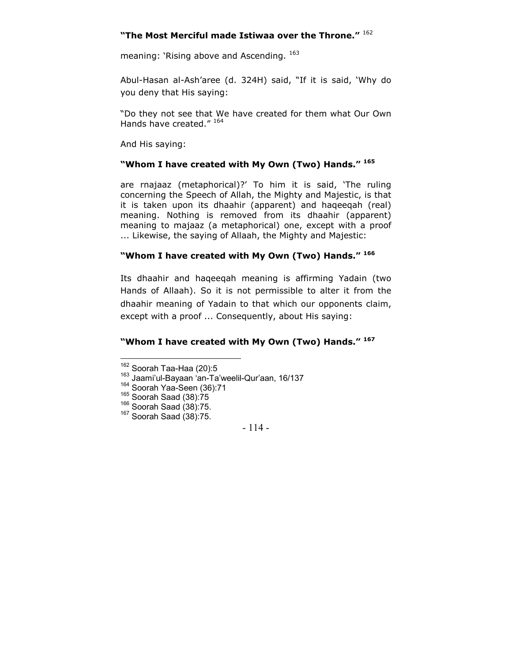## **"The Most Merciful made Istiwaa over the Throne."** <sup>162</sup>

meaning: 'Rising above and Ascending. 163

Abul-Hasan al-Ash'aree (d. 324H) said, "If it is said, 'Why do you deny that His saying:

"Do they not see that We have created for them what Our Own Hands have created." 164

And His saying:

# **"Whom I have created with My Own (Two) Hands." 165**

are rnajaaz (metaphorical)?' To him it is said, 'The ruling concerning the Speech of Allah, the Mighty and Majestic, is that it is taken upon its dhaahir (apparent) and haqeeqah (real) meaning. Nothing is removed from its dhaahir (apparent) meaning to majaaz (a metaphorical) one, except with a proof ... Likewise, the saying of Allaah, the Mighty and Majestic:

## **"Whom I have created with My Own (Two) Hands." 166**

Its dhaahir and haqeeqah meaning is affirming Yadain (two Hands of Allaah). So it is not permissible to alter it from the dhaahir meaning of Yadain to that which our opponents claim, except with a proof ... Consequently, about His saying:

## **"Whom I have created with My Own (Two) Hands." 167**

- 114 -

 $162$  Soorah Taa-Haa (20):5

<sup>163</sup> Jaami'ul-Bayaan 'an-Ta'weelil-Qur'aan, 16/137<br><sup>164</sup> Soorah Yaa-Seen (36):71<br><sup>165</sup> Soorah Saad (38):75<br><sup>166</sup> Soorah Saad (38):75.<br><sup>167</sup> Soorah Saad (38):75.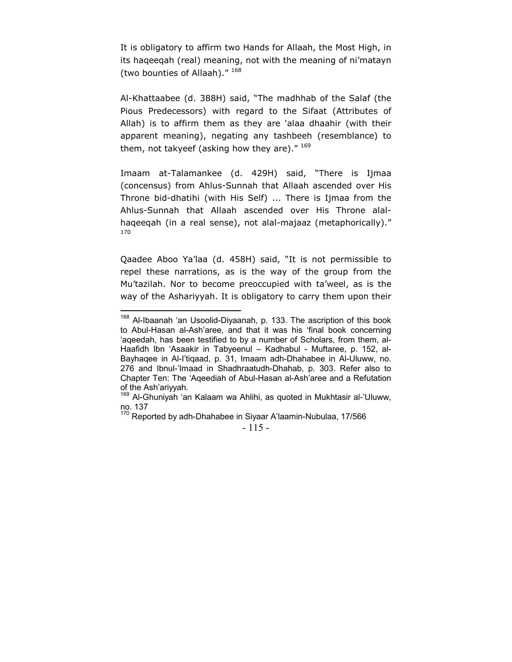It is obligatory to affirm two Hands for Allaah, the Most High, in its haqeeqah (real) meaning, not with the meaning of ni'matayn (two bounties of Allaah)."<sup>168</sup>

Al-Khattaabee (d. 388H) said, "The madhhab of the Salaf (the Pious Predecessors) with regard to the Sifaat (Attributes of Allah) is to affirm them as they are 'alaa dhaahir (with their apparent meaning), negating any tashbeeh (resemblance) to them, not takyeef (asking how they are)."  $^{169}$ 

Imaam at-Talamankee (d. 429H) said, "There is Ijmaa (concensus) from Ahlus-Sunnah that Allaah ascended over His Throne bid-dhatihi (with His Self) ... There is Ijmaa from the Ahlus-Sunnah that Allaah ascended over His Throne alalhaqeeqah (in a real sense), not alal-majaaz (metaphorically)." 170

Qaadee Aboo Ya'laa (d. 458H) said, "It is not permissible to repel these narrations, as is the way of the group from the Mu'tazilah. Nor to become preoccupied with ta'weel, as is the way of the Ashariyyah. It is obligatory to carry them upon their

## - 115 -

 $\overline{a}$ <sup>168</sup> Al-Ibaanah 'an Usoolid-Diyaanah, p. 133. The ascription of this book to Abul-Hasan al-Ash'aree, and that it was his 'final book concerning 'aqeedah, has been testified to by a number of Scholars, from them, al-Haafidh Ibn 'Asaakir in Tabyeenul – Kadhabul - Muftaree, p. 152, al-Bayhaqee in Al-I'tiqaad, p. 31, Imaam adh-Dhahabee in Al-Uluww, no. 276 and Ibnul-'Imaad in Shadhraatudh-Dhahab, p. 303. Refer also to Chapter Ten: The 'Aqeediah of Abul-Hasan al-Ash'aree and a Refutation of the Ash'ariyyah.

<sup>&</sup>lt;sup>169</sup> Al-Ghunivah 'an Kalaam wa Ahlihi, as quoted in Mukhtasir al-'Uluww, no. 137

 $170$  Reported by adh-Dhahabee in Siyaar A'laamin-Nubulaa, 17/566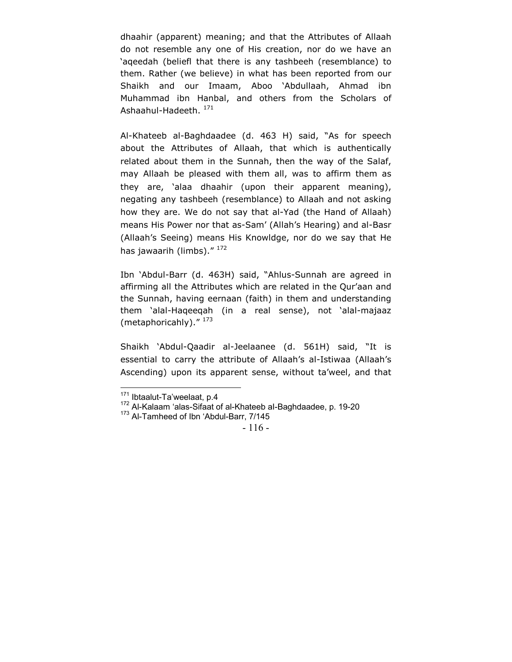dhaahir (apparent) meaning; and that the Attributes of Allaah do not resemble any one of His creation, nor do we have an 'aqeedah (beliefl that there is any tashbeeh (resemblance) to them. Rather (we believe) in what has been reported from our Shaikh and our Imaam, Aboo 'Abdullaah, Ahmad ibn Muhammad ibn Hanbal, and others from the Scholars of Ashaahul-Hadeeth. 171

Al-Khateeb al-Baghdaadee (d. 463 H) said, "As for speech about the Attributes of Allaah, that which is authentically related about them in the Sunnah, then the way of the Salaf, may Allaah be pleased with them all, was to affirm them as they are, 'alaa dhaahir (upon their apparent meaning), negating any tashbeeh (resemblance) to Allaah and not asking how they are. We do not say that al-Yad (the Hand of Allaah) means His Power nor that as-Sam' (Allah's Hearing) and al-Basr (Allaah's Seeing) means His Knowldge, nor do we say that He has jawaarih (limbs)." <sup>172</sup>

Ibn 'Abdul-Barr (d. 463H) said, "Ahlus-Sunnah are agreed in affirming all the Attributes which are related in the Qur'aan and the Sunnah, having eernaan (faith) in them and understanding them 'alal-Haqeeqah (in a real sense), not 'alal-majaaz (metaphoricahly). $^{\prime\prime}$  173

Shaikh 'Abdul-Qaadir al-Jeelaanee (d. 561H) said, "It is essential to carry the attribute of Allaah's al-Istiwaa (Allaah's Ascending) upon its apparent sense, without ta'weel, and that

 $\overline{a}$ 

<sup>&</sup>lt;sup>171</sup> Ibtaalut-Ta'weelaat, p.4<br><sup>172</sup> Al-Kalaam 'alas-Sifaat of al-Khateeb al-Baghdaadee, p. 19-20 173 Al-Tamheed of Ibn 'Abdul-Barr, 7/145

<sup>- 116 -</sup>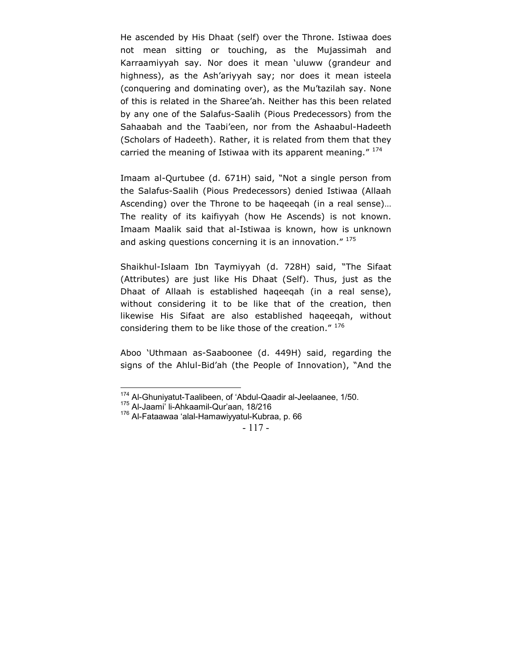He ascended by His Dhaat (self) over the Throne. Istiwaa does not mean sitting or touching, as the Mujassimah and Karraamiyyah say. Nor does it mean 'uluww (grandeur and highness), as the Ash'ariyyah say; nor does it mean isteela (conquering and dominating over), as the Mu'tazilah say. None of this is related in the Sharee'ah. Neither has this been related by any one of the Salafus-Saalih (Pious Predecessors) from the Sahaabah and the Taabi'een, nor from the Ashaabul-Hadeeth (Scholars of Hadeeth). Rather, it is related from them that they carried the meaning of Istiwaa with its apparent meaning." 174

Imaam al-Qurtubee (d. 671H) said, "Not a single person from the Salafus-Saalih (Pious Predecessors) denied Istiwaa (Allaah Ascending) over the Throne to be haqeeqah (in a real sense)… The reality of its kaifiyyah (how He Ascends) is not known. Imaam Maalik said that al-Istiwaa is known, how is unknown and asking questions concerning it is an innovation." 175

Shaikhul-Islaam Ibn Taymiyyah (d. 728H) said, "The Sifaat (Attributes) are just like His Dhaat (Self). Thus, just as the Dhaat of Allaah is established haqeeqah (in a real sense), without considering it to be like that of the creation, then likewise His Sifaat are also established haqeeqah, without considering them to be like those of the creation." 176

Aboo 'Uthmaan as-Saaboonee (d. 449H) said, regarding the signs of the Ahlul-Bid'ah (the People of Innovation), "And the

 $\overline{a}$ 

<sup>&</sup>lt;sup>174</sup> Al-Ghuniyatut-Taalibeen, of 'Abdul-Qaadir al-Jeelaanee, 1/50.<br><sup>175</sup> Al-Jaami' li-Ahkaamil-Qur'aan, 18/216

<sup>176</sup> Al-Fataawaa 'alal-Hamawiyyatul-Kubraa, p. 66

<sup>- 117 -</sup>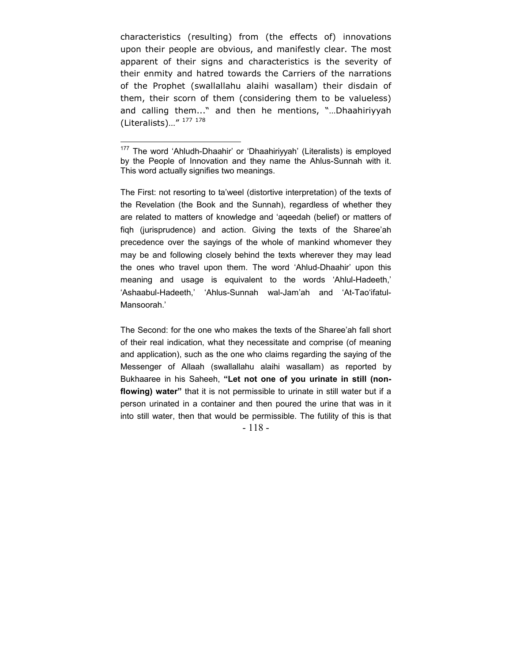characteristics (resulting) from (the effects of) innovations upon their people are obvious, and manifestly clear. The most apparent of their signs and characteristics is the severity of their enmity and hatred towards the Carriers of the narrations of the Prophet (swallallahu alaihi wasallam) their disdain of them, their scorn of them (considering them to be valueless) and calling them..." and then he mentions, "…Dhaahiriyyah (Literalists)…" 177 <sup>178</sup>

 $\overline{a}$ 

The First: not resorting to ta'weel (distortive interpretation) of the texts of the Revelation (the Book and the Sunnah), regardless of whether they are related to matters of knowledge and 'aqeedah (belief) or matters of fiqh (jurisprudence) and action. Giving the texts of the Sharee'ah precedence over the sayings of the whole of mankind whomever they may be and following closely behind the texts wherever they may lead the ones who travel upon them. The word 'Ahlud-Dhaahir' upon this meaning and usage is equivalent to the words 'Ahlul-Hadeeth,' 'Ashaabul-Hadeeth,' 'Ahlus-Sunnah wal-Jam'ah and 'At-Tao'ifatul-Mansoorah.'

- 118 - The Second: for the one who makes the texts of the Sharee'ah fall short of their real indication, what they necessitate and comprise (of meaning and application), such as the one who claims regarding the saying of the Messenger of Allaah (swallallahu alaihi wasallam) as reported by Bukhaaree in his Saheeh, **"Let not one of you urinate in still (nonflowing) water"** that it is not permissible to urinate in still water but if a person urinated in a container and then poured the urine that was in it into still water, then that would be permissible. The futility of this is that

<sup>&</sup>lt;sup>177</sup> The word 'Ahludh-Dhaahir' or 'Dhaahiriyyah' (Literalists) is employed by the People of Innovation and they name the Ahlus-Sunnah with it. This word actually signifies two meanings.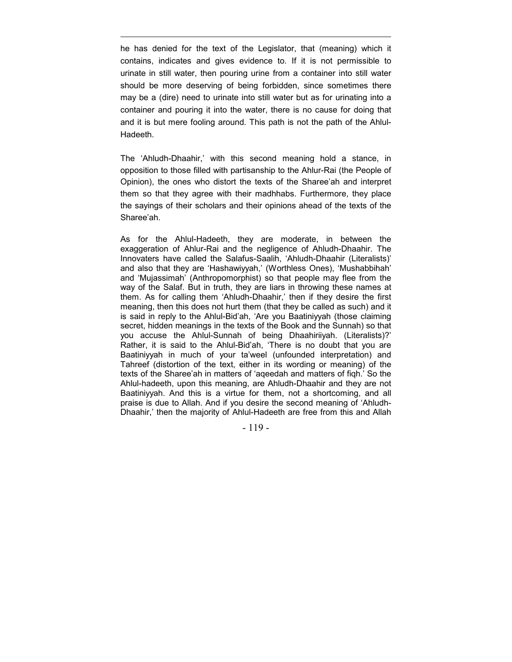he has denied for the text of the Legislator, that (meaning) which it contains, indicates and gives evidence to. If it is not permissible to urinate in still water, then pouring urine from a container into still water should be more deserving of being forbidden, since sometimes there may be a (dire) need to urinate into still water but as for urinating into a container and pouring it into the water, there is no cause for doing that and it is but mere fooling around. This path is not the path of the Ahlul-Hadeeth.

 $\overline{a}$ 

The 'Ahludh-Dhaahir,' with this second meaning hold a stance, in opposition to those filled with partisanship to the Ahlur-Rai (the People of Opinion), the ones who distort the texts of the Sharee'ah and interpret them so that they agree with their madhhabs. Furthermore, they place the sayings of their scholars and their opinions ahead of the texts of the Sharee'ah.

As for the Ahlul-Hadeeth, they are moderate, in between the exaggeration of Ahlur-Rai and the negligence of Ahludh-Dhaahir. The Innovaters have called the Salafus-Saalih, 'Ahludh-Dhaahir (Literalists)' and also that they are 'Hashawiyyah,' (Worthless Ones), 'Mushabbihah' and 'Mujassimah' (Anthropomorphist) so that people may flee from the way of the Salaf. But in truth, they are liars in throwing these names at them. As for calling them 'Ahludh-Dhaahir,' then if they desire the first meaning, then this does not hurt them (that they be called as such) and it is said in reply to the Ahlul-Bid'ah, 'Are you Baatiniyyah (those claiming secret, hidden meanings in the texts of the Book and the Sunnah) so that you accuse the Ahlul-Sunnah of being Dhaahiriiyah. (Literalists)?' Rather, it is said to the Ahlul-Bid'ah, 'There is no doubt that you are Baatiniyyah in much of your ta'weel (unfounded interpretation) and Tahreef (distortion of the text, either in its wording or meaning) of the texts of the Sharee'ah in matters of 'aqeedah and matters of fiqh.' So the Ahlul-hadeeth, upon this meaning, are Ahludh-Dhaahir and they are not Baatiniyyah. And this is a virtue for them, not a shortcoming, and all praise is due to Allah. And if you desire the second meaning of 'Ahludh-Dhaahir,' then the majority of Ahlul-Hadeeth are free from this and Allah

- 119 -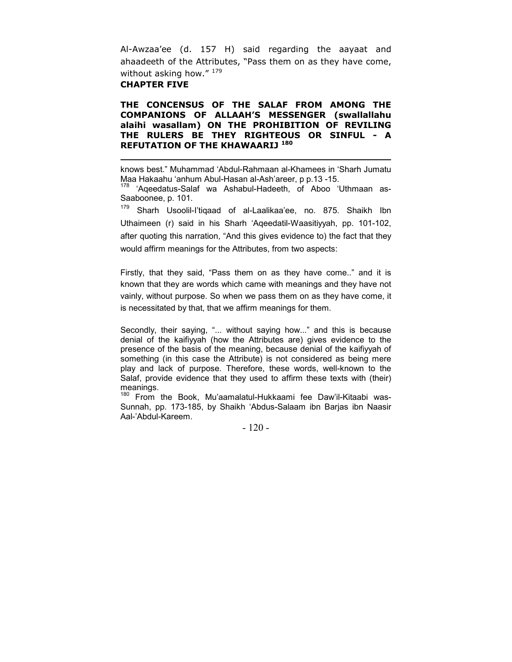Al-Awzaa'ee (d. 157 H) said regarding the aayaat and ahaadeeth of the Attributes, "Pass them on as they have come, without asking how."  $179$ 

### **CHAPTER FIVE**

 $\overline{a}$ 

### **THE CONCENSUS OF THE SALAF FROM AMONG THE COMPANIONS OF ALLAAH'S MESSENGER (swallallahu alaihi wasallam) ON THE PROHIBITION OF REVILING THE RULERS BE THEY RIGHTEOUS OR SINFUL - A REFUTATION OF THE KHAWAARIJ 180**

knows best." Muhammad 'Abdul-Rahmaan al-Khamees in 'Sharh Jumatu Maa Hakaahu 'anhum Abul-Hasan al-Ash'areer, p p.13 -15.

<sup>178</sup> 'Aqeedatus-Salaf wa Ashabul-Hadeeth, of Aboo 'Uthmaan as-Saaboonee, p. 101.

<sup>179</sup> Sharh Usoolil-l'tiqaad of al-Laalikaa'ee, no. 875. Shaikh Ibn Uthaimeen (r) said in his Sharh 'Aqeedatil-Waasitiyyah, pp. 101-102, after quoting this narration, "And this gives evidence to) the fact that they would affirm meanings for the Attributes, from two aspects:

Firstly, that they said, "Pass them on as they have come.." and it is known that they are words which came with meanings and they have not vainly, without purpose. So when we pass them on as they have come, it is necessitated by that, that we affirm meanings for them.

Secondly, their saying, "... without saying how..." and this is because denial of the kaifiyyah (how the Attributes are) gives evidence to the presence of the basis of the meaning, because denial of the kaifiyyah of something (in this case the Attribute) is not considered as being mere play and lack of purpose. Therefore, these words, well-known to the Salaf, provide evidence that they used to affirm these texts with (their) meanings.

<sup>180</sup> From the Book, Mu'aamalatul-Hukkaami fee Daw'il-Kitaabi was-Sunnah, pp. 173-185, by Shaikh 'Abdus-Salaam ibn Barjas ibn Naasir Aal-'Abdul-Kareem.

- 120 -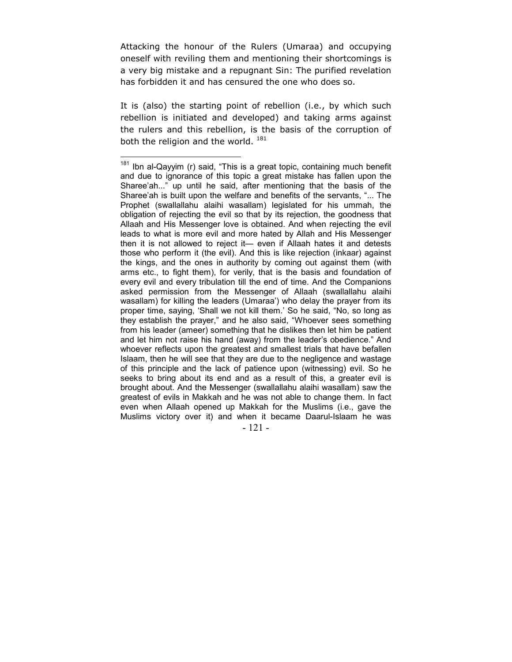Attacking the honour of the Rulers (Umaraa) and occupying oneself with reviling them and mentioning their shortcomings is a very big mistake and a repugnant Sin: The purified revelation has forbidden it and has censured the one who does so.

It is (also) the starting point of rebellion (i.e., by which such rebellion is initiated and developed) and taking arms against the rulers and this rebellion, is the basis of the corruption of both the religion and the world. <sup>181</sup>

 $\overline{a}$ 

<sup>- 121 -</sup>   $181$  Ibn al-Qayyim (r) said, "This is a great topic, containing much benefit and due to ignorance of this topic a great mistake has fallen upon the Sharee'ah..." up until he said, after mentioning that the basis of the Sharee'ah is built upon the welfare and benefits of the servants, "... The Prophet (swallallahu alaihi wasallam) legislated for his ummah, the obligation of rejecting the evil so that by its rejection, the goodness that Allaah and His Messenger love is obtained. And when rejecting the evil leads to what is more evil and more hated by Allah and His Messenger then it is not allowed to reject it— even if Allaah hates it and detests those who perform it (the evil). And this is like rejection (inkaar) against the kings, and the ones in authority by coming out against them (with arms etc., to fight them), for verily, that is the basis and foundation of every evil and every tribulation till the end of time. And the Companions asked permission from the Messenger of Allaah (swallallahu alaihi wasallam) for killing the leaders (Umaraa') who delay the prayer from its proper time, saying, 'Shall we not kill them.' So he said, "No, so long as they establish the prayer," and he also said, "Whoever sees something from his leader (ameer) something that he dislikes then let him be patient and let him not raise his hand (away) from the leader's obedience." And whoever reflects upon the greatest and smallest trials that have befallen Islaam, then he will see that they are due to the negligence and wastage of this principle and the lack of patience upon (witnessing) evil. So he seeks to bring about its end and as a result of this, a greater evil is brought about. And the Messenger (swallallahu alaihi wasallam) saw the greatest of evils in Makkah and he was not able to change them. In fact even when Allaah opened up Makkah for the Muslims (i.e., gave the Muslims victory over it) and when it became Daarul-Islaam he was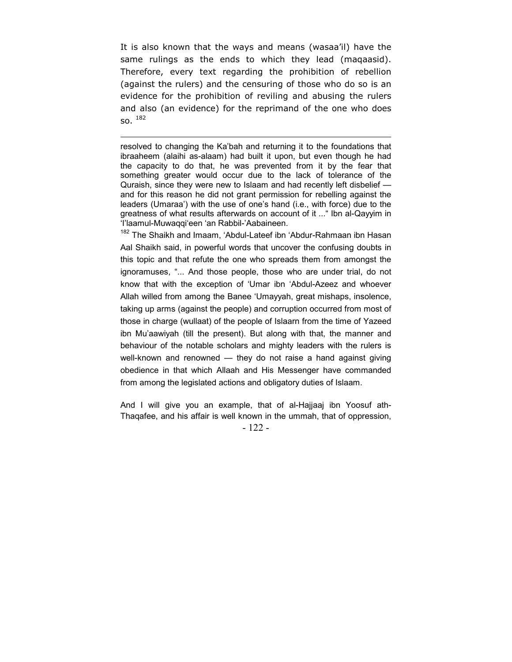It is also known that the ways and means (wasaa'il) have the same rulings as the ends to which they lead (maqaasid). Therefore, every text regarding the prohibition of rebellion (against the rulers) and the censuring of those who do so is an evidence for the prohibition of reviling and abusing the rulers and also (an evidence) for the reprimand of the one who does so. 182

resolved to changing the Ka'bah and returning it to the foundations that ibraaheem (alaihi as-alaam) had built it upon, but even though he had the capacity to do that, he was prevented from it by the fear that something greater would occur due to the lack of tolerance of the Quraish, since they were new to Islaam and had recently left disbelief and for this reason he did not grant permission for rebelling against the leaders (Umaraa') with the use of one's hand (i.e., with force) due to the greatness of what results afterwards on account of it ..." Ibn al-Qayyim in 'I'laamul-Muwaqqi'een 'an Rabbil-'Aabaineen.

 $\overline{a}$ 

<sup>182</sup> The Shaikh and Imaam, 'Abdul-Lateef ibn 'Abdur-Rahmaan ibn Hasan Aal Shaikh said, in powerful words that uncover the confusing doubts in this topic and that refute the one who spreads them from amongst the ignoramuses, "... And those people, those who are under trial, do not know that with the exception of 'Umar ibn 'Abdul-Azeez and whoever Allah willed from among the Banee 'Umayyah, great mishaps, insolence, taking up arms (against the people) and corruption occurred from most of those in charge (wullaat) of the people of Islaarn from the time of Yazeed ibn Mu'aawiyah (till the present). But along with that, the manner and behaviour of the notable scholars and mighty leaders with the rulers is well-known and renowned — they do not raise a hand against giving obedience in that which Allaah and His Messenger have commanded from among the legislated actions and obligatory duties of Islaam.

- 122 - And I will give you an example, that of al-Hajjaaj ibn Yoosuf ath-Thaqafee, and his affair is well known in the ummah, that of oppression,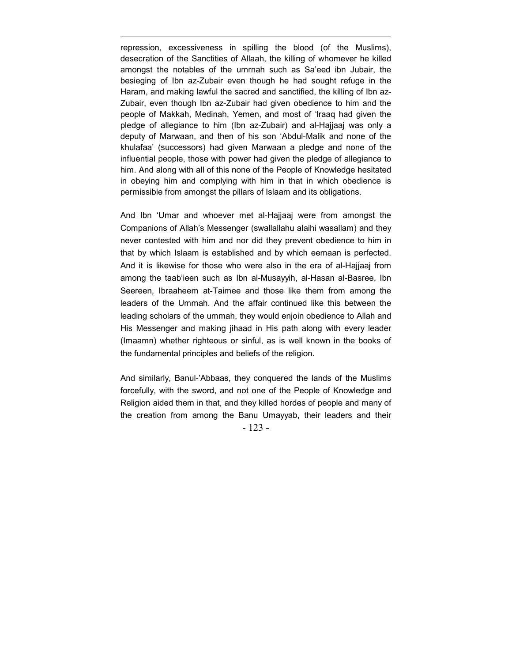repression, excessiveness in spilling the blood (of the Muslims), desecration of the Sanctities of Allaah, the killing of whomever he killed amongst the notables of the umrnah such as Sa'eed ibn Jubair, the besieging of Ibn az-Zubair even though he had sought refuge in the Haram, and making lawful the sacred and sanctified, the killing of Ibn az-Zubair, even though Ibn az-Zubair had given obedience to him and the people of Makkah, Medinah, Yemen, and most of 'lraaq had given the pledge of allegiance to him (Ibn az-Zubair) and al-Hajjaaj was only a deputy of Marwaan, and then of his son 'Abdul-Malik and none of the khulafaa' (successors) had given Marwaan a pledge and none of the influential people, those with power had given the pledge of allegiance to him. And along with all of this none of the People of Knowledge hesitated in obeying him and complying with him in that in which obedience is permissible from amongst the pillars of Islaam and its obligations.

 $\overline{a}$ 

And Ibn 'Umar and whoever met al-Hajjaaj were from amongst the Companions of Allah's Messenger (swallallahu alaihi wasallam) and they never contested with him and nor did they prevent obedience to him in that by which Islaam is established and by which eemaan is perfected. And it is likewise for those who were also in the era of al-Hajjaaj from among the taab'ieen such as Ibn al-Musayyih, al-Hasan al-Basree, Ibn Seereen, Ibraaheem at-Taimee and those like them from among the leaders of the Ummah. And the affair continued like this between the leading scholars of the ummah, they would enjoin obedience to Allah and His Messenger and making jihaad in His path along with every leader (Imaamn) whether righteous or sinful, as is well known in the books of the fundamental principles and beliefs of the religion.

- 123 - And similarly, Banul-'Abbaas, they conquered the lands of the Muslims forcefully, with the sword, and not one of the People of Knowledge and Religion aided them in that, and they killed hordes of people and many of the creation from among the Banu Umayyab, their leaders and their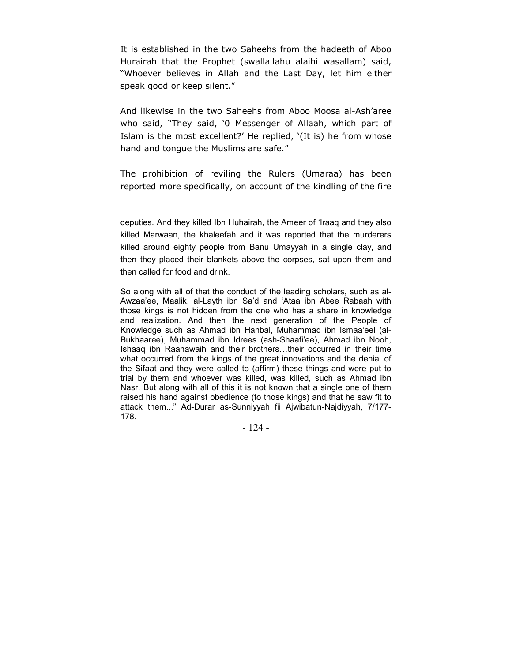It is established in the two Saheehs from the hadeeth of Aboo Hurairah that the Prophet (swallallahu alaihi wasallam) said, "Whoever believes in Allah and the Last Day, let him either speak good or keep silent."

And likewise in the two Saheehs from Aboo Moosa al-Ash'aree who said, "They said, '0 Messenger of Allaah, which part of Islam is the most excellent?' He replied, '(It is) he from whose hand and tongue the Muslims are safe."

The prohibition of reviling the Rulers (Umaraa) has been reported more specifically, on account of the kindling of the fire

 $\overline{a}$ 

deputies. And they killed Ibn Huhairah, the Ameer of 'Iraaq and they also killed Marwaan, the khaleefah and it was reported that the murderers killed around eighty people from Banu Umayyah in a single clay, and then they placed their blankets above the corpses, sat upon them and then called for food and drink.

So along with all of that the conduct of the leading scholars, such as al-Awzaa'ee, Maalik, al-Layth ibn Sa'd and 'Ataa ibn Abee Rabaah with those kings is not hidden from the one who has a share in knowledge and realization. And then the next generation of the People of Knowledge such as Ahmad ibn Hanbal, Muhammad ibn Ismaa'eel (al-Bukhaaree), Muhammad ibn Idrees (ash-Shaafi'ee), Ahmad ibn Nooh, Ishaaq ibn Raahawaih and their brothers…their occurred in their time what occurred from the kings of the great innovations and the denial of the Sifaat and they were called to (affirm) these things and were put to trial by them and whoever was killed, was killed, such as Ahmad ibn Nasr. But along with all of this it is not known that a single one of them raised his hand against obedience (to those kings) and that he saw fit to attack them..." Ad-Durar as-Sunniyyah fii Ajwibatun-Najdiyyah, 7/177- 178.

- 124 -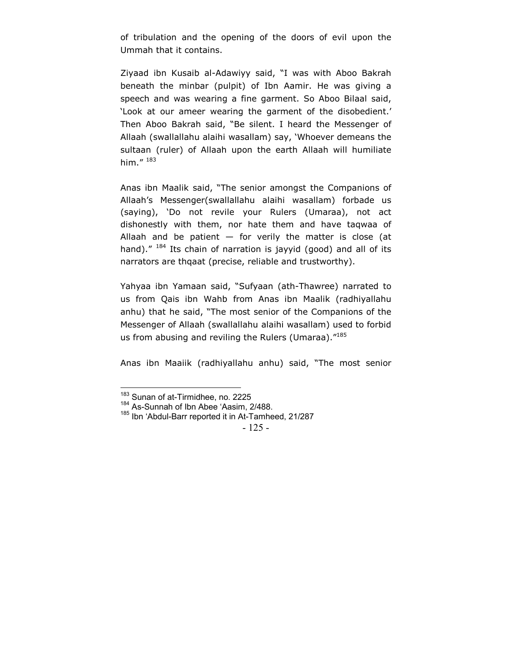of tribulation and the opening of the doors of evil upon the Ummah that it contains.

Ziyaad ibn Kusaib al-Adawiyy said, "I was with Aboo Bakrah beneath the minbar (pulpit) of Ibn Aamir. He was giving a speech and was wearing a fine garment. So Aboo Bilaal said, 'Look at our ameer wearing the garment of the disobedient.' Then Aboo Bakrah said, "Be silent. I heard the Messenger of Allaah (swallallahu alaihi wasallam) say, 'Whoever demeans the sultaan (ruler) of Allaah upon the earth Allaah will humiliate him." $183$ 

Anas ibn Maalik said, "The senior amongst the Companions of Allaah's Messenger(swallallahu alaihi wasallam) forbade us (saying), 'Do not revile your Rulers (Umaraa), not act dishonestly with them, nor hate them and have taqwaa of Allaah and be patient  $-$  for verily the matter is close (at hand)."  $184$  Its chain of narration is jayyid (good) and all of its narrators are thqaat (precise, reliable and trustworthy).

Yahyaa ibn Yamaan said, "Sufyaan (ath-Thawree) narrated to us from Qais ibn Wahb from Anas ibn Maalik (radhiyallahu anhu) that he said, "The most senior of the Companions of the Messenger of Allaah (swallallahu alaihi wasallam) used to forbid us from abusing and reviling the Rulers (Umaraa)."<sup>185</sup>

Anas ibn Maaiik (radhiyallahu anhu) said, "The most senior

 $\overline{a}$ <sup>183</sup> Sunan of at-Tirmidhee, no. 2225

<sup>184</sup> As-Sunnah of Ibn Abee 'Aasim, 2/488.

<sup>185</sup> Ibn 'Abdul-Barr reported it in At-Tamheed, 21/287

<sup>- 125 -</sup>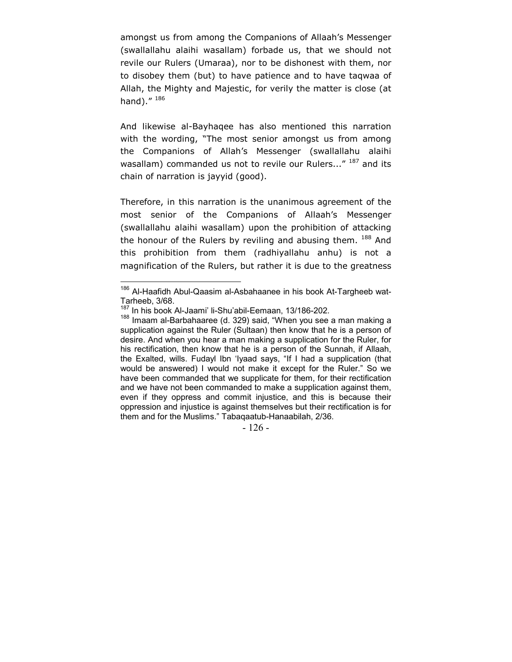amongst us from among the Companions of Allaah's Messenger (swallallahu alaihi wasallam) forbade us, that we should not revile our Rulers (Umaraa), nor to be dishonest with them, nor to disobey them (but) to have patience and to have taqwaa of Allah, the Mighty and Majestic, for verily the matter is close (at hand). $''$ <sup>186</sup>

And likewise al-Bayhaqee has also mentioned this narration with the wording, "The most senior amongst us from among the Companions of Allah's Messenger (swallallahu alaihi wasallam) commanded us not to revile our Rulers..."<sup>187</sup> and its chain of narration is jayyid (good).

Therefore, in this narration is the unanimous agreement of the most senior of the Companions of Allaah's Messenger (swallallahu alaihi wasallam) upon the prohibition of attacking the honour of the Rulers by reviling and abusing them.  $188$  And this prohibition from them (radhiyallahu anhu) is not a magnification of the Rulers, but rather it is due to the greatness

 $\overline{a}$ 

- 126 -

<sup>&</sup>lt;sup>186</sup> Al-Haafidh Abul-Qaasim al-Asbahaanee in his book At-Targheeb wat-Tarheeb, 3/68.

<sup>&</sup>lt;sup>187</sup> In his book Al-Jaami' li-Shu'abil-Eemaan, 13/186-202.

<sup>&</sup>lt;sup>188</sup> Imaam al-Barbahaaree (d. 329) said, "When you see a man making a supplication against the Ruler (Sultaan) then know that he is a person of desire. And when you hear a man making a supplication for the Ruler, for his rectification, then know that he is a person of the Sunnah, if Allaah, the Exalted, wills. Fudayl Ibn 'Iyaad says, "If I had a supplication (that would be answered) I would not make it except for the Ruler." So we have been commanded that we supplicate for them, for their rectification and we have not been commanded to make a supplication against them, even if they oppress and commit injustice, and this is because their oppression and injustice is against themselves but their rectification is for them and for the Muslims." Tabaqaatub-Hanaabilah, 2/36.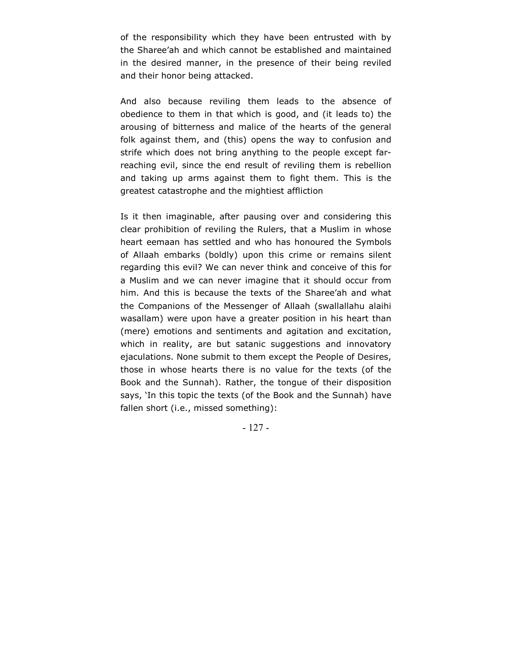of the responsibility which they have been entrusted with by the Sharee'ah and which cannot be established and maintained in the desired manner, in the presence of their being reviled and their honor being attacked.

And also because reviling them leads to the absence of obedience to them in that which is good, and (it leads to) the arousing of bitterness and malice of the hearts of the general folk against them, and (this) opens the way to confusion and strife which does not bring anything to the people except farreaching evil, since the end result of reviling them is rebellion and taking up arms against them to fight them. This is the greatest catastrophe and the mightiest affliction

Is it then imaginable, after pausing over and considering this clear prohibition of reviling the Rulers, that a Muslim in whose heart eemaan has settled and who has honoured the Symbols of Allaah embarks (boldly) upon this crime or remains silent regarding this evil? We can never think and conceive of this for a Muslim and we can never imagine that it should occur from him. And this is because the texts of the Sharee'ah and what the Companions of the Messenger of Allaah (swallallahu alaihi wasallam) were upon have a greater position in his heart than (mere) emotions and sentiments and agitation and excitation, which in reality, are but satanic suggestions and innovatory ejaculations. None submit to them except the People of Desires, those in whose hearts there is no value for the texts (of the Book and the Sunnah). Rather, the tongue of their disposition says, 'In this topic the texts (of the Book and the Sunnah) have fallen short (i.e., missed something):

- 127 -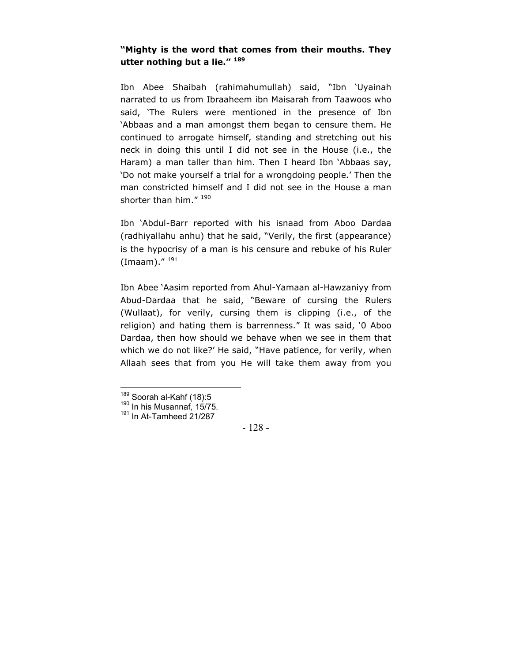# **"Mighty is the word that comes from their mouths. They utter nothing but a lie." 189**

Ibn Abee Shaibah (rahimahumullah) said, "Ibn 'Uyainah narrated to us from Ibraaheem ibn Maisarah from Taawoos who said, 'The Rulers were mentioned in the presence of Ibn 'Abbaas and a man amongst them began to censure them. He continued to arrogate himself, standing and stretching out his neck in doing this until I did not see in the House (i.e., the Haram) a man taller than him. Then I heard Ibn 'Abbaas say, 'Do not make yourself a trial for a wrongdoing people.' Then the man constricted himself and I did not see in the House a man shorter than him." 190

Ibn 'Abdul-Barr reported with his isnaad from Aboo Dardaa (radhiyallahu anhu) that he said, "Verily, the first (appearance) is the hypocrisy of a man is his censure and rebuke of his Ruler (Imaam)." 191

Ibn Abee 'Aasim reported from Ahul-Yamaan al-Hawzaniyy from Abud-Dardaa that he said, "Beware of cursing the Rulers (Wullaat), for verily, cursing them is clipping (i.e., of the religion) and hating them is barrenness." It was said, '0 Aboo Dardaa, then how should we behave when we see in them that which we do not like?' He said, "Have patience, for verily, when Allaah sees that from you He will take them away from you

 $\overline{a}$ 

- 128 -

 $^{189}$  Soorah al-Kahf (18):5<br> $^{190}$  In his Musannaf, 15/75.

<sup>191</sup> In At-Tamheed 21/287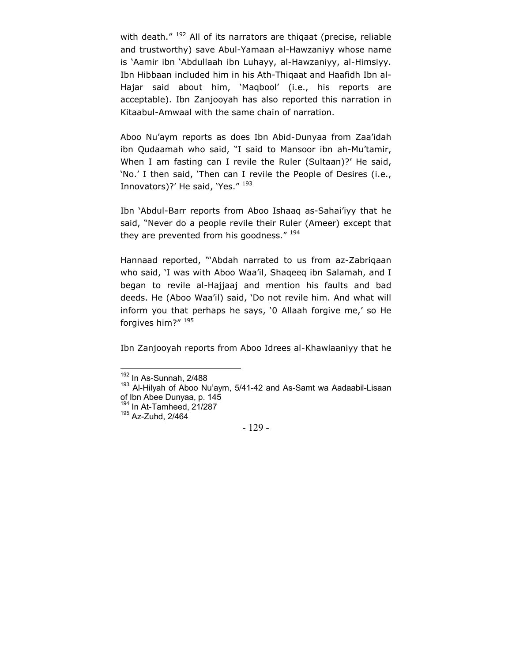with death."  $192$  All of its narrators are thigaat (precise, reliable and trustworthy) save Abul-Yamaan al-Hawzaniyy whose name is 'Aamir ibn 'Abdullaah ibn Luhayy, al-Hawzaniyy, al-Himsiyy. Ibn Hibbaan included him in his Ath-Thiqaat and Haafidh Ibn al-Hajar said about him, 'Maqbool' (i.e., his reports are acceptable). Ibn Zanjooyah has also reported this narration in Kitaabul-Amwaal with the same chain of narration.

Aboo Nu'aym reports as does Ibn Abid-Dunyaa from Zaa'idah ibn Qudaamah who said, "I said to Mansoor ibn ah-Mu'tamir, When I am fasting can I revile the Ruler (Sultaan)?' He said, 'No.' I then said, 'Then can I revile the People of Desires (i.e., Innovators)?' He said, 'Yes." 193

Ibn 'Abdul-Barr reports from Aboo Ishaaq as-Sahai'iyy that he said, "Never do a people revile their Ruler (Ameer) except that they are prevented from his goodness."  $194$ 

Hannaad reported, "'Abdah narrated to us from az-Zabriqaan who said, 'I was with Aboo Waa'il, Shaqeeq ibn Salamah, and I began to revile al-Hajjaaj and mention his faults and bad deeds. He (Aboo Waa'il) said, 'Do not revile him. And what will inform you that perhaps he says, '0 Allaah forgive me,' so He forgives him?" 195

Ibn Zanjooyah reports from Aboo Idrees al-Khawlaaniyy that he

 $\overline{a}$ 

<sup>&</sup>lt;sup>192</sup> In As-Sunnah, 2/488

<sup>193</sup> Al-Hilyah of Aboo Nu'aym, 5/41-42 and As-Samt wa Aadaabil-Lisaan of Ibn Abee Dunyaa, p. 145

 $194$  In At-Tamheed, 21/287

 $195$  Az-Zuhd, 2/464

<sup>- 129 -</sup>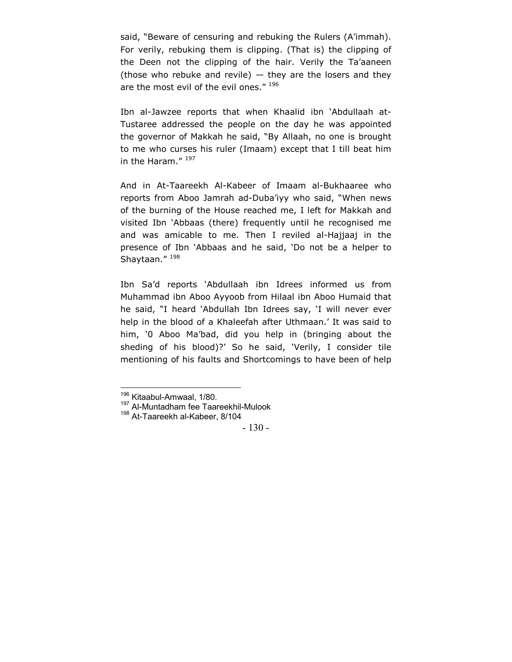said, "Beware of censuring and rebuking the Rulers (A'immah). For verily, rebuking them is clipping. (That is) the clipping of the Deen not the clipping of the hair. Verily the Ta'aaneen (those who rebuke and revile)  $-$  they are the losers and they are the most evil of the evil ones." 196

Ibn al-Jawzee reports that when Khaalid ibn 'Abdullaah at-Tustaree addressed the people on the day he was appointed the governor of Makkah he said, "By Allaah, no one is brought to me who curses his ruler (Imaam) except that I till beat him in the Haram."<sup>197</sup>

And in At-Taareekh Al-Kabeer of Imaam al-Bukhaaree who reports from Aboo Jamrah ad-Duba'iyy who said, "When news of the burning of the House reached me, I left for Makkah and visited Ibn 'Abbaas (there) frequently until he recognised me and was amicable to me. Then I reviled al-Hajjaaj in the presence of Ibn 'Abbaas and he said, 'Do not be a helper to Shaytaan." 198

Ibn Sa'd reports 'Abdullaah ibn Idrees informed us from Muhammad ibn Aboo Ayyoob from Hilaal ibn Aboo Humaid that he said, "I heard 'Abdullah Ibn Idrees say, 'I will never ever help in the blood of a Khaleefah after Uthmaan.' It was said to him, '0 Aboo Ma'bad, did you help in (bringing about the sheding of his blood)?' So he said, 'Verily, I consider tile mentioning of his faults and Shortcomings to have been of help

 $\overline{a}$ 

<sup>196</sup> Kitaabul-Amwaal, 1/80.

<sup>197</sup> Al-Muntadham fee Taareekhil-Mulook

<sup>198</sup> At-Taareekh al-Kabeer, 8/104

<sup>- 130 -</sup>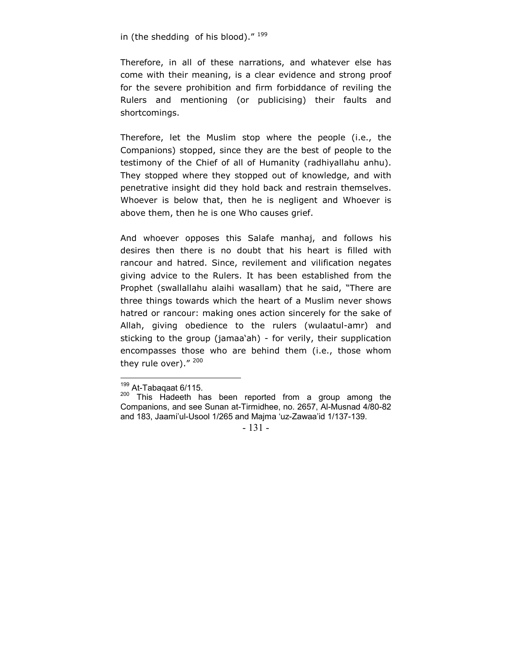in (the shedding of his blood)."<sup>199</sup>

Therefore, in all of these narrations, and whatever else has come with their meaning, is a clear evidence and strong proof for the severe prohibition and firm forbiddance of reviling the Rulers and mentioning (or publicising) their faults and shortcomings.

Therefore, let the Muslim stop where the people (i.e., the Companions) stopped, since they are the best of people to the testimony of the Chief of all of Humanity (radhiyallahu anhu). They stopped where they stopped out of knowledge, and with penetrative insight did they hold back and restrain themselves. Whoever is below that, then he is negligent and Whoever is above them, then he is one Who causes grief.

And whoever opposes this Salafe manhaj, and follows his desires then there is no doubt that his heart is filled with rancour and hatred. Since, revilement and vilification negates giving advice to the Rulers. It has been established from the Prophet (swallallahu alaihi wasallam) that he said, "There are three things towards which the heart of a Muslim never shows hatred or rancour: making ones action sincerely for the sake of Allah, giving obedience to the rulers (wulaatul-amr) and sticking to the group (jamaa'ah) - for verily, their supplication encompasses those who are behind them (i.e., those whom they rule over)." 200

### - 131 -

<sup>&</sup>lt;sup>199</sup> At-Tabaqaat 6/115.

 $1000$  This Hadeeth has been reported from a group among the Companions, and see Sunan at-Tirmidhee, no. 2657, Al-Musnad 4/80-82 and 183, Jaami'ul-Usool 1/265 and Majma 'uz-Zawaa'id 1/137-139.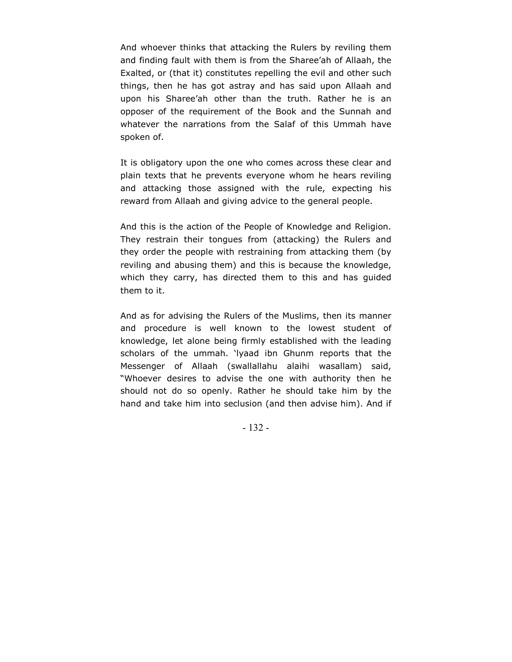And whoever thinks that attacking the Rulers by reviling them and finding fault with them is from the Sharee'ah of Allaah, the Exalted, or (that it) constitutes repelling the evil and other such things, then he has got astray and has said upon Allaah and upon his Sharee'ah other than the truth. Rather he is an opposer of the requirement of the Book and the Sunnah and whatever the narrations from the Salaf of this Ummah have spoken of.

It is obligatory upon the one who comes across these clear and plain texts that he prevents everyone whom he hears reviling and attacking those assigned with the rule, expecting his reward from Allaah and giving advice to the general people.

And this is the action of the People of Knowledge and Religion. They restrain their tongues from (attacking) the Rulers and they order the people with restraining from attacking them (by reviling and abusing them) and this is because the knowledge, which they carry, has directed them to this and has guided them to it.

And as for advising the Rulers of the Muslims, then its manner and procedure is well known to the lowest student of knowledge, let alone being firmly established with the leading scholars of the ummah. 'lyaad ibn Ghunm reports that the Messenger of Allaah (swallallahu alaihi wasallam) said, "Whoever desires to advise the one with authority then he should not do so openly. Rather he should take him by the hand and take him into seclusion (and then advise him). And if

- 132 -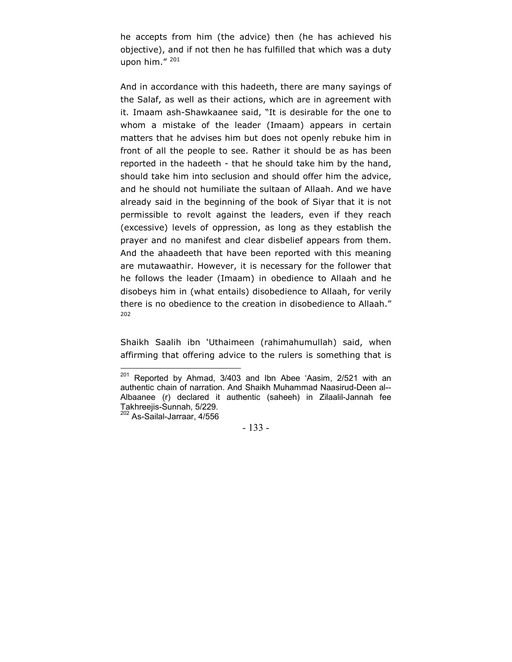he accepts from him (the advice) then (he has achieved his objective), and if not then he has fulfilled that which was a duty upon him." 201

And in accordance with this hadeeth, there are many sayings of the Salaf, as well as their actions, which are in agreement with it. Imaam ash-Shawkaanee said, "It is desirable for the one to whom a mistake of the leader (Imaam) appears in certain matters that he advises him but does not openly rebuke him in front of all the people to see. Rather it should be as has been reported in the hadeeth - that he should take him by the hand, should take him into seclusion and should offer him the advice, and he should not humiliate the sultaan of Allaah. And we have already said in the beginning of the book of Siyar that it is not permissible to revolt against the leaders, even if they reach (excessive) levels of oppression, as long as they establish the prayer and no manifest and clear disbelief appears from them. And the ahaadeeth that have been reported with this meaning are mutawaathir. However, it is necessary for the follower that he follows the leader (Imaam) in obedience to Allaah and he disobeys him in (what entails) disobedience to Allaah, for verily there is no obedience to the creation in disobedience to Allaah." 202

Shaikh Saalih ibn 'Uthaimeen (rahimahumullah) said, when affirming that offering advice to the rulers is something that is

 $\overline{a}$ 

## - 133 -

<sup>&</sup>lt;sup>201</sup> Reported by Ahmad, 3/403 and Ibn Abee 'Aasim, 2/521 with an authentic chain of narration. And Shaikh Muhammad Naasirud-Deen al-- Albaanee (r) declared it authentic (saheeh) in Zilaalil-Jannah fee Takhreejis-Sunnah, 5/229.

 $2^2$  As-Sailal-Jarraar, 4/556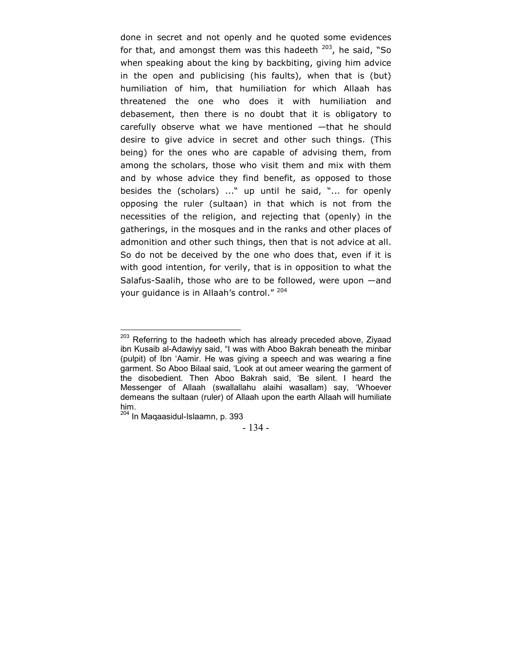done in secret and not openly and he quoted some evidences for that, and amongst them was this hadeeth  $203$ , he said, "So when speaking about the king by backbiting, giving him advice in the open and publicising (his faults), when that is (but) humiliation of him, that humiliation for which Allaah has threatened the one who does it with humiliation and debasement, then there is no doubt that it is obligatory to carefully observe what we have mentioned —that he should desire to give advice in secret and other such things. (This being) for the ones who are capable of advising them, from among the scholars, those who visit them and mix with them and by whose advice they find benefit, as opposed to those besides the (scholars) ..." up until he said, "... for openly opposing the ruler (sultaan) in that which is not from the necessities of the religion, and rejecting that (openly) in the gatherings, in the mosques and in the ranks and other places of admonition and other such things, then that is not advice at all. So do not be deceived by the one who does that, even if it is with good intention, for verily, that is in opposition to what the Salafus-Saalih, those who are to be followed, were upon —and your guidance is in Allaah's control."<sup>204</sup>

 $\overline{a}$ <sup>203</sup> Referring to the hadeeth which has already preceded above, Ziyaad ibn Kusaib al-Adawiyy said, "I was with Aboo Bakrah beneath the minbar (pulpit) of Ibn 'Aamir. He was giving a speech and was wearing a fine garment. So Aboo Bilaal said, 'Look at out ameer wearing the garment of the disobedient. Then Aboo Bakrah said, 'Be silent. I heard the Messenger of Allaah (swallallahu alaihi wasallam) say, 'Whoever demeans the sultaan (ruler) of Allaah upon the earth Allaah will humiliate him.

<sup>&</sup>lt;sup>204</sup> In Maqaasidul-Islaamn, p. 393

<sup>- 134 -</sup>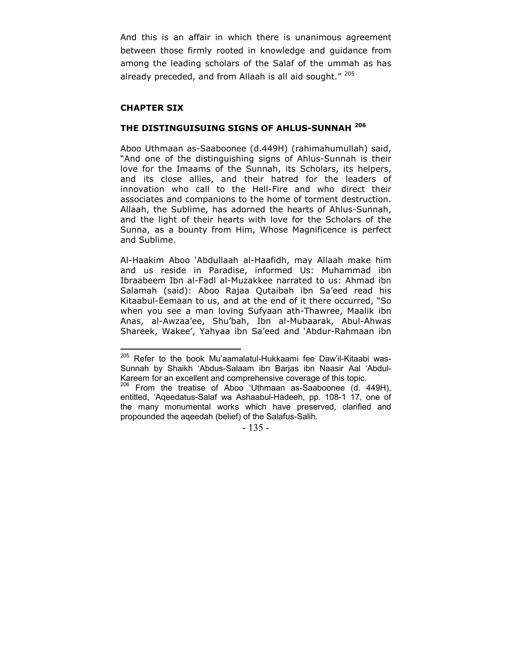And this is an affair in which there is unanimous agreement between those firmly rooted in knowledge and guidance from among the leading scholars of the Salaf of the ummah as has already preceded, and from Allaah is all aid sought."  $205$ 

### **CHAPTER SIX**

### **THE DISTINGUISUING SIGNS OF AHLUS-SUNNAH 206**

Aboo Uthmaan as-Saaboonee (d.449H) (rahimahumullah) said, "And one of the distinguishing signs of Ahlus-Sunnah is their love for the Imaams of the Sunnah, its Scholars, its helpers, and its close allies, and their hatred for the leaders of innovation who call to the Hell-Fire and who direct their associates and companions to the home of torment destruction. Allaah, the Sublime, has adorned the hearts of Ahlus-Sunnah, and the light of their hearts with love for the Scholars of the Sunna, as a bounty from Him, Whose Magnificence is perfect and Sublime.

Al-Haakim Aboo 'Abdullaah al-Haafidh, may Allaah make him and us reside in Paradise, informed Us: Muhammad ibn Ibraabeem Ibn al-Fadl al-Muzakkee narrated to us: Ahmad ibn Salamah (said): Aboo Rajaa Qutaibah ibn Sa'eed read his Kitaabul-Eemaan to us, and at the end of it there occurred, "So when you see a man loving Sufyaan ath-Thawree, Maalik ibn Anas, al-Awzaa'ee, Shu'bah, Ibn al-Mubaarak, Abul-Ahwas Shareek, Wakee', Yahyaa ibn Sa'eed and 'Abdur-Rahmaan ibn

- 135 -

 $\overline{a}$ <sup>205</sup> Refer to the book Mu'aamalatul-Hukkaami fee Daw'il-Kitaabi was-Sunnah by Shaikh 'Abdus-Salaam ibn Barjas ibn Naasir Aal 'Abdul-Kareem for an excellent and comprehensive coverage of this topic.

 $\overline{a}$  From the treatise of Aboo 'Uthmaan as-Saaboonee (d. 449H), entitled, 'Aqeedatus-Salaf wa Ashaabul-Hadeeh, pp. 108-1 17, one of the many monumental works which have preserved, clarified and propounded the aqeedah (belief) of the Salafus-Salih.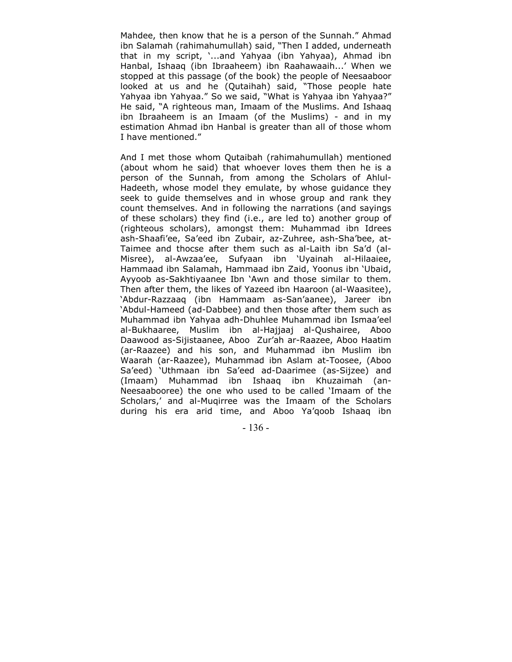Mahdee, then know that he is a person of the Sunnah." Ahmad ibn Salamah (rahimahumullah) said, "Then I added, underneath that in my script, '...and Yahyaa (ibn Yahyaa), Ahmad ibn Hanbal, Ishaaq (ibn Ibraaheem) ibn Raahawaaih...' When we stopped at this passage (of the book) the people of Neesaaboor looked at us and he (Qutaihah) said, "Those people hate Yahyaa ibn Yahyaa." So we said, "What is Yahyaa ibn Yahyaa?" He said, "A righteous man, Imaam of the Muslims. And Ishaaq ibn Ibraaheem is an Imaam (of the Muslims) - and in my estimation Ahmad ibn Hanbal is greater than all of those whom I have mentioned."

And I met those whom Qutaibah (rahimahumullah) mentioned (about whom he said) that whoever loves them then he is a person of the Sunnah, from among the Scholars of Ahlul-Hadeeth, whose model they emulate, by whose guidance they seek to guide themselves and in whose group and rank they count themselves. And in following the narrations (and sayings of these scholars) they find (i.e., are led to) another group of (righteous scholars), amongst them: Muhammad ibn Idrees ash-Shaafi'ee, Sa'eed ibn Zubair, az-Zuhree, ash-Sha'bee, at-Taimee and thocse after them such as al-Laith ibn Sa'd (al-Misree), al-Awzaa'ee, Sufyaan ibn 'Uyainah al-Hilaaiee, Hammaad ibn Salamah, Hammaad ibn Zaid, Yoonus ibn 'Ubaid, Ayyoob as-Sakhtiyaanee Ibn 'Awn and those similar to them. Then after them, the likes of Yazeed ibn Haaroon (al-Waasitee), 'Abdur-Razzaaq (ibn Hammaam as-San'aanee), Jareer ibn 'Abdul-Hameed (ad-Dabbee) and then those after them such as Muhammad ibn Yahyaa adh-Dhuhlee Muhammad ibn Ismaa'eel al-Bukhaaree, Muslim ibn al-Hajjaaj al-Qushairee, Aboo Daawood as-Sijistaanee, Aboo Zur'ah ar-Raazee, Aboo Haatim (ar-Raazee) and his son, and Muhammad ibn Muslim ibn Waarah (ar-Raazee), Muhammad ibn Aslam at-Toosee, (Aboo Sa'eed) 'Uthmaan ibn Sa'eed ad-Daarimee (as-Sijzee) and (Imaam) Muhammad ibn Ishaaq ibn Khuzaimah (an-Neesaabooree) the one who used to be called 'Imaam of the Scholars,' and al-Muqirree was the Imaam of the Scholars during his era arid time, and Aboo Ya'qoob Ishaaq ibn

- 136 -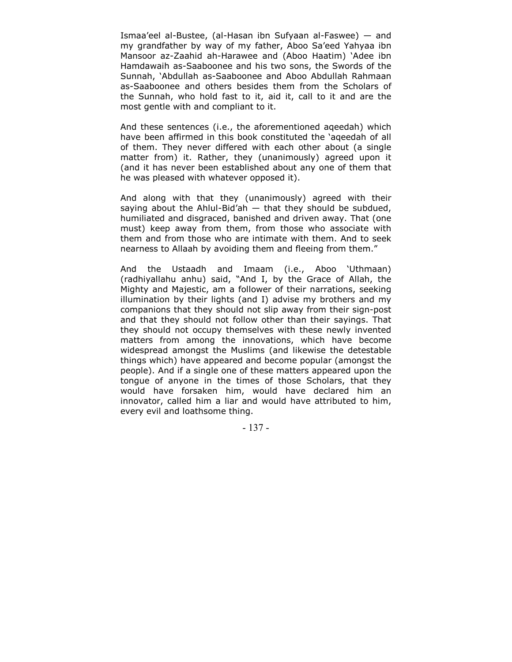Ismaa'eel al-Bustee, (al-Hasan ibn Sufyaan al-Faswee) — and my grandfather by way of my father, Aboo Sa'eed Yahyaa ibn Mansoor az-Zaahid ah-Harawee and (Aboo Haatim) 'Adee ibn Hamdawaih as-Saaboonee and his two sons, the Swords of the Sunnah, 'Abdullah as-Saaboonee and Aboo Abdullah Rahmaan as-Saaboonee and others besides them from the Scholars of the Sunnah, who hold fast to it, aid it, call to it and are the most gentle with and compliant to it.

And these sentences (i.e., the aforementioned aqeedah) which have been affirmed in this book constituted the 'aqeedah of all of them. They never differed with each other about (a single matter from) it. Rather, they (unanimously) agreed upon it (and it has never been established about any one of them that he was pleased with whatever opposed it).

And along with that they (unanimously) agreed with their saying about the Ahlul-Bid'ah  $-$  that they should be subdued, humiliated and disgraced, banished and driven away. That (one must) keep away from them, from those who associate with them and from those who are intimate with them. And to seek nearness to Allaah by avoiding them and fleeing from them."

And the Ustaadh and Imaam (i.e., Aboo 'Uthmaan) (radhiyallahu anhu) said, "And I, by the Grace of Allah, the Mighty and Majestic, am a follower of their narrations, seeking illumination by their lights (and I) advise my brothers and my companions that they should not slip away from their sign-post and that they should not follow other than their sayings. That they should not occupy themselves with these newly invented matters from among the innovations, which have become widespread amongst the Muslims (and likewise the detestable things which) have appeared and become popular (amongst the people). And if a single one of these matters appeared upon the tongue of anyone in the times of those Scholars, that they would have forsaken him, would have declared him an innovator, called him a liar and would have attributed to him, every evil and loathsome thing.

- 137 -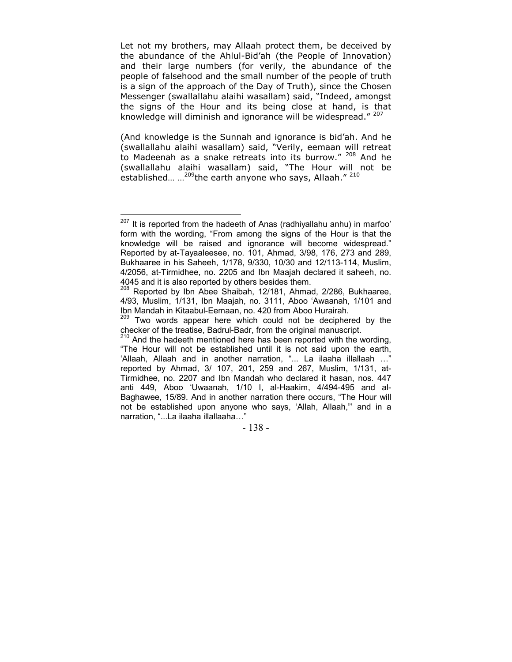Let not my brothers, may Allaah protect them, be deceived by the abundance of the Ahlul-Bid'ah (the People of Innovation) and their large numbers (for verily, the abundance of the people of falsehood and the small number of the people of truth is a sign of the approach of the Day of Truth), since the Chosen Messenger (swallallahu alaihi wasallam) said, "Indeed, amongst the signs of the Hour and its being close at hand, is that knowledge will diminish and ignorance will be widespread."<sup>207</sup>

(And knowledge is the Sunnah and ignorance is bid'ah. And he (swallallahu alaihi wasallam) said, "Verily, eemaan will retreat to Madeenah as a snake retreats into its burrow." <sup>208</sup> And he (swallallahu alaihi wasallam) said, "The Hour will not be established...  $\ldots^{209}$ the earth anyone who says, Allaah."  $^{210}$ 

 $\overline{a}$ 

- 138 -

 $207$  It is reported from the hadeeth of Anas (radhiyallahu anhu) in marfoo' form with the wording, "From among the signs of the Hour is that the knowledge will be raised and ignorance will become widespread." Reported by at-Tayaaleesee, no. 101, Ahmad, 3/98, 176, 273 and 289, Bukhaaree in his Saheeh, 1/178, 9/330, 10/30 and 12/113-114, Muslim, 4/2056, at-Tirmidhee, no. 2205 and Ibn Maajah declared it saheeh, no. 4045 and it is also reported by others besides them.

<sup>&</sup>lt;sup>208</sup> Reported by Ibn Abee Shaibah, 12/181, Ahmad, 2/286, Bukhaaree, 4/93, Muslim, 1/131, Ibn Maajah, no. 3111, Aboo 'Awaanah, 1/101 and Ibn Mandah in Kitaabul-Eemaan, no. 420 from Aboo Hurairah.

<sup>&</sup>lt;sup>209</sup> Two words appear here which could not be deciphered by the checker of the treatise, Badrul-Badr, from the original manuscript.

 $210$  And the hadeeth mentioned here has been reported with the wording, "The Hour will not be established until it is not said upon the earth, 'Allaah, Allaah and in another narration, "... La ilaaha illallaah …" reported by Ahmad, 3/ 107, 201, 259 and 267, Muslim, 1/131, at-Tirmidhee, no. 2207 and Ibn Mandah who declared it hasan, nos. 447 anti 449, Aboo 'Uwaanah, 1/10 I, al-Haakim, 4/494-495 and al-Baghawee, 15/89. And in another narration there occurs, "The Hour will not be established upon anyone who says, 'Allah, Allaah,"' and in a narration, "...La ilaaha illallaaha…"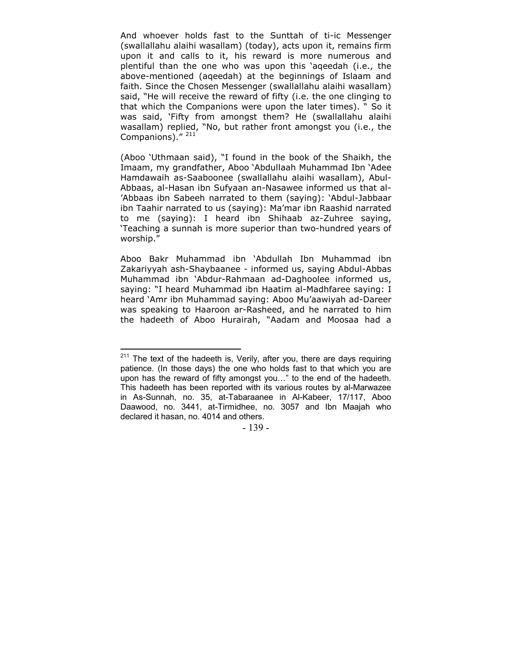And whoever holds fast to the Sunttah of ti-ic Messenger (swallallahu alaihi wasallam) (today), acts upon it, remains firm upon it and calls to it, his reward is more numerous and plentiful than the one who was upon this 'aqeedah (i.e., the above-mentioned (aqeedah) at the beginnings of Islaam and faith. Since the Chosen Messenger (swallallahu alaihi wasallam) said, "He will receive the reward of fifty (i.e. the one clinging to that which the Companions were upon the later times). " So it was said, 'Fifty from amongst them? He (swallallahu alaihi wasallam) replied, "No, but rather front amongst you (i.e., the Companions)."<sup>211</sup>

(Aboo 'Uthmaan said), "I found in the book of the Shaikh, the Imaam, my grandfather, Aboo 'Abdullaah Muhammad Ibn 'Adee Hamdawaih as-Saaboonee (swallallahu alaihi wasallam), Abul-Abbaas, al-Hasan ibn Sufyaan an-Nasawee informed us that al- 'Abbaas ibn Sabeeh narrated to them (saying): 'Abdul-Jabbaar ibn Taahir narrated to us (saying): Ma'mar ibn Raashid narrated to me (saying): I heard ibn Shihaab az-Zuhree saying, 'Teaching a sunnah is more superior than two-hundred years of worship."

Aboo Bakr Muhammad ibn 'Abdullah Ibn Muhammad ibn Zakariyyah ash-Shaybaanee - informed us, saying Abdul-Abbas Muhammad ibn 'Abdur-Rahmaan ad-Daghoolee informed us, saying: "I heard Muhammad ibn Haatim al-Madhfaree saying: I heard 'Amr ibn Muhammad saying: Aboo Mu'aawiyah ad-Dareer was speaking to Haaroon ar-Rasheed, and he narrated to him the hadeeth of Aboo Hurairah, "Aadam and Moosaa had a

 $\overline{a}$ 

# - 139 -

 $211$  The text of the hadeeth is, Verily, after you, there are days requiring patience. (In those days) the one who holds fast to that which you are upon has the reward of fifty amongst you…" to the end of the hadeeth. This hadeeth has been reported with its various routes by al-Marwazee in As-Sunnah, no. 35, at-Tabaraanee in Al-Kabeer, 17/117, Aboo Daawood, no. 3441, at-Tirmidhee, no. 3057 and Ibn Maajah who declared it hasan, no. 4014 and others.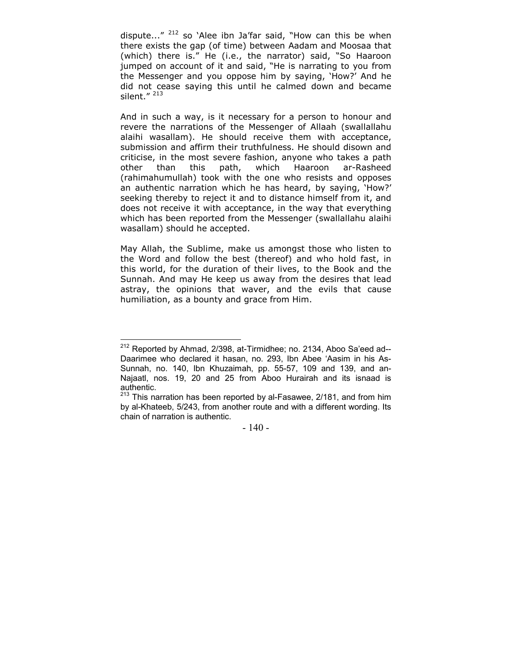dispute..."<sup>212</sup> so 'Alee ibn Ja'far said, "How can this be when there exists the gap (of time) between Aadam and Moosaa that (which) there is." He (i.e., the narrator) said, "So Haaroon jumped on account of it and said, "He is narrating to you from the Messenger and you oppose him by saying, 'How?' And he did not cease saying this until he calmed down and became silent."<sup>213</sup>

And in such a way, is it necessary for a person to honour and revere the narrations of the Messenger of Allaah (swallallahu alaihi wasallam). He should receive them with acceptance, submission and affirm their truthfulness. He should disown and criticise, in the most severe fashion, anyone who takes a path other than this path, which Haaroon ar-Rasheed (rahimahumullah) took with the one who resists and opposes an authentic narration which he has heard, by saying, 'How?' seeking thereby to reject it and to distance himself from it, and does not receive it with acceptance, in the way that everything which has been reported from the Messenger (swallallahu alaihi wasallam) should he accepted.

May Allah, the Sublime, make us amongst those who listen to the Word and follow the best (thereof) and who hold fast, in this world, for the duration of their lives, to the Book and the Sunnah. And may He keep us away from the desires that lead astray, the opinions that waver, and the evils that cause humiliation, as a bounty and grace from Him.

 $\overline{a}$ 

- 140 -

<sup>&</sup>lt;sup>212</sup> Reported by Ahmad, 2/398, at-Tirmidhee; no. 2134, Aboo Sa'eed ad--Daarimee who declared it hasan, no. 293, Ibn Abee 'Aasim in his As-Sunnah, no. 140, Ibn Khuzaimah, pp. 55-57, 109 and 139, and an-Najaatl, nos. 19, 20 and 25 from Aboo Hurairah and its isnaad is authentic.

 $213$  This narration has been reported by al-Fasawee, 2/181, and from him by al-Khateeb, 5/243, from another route and with a different wording. Its chain of narration is authentic.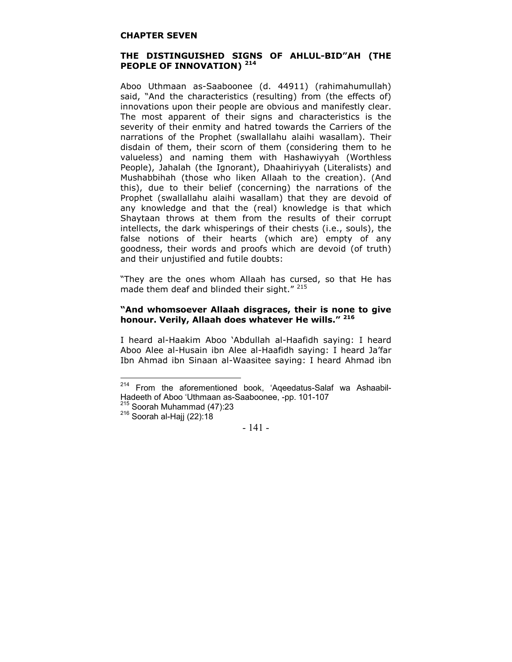#### **CHAPTER SEVEN**

### **THE DISTINGUISHED SIGNS OF AHLUL-BID"AH (THE PEOPLE OF INNOVATION) 214**

Aboo Uthmaan as-Saaboonee (d. 44911) (rahimahumullah) said, "And the characteristics (resulting) from (the effects of) innovations upon their people are obvious and manifestly clear. The most apparent of their signs and characteristics is the severity of their enmity and hatred towards the Carriers of the narrations of the Prophet (swallallahu alaihi wasallam). Their disdain of them, their scorn of them (considering them to he valueless) and naming them with Hashawiyyah (Worthless People), Jahalah (the Ignorant), Dhaahiriyyah (Literalists) and Mushabbihah (those who liken Allaah to the creation). (And this), due to their belief (concerning) the narrations of the Prophet (swallallahu alaihi wasallam) that they are devoid of any knowledge and that the (real) knowledge is that which Shaytaan throws at them from the results of their corrupt intellects, the dark whisperings of their chests (i.e., souls), the false notions of their hearts (which are) empty of any goodness, their words and proofs which are devoid (of truth) and their unjustified and futile doubts:

"They are the ones whom Allaah has cursed, so that He has made them deaf and blinded their sight." 215

### **"And whomsoever Allaah disgraces, their is none to give honour. Verily, Allaah does whatever He wills." 216**

I heard al-Haakim Aboo 'Abdullah al-Haafidh saying: I heard Aboo Alee al-Husain ibn Alee al-Haafidh saying: I heard Ja'far Ibn Ahmad ibn Sinaan al-Waasitee saying: I heard Ahmad ibn

 $\overline{a}$ 

## - 141 -

<sup>&</sup>lt;sup>214</sup> From the aforementioned book, 'Aqeedatus-Salaf wa Ashaabil-Hadeeth of Aboo 'Uthmaan as-Saaboonee, -pp. 101-107

 $\frac{215}{216}$  Soorah Muhammad (47):23<br> $\frac{216}{216}$  Soorah al-Hajj (22):18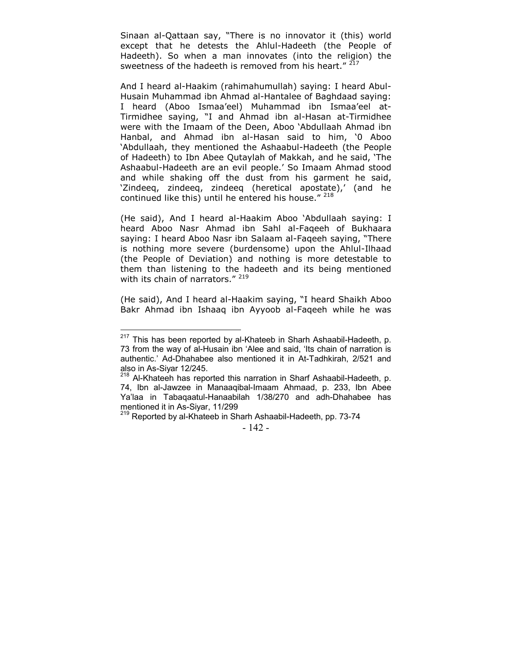Sinaan al-Qattaan say, "There is no innovator it (this) world except that he detests the Ahlul-Hadeeth (the People of Hadeeth). So when a man innovates (into the religion) the sweetness of the hadeeth is removed from his heart."  $^{217}$ 

And I heard al-Haakim (rahimahumullah) saying: I heard Abul-Husain Muhammad ibn Ahmad al-Hantalee of Baghdaad saying: I heard (Aboo Ismaa'eel) Muhammad ibn Ismaa'eel at-Tirmidhee saying, "I and Ahmad ibn al-Hasan at-Tirmidhee were with the Imaam of the Deen, Aboo 'Abdullaah Ahmad ibn Hanbal, and Ahmad ibn al-Hasan said to him, '0 Aboo 'Abdullaah, they mentioned the Ashaabul-Hadeeth (the People of Hadeeth) to Ibn Abee Qutaylah of Makkah, and he said, 'The Ashaabul-Hadeeth are an evil people.' So Imaam Ahmad stood and while shaking off the dust from his garment he said, 'Zindeeq, zindeeq, zindeeq (heretical apostate),' (and he continued like this) until he entered his house." <sup>218</sup>

(He said), And I heard al-Haakim Aboo 'Abdullaah saying: I heard Aboo Nasr Ahmad ibn Sahl al-Faqeeh of Bukhaara saying: I heard Aboo Nasr ibn Salaam al-Faqeeh saying, "There is nothing more severe (burdensome) upon the Ahlul-Ilhaad (the People of Deviation) and nothing is more detestable to them than listening to the hadeeth and its being mentioned with its chain of narrators."<sup>219</sup>

(He said), And I heard al-Haakim saying, "I heard Shaikh Aboo Bakr Ahmad ibn Ishaaq ibn Ayyoob al-Faqeeh while he was

 $\overline{a}$ 

 $217$  This has been reported by al-Khateeb in Sharh Ashaabil-Hadeeth, p. 73 from the way of al-Husain ibn 'Alee and said, 'Its chain of narration is authentic.' Ad-Dhahabee also mentioned it in At-Tadhkirah, 2/521 and also in As-Siyar 12/245.

<sup>&</sup>lt;sup>218</sup> Al-Khateeh has reported this narration in Sharf Ashaabil-Hadeeth, p. 74, Ibn al-Jawzee in Manaaqibal-Imaam Ahmaad, p. 233, Ibn Abee Ya'laa in Tabaqaatul-Hanaabilah 1/38/270 and adh-Dhahabee has mentioned it in As-Siyar, 11/299

<sup>- 142 -</sup>  <sup>219</sup> Reported by al-Khateeb in Sharh Ashaabil-Hadeeth, pp. 73-74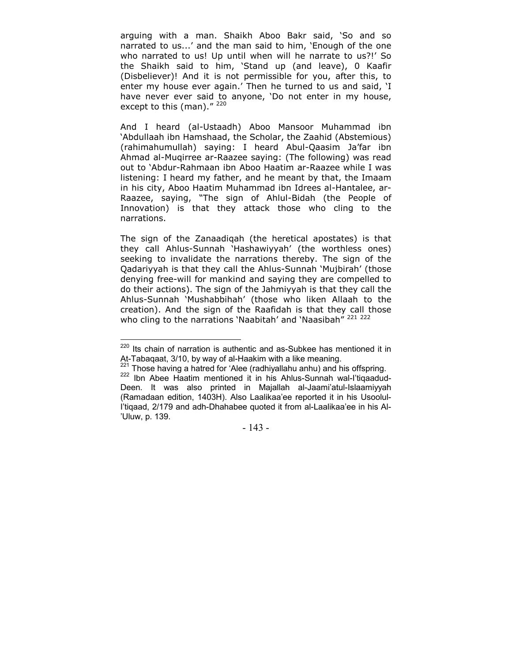arguing with a man. Shaikh Aboo Bakr said, 'So and so narrated to us...' and the man said to him, 'Enough of the one who narrated to us! Up until when will he narrate to us?!' So the Shaikh said to him, 'Stand up (and leave), 0 Kaafir (Disbeliever)! And it is not permissible for you, after this, to enter my house ever again.' Then he turned to us and said, 'I have never ever said to anyone, 'Do not enter in my house, except to this (man)."<sup>220</sup>

And I heard (al-Ustaadh) Aboo Mansoor Muhammad ibn 'Abdullaah ibn Hamshaad, the Scholar, the Zaahid (Abstemious) (rahimahumullah) saying: I heard Abul-Qaasim Ja'far ibn Ahmad al-Muqirree ar-Raazee saying: (The following) was read out to 'Abdur-Rahmaan ibn Aboo Haatim ar-Raazee while I was listening: I heard my father, and he meant by that, the Imaam in his city, Aboo Haatim Muhammad ibn Idrees al-Hantalee, ar-Raazee, saying, "The sign of Ahlul-Bidah (the People of Innovation) is that they attack those who cling to the narrations.

The sign of the Zanaadiqah (the heretical apostates) is that they call Ahlus-Sunnah 'Hashawiyyah' (the worthless ones) seeking to invalidate the narrations thereby. The sign of the Qadariyyah is that they call the Ahlus-Sunnah 'Mujbirah' (those denying free-will for mankind and saying they are compelled to do their actions). The sign of the Jahmiyyah is that they call the Ahlus-Sunnah 'Mushabbihah' (those who liken Allaah to the creation). And the sign of the Raafidah is that they call those who cling to the narrations 'Naabitah' and 'Naasibah" 221 222

 $\overline{a}$ 

- 143 -

 $220$  Its chain of narration is authentic and as-Subkee has mentioned it in At-Tabaqaat, 3/10, by way of al-Haakim with a like meaning.<br> $^{221}$  Those having a hatred for 'Alee (radhiyallahu anhu) and his offspring.

<sup>&</sup>lt;sup>222</sup> Ibn Abee Haatim mentioned it in his Ahlus-Sunnah wal-I'tiqaadud-Deen. It was also printed in Majallah al-Jaami'atul-Islaamiyyah (Ramadaan edition, 1403H). Also Laalikaa'ee reported it in his Usoolul-I'tiqaad, 2/179 and adh-Dhahabee quoted it from al-Laalikaa'ee in his Al- 'Uluw, p. 139.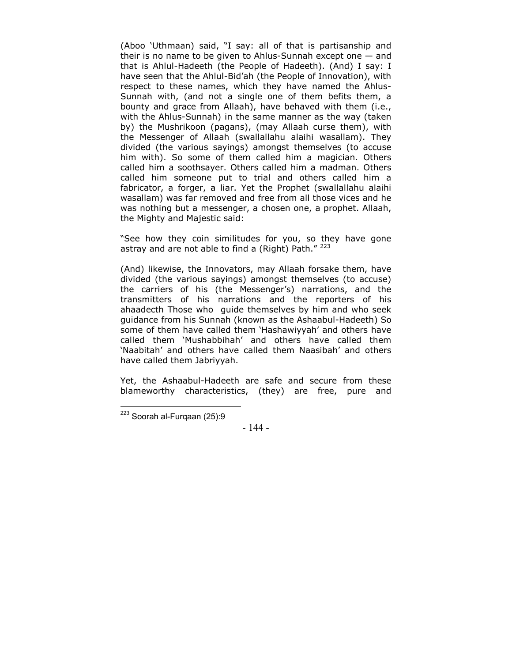(Aboo 'Uthmaan) said, "I say: all of that is partisanship and their is no name to be given to Ahlus-Sunnah except one  $-$  and that is Ahlul-Hadeeth (the People of Hadeeth). (And) I say: I have seen that the Ahlul-Bid'ah (the People of Innovation), with respect to these names, which they have named the Ahlus-Sunnah with, (and not a single one of them befits them, a bounty and grace from Allaah), have behaved with them (i.e., with the Ahlus-Sunnah) in the same manner as the way (taken by) the Mushrikoon (pagans), (may Allaah curse them), with the Messenger of Allaah (swallallahu alaihi wasallam). They divided (the various sayings) amongst themselves (to accuse him with). So some of them called him a magician. Others called him a soothsayer. Others called him a madman. Others called him someone put to trial and others called him a fabricator, a forger, a liar. Yet the Prophet (swallallahu alaihi wasallam) was far removed and free from all those vices and he was nothing but a messenger, a chosen one, a prophet. Allaah, the Mighty and Majestic said:

"See how they coin similitudes for you, so they have gone astray and are not able to find a (Right) Path."<sup>223</sup>

(And) likewise, the Innovators, may Allaah forsake them, have divided (the various sayings) amongst themselves (to accuse) the carriers of his (the Messenger's) narrations, and the transmitters of his narrations and the reporters of his ahaadecth Those who guide themselves by him and who seek guidance from his Sunnah (known as the Ashaabul-Hadeeth) So some of them have called them 'Hashawiyyah' and others have called them 'Mushabbihah' and others have called them 'Naabitah' and others have called them Naasibah' and others have called them Jabriyyah.

Yet, the Ashaabul-Hadeeth are safe and secure from these blameworthy characteristics, (they) are free, pure and

 $\overline{a}$ 

- 144 -

<sup>&</sup>lt;sup>223</sup> Soorah al-Furqaan (25):9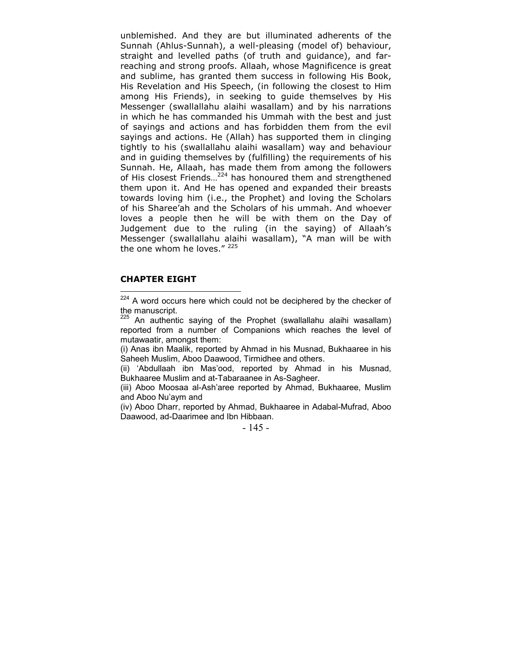unblemished. And they are but illuminated adherents of the Sunnah (Ahlus-Sunnah), a well-pleasing (model of) behaviour, straight and levelled paths (of truth and guidance), and farreaching and strong proofs. Allaah, whose Magnificence is great and sublime, has granted them success in following His Book, His Revelation and His Speech, (in following the closest to Him among His Friends), in seeking to guide themselves by His Messenger (swallallahu alaihi wasallam) and by his narrations in which he has commanded his Ummah with the best and just of sayings and actions and has forbidden them from the evil sayings and actions. He (Allah) has supported them in clinging tightly to his (swallallahu alaihi wasallam) way and behaviour and in guiding themselves by (fulfilling) the requirements of his Sunnah. He, Allaah, has made them from among the followers of His closest Friends…224 has honoured them and strengthened them upon it. And He has opened and expanded their breasts towards loving him (i.e., the Prophet) and loving the Scholars of his Sharee'ah and the Scholars of his ummah. And whoever loves a people then he will be with them on the Day of Judgement due to the ruling (in the saying) of Allaah's Messenger (swallallahu alaihi wasallam), "A man will be with the one whom he loves." $225$ 

#### **CHAPTER EIGHT**

 $\overline{a}$ 

(ii) 'Abdullaah ibn Mas'ood, reported by Ahmad in his Musnad, Bukhaaree Muslim and at-Tabaraanee in As-Sagheer.

(iii) Aboo Moosaa al-Ash'aree reported by Ahmad, Bukhaaree, Muslim and Aboo Nu'aym and

(iv) Aboo Dharr, reported by Ahmad, Bukhaaree in Adabal-Mufrad, Aboo Daawood, ad-Daarimee and Ibn Hibbaan.

- 145 -

 $224$  A word occurs here which could not be deciphered by the checker of the manuscript.

 $225$  An authentic saying of the Prophet (swallallahu alaihi wasallam) reported from a number of Companions which reaches the level of mutawaatir, amongst them:

<sup>(</sup>i) Anas ibn Maalik, reported by Ahmad in his Musnad, Bukhaaree in his Saheeh Muslim, Aboo Daawood, Tirmidhee and others.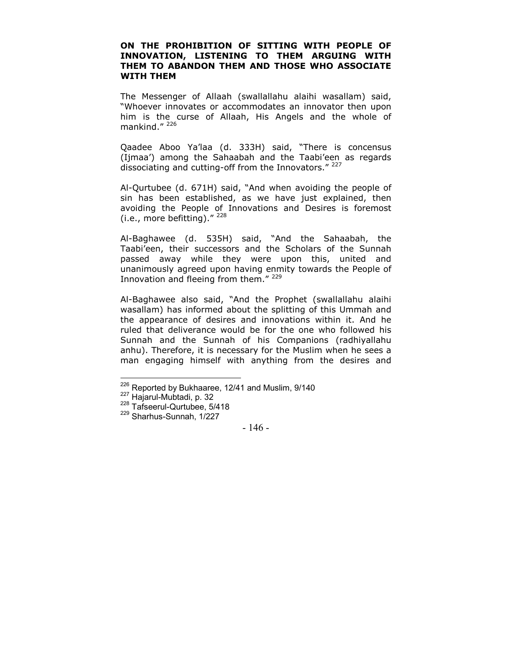#### **ON THE PROHIBITION OF SITTING WITH PEOPLE OF INNOVATION, LISTENING TO THEM ARGUING WITH THEM TO ABANDON THEM AND THOSE WHO ASSOCIATE WITH THEM**

The Messenger of Allaah (swallallahu alaihi wasallam) said, "Whoever innovates or accommodates an innovator then upon him is the curse of Allaah, His Angels and the whole of mankind." 226

Qaadee Aboo Ya'laa (d. 333H) said, "There is concensus (Ijmaa') among the Sahaabah and the Taabi'een as regards dissociating and cutting-off from the Innovators."<sup>227</sup>

Al-Qurtubee (d. 671H) said, "And when avoiding the people of sin has been established, as we have just explained, then avoiding the People of Innovations and Desires is foremost (i.e., more befitting)." 228

Al-Baghawee (d. 535H) said, "And the Sahaabah, the Taabi'een, their successors and the Scholars of the Sunnah passed away while they were upon this, united and unanimously agreed upon having enmity towards the People of Innovation and fleeing from them." <sup>229</sup>

Al-Baghawee also said, "And the Prophet (swallallahu alaihi wasallam) has informed about the splitting of this Ummah and the appearance of desires and innovations within it. And he ruled that deliverance would be for the one who followed his Sunnah and the Sunnah of his Companions (radhiyallahu anhu). Therefore, it is necessary for the Muslim when he sees a man engaging himself with anything from the desires and

 $\overline{a}$ 

<sup>&</sup>lt;sup>226</sup> Reported by Bukhaaree, 12/41 and Muslim, 9/140<br><sup>227</sup> Hajarul-Mubtadi, p. 32<br><sub>228</sub> Tafseerul-Qurtubee, 5/418

<sup>228</sup> Tafseerul-Qurtubee, 5/418<br><sup>229</sup> Sharhus-Sunnah, 1/227

<sup>- 146 -</sup>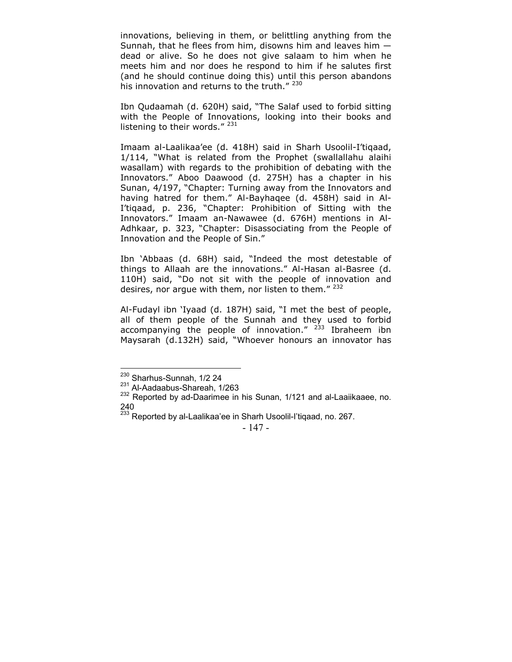innovations, believing in them, or belittling anything from the Sunnah, that he flees from him, disowns him and leaves him  $$ dead or alive. So he does not give salaam to him when he meets him and nor does he respond to him if he salutes first (and he should continue doing this) until this person abandons his innovation and returns to the truth."<sup>230</sup>

Ibn Qudaamah (d. 620H) said, "The Salaf used to forbid sitting with the People of Innovations, looking into their books and listening to their words."  $231$ 

Imaam al-Laalikaa'ee (d. 418H) said in Sharh Usoolil-I'tiqaad, 1/114, "What is related from the Prophet (swallallahu alaihi wasallam) with regards to the prohibition of debating with the Innovators." Aboo Daawood (d. 275H) has a chapter in his Sunan, 4/197, "Chapter: Turning away from the Innovators and having hatred for them." Al-Bayhaqee (d. 458H) said in Al-I'tiqaad, p. 236, "Chapter: Prohibition of Sitting with the Innovators." Imaam an-Nawawee (d. 676H) mentions in Al-Adhkaar, p. 323, "Chapter: Disassociating from the People of Innovation and the People of Sin."

Ibn 'Abbaas (d. 68H) said, "Indeed the most detestable of things to Allaah are the innovations." Al-Hasan al-Basree (d. 110H) said, "Do not sit with the people of innovation and desires, nor argue with them, nor listen to them." 232

Al-Fudayl ibn 'Iyaad (d. 187H) said, "I met the best of people, all of them people of the Sunnah and they used to forbid accompanying the people of innovation."  $233$  Ibraheem ibn Maysarah (d.132H) said, "Whoever honours an innovator has

 $\overline{a}$ 

#### - 147 -

<sup>&</sup>lt;sup>230</sup> Sharhus-Sunnah, 1/2 24

<sup>231</sup> Al-Aadaabus-Shareah, 1/263

<sup>&</sup>lt;sup>232</sup> Reported by ad-Daarimee in his Sunan, 1/121 and al-Laaiikaaee, no. 240

<sup>&</sup>lt;sup>233</sup> Reported by al-Laalikaa'ee in Sharh Usoolil-l'tiqaad, no. 267.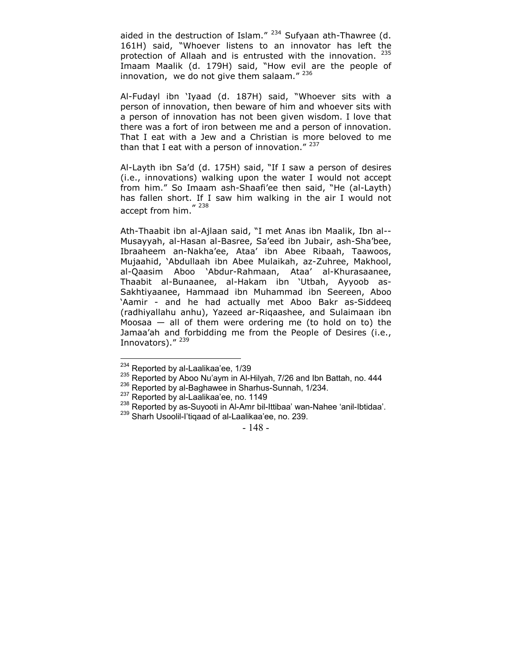aided in the destruction of Islam."  $^{234}$  Sufyaan ath-Thawree (d. 161H) said, "Whoever listens to an innovator has left the protection of Allaah and is entrusted with the innovation. 235 Imaam Maalik (d. 179H) said, "How evil are the people of innovation, we do not give them salaam."  $236$ 

Al-Fudayl ibn 'Iyaad (d. 187H) said, "Whoever sits with a person of innovation, then beware of him and whoever sits with a person of innovation has not been given wisdom. I love that there was a fort of iron between me and a person of innovation. That I eat with a Jew and a Christian is more beloved to me than that I eat with a person of innovation."  $237$ 

Al-Layth ibn Sa'd (d. 175H) said, "If I saw a person of desires (i.e., innovations) walking upon the water I would not accept from him." So Imaam ash-Shaafi'ee then said, "He (al-Layth) has fallen short. If I saw him walking in the air I would not accept from him."<sup>238</sup>

Ath-Thaabit ibn al-Ajlaan said, "I met Anas ibn Maalik, Ibn al-- Musayyah, al-Hasan al-Basree, Sa'eed ibn Jubair, ash-Sha'bee, Ibraaheem an-Nakha'ee, Ataa' ibn Abee Ribaah, Taawoos, Mujaahid, 'Abdullaah ibn Abee Mulaikah, az-Zuhree, Makhool, al-Qaasim Aboo 'Abdur-Rahmaan, Ataa' al-Khurasaanee, Thaabit al-Bunaanee, al-Hakam ibn 'Utbah, Ayyoob as-Sakhtiyaanee, Hammaad ibn Muhammad ibn Seereen, Aboo 'Aamir - and he had actually met Aboo Bakr as-Siddeeq (radhiyallahu anhu), Yazeed ar-Riqaashee, and Sulaimaan ibn Moosaa  $-$  all of them were ordering me (to hold on to) the Jamaa'ah and forbidding me from the People of Desires (i.e., Innovators)."<sup>239</sup>

<sup>&</sup>lt;sup>234</sup> Reported by al-Laalikaa'ee, 1/39

<sup>&</sup>lt;sup>235</sup> Reported by Aboo Nu'aym in Al-Hilyah, 7/26 and Ibn Battah, no. 444<br><sup>236</sup> Reported by al-Baghawee in Sharhus-Sunnah, 1/234.<br><sup>237</sup> Reported by al-Laalikaa'ee, no. 1149<br><sup>238</sup> Reported by as-Suyooti in Al-Amr bil-Ittiba

 $^{239}$  Sharh Usoolil-l'tiqaad of al-Laalikaa'ee, no. 239.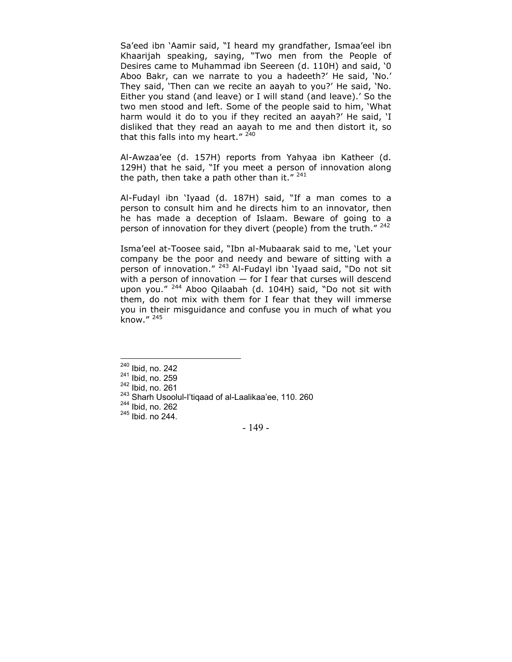Sa'eed ibn 'Aamir said, "I heard my grandfather, Ismaa'eel ibn Khaarijah speaking, saying, "Two men from the People of Desires came to Muhammad ibn Seereen (d. 110H) and said, '0 Aboo Bakr, can we narrate to you a hadeeth?' He said, 'No.' They said, 'Then can we recite an aayah to you?' He said, 'No. Either you stand (and leave) or I will stand (and leave).' So the two men stood and left. Some of the people said to him, 'What harm would it do to you if they recited an aayah?' He said, 'I disliked that they read an aayah to me and then distort it, so that this falls into my heart."  $240$ 

Al-Awzaa'ee (d. 157H) reports from Yahyaa ibn Katheer (d. 129H) that he said, "If you meet a person of innovation along the path, then take a path other than it."  $^{241}$ 

Al-Fudayl ibn 'Iyaad (d. 187H) said, "If a man comes to a person to consult him and he directs him to an innovator, then he has made a deception of Islaam. Beware of going to a person of innovation for they divert (people) from the truth."<sup>242</sup>

Isma'eel at-Toosee said, "Ibn al-Mubaarak said to me, 'Let your company be the poor and needy and beware of sitting with a person of innovation." 243 Al-Fudayl ibn 'Iyaad said, "Do not sit with a person of innovation  $-$  for I fear that curses will descend upon you." <sup>244</sup> Aboo Qilaabah (d. 104H) said, "Do not sit with them, do not mix with them for I fear that they will immerse you in their misguidance and confuse you in much of what you  $k$ now."  $245$ 

 $\overline{a}$ 

### - 149 -

<sup>&</sup>lt;sup>240</sup> Ibid, no. 242

<sup>241</sup> Ibid, no. 259

 $^{242}$  Ibid, no. 261

 $243$  Sharh Usoolul-l'tiqaad of al-Laalikaa'ee, 110. 260<br> $244$  Ibid, no. 262

<sup>245</sup> Ibid. no 244.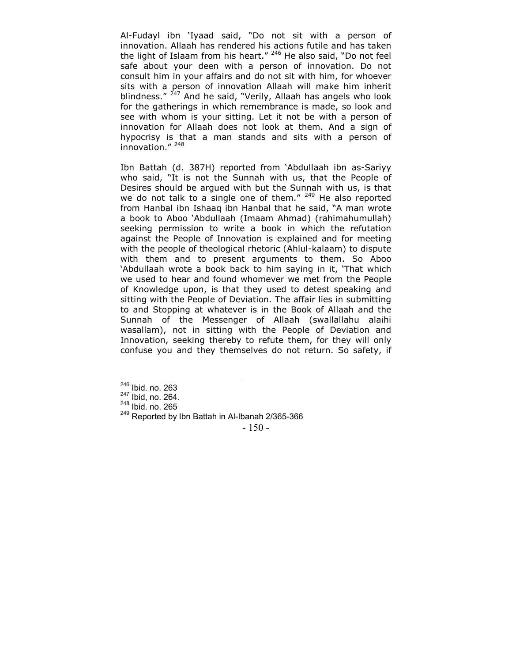Al-Fudayl ibn 'Iyaad said, "Do not sit with a person of innovation. Allaah has rendered his actions futile and has taken the light of Islaam from his heart."  $246$  He also said, "Do not feel safe about your deen with a person of innovation. Do not consult him in your affairs and do not sit with him, for whoever sits with a person of innovation Allaah will make him inherit blindness."<sup>247</sup> And he said, "Verily, Allaah has angels who look for the gatherings in which remembrance is made, so look and see with whom is your sitting. Let it not be with a person of innovation for Allaah does not look at them. And a sign of hypocrisy is that a man stands and sits with a person of innovation." 248

Ibn Battah (d. 387H) reported from 'Abdullaah ibn as-Sariyy who said, "It is not the Sunnah with us, that the People of Desires should be argued with but the Sunnah with us, is that we do not talk to a single one of them."  $249$  He also reported from Hanbal ibn Ishaaq ibn Hanbal that he said, "A man wrote a book to Aboo 'Abdullaah (Imaam Ahmad) (rahimahumullah) seeking permission to write a book in which the refutation against the People of Innovation is explained and for meeting with the people of theological rhetoric (Ahlul-kalaam) to dispute with them and to present arguments to them. So Aboo 'Abdullaah wrote a book back to him saying in it, 'That which we used to hear and found whomever we met from the People of Knowledge upon, is that they used to detest speaking and sitting with the People of Deviation. The affair lies in submitting to and Stopping at whatever is in the Book of Allaah and the Sunnah of the Messenger of Allaah (swallallahu alaihi wasallam), not in sitting with the People of Deviation and Innovation, seeking thereby to refute them, for they will only confuse you and they themselves do not return. So safety, if

 $\overline{a}$ 

- 150 -

<sup>&</sup>lt;sup>246</sup> Ibid. no. 263

<sup>247</sup> Ibid, no. 264.

<sup>248</sup> **Ibid.** no. 265

<sup>249</sup> Reported by Ibn Battah in Al-Ibanah 2/365-366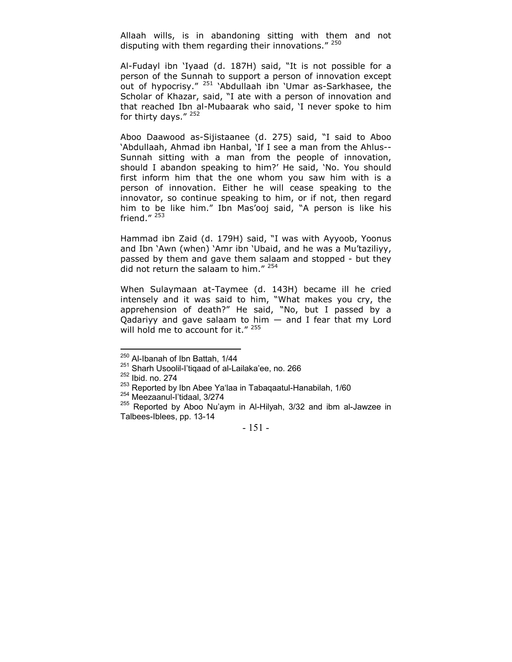Allaah wills, is in abandoning sitting with them and not disputing with them regarding their innovations." 250

Al-Fudayl ibn 'Iyaad (d. 187H) said, "It is not possible for a person of the Sunnah to support a person of innovation except out of hypocrisy." 251 'Abdullaah ibn 'Umar as-Sarkhasee, the Scholar of Khazar, said, "I ate with a person of innovation and that reached Ibn al-Mubaarak who said, 'I never spoke to him for thirty days." 252

Aboo Daawood as-Sijistaanee (d. 275) said, "I said to Aboo 'Abdullaah, Ahmad ibn Hanbal, 'If I see a man from the Ahlus-- Sunnah sitting with a man from the people of innovation, should I abandon speaking to him?' He said, 'No. You should first inform him that the one whom you saw him with is a person of innovation. Either he will cease speaking to the innovator, so continue speaking to him, or if not, then regard him to be like him." Ibn Mas'ooj said, "A person is like his friend. $''$ <sup>253</sup>

Hammad ibn Zaid (d. 179H) said, "I was with Ayyoob, Yoonus and Ibn 'Awn (when) 'Amr ibn 'Ubaid, and he was a Mu'taziliyy, passed by them and gave them salaam and stopped - but they did not return the salaam to him." 254

When Sulaymaan at-Taymee (d. 143H) became ill he cried intensely and it was said to him, "What makes you cry, the apprehension of death?" He said, "No, but I passed by a Qadariyy and gave salaam to him  $-$  and I fear that my Lord will hold me to account for it." 255

 $\overline{a}$ 

<sup>&</sup>lt;sup>250</sup> Al-Ibanah of Ibn Battah, 1/44

 $^{251}$  Sharh Usoolil-I'tiqaad of al-Lailaka'ee, no. 266<br> $^{252}$  Ibid. no. 274

 $253$  Reported by Ibn Abee Ya'laa in Tabaqaatul-Hanabilah, 1/60  $254$  Meezaanul-I'tidaal, 3/274

<sup>&</sup>lt;sup>255</sup> Reported by Aboo Nu'aym in Al-Hilyah, 3/32 and ibm al-Jawzee in Talbees-Iblees, pp. 13-14

<sup>- 151 -</sup>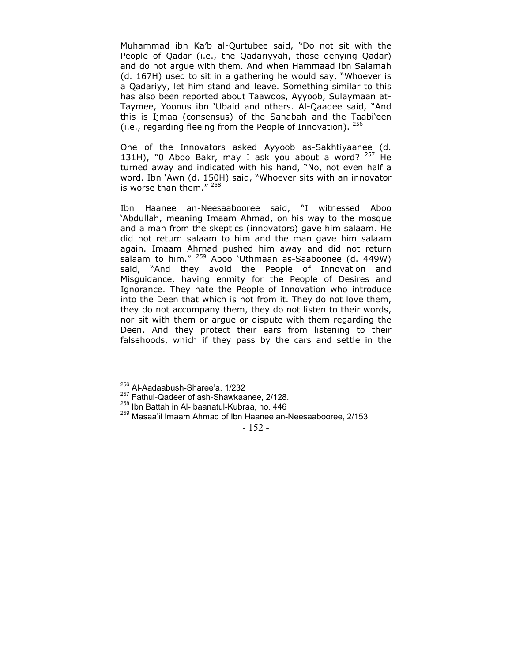Muhammad ibn Ka'b al-Qurtubee said, "Do not sit with the People of Qadar (i.e., the Qadariyyah, those denying Qadar) and do not argue with them. And when Hammaad ibn Salamah (d. 167H) used to sit in a gathering he would say, "Whoever is a Qadariyy, let him stand and leave. Something similar to this has also been reported about Taawoos, Ayyoob, Sulaymaan at-Taymee, Yoonus ibn 'Ubaid and others. Al-Qaadee said, "And this is Ijmaa (consensus) of the Sahabah and the Taabi'een (i.e., regarding fleeing from the People of Innovation).  $256$ 

One of the Innovators asked Ayyoob as-Sakhtiyaanee (d. 131H), "O Aboo Bakr, may I ask you about a word?  $257$  He turned away and indicated with his hand, "No, not even half a word. Ibn 'Awn (d. 150H) said, "Whoever sits with an innovator is worse than them." 258

Ibn Haanee an-Neesaabooree said, "I witnessed Aboo 'Abdullah, meaning Imaam Ahmad, on his way to the mosque and a man from the skeptics (innovators) gave him salaam. He did not return salaam to him and the man gave him salaam again. Imaam Ahrnad pushed him away and did not return salaam to him."  $259$  Aboo 'Uthmaan as-Saaboonee (d. 449W) said, "And they avoid the People of Innovation and Misguidance, having enmity for the People of Desires and Ignorance. They hate the People of Innovation who introduce into the Deen that which is not from it. They do not love them, they do not accompany them, they do not listen to their words, nor sit with them or argue or dispute with them regarding the Deen. And they protect their ears from listening to their falsehoods, which if they pass by the cars and settle in the

 $\overline{a}$ 

### - 152 -

<sup>&</sup>lt;sup>256</sup> Al-Aadaabush-Sharee'a, 1/232

<sup>&</sup>lt;sup>257</sup> Fathul-Qadeer of ash-Shawkaanee, 2/128.

<sup>&</sup>lt;sup>258</sup> Ibn Battah in Al-Ibaanatul-Kubraa, no. 446

<sup>&</sup>lt;sup>259</sup> Masaa'il Imaam Ahmad of Ibn Haanee an-Neesaabooree, 2/153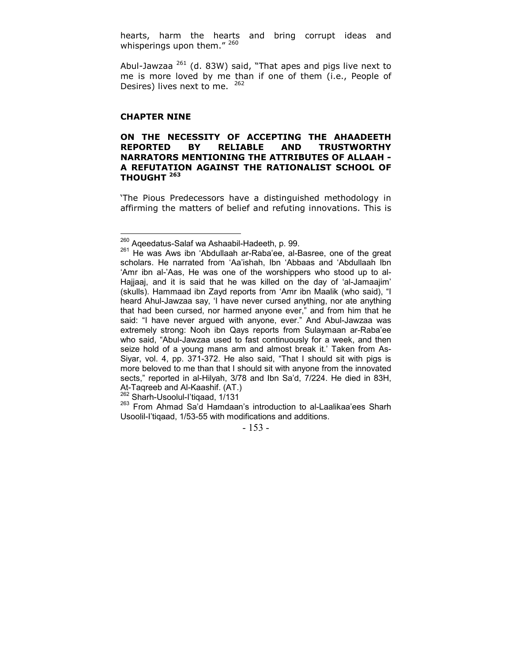hearts, harm the hearts and bring corrupt ideas and whisperings upon them."  $260$ 

Abul-Jawzaa<sup>261</sup> (d. 83W) said, "That apes and pigs live next to me is more loved by me than if one of them (i.e., People of Desires) lives next to me. <sup>262</sup>

#### **CHAPTER NINE**

#### **ON THE NECESSITY OF ACCEPTING THE AHAADEETH REPORTED BY RELIABLE AND TRUSTWORTHY NARRATORS MENTIONING THE ATTRIBUTES OF ALLAAH - A REFUTATION AGAINST THE RATIONALIST SCHOOL OF THOUGHT 263**

'The Pious Predecessors have a distinguished methodology in affirming the matters of belief and refuting innovations. This is

#### - 153 -

<sup>&</sup>lt;sup>260</sup> Ageedatus-Salaf wa Ashaabil-Hadeeth, p. 99.

<sup>&</sup>lt;sup>261</sup> He was Aws ibn 'Abdullaah ar-Raba'ee, al-Basree, one of the great scholars. He narrated from 'Aa'ishah, Ibn 'Abbaas and 'Abdullaah Ibn 'Amr ibn al-'Aas, He was one of the worshippers who stood up to al-Hajjaaj, and it is said that he was killed on the day of 'al-Jamaajim' (skulls). Hammaad ibn Zayd reports from 'Amr ibn Maalik (who said), "I heard Ahul-Jawzaa say, 'I have never cursed anything, nor ate anything that had been cursed, nor harmed anyone ever," and from him that he said: "I have never argued with anyone, ever." And Abul-Jawzaa was extremely strong: Nooh ibn Qays reports from Sulaymaan ar-Raba'ee who said, "Abul-Jawzaa used to fast continuously for a week, and then seize hold of a young mans arm and almost break it.' Taken from As-Siyar, vol. 4, pp. 371-372. He also said, "That I should sit with pigs is more beloved to me than that I should sit with anyone from the innovated sects," reported in al-Hilyah, 3/78 and Ibn Sa'd, 7/224. He died in 83H, At-Taqreeb and Al-Kaashif. (AT.)<br><sup>262</sup> Sharh-Usoolul-l'tiqaad, 1/131

<sup>263</sup> Sharm-Usoolul-Itiqaan, 1914 171 171 263 Sharh-Usoolil-I'tiqaad, 1/53-55 with modifications and additions.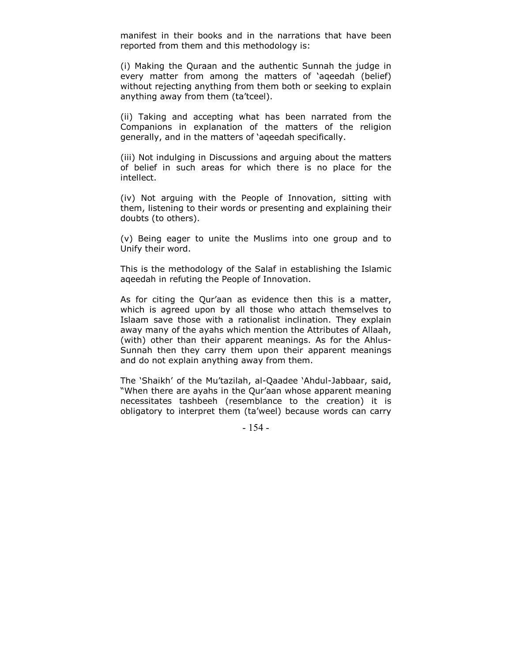manifest in their books and in the narrations that have been reported from them and this methodology is:

(i) Making the Quraan and the authentic Sunnah the judge in every matter from among the matters of 'aqeedah (belief) without rejecting anything from them both or seeking to explain anything away from them (ta'tceel).

(ii) Taking and accepting what has been narrated from the Companions in explanation of the matters of the religion generally, and in the matters of 'aqeedah specifically.

(iii) Not indulging in Discussions and arguing about the matters of belief in such areas for which there is no place for the intellect.

(iv) Not arguing with the People of Innovation, sitting with them, listening to their words or presenting and explaining their doubts (to others).

(v) Being eager to unite the Muslims into one group and to Unify their word.

This is the methodology of the Salaf in establishing the Islamic aqeedah in refuting the People of Innovation.

As for citing the Qur'aan as evidence then this is a matter, which is agreed upon by all those who attach themselves to Islaam save those with a rationalist inclination. They explain away many of the ayahs which mention the Attributes of Allaah, (with) other than their apparent meanings. As for the Ahlus-Sunnah then they carry them upon their apparent meanings and do not explain anything away from them.

The 'Shaikh' of the Mu'tazilah, al-Qaadee 'Ahdul-Jabbaar, said, "When there are ayahs in the Qur'aan whose apparent meaning necessitates tashbeeh (resemblance to the creation) it is obligatory to interpret them (ta'weel) because words can carry

- 154 -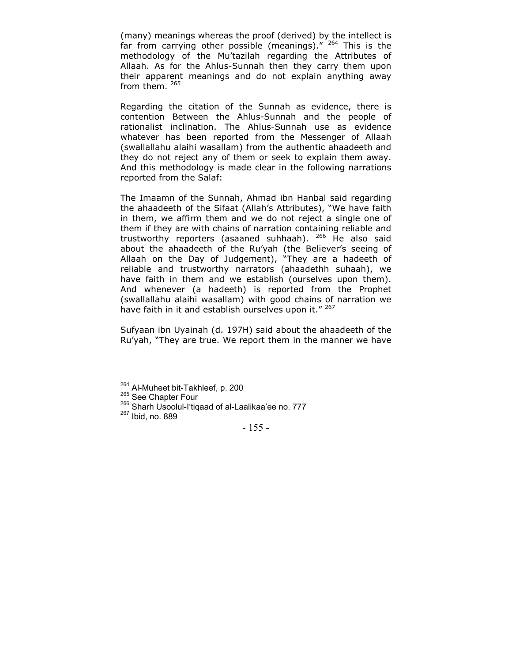(many) meanings whereas the proof (derived) by the intellect is far from carrying other possible (meanings)."  $264$  This is the methodology of the Mu'tazilah regarding the Attributes of Allaah. As for the Ahlus-Sunnah then they carry them upon their apparent meanings and do not explain anything away from them. 265

Regarding the citation of the Sunnah as evidence, there is contention Between the Ahlus-Sunnah and the people of rationalist inclination. The Ahlus-Sunnah use as evidence whatever has been reported from the Messenger of Allaah (swallallahu alaihi wasallam) from the authentic ahaadeeth and they do not reject any of them or seek to explain them away. And this methodology is made clear in the following narrations reported from the Salaf:

The Imaamn of the Sunnah, Ahmad ibn Hanbal said regarding the ahaadeeth of the Sifaat (Allah's Attributes), "We have faith in them, we affirm them and we do not reject a single one of them if they are with chains of narration containing reliable and trustworthy reporters (asaaned suhhaah).  $266$  He also said about the ahaadeeth of the Ru'yah (the Believer's seeing of Allaah on the Day of Judgement), "They are a hadeeth of reliable and trustworthy narrators (ahaadethh suhaah), we have faith in them and we establish (ourselves upon them). And whenever (a hadeeth) is reported from the Prophet (swallallahu alaihi wasallam) with good chains of narration we have faith in it and establish ourselves upon it."<sup>267</sup>

Sufyaan ibn Uyainah (d. 197H) said about the ahaadeeth of the Ru'yah, "They are true. We report them in the manner we have

<sup>&</sup>lt;sup>264</sup> Al-Muheet bit-Takhleef, p. 200

<sup>&</sup>lt;sup>265</sup> See Chapter Four<br><sup>266</sup> Sharh Usoolul-I'tiqaad of al-Laalikaa'ee no. 777<br><sup>267</sup> Ibid. no. 889

<sup>- 155 -</sup>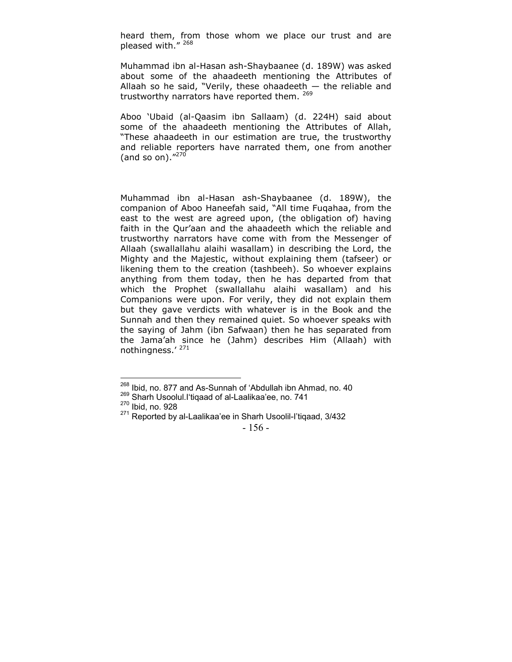heard them, from those whom we place our trust and are pleased with."<sup>268</sup>

Muhammad ibn al-Hasan ash-Shaybaanee (d. 189W) was asked about some of the ahaadeeth mentioning the Attributes of Allaah so he said, "Verily, these ohaadeeth  $-$  the reliable and trustworthy narrators have reported them. 269

Aboo 'Ubaid (al-Qaasim ibn Sallaam) (d. 224H) said about some of the ahaadeeth mentioning the Attributes of Allah, "These ahaadeeth in our estimation are true, the trustworthy and reliable reporters have narrated them, one from another (and so on). $"^{270}$ 

Muhammad ibn al-Hasan ash-Shaybaanee (d. 189W), the companion of Aboo Haneefah said, "All time Fuqahaa, from the east to the west are agreed upon, (the obligation of) having faith in the Qur'aan and the ahaadeeth which the reliable and trustworthy narrators have come with from the Messenger of Allaah (swallallahu alaihi wasallam) in describing the Lord, the Mighty and the Majestic, without explaining them (tafseer) or likening them to the creation (tashbeeh). So whoever explains anything from them today, then he has departed from that which the Prophet (swallallahu alaihi wasallam) and his Companions were upon. For verily, they did not explain them but they gave verdicts with whatever is in the Book and the Sunnah and then they remained quiet. So whoever speaks with the saying of Jahm (ibn Safwaan) then he has separated from the Jama'ah since he (Jahm) describes Him (Allaah) with nothingness.' 271

 $\overline{a}$ 

#### - 156 -

 $^{268}$  Ibid, no. 877 and As-Sunnah of 'Abdullah ibn Ahmad, no. 40

 $^{269}$  Sharh Usoolul.I'tiqaad of al-Laalikaa'ee, no. 741<br> $^{270}$  Ibid, no. 928

<sup>&</sup>lt;sup>271</sup> Reported by al-Laalikaa'ee in Sharh Usoolil-l'tiqaad, 3/432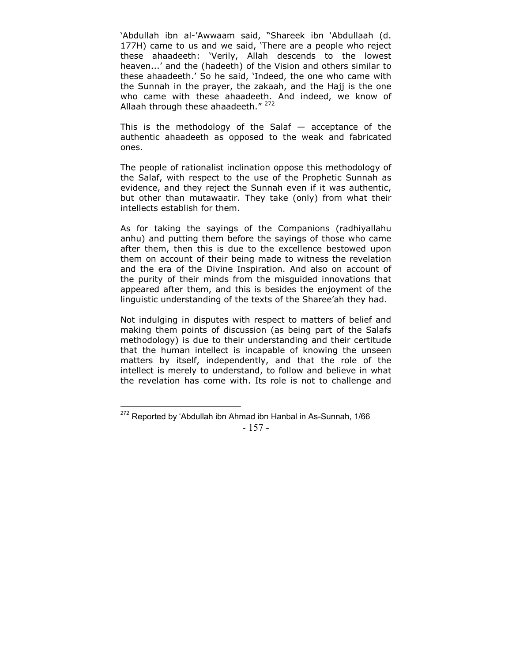'Abdullah ibn al-'Awwaam said, "Shareek ibn 'Abdullaah (d. 177H) came to us and we said, 'There are a people who reject these ahaadeeth: 'Verily, Allah descends to the lowest heaven...' and the (hadeeth) of the Vision and others similar to these ahaadeeth.' So he said, 'Indeed, the one who came with the Sunnah in the prayer, the zakaah, and the Hajj is the one who came with these ahaadeeth. And indeed, we know of Allaah through these ahaadeeth."<sup>272</sup>

This is the methodology of the Salaf  $-$  acceptance of the authentic ahaadeeth as opposed to the weak and fabricated ones.

The people of rationalist inclination oppose this methodology of the Salaf, with respect to the use of the Prophetic Sunnah as evidence, and they reject the Sunnah even if it was authentic, but other than mutawaatir. They take (only) from what their intellects establish for them.

As for taking the sayings of the Companions (radhiyallahu anhu) and putting them before the sayings of those who came after them, then this is due to the excellence bestowed upon them on account of their being made to witness the revelation and the era of the Divine Inspiration. And also on account of the purity of their minds from the misguided innovations that appeared after them, and this is besides the enjoyment of the linguistic understanding of the texts of the Sharee'ah they had.

Not indulging in disputes with respect to matters of belief and making them points of discussion (as being part of the Salafs methodology) is due to their understanding and their certitude that the human intellect is incapable of knowing the unseen matters by itself, independently, and that the role of the intellect is merely to understand, to follow and believe in what the revelation has come with. Its role is not to challenge and

 $\overline{a}$ 

<sup>- 157 -</sup>  <sup>272</sup> Reported by 'Abdullah ibn Ahmad ibn Hanbal in As-Sunnah, 1/66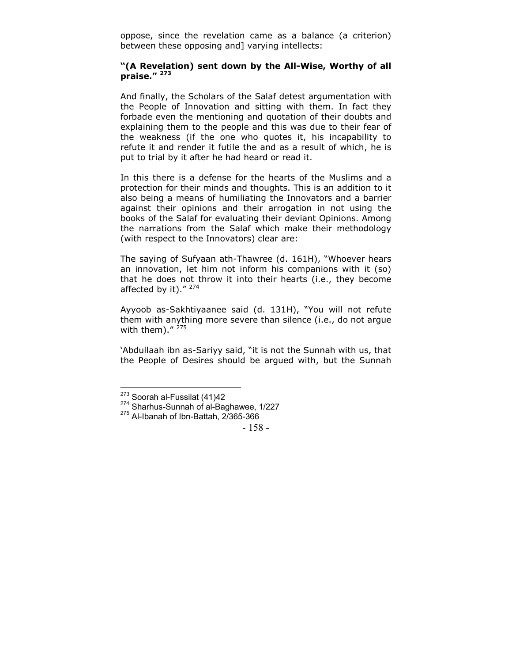oppose, since the revelation came as a balance (a criterion) between these opposing and] varying intellects:

#### **"(A Revelation) sent down by the All-Wise, Worthy of all praise." 273**

And finally, the Scholars of the Salaf detest argumentation with the People of Innovation and sitting with them. In fact they forbade even the mentioning and quotation of their doubts and explaining them to the people and this was due to their fear of the weakness (if the one who quotes it, his incapability to refute it and render it futile the and as a result of which, he is put to trial by it after he had heard or read it.

In this there is a defense for the hearts of the Muslims and a protection for their minds and thoughts. This is an addition to it also being a means of humiliating the Innovators and a barrier against their opinions and their arrogation in not using the books of the Salaf for evaluating their deviant Opinions. Among the narrations from the Salaf which make their methodology (with respect to the Innovators) clear are:

The saying of Sufyaan ath-Thawree (d. 161H), "Whoever hears an innovation, let him not inform his companions with it (so) that he does not throw it into their hearts (i.e., they become affected by it)."<sup>274</sup>

Ayyoob as-Sakhtiyaanee said (d. 131H), "You will not refute them with anything more severe than silence (i.e., do not argue with them). $''$ <sup>275</sup>

'Abdullaah ibn as-Sariyy said, "it is not the Sunnah with us, that the People of Desires should be argued with, but the Sunnah

 $\overline{a}$ 

<sup>&</sup>lt;sup>273</sup> Soorah al-Fussilat (41)42<br><sup>274</sup> Sharhus-Sunnah of al-Baghawee, 1/227<br><sup>275</sup> Al-Ibanah of Ibn-Battah, 2/365-366

<sup>- 158 -</sup>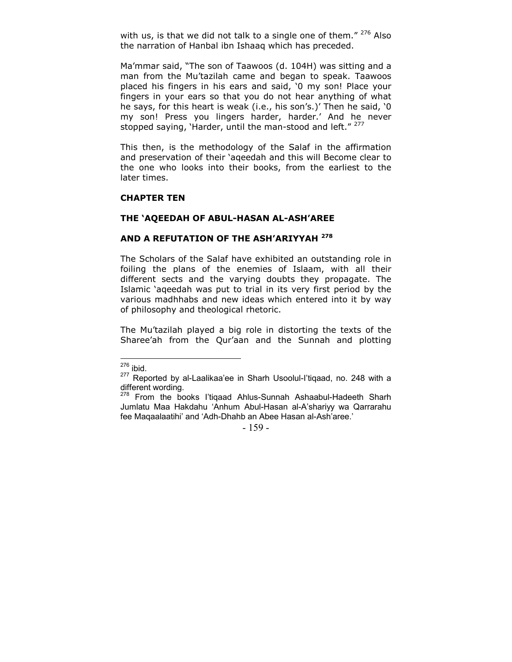with us, is that we did not talk to a single one of them."  $276$  Also the narration of Hanbal ibn Ishaaq which has preceded.

Ma'mmar said, "The son of Taawoos (d. 104H) was sitting and a man from the Mu'tazilah came and began to speak. Taawoos placed his fingers in his ears and said, '0 my son! Place your fingers in your ears so that you do not hear anything of what he says, for this heart is weak (i.e., his son's.)' Then he said, '0 my son! Press you lingers harder, harder.' And he never stopped saying, 'Harder, until the man-stood and left." <sup>277</sup>

This then, is the methodology of the Salaf in the affirmation and preservation of their 'aqeedah and this will Become clear to the one who looks into their books, from the earliest to the later times.

#### **CHAPTER TEN**

#### **THE 'AQEEDAH OF ABUL-HASAN AL-ASH'AREE**

#### **AND A REFUTATION OF THE ASH'ARIYYAH <sup>278</sup>**

The Scholars of the Salaf have exhibited an outstanding role in foiling the plans of the enemies of Islaam, with all their different sects and the varying doubts they propagate. The Islamic 'aqeedah was put to trial in its very first period by the various madhhabs and new ideas which entered into it by way of philosophy and theological rhetoric.

The Mu'tazilah played a big role in distorting the texts of the Sharee'ah from the Qur'aan and the Sunnah and plotting

#### - 159 -

 $\overline{a}$ <sup>276</sup> ibid.

<sup>277</sup> Reported by al-Laalikaa'ee in Sharh Usoolul-I'tiqaad, no. 248 with a different wording.

<sup>&</sup>lt;sup>278</sup> From the books I'tiqaad Ahlus-Sunnah Ashaabul-Hadeeth Sharh Jumlatu Maa Hakdahu 'Anhum Abul-Hasan al-A'shariyy wa Qarrarahu fee Maqaalaatihi' and 'Adh-Dhahb an Abee Hasan al-Ash'aree.'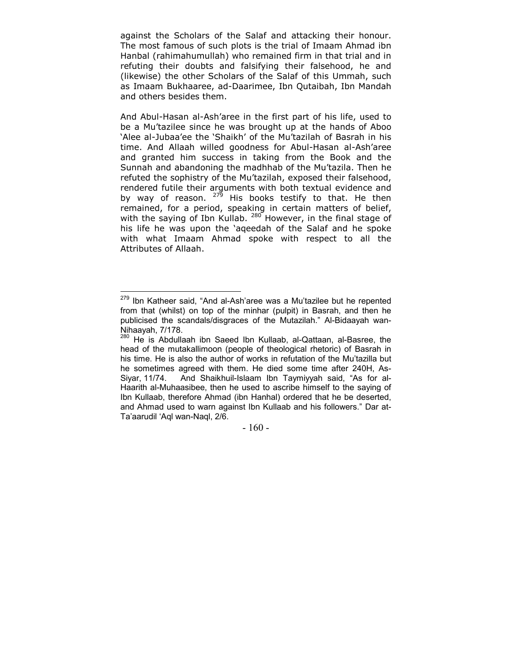against the Scholars of the Salaf and attacking their honour. The most famous of such plots is the trial of Imaam Ahmad ibn Hanbal (rahimahumullah) who remained firm in that trial and in refuting their doubts and falsifying their falsehood, he and (likewise) the other Scholars of the Salaf of this Ummah, such as Imaam Bukhaaree, ad-Daarimee, Ibn Qutaibah, Ibn Mandah and others besides them.

And Abul-Hasan al-Ash'aree in the first part of his life, used to be a Mu'tazilee since he was brought up at the hands of Aboo 'Alee al-Jubaa'ee the 'Shaikh' of the Mu'tazilah of Basrah in his time. And Allaah willed goodness for Abul-Hasan al-Ash'aree and granted him success in taking from the Book and the Sunnah and abandoning the madhhab of the Mu'tazila. Then he refuted the sophistry of the Mu'tazilah, exposed their falsehood, rendered futile their arguments with both textual evidence and by way of reason.  $279$  His books testify to that. He then remained, for a period, speaking in certain matters of belief, with the saying of Ibn Kullab.  $280^\circ$  However, in the final stage of his life he was upon the 'aqeedah of the Salaf and he spoke with what Imaam Ahmad spoke with respect to all the Attributes of Allaah.

 $\overline{a}$ 

- 160 -

<sup>&</sup>lt;sup>279</sup> Ibn Katheer said, "And al-Ash'aree was a Mu'tazilee but he repented from that (whilst) on top of the minhar (pulpit) in Basrah, and then he publicised the scandals/disgraces of the Mutazilah." Al-Bidaayah wan-Nihaayah, 7/178.

<sup>&</sup>lt;sup>280</sup> He is Abdullaah ibn Saeed Ibn Kullaab, al-Qattaan, al-Basree, the head of the mutakallimoon (people of theological rhetoric) of Basrah in his time. He is also the author of works in refutation of the Mu'tazilla but he sometimes agreed with them. He died some time after 240H, As-Siyar, 11/74. And Shaikhuil-Islaam Ibn Taymiyyah said, "As for al-Haarith al-Muhaasibee, then he used to ascribe himself to the saying of Ibn Kullaab, therefore Ahmad (ibn Hanhal) ordered that he be deserted, and Ahmad used to warn against Ibn Kullaab and his followers." Dar at-Ta'aarudil 'Aql wan-Naql, 2/6.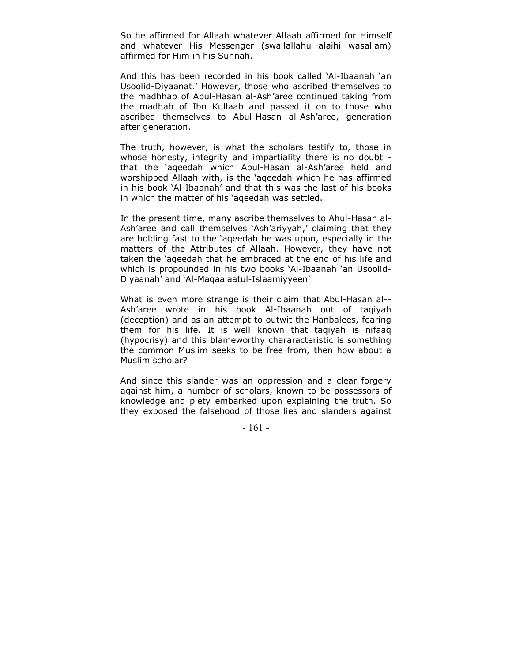So he affirmed for Allaah whatever Allaah affirmed for Himself and whatever His Messenger (swallallahu alaihi wasallam) affirmed for Him in his Sunnah.

And this has been recorded in his book called 'Al-Ibaanah 'an Usoolid-Diyaanat.' However, those who ascribed themselves to the madhhab of Abul-Hasan al-Ash'aree continued taking from the madhab of Ibn Kullaab and passed it on to those who ascribed themselves to Abul-Hasan al-Ash'aree, generation after generation.

The truth, however, is what the scholars testify to, those in whose honesty, integrity and impartiality there is no doubt that the 'aqeedah which Abul-Hasan al-Ash'aree held and worshipped Allaah with, is the 'aqeedah which he has affirmed in his book 'Al-Ibaanah' and that this was the last of his books in which the matter of his 'aqeedah was settled.

In the present time, many ascribe themselves to Ahul-Hasan al-Ash'aree and call themselves 'Ash'ariyyah,' claiming that they are holding fast to the 'aqeedah he was upon, especially in the matters of the Attributes of Allaah. However, they have not taken the 'aqeedah that he embraced at the end of his life and which is propounded in his two books 'Al-Ibaanah 'an Usoolid-Diyaanah' and 'Al-Maqaalaatul-Islaamiyyeen'

What is even more strange is their claim that Abul-Hasan al-- Ash'aree wrote in his book Al-Ibaanah out of taqiyah (deception) and as an attempt to outwit the Hanbalees, fearing them for his life. It is well known that taqiyah is nifaaq (hypocrisy) and this blameworthy chararacteristic is something the common Muslim seeks to be free from, then how about a Muslim scholar?

And since this slander was an oppression and a clear forgery against him, a number of scholars, known to be possessors of knowledge and piety embarked upon explaining the truth. So they exposed the falsehood of those lies and slanders against

- 161 -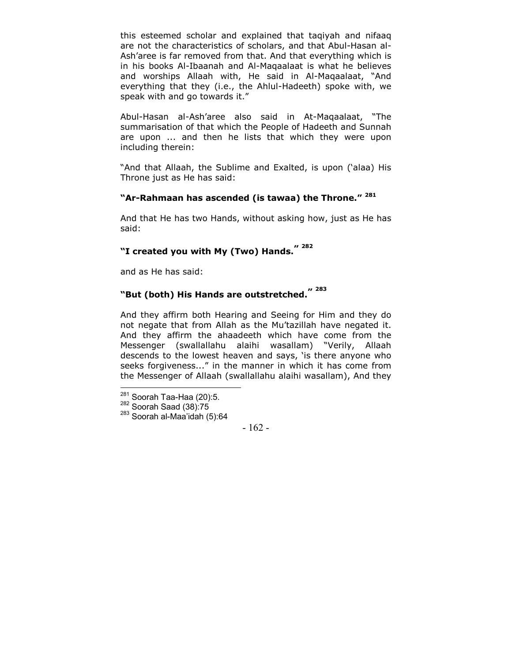this esteemed scholar and explained that taqiyah and nifaaq are not the characteristics of scholars, and that Abul-Hasan al-Ash'aree is far removed from that. And that everything which is in his books Al-Ibaanah and Al-Maqaalaat is what he believes and worships Allaah with, He said in Al-Maqaalaat, "And everything that they (i.e., the Ahlul-Hadeeth) spoke with, we speak with and go towards it."

Abul-Hasan al-Ash'aree also said in At-Maqaalaat, "The summarisation of that which the People of Hadeeth and Sunnah are upon ... and then he lists that which they were upon including therein:

"And that Allaah, the Sublime and Exalted, is upon ('alaa) His Throne just as He has said:

#### **"Ar-Rahmaan has ascended (is tawaa) the Throne." <sup>281</sup>**

And that He has two Hands, without asking how, just as He has said:

## **"I created you with My (Two) Hands." 282**

and as He has said:

# **"But (both) His Hands are outstretched." 283**

And they affirm both Hearing and Seeing for Him and they do not negate that from Allah as the Mu'tazillah have negated it. And they affirm the ahaadeeth which have come from the Messenger (swallallahu alaihi wasallam) "Verily, Allaah descends to the lowest heaven and says, 'is there anyone who seeks forgiveness..." in the manner in which it has come from the Messenger of Allaah (swallallahu alaihi wasallam), And they

- 162 -

 $^{281}$  Soorah Taa-Haa (20):5.

 $\frac{282}{283}$  Soorah Saad (38):75<br> $\frac{283}{283}$  Soorah al-Maa'idah (5):64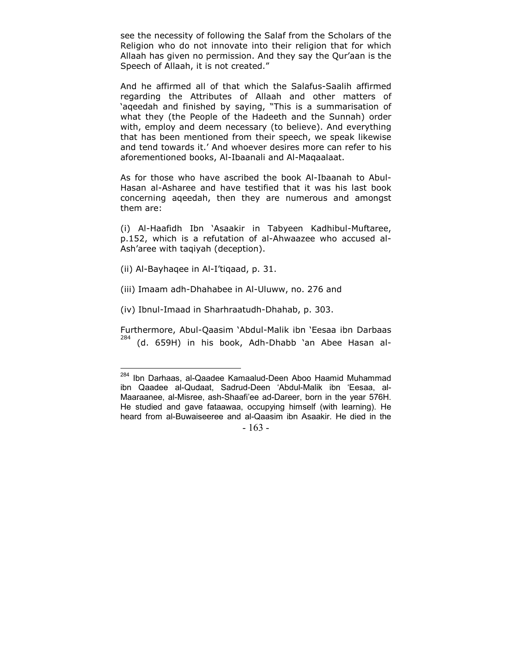see the necessity of following the Salaf from the Scholars of the Religion who do not innovate into their religion that for which Allaah has given no permission. And they say the Qur'aan is the Speech of Allaah, it is not created."

And he affirmed all of that which the Salafus-Saalih affirmed regarding the Attributes of Allaah and other matters of 'aqeedah and finished by saying, "This is a summarisation of what they (the People of the Hadeeth and the Sunnah) order with, employ and deem necessary (to believe). And everything that has been mentioned from their speech, we speak likewise and tend towards it.' And whoever desires more can refer to his aforementioned books, Al-Ibaanali and Al-Maqaalaat.

As for those who have ascribed the book Al-Ibaanah to Abul-Hasan al-Asharee and have testified that it was his last book concerning aqeedah, then they are numerous and amongst them are:

(i) Al-Haafidh Ibn 'Asaakir in Tabyeen Kadhibul-Muftaree, p.152, which is a refutation of al-Ahwaazee who accused al-Ash'aree with taqiyah (deception).

(ii) Al-Bayhaqee in Al-I'tiqaad, p. 31.

 $\overline{a}$ 

- (iii) Imaam adh-Dhahabee in Al-Uluww, no. 276 and
- (iv) Ibnul-Imaad in Sharhraatudh-Dhahab, p. 303.

Furthermore, Abul-Qaasim 'Abdul-Malik ibn 'Eesaa ibn Darbaas 284 (d. 659H) in his book, Adh-Dhabb 'an Abee Hasan al-

<sup>- 163 -</sup>  <sup>284</sup> Ibn Darhaas, al-Qaadee Kamaalud-Deen Aboo Haamid Muhammad ibn Qaadee al-Qudaat, Sadrud-Deen 'Abdul-Malik ibn 'Eesaa, al-Maaraanee, al-Misree, ash-Shaafi'ee ad-Dareer, born in the year 576H. He studied and gave fataawaa, occupying himself (with learning). He heard from al-Buwaiseeree and al-Qaasim ibn Asaakir. He died in the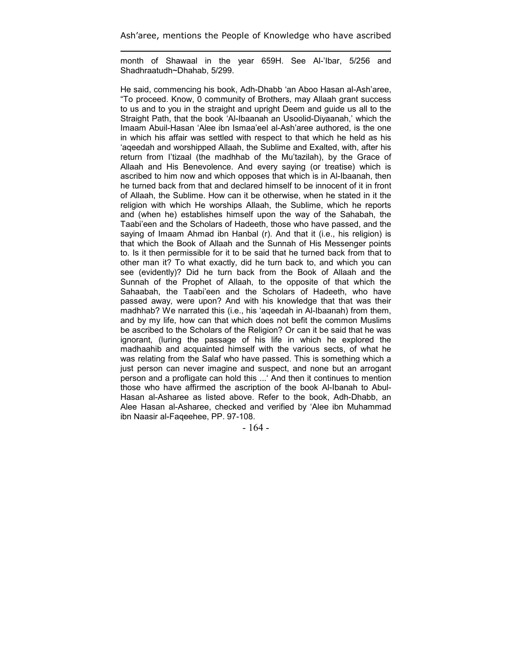$\overline{a}$ 

month of Shawaal in the year 659H. See Al-'Ibar, 5/256 and Shadhraatudh~Dhahab, 5/299.

He said, commencing his book, Adh-Dhabb 'an Aboo Hasan al-Ash'aree, "To proceed. Know, 0 community of Brothers, may Allaah grant success to us and to you in the straight and upright Deem and guide us all to the Straight Path, that the book 'Al-Ibaanah an Usoolid-Diyaanah,' which the Imaam Abuil-Hasan 'Alee ibn Ismaa'eel al-Ash'aree authored, is the one in which his affair was settled with respect to that which he held as his 'aqeedah and worshipped Allaah, the Sublime and Exalted, with, after his return from I'tizaal (the madhhab of the Mu'tazilah), by the Grace of Allaah and His Benevolence. And every saying (or treatise) which is ascribed to him now and which opposes that which is in Al-Ibaanah, then he turned back from that and declared himself to be innocent of it in front of Allaah, the Sublime. How can it be otherwise, when he stated in it the religion with which He worships Allaah, the Sublime, which he reports and (when he) establishes himself upon the way of the Sahabah, the Taabi'een and the Scholars of Hadeeth, those who have passed, and the saying of Imaam Ahmad ibn Hanbal (r). And that it (i.e., his religion) is that which the Book of Allaah and the Sunnah of His Messenger points to. Is it then permissible for it to be said that he turned back from that to other man it? To what exactly, did he turn back to, and which you can see (evidently)? Did he turn back from the Book of Allaah and the Sunnah of the Prophet of Allaah, to the opposite of that which the Sahaabah, the Taabi'een and the Scholars of Hadeeth, who have passed away, were upon? And with his knowledge that that was their madhhab? We narrated this (i.e., his 'aqeedah in Al-Ibaanah) from them, and by my life, how can that which does not befit the common Muslims be ascribed to the Scholars of the Religion? Or can it be said that he was ignorant, (luring the passage of his life in which he explored the madhaahib and acquainted himself with the various sects, of what he was relating from the Salaf who have passed. This is something which a just person can never imagine and suspect, and none but an arrogant person and a profligate can hold this ...' And then it continues to mention those who have affirmed the ascription of the book Al-Ibanah to Abul-Hasan al-Asharee as listed above. Refer to the book, Adh-Dhabb, an Alee Hasan al-Asharee, checked and verified by 'Alee ibn Muhammad ibn Naasir al-Faqeehee, PP. 97-108.

- 164 -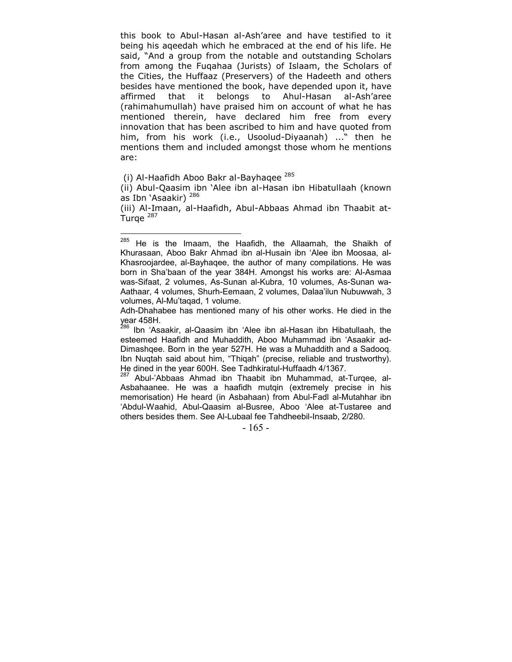this book to Abul-Hasan al-Ash'aree and have testified to it being his aqeedah which he embraced at the end of his life. He said, "And a group from the notable and outstanding Scholars from among the Fuqahaa (Jurists) of Islaam, the Scholars of the Cities, the Huffaaz (Preservers) of the Hadeeth and others besides have mentioned the book, have depended upon it, have affirmed that it belongs to Ahul-Hasan al-Ash'aree (rahimahumullah) have praised him on account of what he has mentioned therein, have declared him free from every innovation that has been ascribed to him and have quoted from him, from his work (i.e., Usoolud-Diyaanah) ..." then he mentions them and included amongst those whom he mentions are:

(i) Al-Haafidh Aboo Bakr al-Bayhaqee<sup>285</sup>

 $\overline{a}$ 

(ii) Abul-Qaasim ibn 'Alee ibn al-Hasan ibn Hibatullaah (known as Ibn 'Asaakir) <sup>286</sup>

(iii) Al-Imaan, al-Haafidh, Abul-Abbaas Ahmad ibn Thaabit at-Turge 287

- 165 -

He is the Imaam, the Haafidh, the Allaamah, the Shaikh of Khurasaan, Aboo Bakr Ahmad ibn al-Husain ibn 'Alee ibn Moosaa, al-Khasroojardee, al-Bayhaqee, the author of many compilations. He was born in Sha'baan of the year 384H. Amongst his works are: Al-Asmaa was-Sifaat, 2 volumes, As-Sunan al-Kubra, 10 volumes, As-Sunan wa-Aathaar, 4 volumes, Shurh-Eemaan, 2 volumes, Dalaa'ilun Nubuwwah, 3 volumes, Al-Mu'taqad, 1 volume.

Adh-Dhahabee has mentioned many of his other works. He died in the year 458H.

<sup>&</sup>lt;sup>86</sup> Ibn 'Asaakir, al-Qaasim ibn 'Alee ibn al-Hasan ibn Hibatullaah, the esteemed Haafidh and Muhaddith, Aboo Muhammad ibn 'Asaakir ad-Dimashqee. Born in the year 527H. He was a Muhaddith and a Sadooq. Ibn Nuqtah said about him, "Thiqah" (precise, reliable and trustworthy). He dined in the year 600H. See Tadhkiratul-Huffaadh 4/1367.

<sup>287</sup> Abul-'Abbaas Ahmad ibn Thaabit ibn Muhammad, at-Turqee, al-Asbahaanee. He was a haafidh mutqin (extremely precise in his memorisation) He heard (in Asbahaan) from Abul-Fadl al-Mutahhar ibn 'Abdul-Waahid, Abul-Qaasim al-Busree, Aboo 'Alee at-Tustaree and others besides them. See Al-Lubaal fee Tahdheebil-Insaab, 2/280.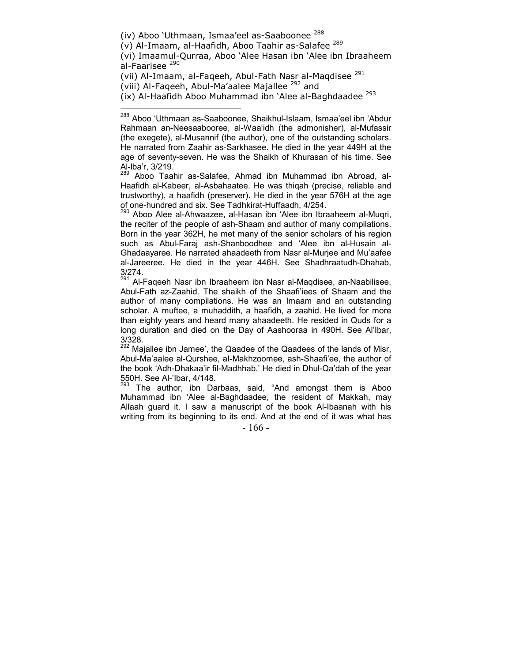$\overline{a}$ 

<sup>289</sup> Aboo Taahir as-Salafee, Ahmad ibn Muhammad ibn Abroad, al-Haafidh al-Kabeer, al-Asbahaatee. He was thiqah (precise, reliable and trustworthy), a haafidh (preserver). He died in the year 576H at the age of one-hundred and six. See Tadhkirat-Huffaadh, 4/254.

290 Aboo Alee al-Ahwaazee, al-Hasan ibn 'Alee ibn Ibraaheem al-Muqri, the reciter of the people of ash-Shaam and author of many compilations. Born in the year 362H, he met many of the senior scholars of his region such as Abul-Faraj ash-Shanboodhee and 'Alee ibn al-Husain al-Ghadaayaree. He narrated ahaadeeth from Nasr al-Murjee and Mu'aafee al-Jareeree. He died in the year 446H. See Shadhraatudh-Dhahab, 3/274.

<sup>291</sup> Al-Faqeeh Nasr ibn Ibraaheem ibn Nasr al-Maqdisee, an-Naabilisee, Abul-Fath az-Zaahid. The shaikh of the Shaafi'iees of Shaam and the author of many compilations. He was an Imaam and an outstanding scholar. A muftee, a muhaddith, a haafidh, a zaahid. He lived for more than eighty years and heard many ahaadeeth. He resided in Quds for a long duration and died on the Day of Aashooraa in 490H. See Al'Ibar, 3/328.

<sup>292</sup> Majallee ibn Jamee', the Qaadee of the Qaadees of the lands of Misr, Abul-Ma'aalee al-Qurshee, aI-Makhzoomee, ash-Shaafi'ee, the author of the book 'Adh-Dhakaa'ir fil-Madhhab.' He died in Dhul-Qa'dah of the year 550H. See Al-'Ibar, 4/148.

The author, ibn Darbaas, said, "And amongst them is Aboo Muhammad ibn 'Alee al-Baghdaadee, the resident of Makkah, may Allaah guard it. I saw a manuscript of the book Al-Ibaanah with his writing from its beginning to its end. And at the end of it was what has

- 166 -

<sup>(</sup>iv) Aboo 'Uthmaan, Ismaa'eel as-Saaboonee<sup>288</sup>

<sup>(</sup>v) Al-Imaam, al-Haafidh, Aboo Taahir as-Salafee <sup>289</sup>

<sup>(</sup>vi) Imaamul-Qurraa, Aboo 'Alee Hasan ibn 'Alee ibn Ibraaheem al-Faarisee <sup>290</sup>

<sup>(</sup>vii) Al-Imaam, al-Faqeeh, Abul-Fath Nasr al-Maqdisee <sup>291</sup>

<sup>(</sup>viii) Al-Faqeeh, Abul-Ma'aalee Majallee <sup>292</sup> and

<sup>(</sup>ix) Al-Haafidh Aboo Muhammad ibn 'Alee al-Baghdaadee  $^{293}$ 

<sup>&</sup>lt;sup>288</sup> Aboo 'Uthmaan as-Saaboonee, Shaikhul-Islaam, Ismaa'eel ibn 'Abdur Rahmaan an-Neesaabooree, al-Waa'idh (the admonisher), al-Mufassir (the exegete), al-Musannif (the author), one of the outstanding scholars. He narrated from Zaahir as-Sarkhasee. He died in the year 449H at the age of seventy-seven. He was the Shaikh of Khurasan of his time. See Al-lba'r, 3/219.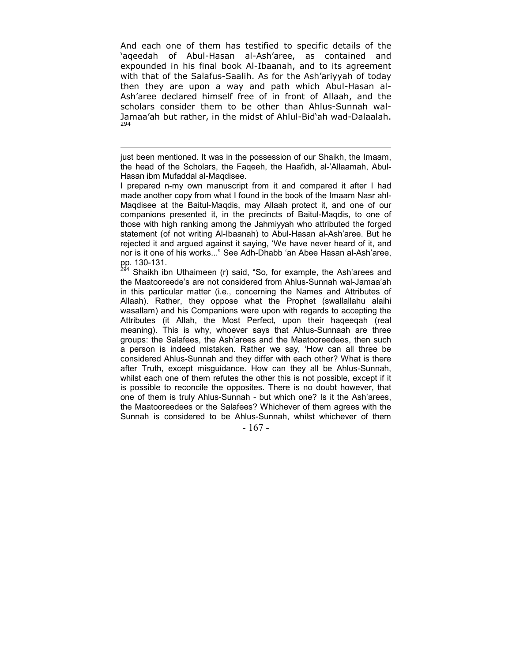And each one of them has testified to specific details of the 'aqeedah of Abul-Hasan al-Ash'aree, as contained and expounded in his final book Al-Ibaanah, and to its agreement with that of the Salafus-Saalih. As for the Ash'ariyyah of today then they are upon a way and path which Abul-Hasan al-Ash'aree declared himself free of in front of Allaah, and the scholars consider them to be other than Ahlus-Sunnah wal-Jamaa'ah but rather, in the midst of Ahlul-Bid'ah wad-Dalaalah. 294

 $\overline{a}$ 

- 167 - Shaikh ibn Uthaimeen (r) said, "So, for example, the Ash'arees and the Maatooreede's are not considered from Ahlus-Sunnah wal-Jamaa'ah in this particular matter (i.e., concerning the Names and Attributes of Allaah). Rather, they oppose what the Prophet (swallallahu alaihi wasallam) and his Companions were upon with regards to accepting the Attributes (it Allah, the Most Perfect, upon their haqeeqah (real meaning). This is why, whoever says that Ahlus-Sunnaah are three groups: the Salafees, the Ash'arees and the Maatooreedees, then such a person is indeed mistaken. Rather we say, 'How can all three be considered Ahlus-Sunnah and they differ with each other? What is there after Truth, except misguidance. How can they all be Ahlus-Sunnah, whilst each one of them refutes the other this is not possible, except if it is possible to reconcile the opposites. There is no doubt however, that one of them is truly Ahlus-Sunnah - but which one? Is it the Ash'arees, the Maatooreedees or the Salafees? Whichever of them agrees with the Sunnah is considered to be Ahlus-Sunnah, whilst whichever of them

just been mentioned. It was in the possession of our Shaikh, the Imaam, the head of the Scholars, the Faqeeh, the Haafidh, al-'Allaamah, Abul-Hasan ibm Mufaddal al-Maqdisee.

I prepared n-my own manuscript from it and compared it after I had made another copy from what I found in the book of the Imaam Nasr ahl-Maqdisee at the Baitul-Maqdis, may Allaah protect it, and one of our companions presented it, in the precincts of Baitul-Maqdis, to one of those with high ranking among the Jahmiyyah who attributed the forged statement (of not writing Al-Ibaanah) to Abul-Hasan al-Ash'aree. But he rejected it and argued against it saying, 'We have never heard of it, and nor is it one of his works..." See Adh-Dhabb 'an Abee Hasan al-Ash'aree, pp. 130-131.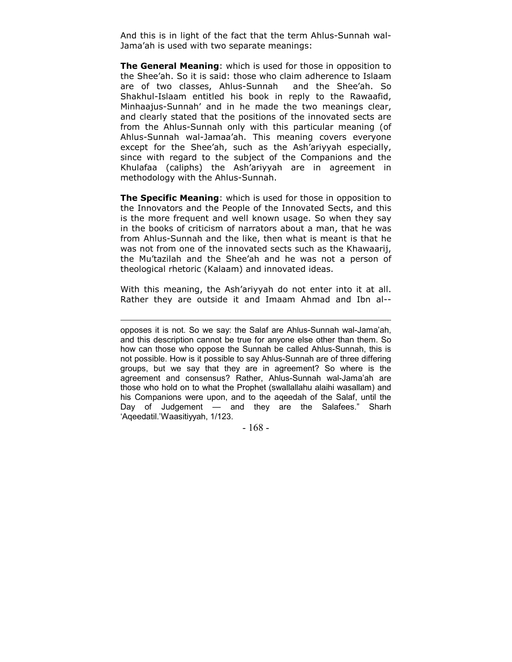And this is in light of the fact that the term Ahlus-Sunnah wal-Jama'ah is used with two separate meanings:

**The General Meaning**: which is used for those in opposition to the Shee'ah. So it is said: those who claim adherence to Islaam are of two classes, Ahlus-Sunnah and the Shee'ah. So Shakhul-Islaam entitled his book in reply to the Rawaafid, Minhaajus-Sunnah' and in he made the two meanings clear, and clearly stated that the positions of the innovated sects are from the Ahlus-Sunnah only with this particular meaning (of Ahlus-Sunnah wal-Jamaa'ah. This meaning covers everyone except for the Shee'ah, such as the Ash'ariyyah especially, since with regard to the subject of the Companions and the Khulafaa (caliphs) the Ash'ariyyah are in agreement in methodology with the Ahlus-Sunnah.

**The Specific Meaning**: which is used for those in opposition to the Innovators and the People of the Innovated Sects, and this is the more frequent and well known usage. So when they say in the books of criticism of narrators about a man, that he was from Ahlus-Sunnah and the like, then what is meant is that he was not from one of the innovated sects such as the Khawaarij, the Mu'tazilah and the Shee'ah and he was not a person of theological rhetoric (Kalaam) and innovated ideas.

With this meaning, the Ash'ariyyah do not enter into it at all. Rather they are outside it and Imaam Ahmad and Ibn al--

 $\overline{a}$ 

- 168 -

opposes it is not. So we say: the Salaf are Ahlus-Sunnah wal-Jama'ah, and this description cannot be true for anyone else other than them. So how can those who oppose the Sunnah be called Ahlus-Sunnah, this is not possible. How is it possible to say Ahlus-Sunnah are of three differing groups, but we say that they are in agreement? So where is the agreement and consensus? Rather, Ahlus-Sunnah wal-Jama'ah are those who hold on to what the Prophet (swallallahu alaihi wasallam) and his Companions were upon, and to the aqeedah of the Salaf, until the Day of Judgement — and they are the Salafees." Sharh 'Aqeedatil.'Waasitiyyah, 1/123.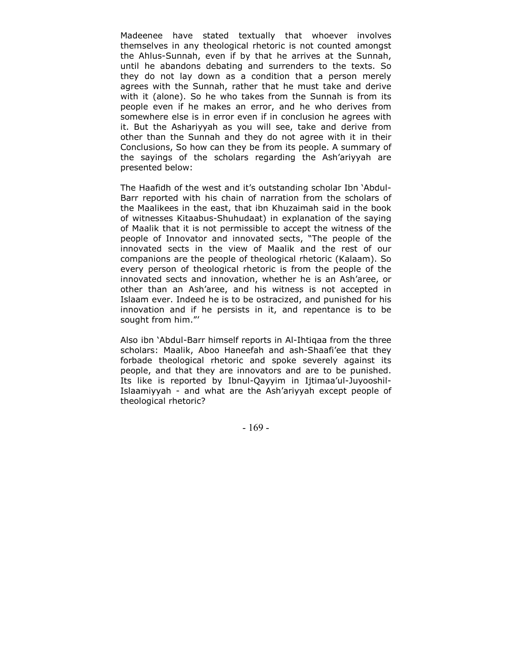Madeenee have stated textually that whoever involves themselves in any theological rhetoric is not counted amongst the Ahlus-Sunnah, even if by that he arrives at the Sunnah, until he abandons debating and surrenders to the texts. So they do not lay down as a condition that a person merely agrees with the Sunnah, rather that he must take and derive with it (alone). So he who takes from the Sunnah is from its people even if he makes an error, and he who derives from somewhere else is in error even if in conclusion he agrees with it. But the Ashariyyah as you will see, take and derive from other than the Sunnah and they do not agree with it in their Conclusions, So how can they be from its people. A summary of the sayings of the scholars regarding the Ash'ariyyah are presented below:

The Haafidh of the west and it's outstanding scholar Ibn 'Abdul-Barr reported with his chain of narration from the scholars of the Maalikees in the east, that ibn Khuzaimah said in the book of witnesses Kitaabus-Shuhudaat) in explanation of the saying of Maalik that it is not permissible to accept the witness of the people of Innovator and innovated sects, "The people of the innovated sects in the view of Maalik and the rest of our companions are the people of theological rhetoric (Kalaam). So every person of theological rhetoric is from the people of the innovated sects and innovation, whether he is an Ash'aree, or other than an Ash'aree, and his witness is not accepted in Islaam ever. Indeed he is to be ostracized, and punished for his innovation and if he persists in it, and repentance is to be sought from him."'

Also ibn 'Abdul-Barr himself reports in Al-Ihtiqaa from the three scholars: Maalik, Aboo Haneefah and ash-Shaafi'ee that they forbade theological rhetoric and spoke severely against its people, and that they are innovators and are to be punished. Its like is reported by Ibnul-Qayyim in Ijtimaa'ul-Juyooshil-Islaamiyyah - and what are the Ash'ariyyah except people of theological rhetoric?

- 169 -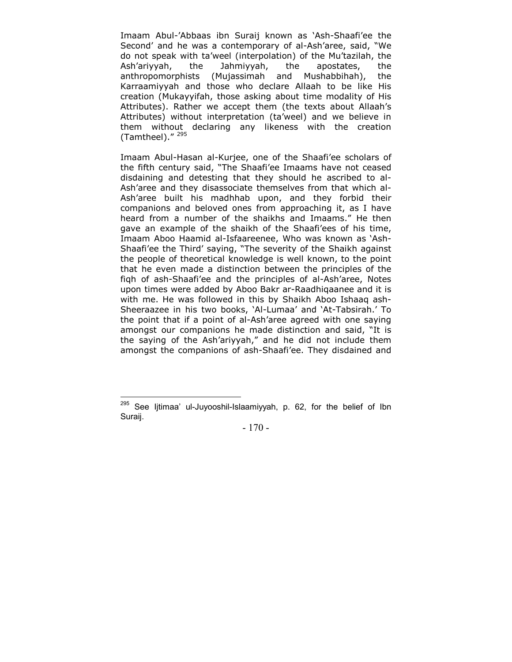Imaam Abul-'Abbaas ibn Suraij known as 'Ash-Shaafi'ee the Second' and he was a contemporary of al-Ash'aree, said, "We do not speak with ta'weel (interpolation) of the Mu'tazilah, the Ash'ariyyah, the Jahmiyyah, the apostates, the anthropomorphists (Mujassimah and Mushabbihah), the Karraamiyyah and those who declare Allaah to be like His creation (Mukayyifah, those asking about time modality of His Attributes). Rather we accept them (the texts about Allaah's Attributes) without interpretation (ta'weel) and we believe in them without declaring any likeness with the creation (Tamtheel)."<sup>295</sup>

Imaam Abul-Hasan al-Kurjee, one of the Shaafi'ee scholars of the fifth century said, "The Shaafi'ee Imaams have not ceased disdaining and detesting that they should he ascribed to al-Ash'aree and they disassociate themselves from that which al-Ash'aree built his madhhab upon, and they forbid their companions and beloved ones from approaching it, as I have heard from a number of the shaikhs and Imaams." He then gave an example of the shaikh of the Shaafi'ees of his time, Imaam Aboo Haamid al-Isfaareenee, Who was known as 'Ash-Shaafi'ee the Third' saying, "The severity of the Shaikh against the people of theoretical knowledge is well known, to the point that he even made a distinction between the principles of the fiqh of ash-Shaafi'ee and the principles of al-Ash'aree, Notes upon times were added by Aboo Bakr ar-Raadhiqaanee and it is with me. He was followed in this by Shaikh Aboo Ishaaq ash-Sheeraazee in his two books, 'Al-Lumaa' and 'At-Tabsirah.' To the point that if a point of al-Ash'aree agreed with one saying amongst our companions he made distinction and said, "It is the saying of the Ash'ariyyah," and he did not include them amongst the companions of ash-Shaafi'ee. They disdained and

 $\overline{a}$ 

- 170 -

<sup>&</sup>lt;sup>295</sup> See Ijtimaa' ul-Juyooshil-Islaamiyyah, p. 62, for the belief of Ibn Suraij.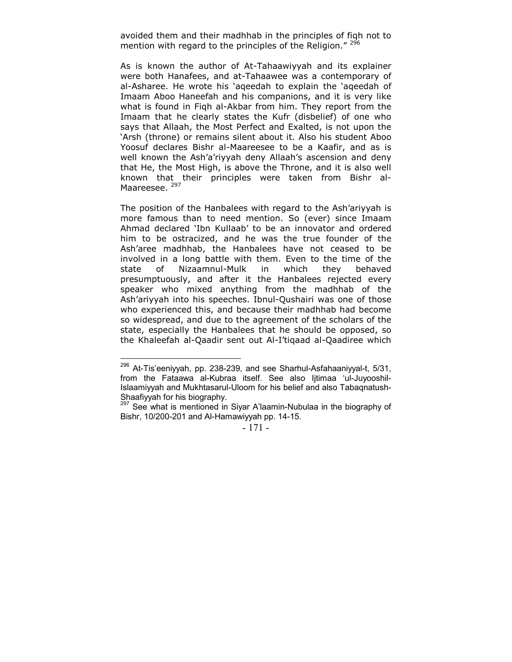avoided them and their madhhab in the principles of fiqh not to mention with regard to the principles of the Religion." 296

As is known the author of At-Tahaawiyyah and its explainer were both Hanafees, and at-Tahaawee was a contemporary of al-Asharee. He wrote his 'aqeedah to explain the 'aqeedah of Imaam Aboo Haneefah and his companions, and it is very like what is found in Fiqh al-Akbar from him. They report from the Imaam that he clearly states the Kufr (disbelief) of one who says that Allaah, the Most Perfect and Exalted, is not upon the 'Arsh (throne) or remains silent about it. Also his student Aboo Yoosuf declares Bishr al-Maareesee to be a Kaafir, and as is well known the Ash'a'riyyah deny Allaah's ascension and deny that He, the Most High, is above the Throne, and it is also well known that their principles were taken from Bishr al-Maareesee. <sup>297</sup>

The position of the Hanbalees with regard to the Ash'ariyyah is more famous than to need mention. So (ever) since Imaam Ahmad declared 'Ibn Kullaab' to be an innovator and ordered him to be ostracized, and he was the true founder of the Ash'aree madhhab, the Hanbalees have not ceased to be involved in a long battle with them. Even to the time of the state of Nizaamnul-Mulk in which they behaved presumptuously, and after it the Hanbalees rejected every speaker who mixed anything from the madhhab of the Ash'ariyyah into his speeches. Ibnul-Qushairi was one of those who experienced this, and because their madhhab had become so widespread, and due to the agreement of the scholars of the state, especially the Hanbalees that he should be opposed, so the Khaleefah al-Qaadir sent out Al-I'tiqaad al-Qaadiree which

 $\overline{a}$ 

<sup>&</sup>lt;sup>296</sup> At-Tis'eeniyyah, pp. 238-239, and see Sharhul-Asfahaaniyyal-t, 5/31, from the Fataawa al-Kubraa itself. See also Ijtimaa 'ul-Juyooshil-Islaamiyyah and Mukhtasarul-Uloom for his belief and also Tabaqnatush-Shaafiyyah for his biography.

<sup>&</sup>lt;sup>297</sup> See what is mentioned in Siyar A'laamin-Nubulaa in the biography of Bishr, 10/200-201 and Al-Hamawiyyah pp. 14-15.

<sup>- 171 -</sup>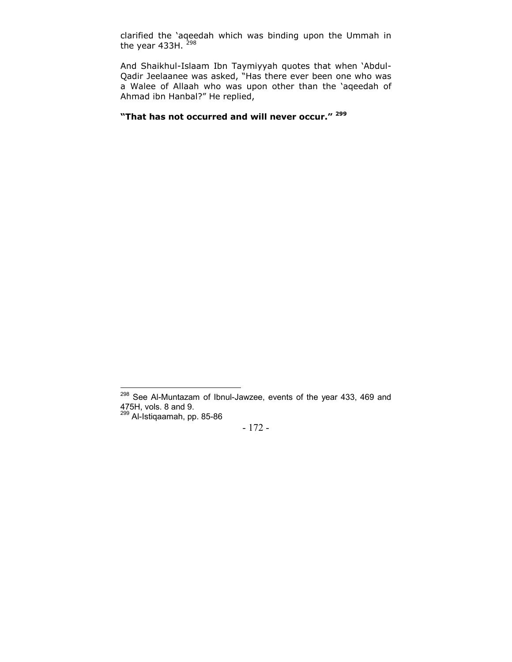clarified the 'aqeedah which was binding upon the Ummah in the year 433H.  $298$ 

And Shaikhul-Islaam Ibn Taymiyyah quotes that when 'Abdul-Qadir Jeelaanee was asked, "Has there ever been one who was a Walee of Allaah who was upon other than the 'aqeedah of Ahmad ibn Hanbal?" He replied,

### **"That has not occurred and will never occur." 299**

 $\overline{a}$ 

<sup>&</sup>lt;sup>298</sup> See Al-Muntazam of Ibnul-Jawzee, events of the year 433, 469 and 475H, vols. 8 and 9. <sup>299</sup> Al-Istiqaamah, pp. 85-86

<sup>- 172 -</sup>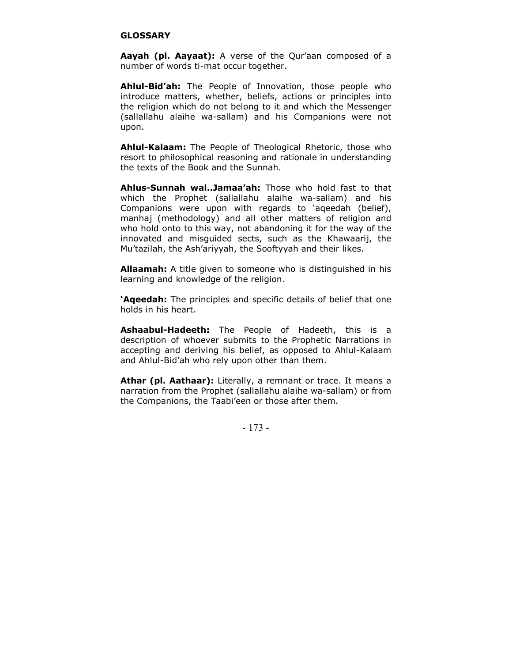#### **GLOSSARY**

**Aayah (pl. Aayaat):** A verse of the Qur'aan composed of a number of words ti-mat occur together.

**Ahlul-Bid'ah:** The People of Innovation, those people who introduce matters, whether, beliefs, actions or principles into the religion which do not belong to it and which the Messenger (sallallahu alaihe wa-sallam) and his Companions were not upon.

**Ahlul-Kalaam:** The People of Theological Rhetoric, those who resort to philosophical reasoning and rationale in understanding the texts of the Book and the Sunnah.

**Ahlus-Sunnah wal..Jamaa'ah:** Those who hold fast to that which the Prophet (sallallahu alaihe wa-sallam) and his Companions were upon with regards to 'aqeedah (belief), manhaj (methodology) and all other matters of religion and who hold onto to this way, not abandoning it for the way of the innovated and misguided sects, such as the Khawaarij, the Mu'tazilah, the Ash'ariyyah, the Sooftyyah and their likes.

**Allaamah:** A title given to someone who is distinguished in his learning and knowledge of the religion.

**'Aqeedah:** The principles and specific details of belief that one holds in his heart.

**Ashaabul-Hadeeth:** The People of Hadeeth, this is a description of whoever submits to the Prophetic Narrations in accepting and deriving his belief, as opposed to Ahlul-Kalaam and Ahlul-Bid'ah who rely upon other than them.

**Athar (pl. Aathaar):** Literally, a remnant or trace. It means a narration from the Prophet (sallallahu alaihe wa-sallam) or from the Companions, the Taabi'een or those after them.

- 173 -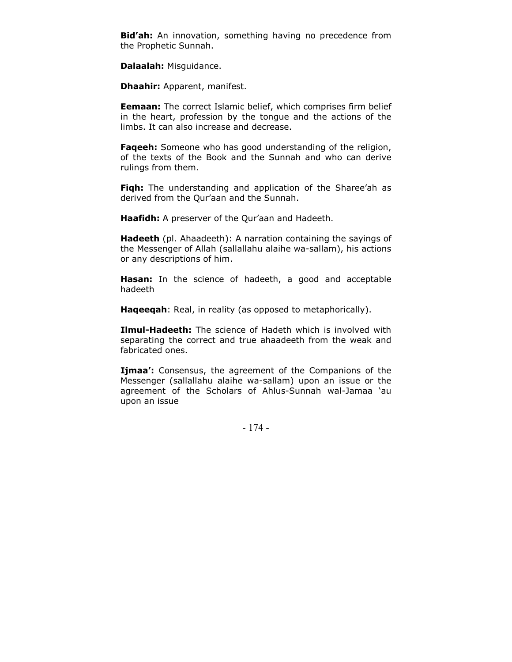**Bid'ah:** An innovation, something having no precedence from the Prophetic Sunnah.

**Dalaalah:** Misguidance.

**Dhaahir:** Apparent, manifest.

**Eemaan:** The correct Islamic belief, which comprises firm belief in the heart, profession by the tongue and the actions of the limbs. It can also increase and decrease.

**Faqeeh:** Someone who has good understanding of the religion, of the texts of the Book and the Sunnah and who can derive rulings from them.

**Fiqh:** The understanding and application of the Sharee'ah as derived from the Qur'aan and the Sunnah.

**Haafidh:** A preserver of the Qur'aan and Hadeeth.

**Hadeeth** (pl. Ahaadeeth): A narration containing the sayings of the Messenger of Allah (sallallahu alaihe wa-sallam), his actions or any descriptions of him.

**Hasan:** In the science of hadeeth, a good and acceptable hadeeth

**Haqeeqah**: Real, in reality (as opposed to metaphorically).

**Ilmul-Hadeeth:** The science of Hadeth which is involved with separating the correct and true ahaadeeth from the weak and fabricated ones.

**Ijmaa':** Consensus, the agreement of the Companions of the Messenger (sallallahu alaihe wa-sallam) upon an issue or the agreement of the Scholars of Ahlus-Sunnah wal-Jamaa 'au upon an issue

- 174 -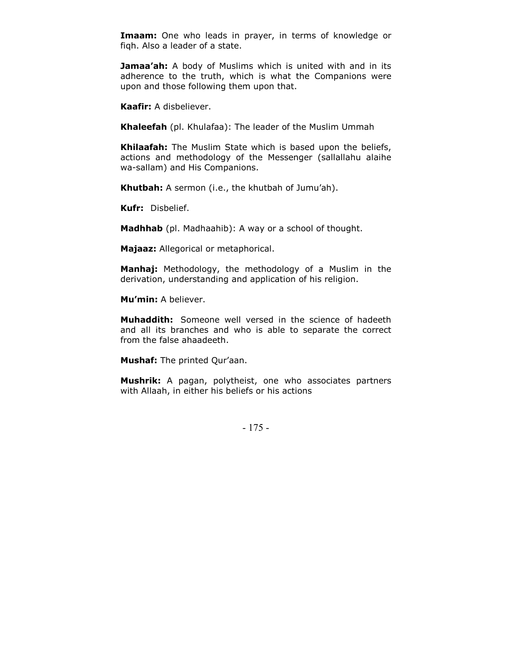**Imaam:** One who leads in prayer, in terms of knowledge or fiqh. Also a leader of a state.

**Jamaa'ah:** A body of Muslims which is united with and in its adherence to the truth, which is what the Companions were upon and those following them upon that.

**Kaafir:** A disbeliever.

**Khaleefah** (pl. Khulafaa): The leader of the Muslim Ummah

**Khilaafah:** The Muslim State which is based upon the beliefs, actions and methodology of the Messenger (sallallahu alaihe wa-sallam) and His Companions.

**Khutbah:** A sermon (i.e., the khutbah of Jumu'ah).

**Kufr:** Disbelief.

**Madhhab** (pl. Madhaahib): A way or a school of thought.

**Majaaz:** Allegorical or metaphorical.

**Manhaj:** Methodology, the methodology of a Muslim in the derivation, understanding and application of his religion.

**Mu'min:** A believer.

**Muhaddith:** Someone well versed in the science of hadeeth and all its branches and who is able to separate the correct from the false ahaadeeth.

**Mushaf:** The printed Qur'aan.

**Mushrik:** A pagan, polytheist, one who associates partners with Allaah, in either his beliefs or his actions

- 175 -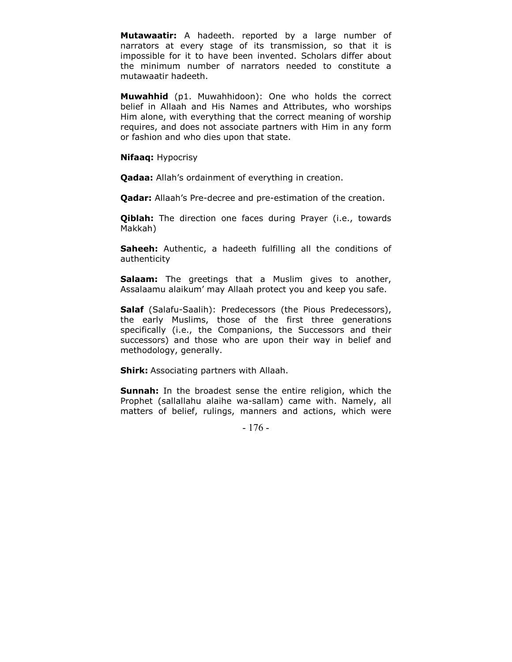**Mutawaatir:** A hadeeth. reported by a large number of narrators at every stage of its transmission, so that it is impossible for it to have been invented. Scholars differ about the minimum number of narrators needed to constitute a mutawaatir hadeeth.

**Muwahhid** (p1. Muwahhidoon): One who holds the correct belief in Allaah and His Names and Attributes, who worships Him alone, with everything that the correct meaning of worship requires, and does not associate partners with Him in any form or fashion and who dies upon that state.

**Nifaaq:** Hypocrisy

**Qadaa:** Allah's ordainment of everything in creation.

**Qadar:** Allaah's Pre-decree and pre-estimation of the creation.

**Qiblah:** The direction one faces during Prayer (i.e., towards Makkah)

**Saheeh:** Authentic, a hadeeth fulfilling all the conditions of authenticity

**Salaam:** The greetings that a Muslim gives to another, Assalaamu alaikum' may Allaah protect you and keep you safe.

**Salaf** (Salafu-Saalih): Predecessors (the Pious Predecessors), the early Muslims, those of the first three generations specifically (i.e., the Companions, the Successors and their successors) and those who are upon their way in belief and methodology, generally.

**Shirk:** Associating partners with Allaah.

**Sunnah:** In the broadest sense the entire religion, which the Prophet (sallallahu alaihe wa-sallam) came with. Namely, all matters of belief, rulings, manners and actions, which were

- 176 -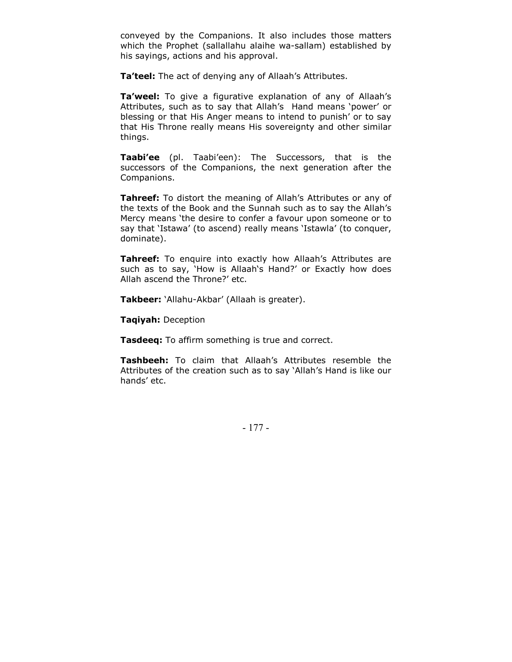conveyed by the Companions. It also includes those matters which the Prophet (sallallahu alaihe wa-sallam) established by his sayings, actions and his approval.

**Ta'teel:** The act of denying any of Allaah's Attributes.

**Ta'weel:** To give a figurative explanation of any of Allaah's Attributes, such as to say that Allah's Hand means 'power' or blessing or that His Anger means to intend to punish' or to say that His Throne really means His sovereignty and other similar things.

**Taabi'ee** (pl. Taabi'een): The Successors, that is the successors of the Companions, the next generation after the Companions.

**Tahreef:** To distort the meaning of Allah's Attributes or any of the texts of the Book and the Sunnah such as to say the Allah's Mercy means 'the desire to confer a favour upon someone or to say that 'Istawa' (to ascend) really means 'Istawla' (to conquer, dominate).

**Tahreef:** To enquire into exactly how Allaah's Attributes are such as to say, 'How is Allaah's Hand?' or Exactly how does Allah ascend the Throne?' etc.

**Takbeer:** 'Allahu-Akbar' (Allaah is greater).

**Taqiyah:** Deception

**Tasdeeq:** To affirm something is true and correct.

**Tashbeeh:** To claim that Allaah's Attributes resemble the Attributes of the creation such as to say 'Allah's Hand is like our hands' etc.

- 177 -